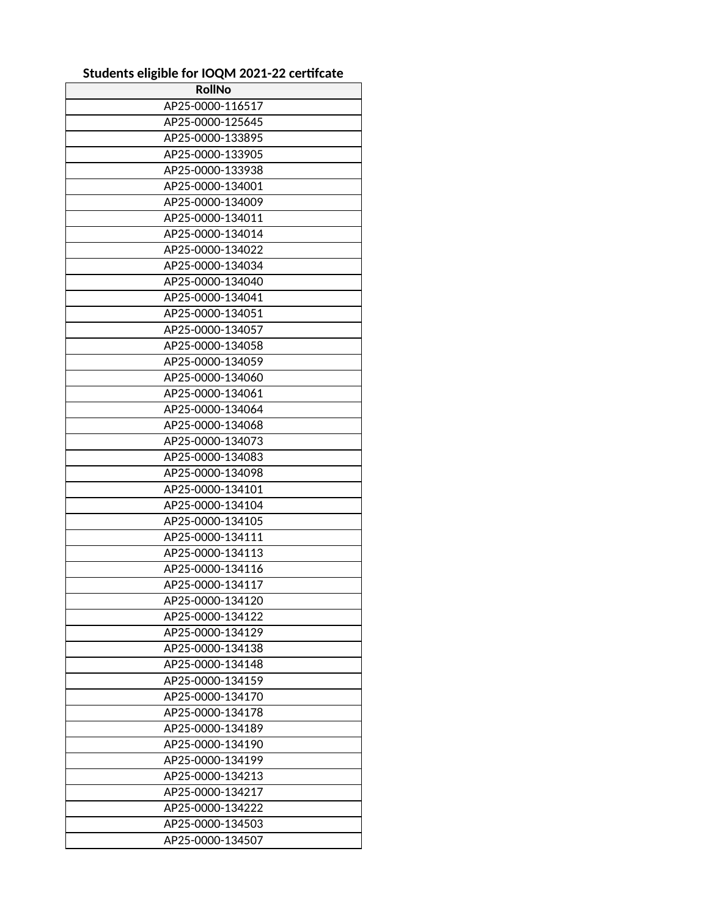## **Students eligible for IOQM 2021-22 certifcate**

| <b>RollNo</b>    |
|------------------|
| AP25-0000-116517 |
| AP25-0000-125645 |
| AP25-0000-133895 |
| AP25-0000-133905 |
| AP25-0000-133938 |
| AP25-0000-134001 |
| AP25-0000-134009 |
| AP25-0000-134011 |
| AP25-0000-134014 |
| AP25-0000-134022 |
| AP25-0000-134034 |
| AP25-0000-134040 |
| AP25-0000-134041 |
| AP25-0000-134051 |
| AP25-0000-134057 |
| AP25-0000-134058 |
| AP25-0000-134059 |
| AP25-0000-134060 |
| AP25-0000-134061 |
| AP25-0000-134064 |
| AP25-0000-134068 |
| AP25-0000-134073 |
| AP25-0000-134083 |
| AP25-0000-134098 |
| AP25-0000-134101 |
| AP25-0000-134104 |
| AP25-0000-134105 |
| AP25-0000-134111 |
| AP25-0000-134113 |
| AP25-0000-134116 |
| AP25-0000-134117 |
| AP25-0000-134120 |
| AP25-0000-134122 |
| AP25-0000-134129 |
| AP25-0000-134138 |
| AP25-0000-134148 |
| AP25-0000-134159 |
| AP25-0000-134170 |
| AP25-0000-134178 |
| AP25-0000-134189 |
| AP25-0000-134190 |
| AP25-0000-134199 |
| AP25-0000-134213 |
| AP25-0000-134217 |
| AP25-0000-134222 |
| AP25-0000-134503 |
| AP25-0000-134507 |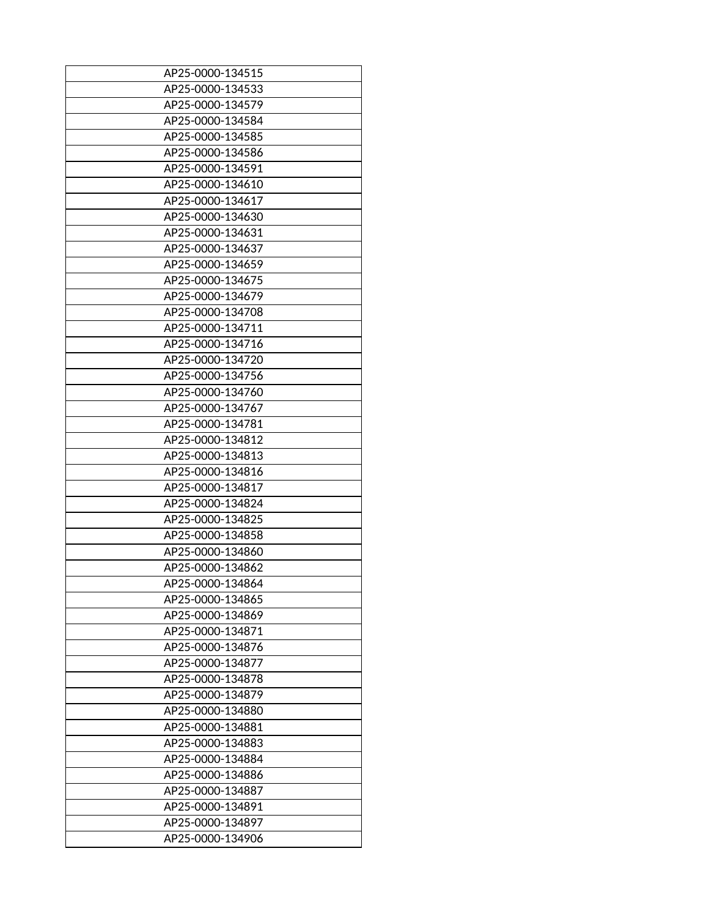| AP25-0000-134515 |
|------------------|
| AP25-0000-134533 |
| AP25-0000-134579 |
| AP25-0000-134584 |
| AP25-0000-134585 |
| AP25-0000-134586 |
| AP25-0000-134591 |
| AP25-0000-134610 |
| AP25-0000-134617 |
| AP25-0000-134630 |
| AP25-0000-134631 |
| AP25-0000-134637 |
| AP25-0000-134659 |
| AP25-0000-134675 |
| AP25-0000-134679 |
| AP25-0000-134708 |
| AP25-0000-134711 |
| AP25-0000-134716 |
| AP25-0000-134720 |
| AP25-0000-134756 |
| AP25-0000-134760 |
| AP25-0000-134767 |
| AP25-0000-134781 |
| AP25-0000-134812 |
| AP25-0000-134813 |
| AP25-0000-134816 |
| AP25-0000-134817 |
| AP25-0000-134824 |
| AP25-0000-134825 |
| AP25-0000-134858 |
|                  |
| AP25-0000-134860 |
| AP25-0000-134862 |
| AP25-0000-134864 |
| AP25-0000-134865 |
| AP25-0000-134869 |
| AP25-0000-134871 |
| AP25-0000-134876 |
| AP25-0000-134877 |
| AP25-0000-134878 |
| AP25-0000-134879 |
| AP25-0000-134880 |
| AP25-0000-134881 |
| AP25-0000-134883 |
| AP25-0000-134884 |
| AP25-0000-134886 |
| AP25-0000-134887 |
| AP25-0000-134891 |
| AP25-0000-134897 |
| AP25-0000-134906 |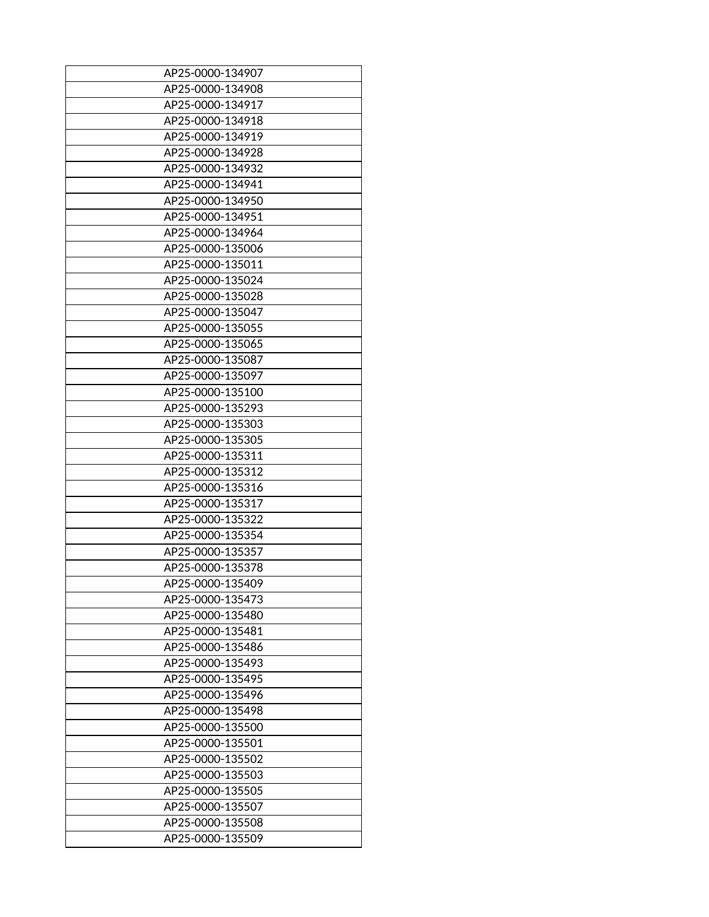| AP25-0000-134907 |
|------------------|
| AP25-0000-134908 |
| AP25-0000-134917 |
|                  |
| AP25-0000-134918 |
| AP25-0000-134919 |
| AP25-0000-134928 |
| AP25-0000-134932 |
| AP25-0000-134941 |
| AP25-0000-134950 |
| AP25-0000-134951 |
| AP25-0000-134964 |
| AP25-0000-135006 |
| AP25-0000-135011 |
| AP25-0000-135024 |
| AP25-0000-135028 |
| AP25-0000-135047 |
| AP25-0000-135055 |
| AP25-0000-135065 |
| AP25-0000-135087 |
| AP25-0000-135097 |
|                  |
| AP25-0000-135100 |
| AP25-0000-135293 |
| AP25-0000-135303 |
| AP25-0000-135305 |
| AP25-0000-135311 |
| AP25-0000-135312 |
| AP25-0000-135316 |
| AP25-0000-135317 |
| AP25-0000-135322 |
| AP25-0000-135354 |
| AP25-0000-135357 |
| AP25-0000-135378 |
| AP25-0000-135409 |
| AP25-0000-135473 |
| AP25-0000-135480 |
| AP25-0000-135481 |
| AP25-0000-135486 |
| AP25-0000-135493 |
| AP25-0000-135495 |
| AP25-0000-135496 |
| AP25-0000-135498 |
|                  |
| AP25-0000-135500 |
| AP25-0000-135501 |
| AP25-0000-135502 |
| AP25-0000-135503 |
| AP25-0000-135505 |
| AP25-0000-135507 |
| AP25-0000-135508 |
| AP25-0000-135509 |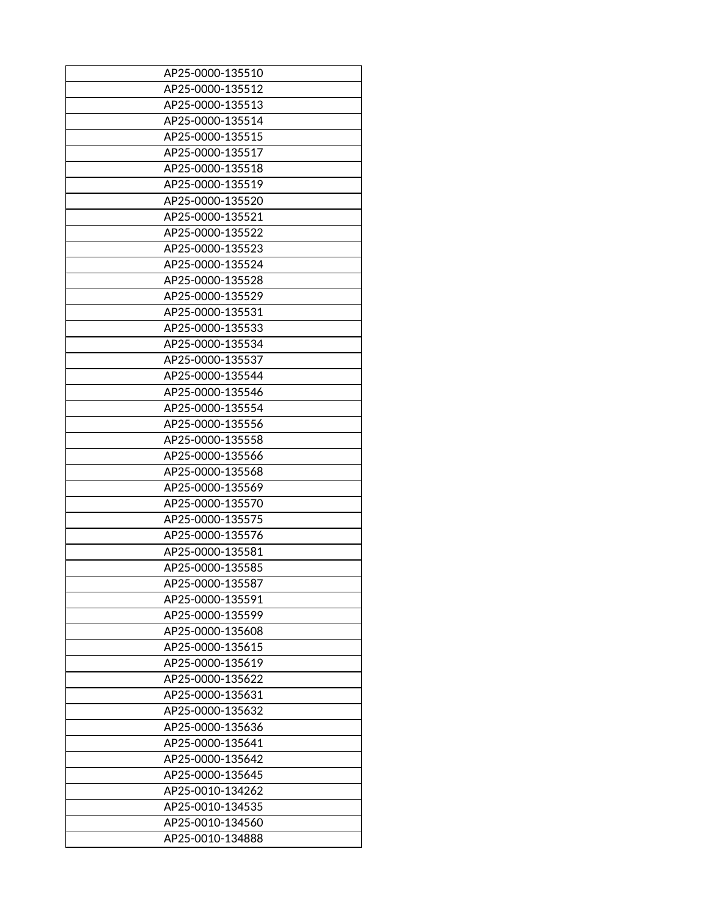| AP25-0000-135510 |
|------------------|
| AP25-0000-135512 |
| AP25-0000-135513 |
|                  |
| AP25-0000-135514 |
| AP25-0000-135515 |
| AP25-0000-135517 |
| AP25-0000-135518 |
| AP25-0000-135519 |
| AP25-0000-135520 |
| AP25-0000-135521 |
| AP25-0000-135522 |
| AP25-0000-135523 |
| AP25-0000-135524 |
| AP25-0000-135528 |
| AP25-0000-135529 |
| AP25-0000-135531 |
| AP25-0000-135533 |
| AP25-0000-135534 |
| AP25-0000-135537 |
| AP25-0000-135544 |
|                  |
| AP25-0000-135546 |
| AP25-0000-135554 |
| AP25-0000-135556 |
| AP25-0000-135558 |
| AP25-0000-135566 |
| AP25-0000-135568 |
| AP25-0000-135569 |
| AP25-0000-135570 |
| AP25-0000-135575 |
| AP25-0000-135576 |
| AP25-0000-135581 |
| AP25-0000-135585 |
| AP25-0000-135587 |
| AP25-0000-135591 |
| AP25-0000-135599 |
| AP25-0000-135608 |
| AP25-0000-135615 |
| AP25-0000-135619 |
| AP25-0000-135622 |
| AP25-0000-135631 |
| AP25-0000-135632 |
| AP25-0000-135636 |
|                  |
| AP25-0000-135641 |
| AP25-0000-135642 |
| AP25-0000-135645 |
| AP25-0010-134262 |
| AP25-0010-134535 |
| AP25-0010-134560 |
| AP25-0010-134888 |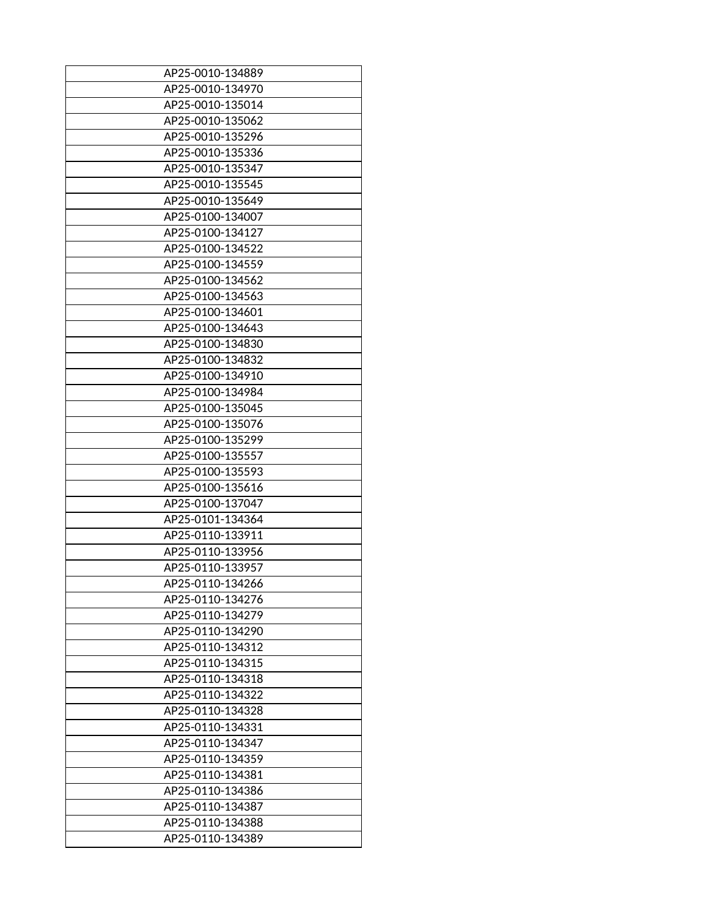| AP25-0010-134889 |
|------------------|
| AP25-0010-134970 |
| AP25-0010-135014 |
|                  |
| AP25-0010-135062 |
| AP25-0010-135296 |
| AP25-0010-135336 |
| AP25-0010-135347 |
| AP25-0010-135545 |
| AP25-0010-135649 |
| AP25-0100-134007 |
| AP25-0100-134127 |
| AP25-0100-134522 |
| AP25-0100-134559 |
| AP25-0100-134562 |
| AP25-0100-134563 |
| AP25-0100-134601 |
| AP25-0100-134643 |
| AP25-0100-134830 |
| AP25-0100-134832 |
| AP25-0100-134910 |
|                  |
| AP25-0100-134984 |
| AP25-0100-135045 |
| AP25-0100-135076 |
| AP25-0100-135299 |
| AP25-0100-135557 |
| AP25-0100-135593 |
| AP25-0100-135616 |
| AP25-0100-137047 |
| AP25-0101-134364 |
| AP25-0110-133911 |
| AP25-0110-133956 |
| AP25-0110-133957 |
| AP25-0110-134266 |
| AP25-0110-134276 |
| AP25-0110-134279 |
| AP25-0110-134290 |
| AP25-0110-134312 |
| AP25-0110-134315 |
| AP25-0110-134318 |
| AP25-0110-134322 |
| AP25-0110-134328 |
| AP25-0110-134331 |
|                  |
| AP25-0110-134347 |
| AP25-0110-134359 |
| AP25-0110-134381 |
| AP25-0110-134386 |
| AP25-0110-134387 |
| AP25-0110-134388 |
| AP25-0110-134389 |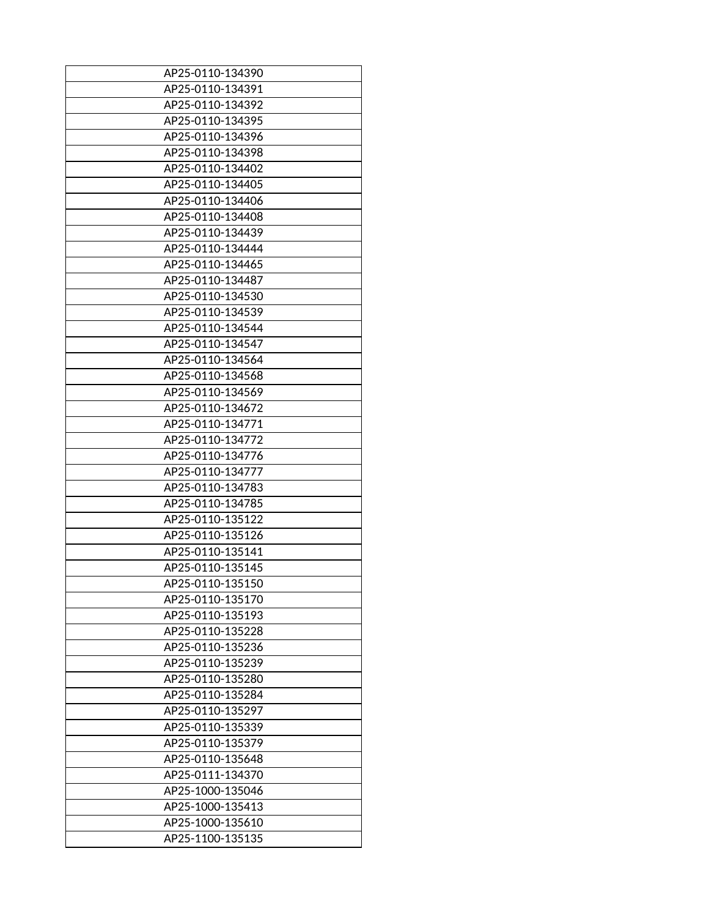| AP25-0110-134390 |
|------------------|
|                  |
| AP25-0110-134391 |
| AP25-0110-134392 |
| AP25-0110-134395 |
| AP25-0110-134396 |
| AP25-0110-134398 |
| AP25-0110-134402 |
| AP25-0110-134405 |
| AP25-0110-134406 |
| AP25-0110-134408 |
| AP25-0110-134439 |
| AP25-0110-134444 |
| AP25-0110-134465 |
| AP25-0110-134487 |
| AP25-0110-134530 |
| AP25-0110-134539 |
| AP25-0110-134544 |
| AP25-0110-134547 |
| AP25-0110-134564 |
| AP25-0110-134568 |
|                  |
| AP25-0110-134569 |
| AP25-0110-134672 |
| AP25-0110-134771 |
| AP25-0110-134772 |
| AP25-0110-134776 |
| AP25-0110-134777 |
| AP25-0110-134783 |
| AP25-0110-134785 |
| AP25-0110-135122 |
| AP25-0110-135126 |
| AP25-0110-135141 |
| AP25-0110-135145 |
| AP25-0110-135150 |
| AP25-0110-135170 |
| AP25-0110-135193 |
| AP25-0110-135228 |
| AP25-0110-135236 |
| AP25-0110-135239 |
| AP25-0110-135280 |
| AP25-0110-135284 |
| AP25-0110-135297 |
| AP25-0110-135339 |
| AP25-0110-135379 |
| AP25-0110-135648 |
| AP25-0111-134370 |
|                  |
| AP25-1000-135046 |
| AP25-1000-135413 |
| AP25-1000-135610 |
| AP25-1100-135135 |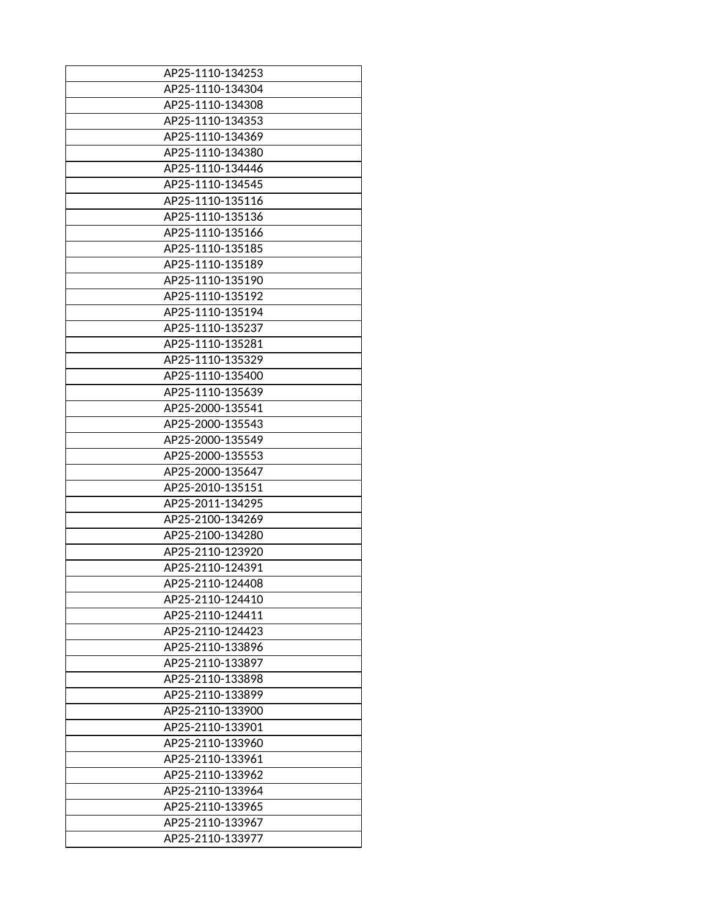| AP25-1110-134253 |
|------------------|
| AP25-1110-134304 |
|                  |
| AP25-1110-134308 |
| AP25-1110-134353 |
| AP25-1110-134369 |
| AP25-1110-134380 |
| AP25-1110-134446 |
| AP25-1110-134545 |
| AP25-1110-135116 |
| AP25-1110-135136 |
| AP25-1110-135166 |
| AP25-1110-135185 |
| AP25-1110-135189 |
| AP25-1110-135190 |
| AP25-1110-135192 |
| AP25-1110-135194 |
| AP25-1110-135237 |
|                  |
| AP25-1110-135281 |
| AP25-1110-135329 |
| AP25-1110-135400 |
| AP25-1110-135639 |
| AP25-2000-135541 |
| AP25-2000-135543 |
| AP25-2000-135549 |
| AP25-2000-135553 |
| AP25-2000-135647 |
| AP25-2010-135151 |
| AP25-2011-134295 |
| AP25-2100-134269 |
| AP25-2100-134280 |
| AP25-2110-123920 |
| AP25-2110-124391 |
| AP25-2110-124408 |
| AP25-2110-124410 |
| AP25-2110-124411 |
| AP25-2110-124423 |
| AP25-2110-133896 |
|                  |
| AP25-2110-133897 |
| AP25-2110-133898 |
| AP25-2110-133899 |
| AP25-2110-133900 |
| AP25-2110-133901 |
| AP25-2110-133960 |
| AP25-2110-133961 |
| AP25-2110-133962 |
| AP25-2110-133964 |
| AP25-2110-133965 |
| AP25-2110-133967 |
| AP25-2110-133977 |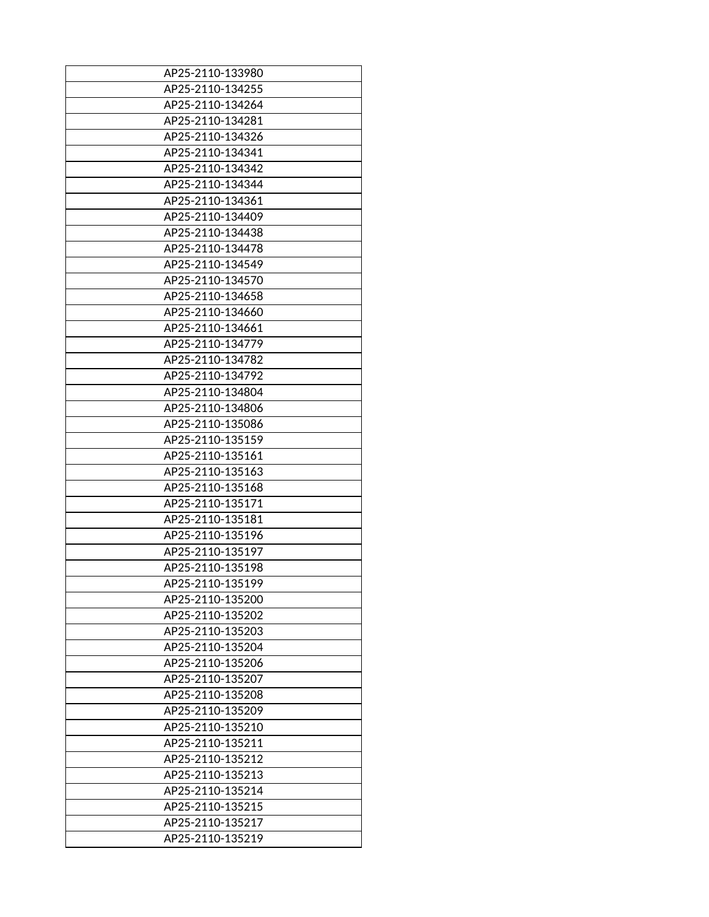| AP25-2110-133980 |
|------------------|
| AP25-2110-134255 |
|                  |
| AP25-2110-134264 |
| AP25-2110-134281 |
| AP25-2110-134326 |
| AP25-2110-134341 |
| AP25-2110-134342 |
| AP25-2110-134344 |
| AP25-2110-134361 |
| AP25-2110-134409 |
| AP25-2110-134438 |
| AP25-2110-134478 |
| AP25-2110-134549 |
| AP25-2110-134570 |
| AP25-2110-134658 |
| AP25-2110-134660 |
|                  |
| AP25-2110-134661 |
| AP25-2110-134779 |
| AP25-2110-134782 |
| AP25-2110-134792 |
| AP25-2110-134804 |
| AP25-2110-134806 |
| AP25-2110-135086 |
| AP25-2110-135159 |
| AP25-2110-135161 |
| AP25-2110-135163 |
| AP25-2110-135168 |
| AP25-2110-135171 |
| AP25-2110-135181 |
| AP25-2110-135196 |
|                  |
| AP25-2110-135197 |
| AP25-2110-135198 |
| AP25-2110-135199 |
| AP25-2110-135200 |
| AP25-2110-135202 |
| AP25-2110-135203 |
| AP25-2110-135204 |
| AP25-2110-135206 |
| AP25-2110-135207 |
| AP25-2110-135208 |
| AP25-2110-135209 |
| AP25-2110-135210 |
| AP25-2110-135211 |
| AP25-2110-135212 |
| AP25-2110-135213 |
|                  |
| AP25-2110-135214 |
| AP25-2110-135215 |
| AP25-2110-135217 |
| AP25-2110-135219 |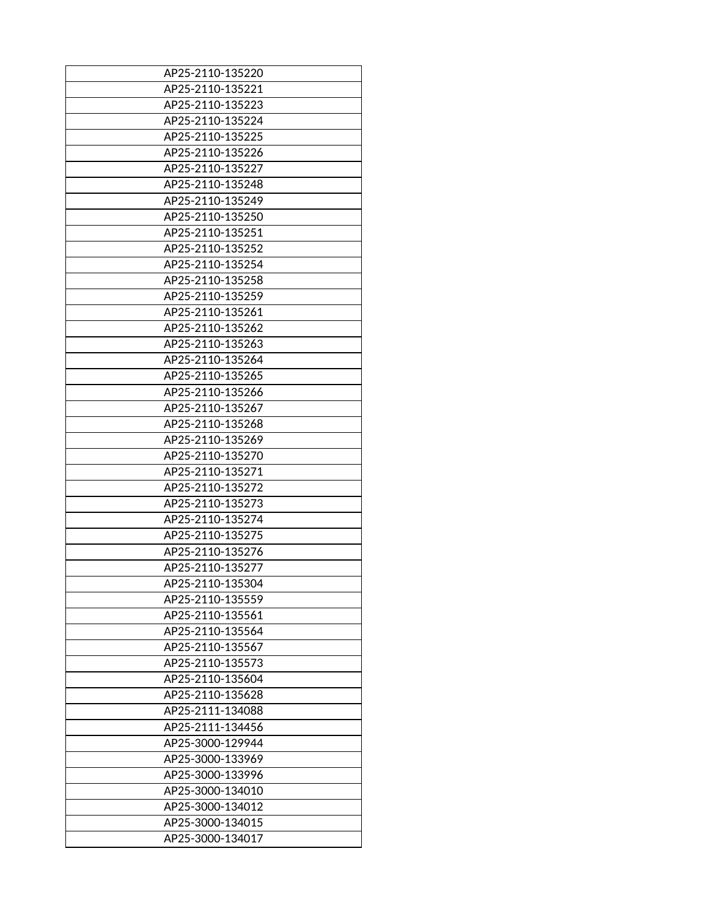| AP25-2110-135220 |
|------------------|
| AP25-2110-135221 |
| AP25-2110-135223 |
| AP25-2110-135224 |
| AP25-2110-135225 |
| AP25-2110-135226 |
| AP25-2110-135227 |
| AP25-2110-135248 |
| AP25-2110-135249 |
| AP25-2110-135250 |
| AP25-2110-135251 |
| AP25-2110-135252 |
| AP25-2110-135254 |
| AP25-2110-135258 |
| AP25-2110-135259 |
| AP25-2110-135261 |
| AP25-2110-135262 |
| AP25-2110-135263 |
| AP25-2110-135264 |
| AP25-2110-135265 |
| AP25-2110-135266 |
| AP25-2110-135267 |
| AP25-2110-135268 |
| AP25-2110-135269 |
| AP25-2110-135270 |
| AP25-2110-135271 |
| AP25-2110-135272 |
| AP25-2110-135273 |
| AP25-2110-135274 |
| AP25-2110-135275 |
| AP25-2110-135276 |
| AP25-2110-135277 |
| AP25-2110-135304 |
| AP25-2110-135559 |
| AP25-2110-135561 |
| AP25-2110-135564 |
| AP25-2110-135567 |
| AP25-2110-135573 |
| AP25-2110-135604 |
| AP25-2110-135628 |
| AP25-2111-134088 |
| AP25-2111-134456 |
| AP25-3000-129944 |
| AP25-3000-133969 |
| AP25-3000-133996 |
| AP25-3000-134010 |
| AP25-3000-134012 |
| AP25-3000-134015 |
| AP25-3000-134017 |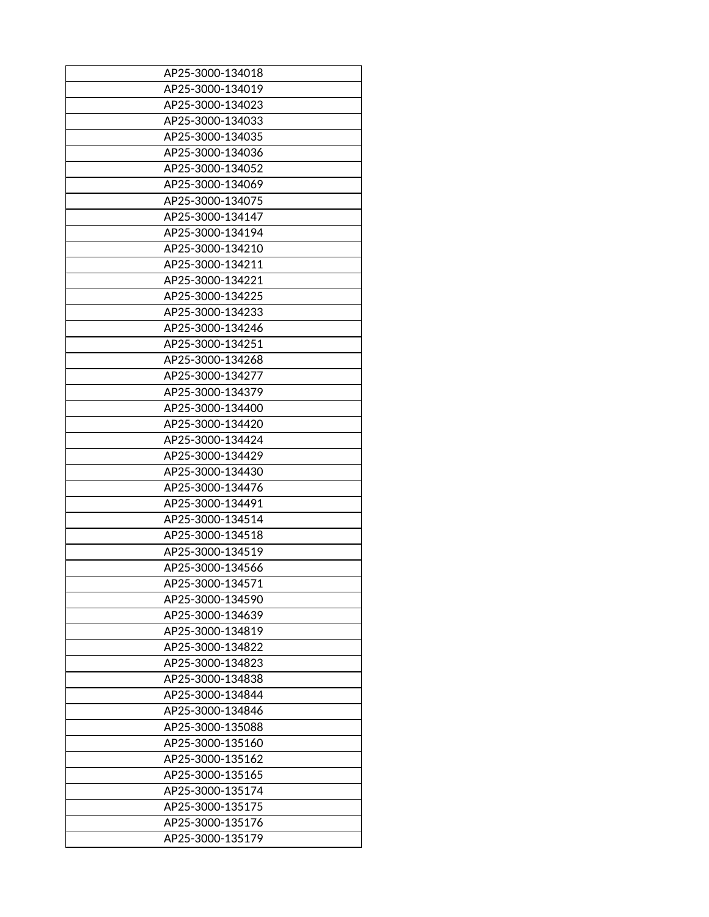| AP25-3000-134018 |
|------------------|
| AP25-3000-134019 |
| AP25-3000-134023 |
| AP25-3000-134033 |
| AP25-3000-134035 |
|                  |
| AP25-3000-134036 |
| AP25-3000-134052 |
| AP25-3000-134069 |
| AP25-3000-134075 |
| AP25-3000-134147 |
| AP25-3000-134194 |
| AP25-3000-134210 |
| AP25-3000-134211 |
| AP25-3000-134221 |
| AP25-3000-134225 |
| AP25-3000-134233 |
| AP25-3000-134246 |
| AP25-3000-134251 |
| AP25-3000-134268 |
| AP25-3000-134277 |
| AP25-3000-134379 |
| AP25-3000-134400 |
| AP25-3000-134420 |
| AP25-3000-134424 |
| AP25-3000-134429 |
|                  |
| AP25-3000-134430 |
| AP25-3000-134476 |
| AP25-3000-134491 |
| AP25-3000-134514 |
| AP25-3000-134518 |
| AP25-3000-134519 |
| AP25-3000-134566 |
| AP25-3000-134571 |
| AP25-3000-134590 |
| AP25-3000-134639 |
| AP25-3000-134819 |
| AP25-3000-134822 |
| AP25-3000-134823 |
| AP25-3000-134838 |
| AP25-3000-134844 |
| AP25-3000-134846 |
| AP25-3000-135088 |
| AP25-3000-135160 |
| AP25-3000-135162 |
| AP25-3000-135165 |
| AP25-3000-135174 |
| AP25-3000-135175 |
| AP25-3000-135176 |
| AP25-3000-135179 |
|                  |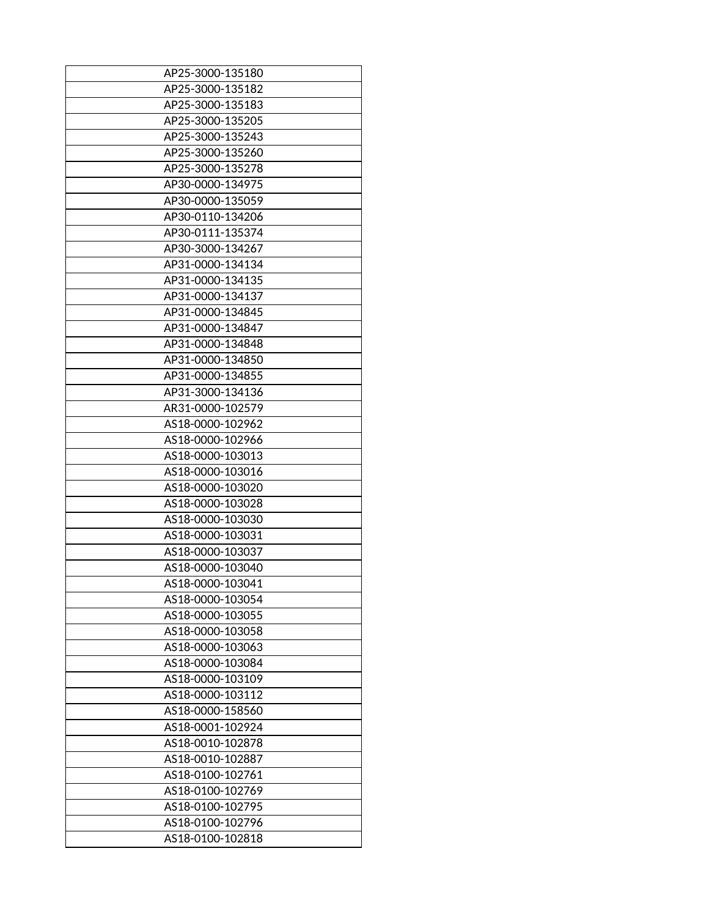| AP25-3000-135180 |
|------------------|
| AP25-3000-135182 |
| AP25-3000-135183 |
| AP25-3000-135205 |
| AP25-3000-135243 |
| AP25-3000-135260 |
| AP25-3000-135278 |
| AP30-0000-134975 |
| AP30-0000-135059 |
| AP30-0110-134206 |
| AP30-0111-135374 |
| AP30-3000-134267 |
| AP31-0000-134134 |
| AP31-0000-134135 |
| AP31-0000-134137 |
| AP31-0000-134845 |
| AP31-0000-134847 |
| AP31-0000-134848 |
| AP31-0000-134850 |
| AP31-0000-134855 |
| AP31-3000-134136 |
| AR31-0000-102579 |
| AS18-0000-102962 |
| AS18-0000-102966 |
| AS18-0000-103013 |
| AS18-0000-103016 |
| AS18-0000-103020 |
| AS18-0000-103028 |
| AS18-0000-103030 |
| AS18-0000-103031 |
| AS18-0000-103037 |
| AS18-0000-103040 |
| AS18-0000-103041 |
| AS18-0000-103054 |
| AS18-0000-103055 |
| AS18-0000-103058 |
| AS18-0000-103063 |
| AS18-0000-103084 |
| AS18-0000-103109 |
| AS18-0000-103112 |
| AS18-0000-158560 |
| AS18-0001-102924 |
| AS18-0010-102878 |
| AS18-0010-102887 |
| AS18-0100-102761 |
| AS18-0100-102769 |
| AS18-0100-102795 |
| AS18-0100-102796 |
| AS18-0100-102818 |
|                  |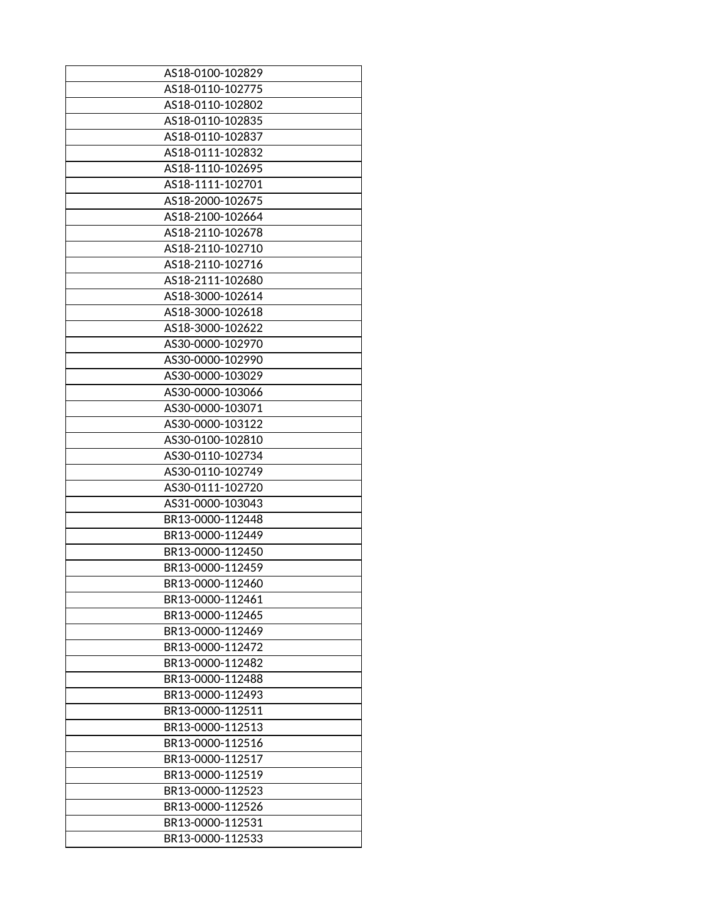| AS18-0100-102829 |
|------------------|
| AS18-0110-102775 |
| AS18-0110-102802 |
| AS18-0110-102835 |
| AS18-0110-102837 |
|                  |
| AS18-0111-102832 |
| AS18-1110-102695 |
| AS18-1111-102701 |
| AS18-2000-102675 |
| AS18-2100-102664 |
| AS18-2110-102678 |
| AS18-2110-102710 |
| AS18-2110-102716 |
| AS18-2111-102680 |
| AS18-3000-102614 |
| AS18-3000-102618 |
| AS18-3000-102622 |
| AS30-0000-102970 |
| AS30-0000-102990 |
| AS30-0000-103029 |
| AS30-0000-103066 |
| AS30-0000-103071 |
| AS30-0000-103122 |
| AS30-0100-102810 |
| AS30-0110-102734 |
| AS30-0110-102749 |
| AS30-0111-102720 |
| AS31-0000-103043 |
| BR13-0000-112448 |
|                  |
| BR13-0000-112449 |
| BR13-0000-112450 |
| BR13-0000-112459 |
| BR13-0000-112460 |
| BR13-0000-112461 |
| BR13-0000-112465 |
| BR13-0000-112469 |
| BR13-0000-112472 |
| BR13-0000-112482 |
| BR13-0000-112488 |
| BR13-0000-112493 |
| BR13-0000-112511 |
| BR13-0000-112513 |
| BR13-0000-112516 |
| BR13-0000-112517 |
| BR13-0000-112519 |
| BR13-0000-112523 |
| BR13-0000-112526 |
| BR13-0000-112531 |
| BR13-0000-112533 |
|                  |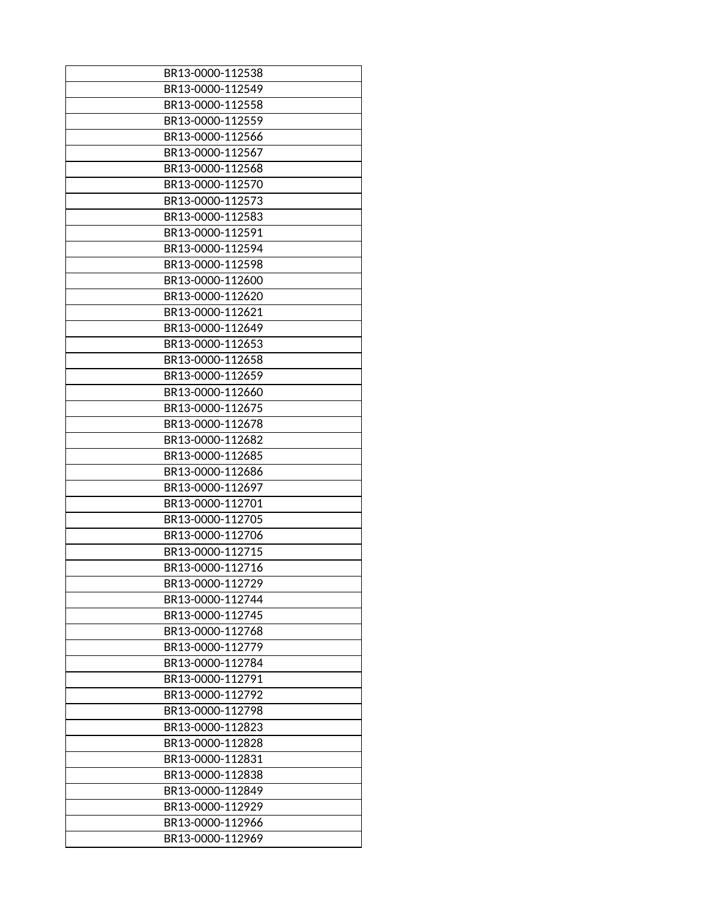| BR13-0000-112538 |
|------------------|
| BR13-0000-112549 |
| BR13-0000-112558 |
| BR13-0000-112559 |
|                  |
| BR13-0000-112566 |
| BR13-0000-112567 |
| BR13-0000-112568 |
| BR13-0000-112570 |
| BR13-0000-112573 |
| BR13-0000-112583 |
| BR13-0000-112591 |
| BR13-0000-112594 |
| BR13-0000-112598 |
| BR13-0000-112600 |
| BR13-0000-112620 |
| BR13-0000-112621 |
| BR13-0000-112649 |
| BR13-0000-112653 |
| BR13-0000-112658 |
| BR13-0000-112659 |
| BR13-0000-112660 |
| BR13-0000-112675 |
| BR13-0000-112678 |
| BR13-0000-112682 |
| BR13-0000-112685 |
| BR13-0000-112686 |
| BR13-0000-112697 |
| BR13-0000-112701 |
| BR13-0000-112705 |
| BR13-0000-112706 |
|                  |
| BR13-0000-112715 |
| BR13-0000-112716 |
| BR13-0000-112729 |
| BR13-0000-112744 |
| BR13-0000-112745 |
| BR13-0000-112768 |
| BR13-0000-112779 |
| BR13-0000-112784 |
| BR13-0000-112791 |
| BR13-0000-112792 |
| BR13-0000-112798 |
| BR13-0000-112823 |
| BR13-0000-112828 |
| BR13-0000-112831 |
| BR13-0000-112838 |
| BR13-0000-112849 |
| BR13-0000-112929 |
| BR13-0000-112966 |
| BR13-0000-112969 |
|                  |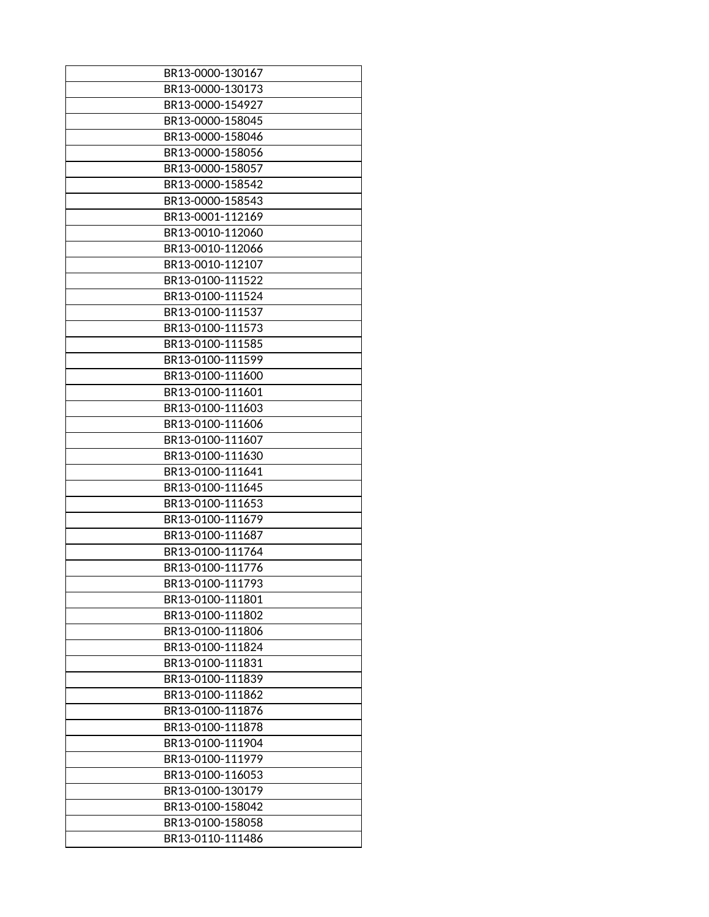| BR13-0000-130167 |
|------------------|
| BR13-0000-130173 |
| BR13-0000-154927 |
| BR13-0000-158045 |
| BR13-0000-158046 |
| BR13-0000-158056 |
| BR13-0000-158057 |
| BR13-0000-158542 |
| BR13-0000-158543 |
| BR13-0001-112169 |
| BR13-0010-112060 |
| BR13-0010-112066 |
| BR13-0010-112107 |
| BR13-0100-111522 |
| BR13-0100-111524 |
| BR13-0100-111537 |
| BR13-0100-111573 |
| BR13-0100-111585 |
| BR13-0100-111599 |
|                  |
| BR13-0100-111600 |
| BR13-0100-111601 |
| BR13-0100-111603 |
| BR13-0100-111606 |
| BR13-0100-111607 |
| BR13-0100-111630 |
| BR13-0100-111641 |
| BR13-0100-111645 |
| BR13-0100-111653 |
| BR13-0100-111679 |
| BR13-0100-111687 |
| BR13-0100-111764 |
| BR13-0100-111776 |
| BR13-0100-111793 |
| BR13-0100-111801 |
| BR13-0100-111802 |
| BR13-0100-111806 |
| BR13-0100-111824 |
| BR13-0100-111831 |
| BR13-0100-111839 |
| BR13-0100-111862 |
| BR13-0100-111876 |
|                  |
| BR13-0100-111878 |
| BR13-0100-111904 |
| BR13-0100-111979 |
| BR13-0100-116053 |
| BR13-0100-130179 |
| BR13-0100-158042 |
| BR13-0100-158058 |
| BR13-0110-111486 |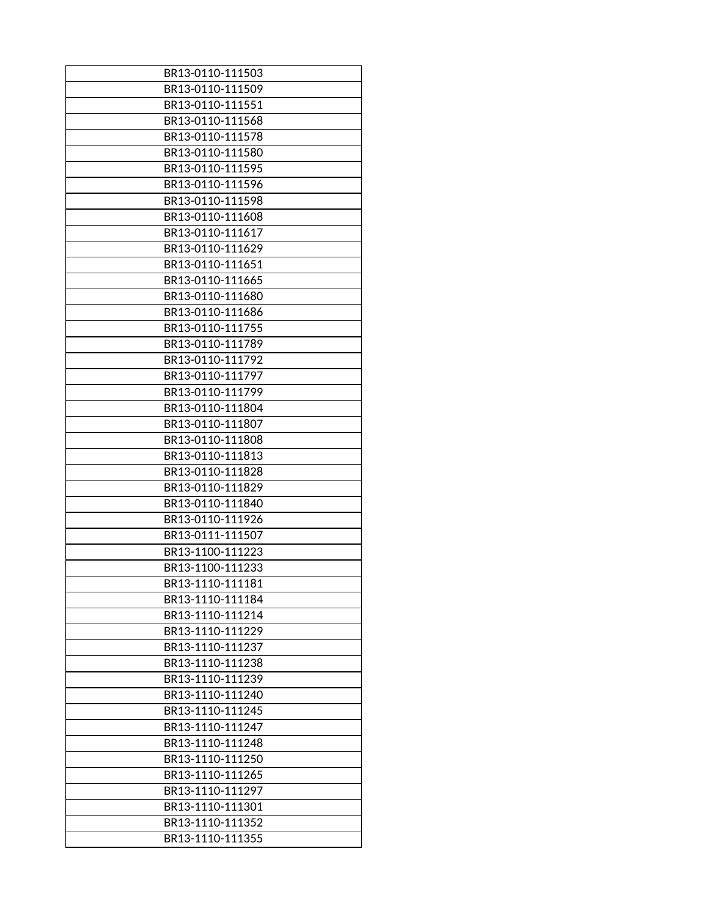| BR13-0110-111503 |
|------------------|
| BR13-0110-111509 |
| BR13-0110-111551 |
| BR13-0110-111568 |
| BR13-0110-111578 |
| BR13-0110-111580 |
| BR13-0110-111595 |
| BR13-0110-111596 |
| BR13-0110-111598 |
| BR13-0110-111608 |
| BR13-0110-111617 |
| BR13-0110-111629 |
| BR13-0110-111651 |
| BR13-0110-111665 |
| BR13-0110-111680 |
| BR13-0110-111686 |
| BR13-0110-111755 |
| BR13-0110-111789 |
| BR13-0110-111792 |
| BR13-0110-111797 |
| BR13-0110-111799 |
| BR13-0110-111804 |
| BR13-0110-111807 |
| BR13-0110-111808 |
| BR13-0110-111813 |
| BR13-0110-111828 |
| BR13-0110-111829 |
| BR13-0110-111840 |
| BR13-0110-111926 |
|                  |
| BR13-0111-111507 |
| BR13-1100-111223 |
| BR13-1100-111233 |
| BR13-1110-111181 |
| BR13-1110-111184 |
| BR13-1110-111214 |
| BR13-1110-111229 |
| BR13-1110-111237 |
| BR13-1110-111238 |
| BR13-1110-111239 |
| BR13-1110-111240 |
| BR13-1110-111245 |
| BR13-1110-111247 |
| BR13-1110-111248 |
| BR13-1110-111250 |
| BR13-1110-111265 |
| BR13-1110-111297 |
| BR13-1110-111301 |
| BR13-1110-111352 |
| BR13-1110-111355 |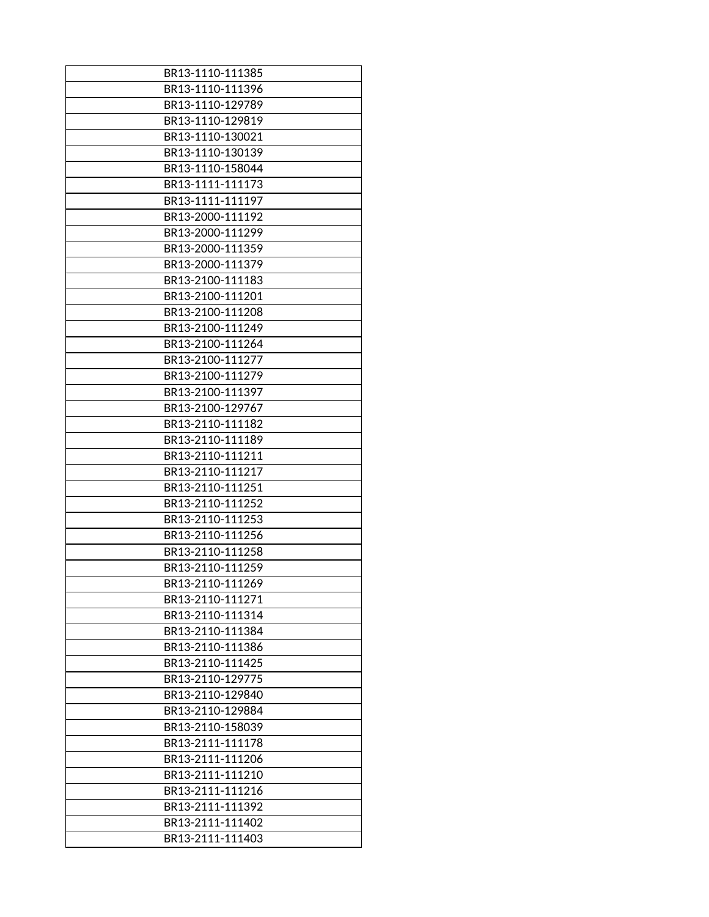| BR13-1110-111385 |
|------------------|
| BR13-1110-111396 |
| BR13-1110-129789 |
| BR13-1110-129819 |
| BR13-1110-130021 |
| BR13-1110-130139 |
| BR13-1110-158044 |
| BR13-1111-111173 |
| BR13-1111-111197 |
| BR13-2000-111192 |
| BR13-2000-111299 |
| BR13-2000-111359 |
| BR13-2000-111379 |
| BR13-2100-111183 |
| BR13-2100-111201 |
| BR13-2100-111208 |
| BR13-2100-111249 |
| BR13-2100-111264 |
| BR13-2100-111277 |
| BR13-2100-111279 |
| BR13-2100-111397 |
| BR13-2100-129767 |
| BR13-2110-111182 |
| BR13-2110-111189 |
| BR13-2110-111211 |
| BR13-2110-111217 |
| BR13-2110-111251 |
| BR13-2110-111252 |
| BR13-2110-111253 |
| BR13-2110-111256 |
| BR13-2110-111258 |
| BR13-2110-111259 |
| BR13-2110-111269 |
| BR13-2110-111271 |
| BR13-2110-111314 |
| BR13-2110-111384 |
| BR13-2110-111386 |
| BR13-2110-111425 |
| BR13-2110-129775 |
| BR13-2110-129840 |
| BR13-2110-129884 |
| BR13-2110-158039 |
| BR13-2111-111178 |
| BR13-2111-111206 |
| BR13-2111-111210 |
| BR13-2111-111216 |
| BR13-2111-111392 |
| BR13-2111-111402 |
| BR13-2111-111403 |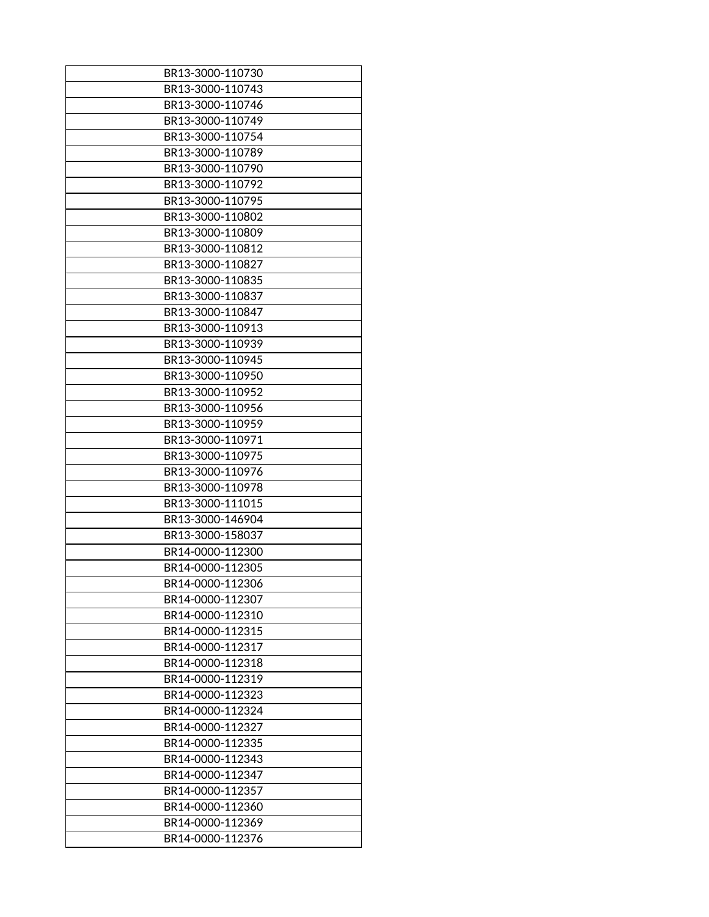| BR13-3000-110730 |
|------------------|
| BR13-3000-110743 |
| BR13-3000-110746 |
|                  |
| BR13-3000-110749 |
| BR13-3000-110754 |
| BR13-3000-110789 |
| BR13-3000-110790 |
| BR13-3000-110792 |
| BR13-3000-110795 |
| BR13-3000-110802 |
| BR13-3000-110809 |
| BR13-3000-110812 |
| BR13-3000-110827 |
| BR13-3000-110835 |
| BR13-3000-110837 |
| BR13-3000-110847 |
| BR13-3000-110913 |
| BR13-3000-110939 |
| BR13-3000-110945 |
| BR13-3000-110950 |
|                  |
| BR13-3000-110952 |
| BR13-3000-110956 |
| BR13-3000-110959 |
| BR13-3000-110971 |
| BR13-3000-110975 |
| BR13-3000-110976 |
| BR13-3000-110978 |
| BR13-3000-111015 |
| BR13-3000-146904 |
| BR13-3000-158037 |
| BR14-0000-112300 |
| BR14-0000-112305 |
| BR14-0000-112306 |
| BR14-0000-112307 |
| BR14-0000-112310 |
| BR14-0000-112315 |
| BR14-0000-112317 |
| BR14-0000-112318 |
| BR14-0000-112319 |
| BR14-0000-112323 |
| BR14-0000-112324 |
| BR14-0000-112327 |
| BR14-0000-112335 |
| BR14-0000-112343 |
|                  |
| BR14-0000-112347 |
| BR14-0000-112357 |
| BR14-0000-112360 |
| BR14-0000-112369 |
| BR14-0000-112376 |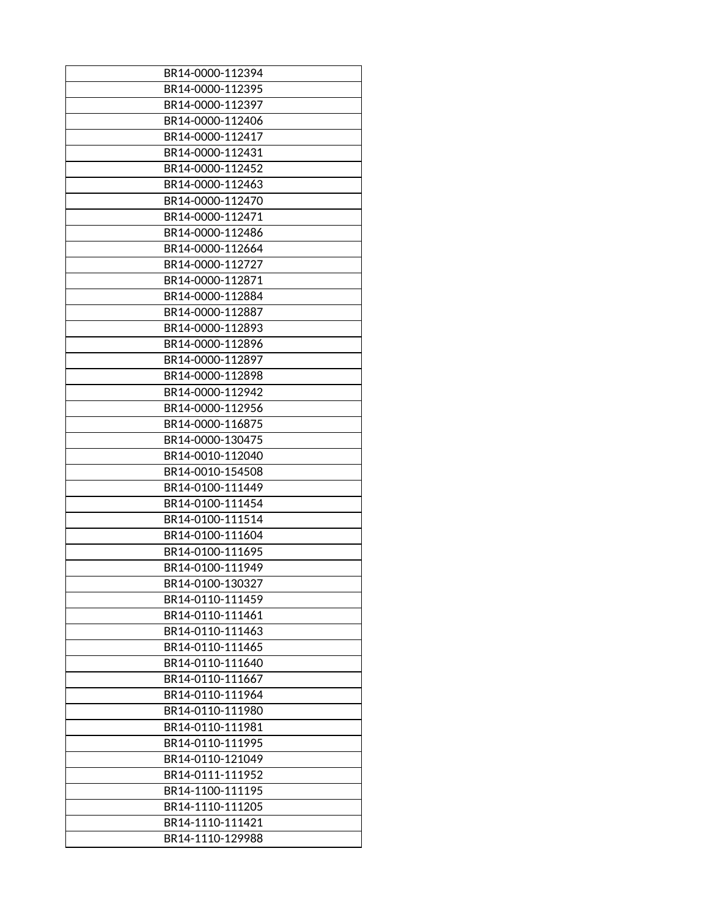| BR14-0000-112394 |
|------------------|
| BR14-0000-112395 |
| BR14-0000-112397 |
| BR14-0000-112406 |
|                  |
| BR14-0000-112417 |
| BR14-0000-112431 |
| BR14-0000-112452 |
| BR14-0000-112463 |
| BR14-0000-112470 |
| BR14-0000-112471 |
| BR14-0000-112486 |
| BR14-0000-112664 |
| BR14-0000-112727 |
| BR14-0000-112871 |
| BR14-0000-112884 |
| BR14-0000-112887 |
| BR14-0000-112893 |
| BR14-0000-112896 |
| BR14-0000-112897 |
| BR14-0000-112898 |
| BR14-0000-112942 |
| BR14-0000-112956 |
| BR14-0000-116875 |
| BR14-0000-130475 |
| BR14-0010-112040 |
| BR14-0010-154508 |
| BR14-0100-111449 |
| BR14-0100-111454 |
| BR14-0100-111514 |
| BR14-0100-111604 |
|                  |
| BR14-0100-111695 |
| BR14-0100-111949 |
| BR14-0100-130327 |
| BR14-0110-111459 |
| BR14-0110-111461 |
| BR14-0110-111463 |
| BR14-0110-111465 |
| BR14-0110-111640 |
| BR14-0110-111667 |
| BR14-0110-111964 |
| BR14-0110-111980 |
| BR14-0110-111981 |
| BR14-0110-111995 |
| BR14-0110-121049 |
| BR14-0111-111952 |
| BR14-1100-111195 |
| BR14-1110-111205 |
| BR14-1110-111421 |
| BR14-1110-129988 |
|                  |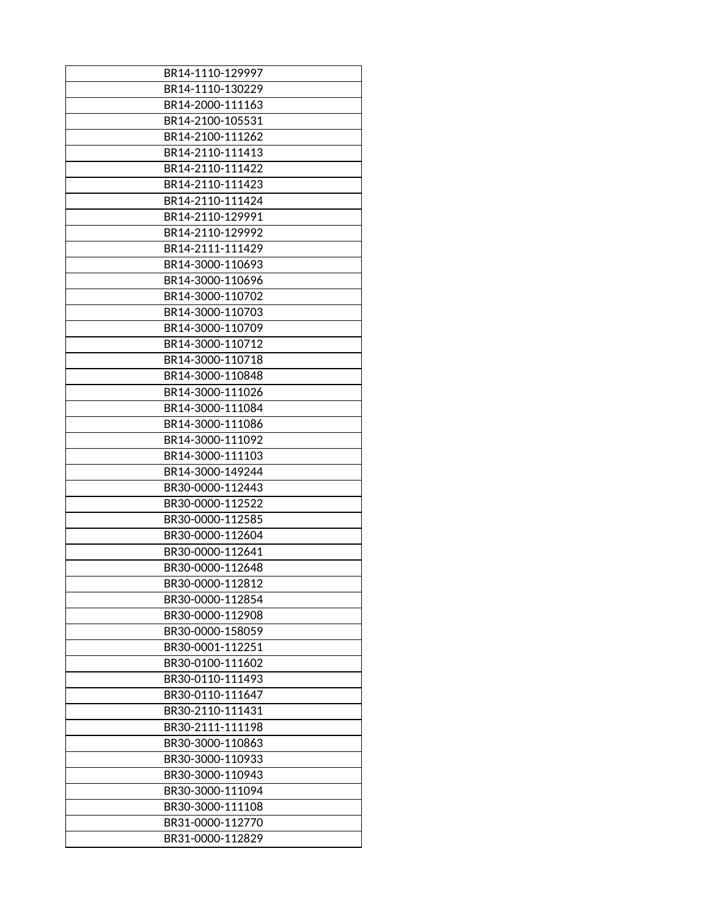| BR14-1110-129997 |
|------------------|
| BR14-1110-130229 |
| BR14-2000-111163 |
| BR14-2100-105531 |
| BR14-2100-111262 |
| BR14-2110-111413 |
| BR14-2110-111422 |
| BR14-2110-111423 |
| BR14-2110-111424 |
| BR14-2110-129991 |
| BR14-2110-129992 |
| BR14-2111-111429 |
| BR14-3000-110693 |
| BR14-3000-110696 |
| BR14-3000-110702 |
| BR14-3000-110703 |
| BR14-3000-110709 |
| BR14-3000-110712 |
| BR14-3000-110718 |
| BR14-3000-110848 |
| BR14-3000-111026 |
| BR14-3000-111084 |
| BR14-3000-111086 |
| BR14-3000-111092 |
| BR14-3000-111103 |
| BR14-3000-149244 |
| BR30-0000-112443 |
| BR30-0000-112522 |
| BR30-0000-112585 |
| BR30-0000-112604 |
| BR30-0000-112641 |
|                  |
| BR30-0000-112648 |
| BR30-0000-112812 |
| BR30-0000-112854 |
| BR30-0000-112908 |
| BR30-0000-158059 |
| BR30-0001-112251 |
| BR30-0100-111602 |
| BR30-0110-111493 |
| BR30-0110-111647 |
| BR30-2110-111431 |
| BR30-2111-111198 |
| BR30-3000-110863 |
| BR30-3000-110933 |
| BR30-3000-110943 |
| BR30-3000-111094 |
| BR30-3000-111108 |
| BR31-0000-112770 |
| BR31-0000-112829 |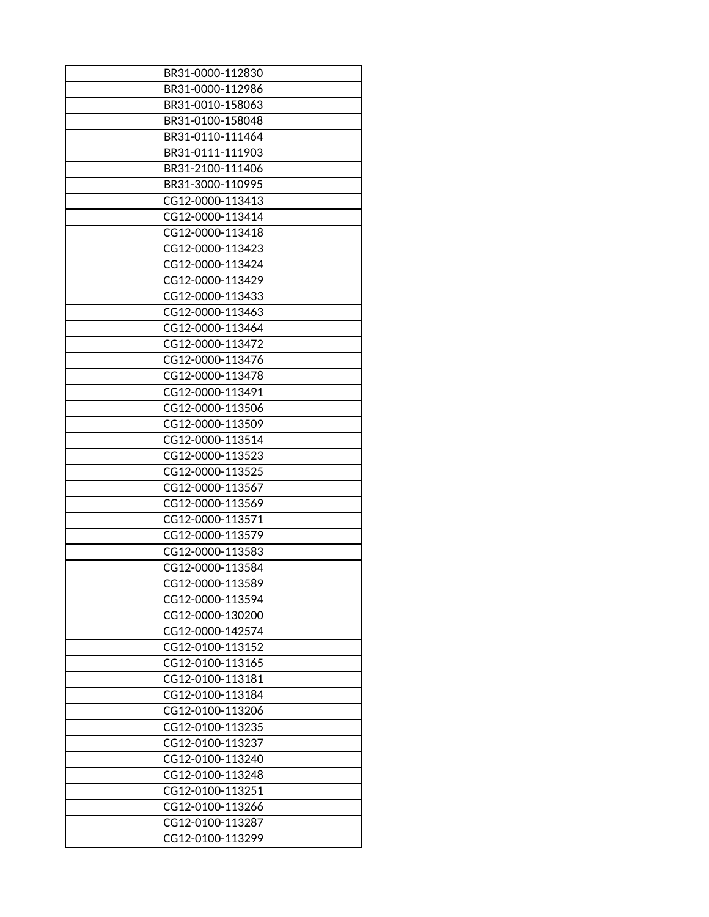| BR31-0000-112830 |
|------------------|
| BR31-0000-112986 |
| BR31-0010-158063 |
| BR31-0100-158048 |
| BR31-0110-111464 |
| BR31-0111-111903 |
| BR31-2100-111406 |
| BR31-3000-110995 |
| CG12-0000-113413 |
| CG12-0000-113414 |
| CG12-0000-113418 |
| CG12-0000-113423 |
| CG12-0000-113424 |
| CG12-0000-113429 |
| CG12-0000-113433 |
| CG12-0000-113463 |
| CG12-0000-113464 |
| CG12-0000-113472 |
| CG12-0000-113476 |
| CG12-0000-113478 |
| CG12-0000-113491 |
| CG12-0000-113506 |
| CG12-0000-113509 |
| CG12-0000-113514 |
| CG12-0000-113523 |
| CG12-0000-113525 |
| CG12-0000-113567 |
| CG12-0000-113569 |
| CG12-0000-113571 |
| CG12-0000-113579 |
| CG12-0000-113583 |
| CG12-0000-113584 |
| CG12-0000-113589 |
| CG12-0000-113594 |
| CG12-0000-130200 |
| CG12-0000-142574 |
| CG12-0100-113152 |
| CG12-0100-113165 |
| CG12-0100-113181 |
| CG12-0100-113184 |
| CG12-0100-113206 |
| CG12-0100-113235 |
| CG12-0100-113237 |
| CG12-0100-113240 |
| CG12-0100-113248 |
| CG12-0100-113251 |
| CG12-0100-113266 |
| CG12-0100-113287 |
| CG12-0100-113299 |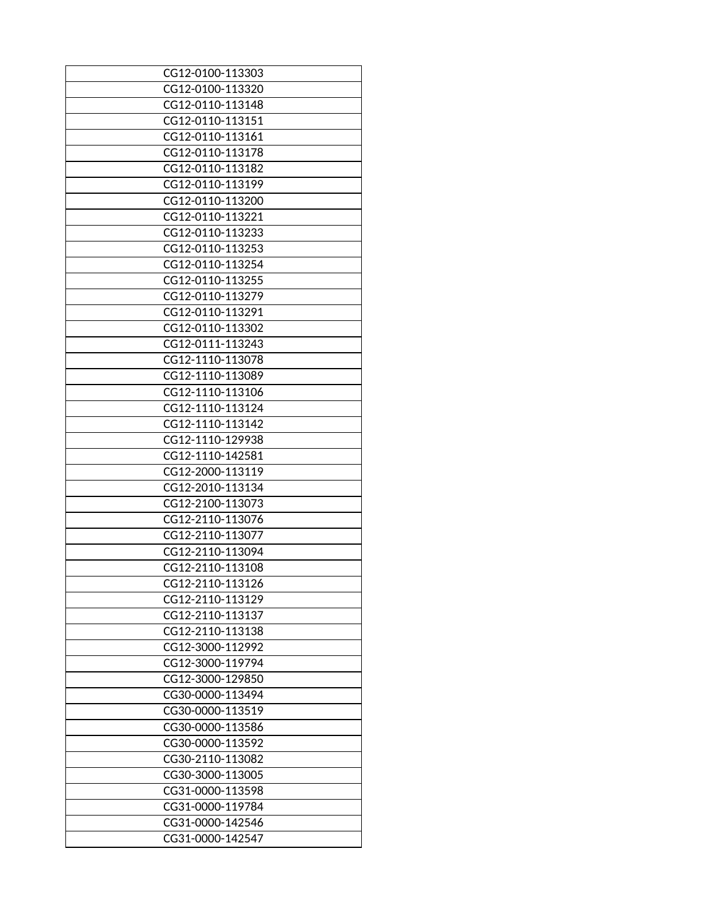| CG12-0100-113303 |
|------------------|
| CG12-0100-113320 |
| CG12-0110-113148 |
| CG12-0110-113151 |
| CG12-0110-113161 |
| CG12-0110-113178 |
| CG12-0110-113182 |
| CG12-0110-113199 |
| CG12-0110-113200 |
| CG12-0110-113221 |
| CG12-0110-113233 |
| CG12-0110-113253 |
| CG12-0110-113254 |
| CG12-0110-113255 |
| CG12-0110-113279 |
| CG12-0110-113291 |
| CG12-0110-113302 |
| CG12-0111-113243 |
| CG12-1110-113078 |
| CG12-1110-113089 |
| CG12-1110-113106 |
| CG12-1110-113124 |
| CG12-1110-113142 |
| CG12-1110-129938 |
| CG12-1110-142581 |
| CG12-2000-113119 |
| CG12-2010-113134 |
| CG12-2100-113073 |
| CG12-2110-113076 |
| CG12-2110-113077 |
|                  |
| CG12-2110-113094 |
| CG12-2110-113108 |
| CG12-2110-113126 |
| CG12-2110-113129 |
| CG12-2110-113137 |
| CG12-2110-113138 |
| CG12-3000-112992 |
| CG12-3000-119794 |
| CG12-3000-129850 |
| CG30-0000-113494 |
| CG30-0000-113519 |
| CG30-0000-113586 |
| CG30-0000-113592 |
| CG30-2110-113082 |
| CG30-3000-113005 |
| CG31-0000-113598 |
| CG31-0000-119784 |
| CG31-0000-142546 |
| CG31-0000-142547 |
|                  |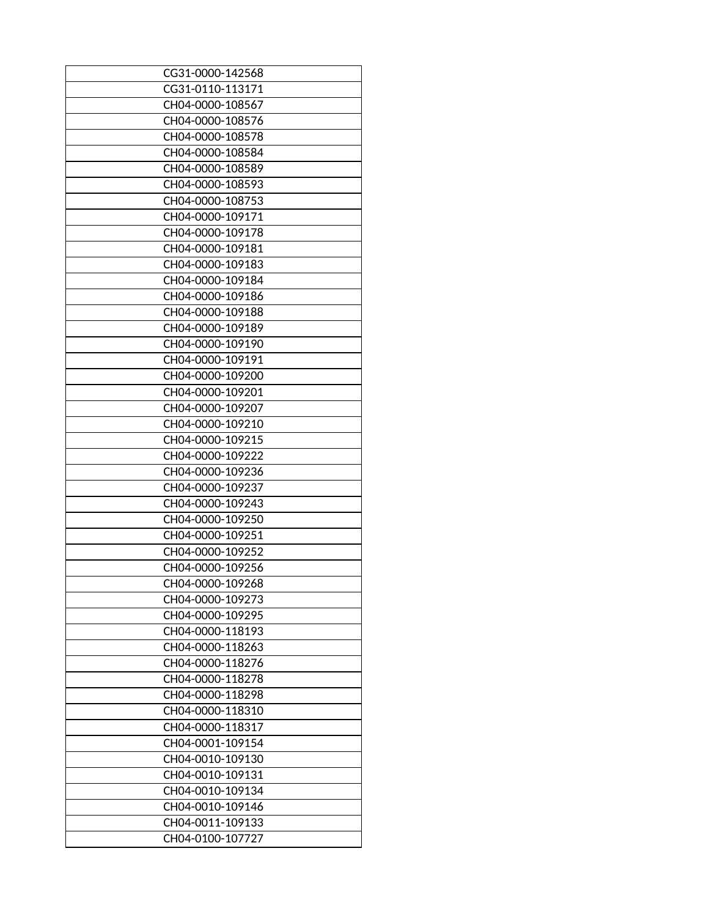| CG31-0000-142568 |
|------------------|
| CG31-0110-113171 |
| CH04-0000-108567 |
|                  |
| CH04-0000-108576 |
| CH04-0000-108578 |
| CH04-0000-108584 |
| CH04-0000-108589 |
| CH04-0000-108593 |
| CH04-0000-108753 |
| CH04-0000-109171 |
| CH04-0000-109178 |
| CH04-0000-109181 |
| CH04-0000-109183 |
| CH04-0000-109184 |
| CH04-0000-109186 |
| CH04-0000-109188 |
| CH04-0000-109189 |
| CH04-0000-109190 |
| CH04-0000-109191 |
|                  |
| CH04-0000-109200 |
| CH04-0000-109201 |
| CH04-0000-109207 |
| CH04-0000-109210 |
| CH04-0000-109215 |
| CH04-0000-109222 |
| CH04-0000-109236 |
| CH04-0000-109237 |
| CH04-0000-109243 |
| CH04-0000-109250 |
| CH04-0000-109251 |
| CH04-0000-109252 |
| CH04-0000-109256 |
| CH04-0000-109268 |
| CH04-0000-109273 |
| CH04-0000-109295 |
| CH04-0000-118193 |
| CH04-0000-118263 |
| CH04-0000-118276 |
|                  |
| CH04-0000-118278 |
| CH04-0000-118298 |
| CH04-0000-118310 |
| CH04-0000-118317 |
| CH04-0001-109154 |
| CH04-0010-109130 |
| CH04-0010-109131 |
| CH04-0010-109134 |
| CH04-0010-109146 |
| CH04-0011-109133 |
| CH04-0100-107727 |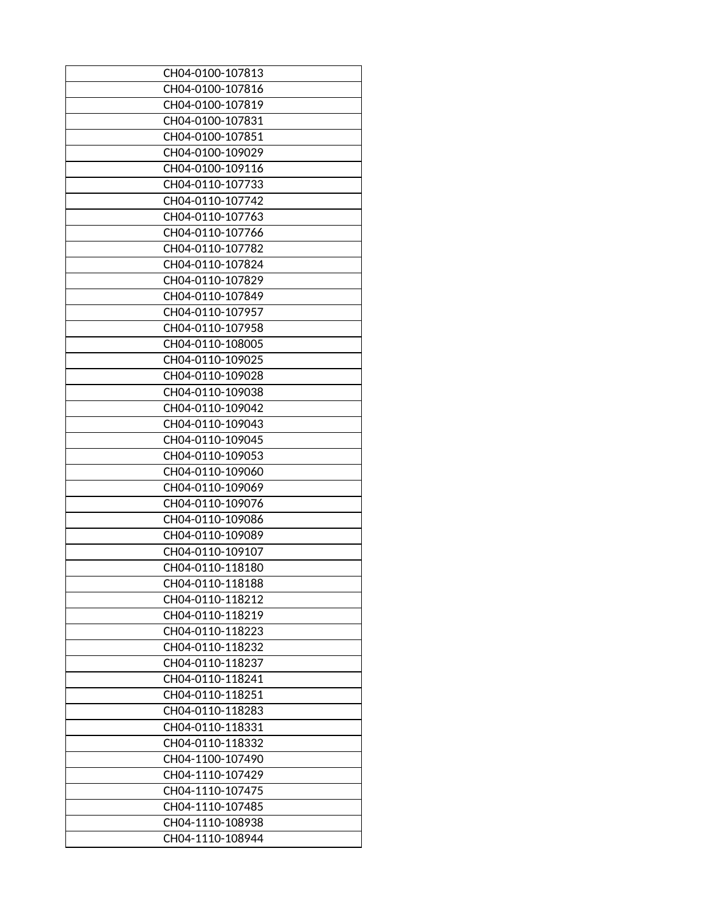| CH04-0100-107813 |
|------------------|
| CH04-0100-107816 |
| CH04-0100-107819 |
| CH04-0100-107831 |
| CH04-0100-107851 |
| CH04-0100-109029 |
| CH04-0100-109116 |
| CH04-0110-107733 |
| CH04-0110-107742 |
| CH04-0110-107763 |
|                  |
| CH04-0110-107766 |
| CH04-0110-107782 |
| CH04-0110-107824 |
| CH04-0110-107829 |
| CH04-0110-107849 |
| CH04-0110-107957 |
| CH04-0110-107958 |
| CH04-0110-108005 |
| CH04-0110-109025 |
| CH04-0110-109028 |
| CH04-0110-109038 |
| CH04-0110-109042 |
| CH04-0110-109043 |
| CH04-0110-109045 |
| CH04-0110-109053 |
| CH04-0110-109060 |
| CH04-0110-109069 |
| CH04-0110-109076 |
| CH04-0110-109086 |
| CH04-0110-109089 |
| CH04-0110-109107 |
| CH04-0110-118180 |
| CH04-0110-118188 |
| CH04-0110-118212 |
| CH04-0110-118219 |
| CH04-0110-118223 |
| CH04-0110-118232 |
|                  |
| CH04-0110-118237 |
| CH04-0110-118241 |
| CH04-0110-118251 |
| CH04-0110-118283 |
| CH04-0110-118331 |
| CH04-0110-118332 |
| CH04-1100-107490 |
| CH04-1110-107429 |
| CH04-1110-107475 |
| CH04-1110-107485 |
| CH04-1110-108938 |
| CH04-1110-108944 |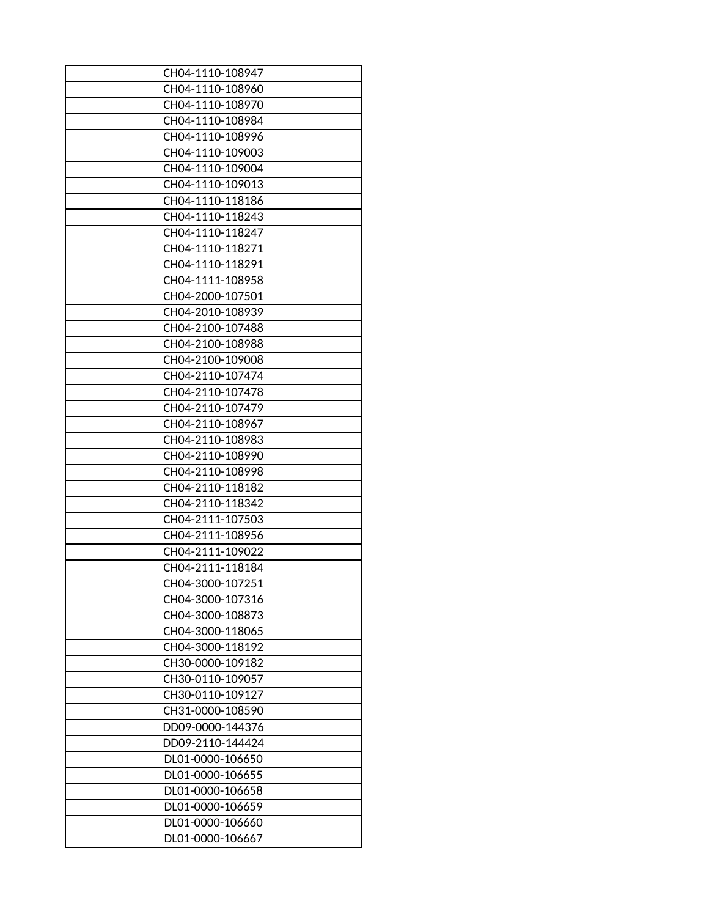| CH04-1110-108947 |
|------------------|
| CH04-1110-108960 |
| CH04-1110-108970 |
| CH04-1110-108984 |
| CH04-1110-108996 |
| CH04-1110-109003 |
| CH04-1110-109004 |
| CH04-1110-109013 |
| CH04-1110-118186 |
| CH04-1110-118243 |
| CH04-1110-118247 |
| CH04-1110-118271 |
| CH04-1110-118291 |
| CH04-1111-108958 |
| CH04-2000-107501 |
| CH04-2010-108939 |
| CH04-2100-107488 |
| CH04-2100-108988 |
| CH04-2100-109008 |
| CH04-2110-107474 |
| CH04-2110-107478 |
| CH04-2110-107479 |
| CH04-2110-108967 |
| CH04-2110-108983 |
| CH04-2110-108990 |
| CH04-2110-108998 |
| CH04-2110-118182 |
| CH04-2110-118342 |
| CH04-2111-107503 |
| CH04-2111-108956 |
| CH04-2111-109022 |
| CH04-2111-118184 |
| CH04-3000-107251 |
| CH04-3000-107316 |
| CH04-3000-108873 |
| CH04-3000-118065 |
| CH04-3000-118192 |
| CH30-0000-109182 |
| CH30-0110-109057 |
| CH30-0110-109127 |
| CH31-0000-108590 |
| DD09-0000-144376 |
| DD09-2110-144424 |
| DL01-0000-106650 |
| DL01-0000-106655 |
| DL01-0000-106658 |
| DL01-0000-106659 |
| DL01-0000-106660 |
| DL01-0000-106667 |
|                  |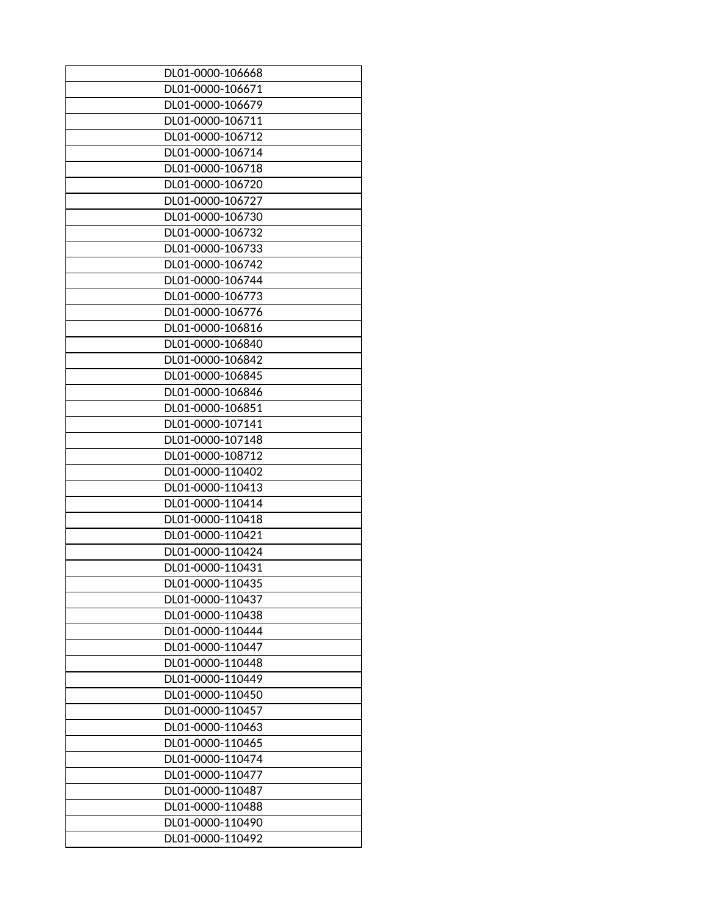| DL01-0000-106668 |
|------------------|
| DL01-0000-106671 |
| DL01-0000-106679 |
| DL01-0000-106711 |
| DL01-0000-106712 |
| DL01-0000-106714 |
|                  |
| DL01-0000-106718 |
| DL01-0000-106720 |
| DL01-0000-106727 |
| DL01-0000-106730 |
| DL01-0000-106732 |
| DL01-0000-106733 |
| DL01-0000-106742 |
| DL01-0000-106744 |
| DL01-0000-106773 |
| DL01-0000-106776 |
| DL01-0000-106816 |
| DL01-0000-106840 |
| DL01-0000-106842 |
| DL01-0000-106845 |
| DL01-0000-106846 |
| DL01-0000-106851 |
| DL01-0000-107141 |
| DL01-0000-107148 |
| DL01-0000-108712 |
| DL01-0000-110402 |
| DL01-0000-110413 |
| DL01-0000-110414 |
| DL01-0000-110418 |
| DL01-0000-110421 |
|                  |
| DL01-0000-110424 |
| DL01-0000-110431 |
| DL01-0000-110435 |
| DL01-0000-110437 |
| DL01-0000-110438 |
| DL01-0000-110444 |
| DL01-0000-110447 |
| DL01-0000-110448 |
| DL01-0000-110449 |
| DL01-0000-110450 |
| DL01-0000-110457 |
| DL01-0000-110463 |
| DL01-0000-110465 |
| DL01-0000-110474 |
| DL01-0000-110477 |
| DL01-0000-110487 |
| DL01-0000-110488 |
| DL01-0000-110490 |
| DL01-0000-110492 |
|                  |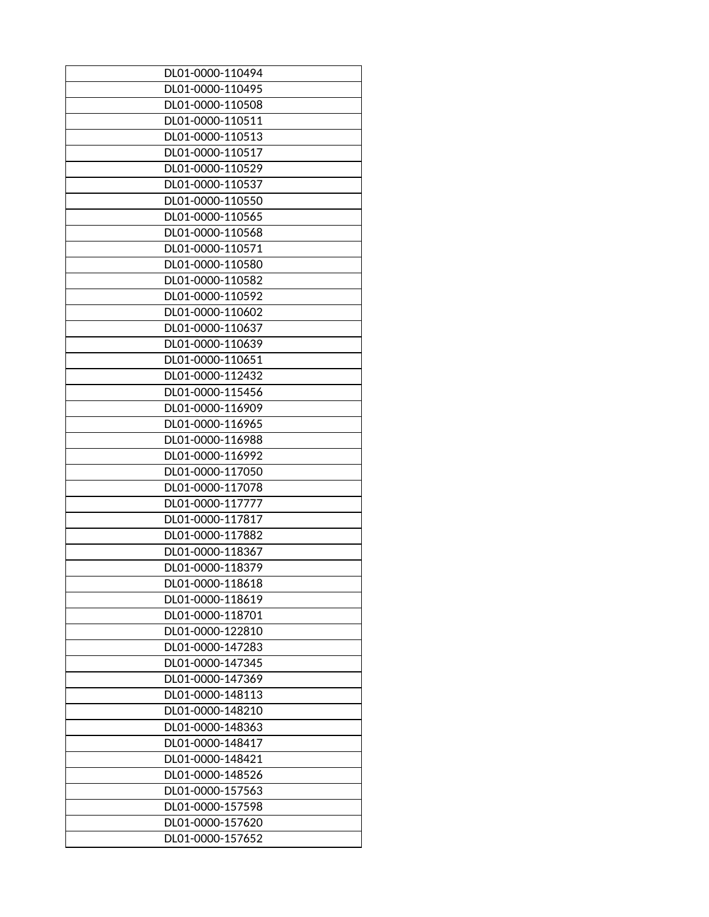| DL01-0000-110494 |
|------------------|
| DL01-0000-110495 |
| DL01-0000-110508 |
| DL01-0000-110511 |
| DL01-0000-110513 |
| DL01-0000-110517 |
| DL01-0000-110529 |
| DL01-0000-110537 |
| DL01-0000-110550 |
| DL01-0000-110565 |
| DL01-0000-110568 |
| DL01-0000-110571 |
| DL01-0000-110580 |
| DL01-0000-110582 |
| DL01-0000-110592 |
| DL01-0000-110602 |
| DL01-0000-110637 |
| DL01-0000-110639 |
| DL01-0000-110651 |
| DL01-0000-112432 |
| DL01-0000-115456 |
| DL01-0000-116909 |
| DL01-0000-116965 |
| DL01-0000-116988 |
| DL01-0000-116992 |
| DL01-0000-117050 |
| DL01-0000-117078 |
| DL01-0000-117777 |
| DL01-0000-117817 |
| DL01-0000-117882 |
| DL01-0000-118367 |
| DL01-0000-118379 |
| DL01-0000-118618 |
| DL01-0000-118619 |
| DL01-0000-118701 |
| DL01-0000-122810 |
| DL01-0000-147283 |
| DL01-0000-147345 |
| DL01-0000-147369 |
| DL01-0000-148113 |
| DL01-0000-148210 |
| DL01-0000-148363 |
| DL01-0000-148417 |
| DL01-0000-148421 |
| DL01-0000-148526 |
| DL01-0000-157563 |
| DL01-0000-157598 |
|                  |
| DL01-0000-157620 |
| DL01-0000-157652 |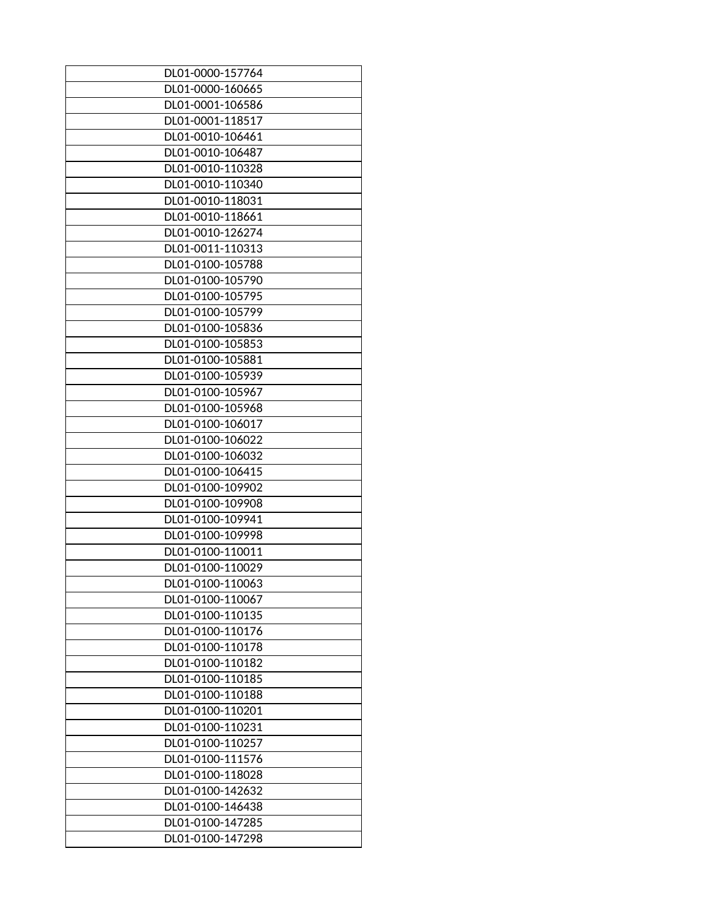| DL01-0000-157764 |
|------------------|
| DL01-0000-160665 |
| DL01-0001-106586 |
| DL01-0001-118517 |
| DL01-0010-106461 |
| DL01-0010-106487 |
| DL01-0010-110328 |
| DL01-0010-110340 |
| DL01-0010-118031 |
| DL01-0010-118661 |
| DL01-0010-126274 |
| DL01-0011-110313 |
| DL01-0100-105788 |
| DL01-0100-105790 |
| DL01-0100-105795 |
| DL01-0100-105799 |
| DL01-0100-105836 |
| DL01-0100-105853 |
| DL01-0100-105881 |
| DL01-0100-105939 |
| DL01-0100-105967 |
| DL01-0100-105968 |
| DL01-0100-106017 |
| DL01-0100-106022 |
| DL01-0100-106032 |
| DL01-0100-106415 |
| DL01-0100-109902 |
| DL01-0100-109908 |
| DL01-0100-109941 |
| DL01-0100-109998 |
| DL01-0100-110011 |
| DL01-0100-110029 |
| DL01-0100-110063 |
| DL01-0100-110067 |
| DL01-0100-110135 |
| DL01-0100-110176 |
| DL01-0100-110178 |
| DL01-0100-110182 |
| DL01-0100-110185 |
| DL01-0100-110188 |
| DL01-0100-110201 |
| DL01-0100-110231 |
| DL01-0100-110257 |
| DL01-0100-111576 |
| DL01-0100-118028 |
| DL01-0100-142632 |
| DL01-0100-146438 |
| DL01-0100-147285 |
| DL01-0100-147298 |
|                  |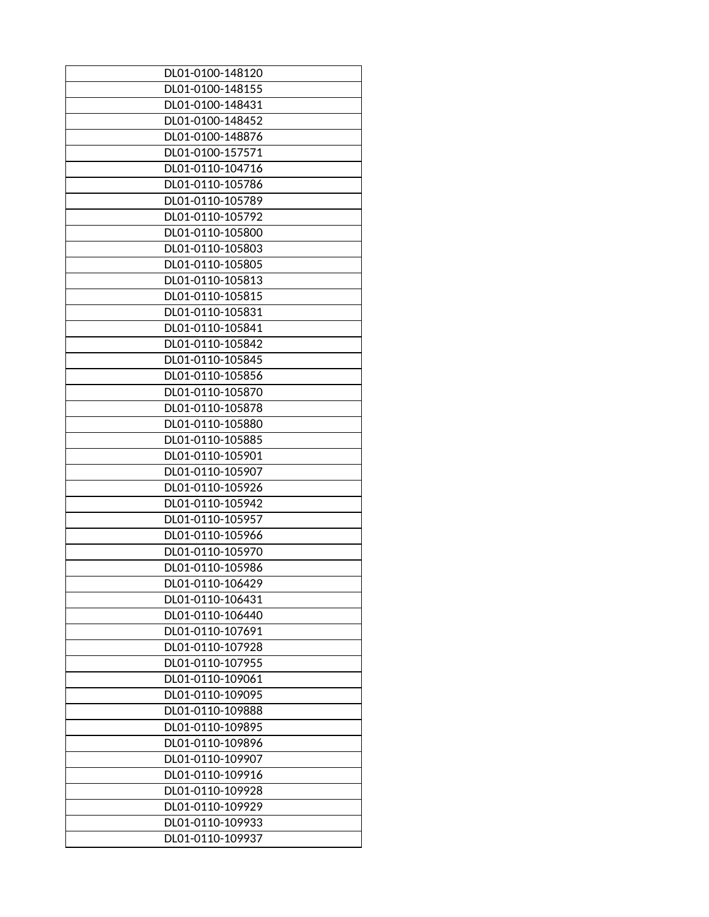| DL01-0100-148120                     |
|--------------------------------------|
| DL01-0100-148155                     |
| DL01-0100-148431                     |
| DL01-0100-148452                     |
| DL01-0100-148876                     |
| DL01-0100-157571                     |
| DL01-0110-104716                     |
| DL01-0110-105786                     |
| DL01-0110-105789                     |
| DL01-0110-105792                     |
| DL01-0110-105800                     |
| DL01-0110-105803                     |
| DL01-0110-105805                     |
| DL01-0110-105813                     |
| DL01-0110-105815                     |
| DL01-0110-105831                     |
| DL01-0110-105841                     |
|                                      |
| DL01-0110-105842<br>DL01-0110-105845 |
|                                      |
| DL01-0110-105856                     |
| DL01-0110-105870                     |
| DL01-0110-105878                     |
| DL01-0110-105880                     |
| DL01-0110-105885                     |
| DL01-0110-105901                     |
| DL01-0110-105907                     |
| DL01-0110-105926                     |
| DL01-0110-105942                     |
| DL01-0110-105957                     |
| DL01-0110-105966                     |
| DL01-0110-105970                     |
| DL01-0110-105986                     |
| DL01-0110-106429                     |
| DL01-0110-106431                     |
| DL01-0110-106440                     |
| DL01-0110-107691                     |
| DL01-0110-107928                     |
| DL01-0110-107955                     |
| DL01-0110-109061                     |
| DL01-0110-109095                     |
| DL01-0110-109888                     |
| DL01-0110-109895                     |
| DL01-0110-109896                     |
|                                      |
| DL01-0110-109907                     |
| DL01-0110-109916                     |
| DL01-0110-109928                     |
| DL01-0110-109929                     |
| DL01-0110-109933                     |
| DL01-0110-109937                     |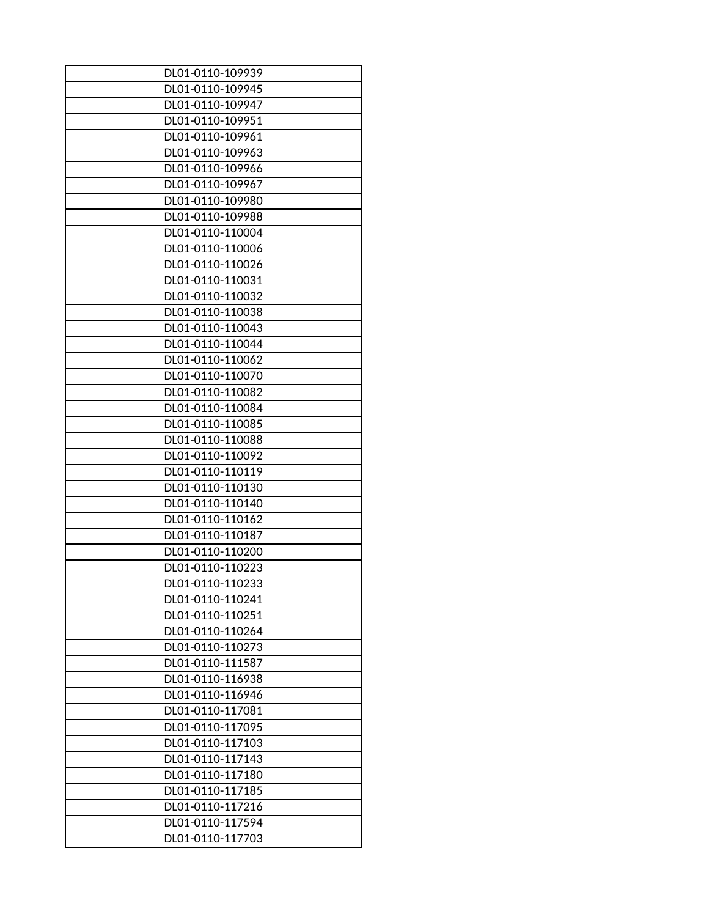| DL01-0110-109945<br>DL01-0110-109947<br>DL01-0110-109951<br>DL01-0110-109961<br>DL01-0110-109963<br>DL01-0110-109966<br>DL01-0110-109967<br>DL01-0110-109980<br>DL01-0110-109988<br>DL01-0110-110004<br>DL01-0110-110006<br>DL01-0110-110026<br>DL01-0110-110031<br>DL01-0110-110032<br>DL01-0110-110038<br>DL01-0110-110043<br>DL01-0110-110044<br>DL01-0110-110062<br>DL01-0110-110070<br>DL01-0110-110082<br>DL01-0110-110084<br>DL01-0110-110085<br>DL01-0110-110088<br>DL01-0110-110092<br>DL01-0110-110119<br>DL01-0110-110130<br>DL01-0110-110140<br>DL01-0110-110162<br>DL01-0110-110187<br>DL01-0110-110200<br>DL01-0110-110223<br>DL01-0110-110233<br>DL01-0110-110241<br>DL01-0110-110251<br>DL01-0110-110264<br>DL01-0110-110273<br>DL01-0110-111587<br>DL01-0110-116938<br>DL01-0110-116946<br>DL01-0110-117081<br>DL01-0110-117095<br>DL01-0110-117103<br>DL01-0110-117143<br>DL01-0110-117180<br>DL01-0110-117185<br>DL01-0110-117216<br>DL01-0110-117594 | DL01-0110-109939 |
|--------------------------------------------------------------------------------------------------------------------------------------------------------------------------------------------------------------------------------------------------------------------------------------------------------------------------------------------------------------------------------------------------------------------------------------------------------------------------------------------------------------------------------------------------------------------------------------------------------------------------------------------------------------------------------------------------------------------------------------------------------------------------------------------------------------------------------------------------------------------------------------------------------------------------------------------------------------------------|------------------|
|                                                                                                                                                                                                                                                                                                                                                                                                                                                                                                                                                                                                                                                                                                                                                                                                                                                                                                                                                                          |                  |
|                                                                                                                                                                                                                                                                                                                                                                                                                                                                                                                                                                                                                                                                                                                                                                                                                                                                                                                                                                          |                  |
|                                                                                                                                                                                                                                                                                                                                                                                                                                                                                                                                                                                                                                                                                                                                                                                                                                                                                                                                                                          |                  |
|                                                                                                                                                                                                                                                                                                                                                                                                                                                                                                                                                                                                                                                                                                                                                                                                                                                                                                                                                                          |                  |
|                                                                                                                                                                                                                                                                                                                                                                                                                                                                                                                                                                                                                                                                                                                                                                                                                                                                                                                                                                          |                  |
|                                                                                                                                                                                                                                                                                                                                                                                                                                                                                                                                                                                                                                                                                                                                                                                                                                                                                                                                                                          |                  |
|                                                                                                                                                                                                                                                                                                                                                                                                                                                                                                                                                                                                                                                                                                                                                                                                                                                                                                                                                                          |                  |
|                                                                                                                                                                                                                                                                                                                                                                                                                                                                                                                                                                                                                                                                                                                                                                                                                                                                                                                                                                          |                  |
|                                                                                                                                                                                                                                                                                                                                                                                                                                                                                                                                                                                                                                                                                                                                                                                                                                                                                                                                                                          |                  |
|                                                                                                                                                                                                                                                                                                                                                                                                                                                                                                                                                                                                                                                                                                                                                                                                                                                                                                                                                                          |                  |
|                                                                                                                                                                                                                                                                                                                                                                                                                                                                                                                                                                                                                                                                                                                                                                                                                                                                                                                                                                          |                  |
|                                                                                                                                                                                                                                                                                                                                                                                                                                                                                                                                                                                                                                                                                                                                                                                                                                                                                                                                                                          |                  |
|                                                                                                                                                                                                                                                                                                                                                                                                                                                                                                                                                                                                                                                                                                                                                                                                                                                                                                                                                                          |                  |
|                                                                                                                                                                                                                                                                                                                                                                                                                                                                                                                                                                                                                                                                                                                                                                                                                                                                                                                                                                          |                  |
|                                                                                                                                                                                                                                                                                                                                                                                                                                                                                                                                                                                                                                                                                                                                                                                                                                                                                                                                                                          |                  |
|                                                                                                                                                                                                                                                                                                                                                                                                                                                                                                                                                                                                                                                                                                                                                                                                                                                                                                                                                                          |                  |
|                                                                                                                                                                                                                                                                                                                                                                                                                                                                                                                                                                                                                                                                                                                                                                                                                                                                                                                                                                          |                  |
|                                                                                                                                                                                                                                                                                                                                                                                                                                                                                                                                                                                                                                                                                                                                                                                                                                                                                                                                                                          |                  |
|                                                                                                                                                                                                                                                                                                                                                                                                                                                                                                                                                                                                                                                                                                                                                                                                                                                                                                                                                                          |                  |
|                                                                                                                                                                                                                                                                                                                                                                                                                                                                                                                                                                                                                                                                                                                                                                                                                                                                                                                                                                          |                  |
|                                                                                                                                                                                                                                                                                                                                                                                                                                                                                                                                                                                                                                                                                                                                                                                                                                                                                                                                                                          |                  |
|                                                                                                                                                                                                                                                                                                                                                                                                                                                                                                                                                                                                                                                                                                                                                                                                                                                                                                                                                                          |                  |
|                                                                                                                                                                                                                                                                                                                                                                                                                                                                                                                                                                                                                                                                                                                                                                                                                                                                                                                                                                          |                  |
|                                                                                                                                                                                                                                                                                                                                                                                                                                                                                                                                                                                                                                                                                                                                                                                                                                                                                                                                                                          |                  |
|                                                                                                                                                                                                                                                                                                                                                                                                                                                                                                                                                                                                                                                                                                                                                                                                                                                                                                                                                                          |                  |
|                                                                                                                                                                                                                                                                                                                                                                                                                                                                                                                                                                                                                                                                                                                                                                                                                                                                                                                                                                          |                  |
|                                                                                                                                                                                                                                                                                                                                                                                                                                                                                                                                                                                                                                                                                                                                                                                                                                                                                                                                                                          |                  |
|                                                                                                                                                                                                                                                                                                                                                                                                                                                                                                                                                                                                                                                                                                                                                                                                                                                                                                                                                                          |                  |
|                                                                                                                                                                                                                                                                                                                                                                                                                                                                                                                                                                                                                                                                                                                                                                                                                                                                                                                                                                          |                  |
|                                                                                                                                                                                                                                                                                                                                                                                                                                                                                                                                                                                                                                                                                                                                                                                                                                                                                                                                                                          |                  |
|                                                                                                                                                                                                                                                                                                                                                                                                                                                                                                                                                                                                                                                                                                                                                                                                                                                                                                                                                                          |                  |
|                                                                                                                                                                                                                                                                                                                                                                                                                                                                                                                                                                                                                                                                                                                                                                                                                                                                                                                                                                          |                  |
|                                                                                                                                                                                                                                                                                                                                                                                                                                                                                                                                                                                                                                                                                                                                                                                                                                                                                                                                                                          |                  |
|                                                                                                                                                                                                                                                                                                                                                                                                                                                                                                                                                                                                                                                                                                                                                                                                                                                                                                                                                                          |                  |
|                                                                                                                                                                                                                                                                                                                                                                                                                                                                                                                                                                                                                                                                                                                                                                                                                                                                                                                                                                          |                  |
|                                                                                                                                                                                                                                                                                                                                                                                                                                                                                                                                                                                                                                                                                                                                                                                                                                                                                                                                                                          |                  |
|                                                                                                                                                                                                                                                                                                                                                                                                                                                                                                                                                                                                                                                                                                                                                                                                                                                                                                                                                                          |                  |
|                                                                                                                                                                                                                                                                                                                                                                                                                                                                                                                                                                                                                                                                                                                                                                                                                                                                                                                                                                          |                  |
|                                                                                                                                                                                                                                                                                                                                                                                                                                                                                                                                                                                                                                                                                                                                                                                                                                                                                                                                                                          |                  |
|                                                                                                                                                                                                                                                                                                                                                                                                                                                                                                                                                                                                                                                                                                                                                                                                                                                                                                                                                                          |                  |
|                                                                                                                                                                                                                                                                                                                                                                                                                                                                                                                                                                                                                                                                                                                                                                                                                                                                                                                                                                          |                  |
|                                                                                                                                                                                                                                                                                                                                                                                                                                                                                                                                                                                                                                                                                                                                                                                                                                                                                                                                                                          |                  |
|                                                                                                                                                                                                                                                                                                                                                                                                                                                                                                                                                                                                                                                                                                                                                                                                                                                                                                                                                                          |                  |
|                                                                                                                                                                                                                                                                                                                                                                                                                                                                                                                                                                                                                                                                                                                                                                                                                                                                                                                                                                          |                  |
|                                                                                                                                                                                                                                                                                                                                                                                                                                                                                                                                                                                                                                                                                                                                                                                                                                                                                                                                                                          |                  |
|                                                                                                                                                                                                                                                                                                                                                                                                                                                                                                                                                                                                                                                                                                                                                                                                                                                                                                                                                                          |                  |
|                                                                                                                                                                                                                                                                                                                                                                                                                                                                                                                                                                                                                                                                                                                                                                                                                                                                                                                                                                          |                  |
|                                                                                                                                                                                                                                                                                                                                                                                                                                                                                                                                                                                                                                                                                                                                                                                                                                                                                                                                                                          | DL01-0110-117703 |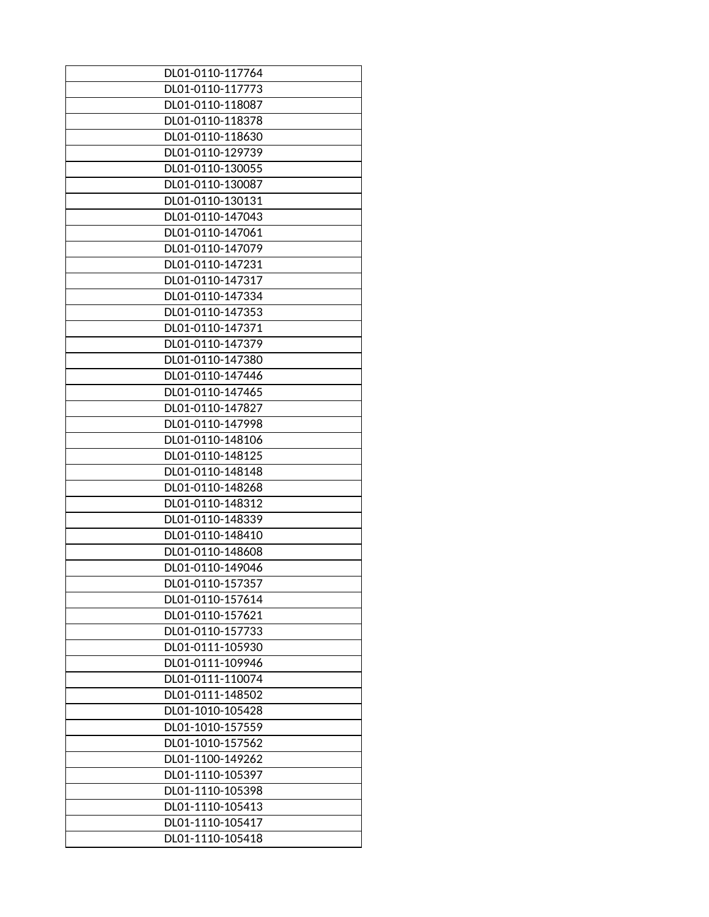| DL01-0110-117764 |
|------------------|
| DL01-0110-117773 |
| DL01-0110-118087 |
| DL01-0110-118378 |
| DL01-0110-118630 |
| DL01-0110-129739 |
| DL01-0110-130055 |
| DL01-0110-130087 |
| DL01-0110-130131 |
| DL01-0110-147043 |
| DL01-0110-147061 |
| DL01-0110-147079 |
| DL01-0110-147231 |
| DL01-0110-147317 |
| DL01-0110-147334 |
| DL01-0110-147353 |
| DL01-0110-147371 |
| DL01-0110-147379 |
| DL01-0110-147380 |
| DL01-0110-147446 |
| DL01-0110-147465 |
| DL01-0110-147827 |
| DL01-0110-147998 |
| DL01-0110-148106 |
| DL01-0110-148125 |
| DL01-0110-148148 |
| DL01-0110-148268 |
| DL01-0110-148312 |
| DL01-0110-148339 |
| DL01-0110-148410 |
| DL01-0110-148608 |
| DL01-0110-149046 |
| DL01-0110-157357 |
| DL01-0110-157614 |
| DL01-0110-157621 |
| DL01-0110-157733 |
| DL01-0111-105930 |
| DL01-0111-109946 |
| DL01-0111-110074 |
| DL01-0111-148502 |
| DL01-1010-105428 |
| DL01-1010-157559 |
| DL01-1010-157562 |
| DL01-1100-149262 |
| DL01-1110-105397 |
| DL01-1110-105398 |
| DL01-1110-105413 |
| DL01-1110-105417 |
| DL01-1110-105418 |
|                  |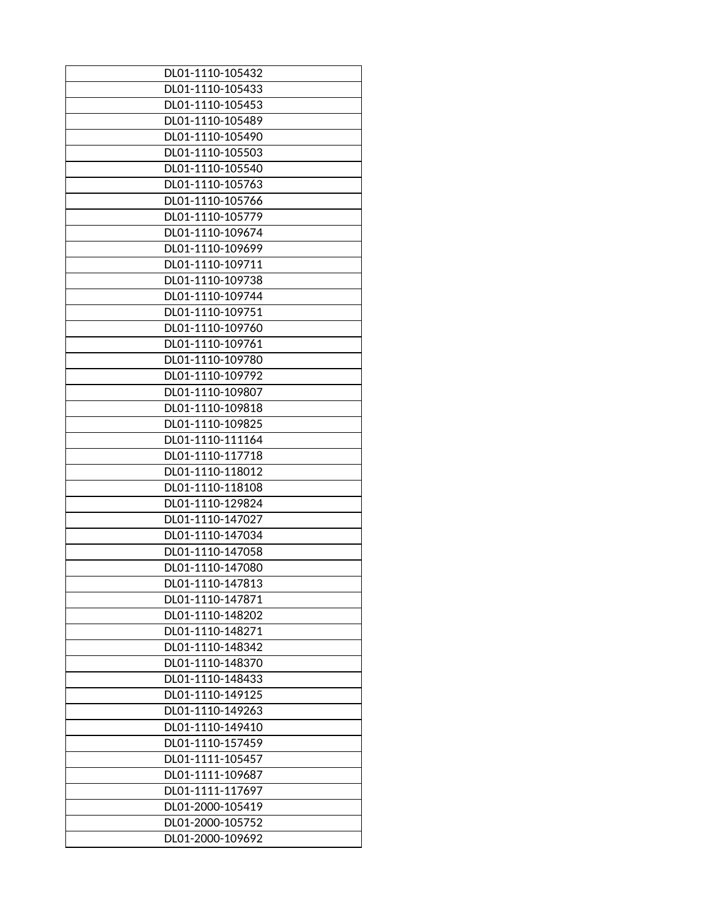| DL01-1110-105432 |
|------------------|
| DL01-1110-105433 |
| DL01-1110-105453 |
| DL01-1110-105489 |
| DL01-1110-105490 |
| DL01-1110-105503 |
| DL01-1110-105540 |
| DL01-1110-105763 |
| DL01-1110-105766 |
| DL01-1110-105779 |
| DL01-1110-109674 |
| DL01-1110-109699 |
| DL01-1110-109711 |
| DL01-1110-109738 |
| DL01-1110-109744 |
| DL01-1110-109751 |
| DL01-1110-109760 |
| DL01-1110-109761 |
| DL01-1110-109780 |
| DL01-1110-109792 |
| DL01-1110-109807 |
| DL01-1110-109818 |
| DL01-1110-109825 |
| DL01-1110-111164 |
| DL01-1110-117718 |
| DL01-1110-118012 |
| DL01-1110-118108 |
| DL01-1110-129824 |
| DL01-1110-147027 |
| DL01-1110-147034 |
| DL01-1110-147058 |
| DL01-1110-147080 |
| DL01-1110-147813 |
| DL01-1110-147871 |
| DL01-1110-148202 |
| DL01-1110-148271 |
| DL01-1110-148342 |
| DL01-1110-148370 |
| DL01-1110-148433 |
| DL01-1110-149125 |
| DL01-1110-149263 |
| DL01-1110-149410 |
| DL01-1110-157459 |
| DL01-1111-105457 |
| DL01-1111-109687 |
| DL01-1111-117697 |
| DL01-2000-105419 |
| DL01-2000-105752 |
| DL01-2000-109692 |
|                  |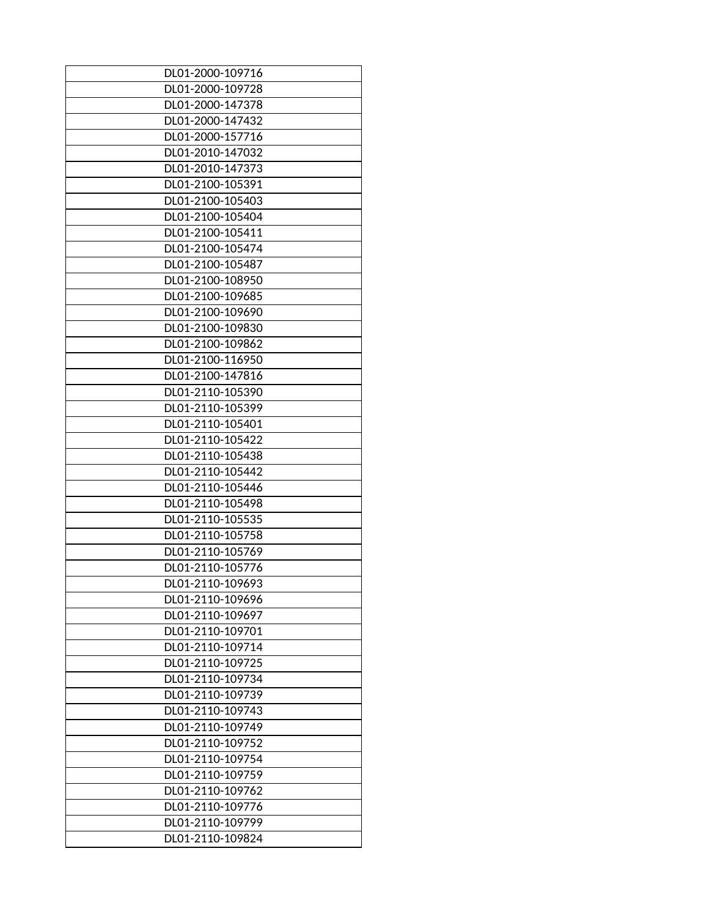| DL01-2000-109716 |
|------------------|
| DL01-2000-109728 |
| DL01-2000-147378 |
| DL01-2000-147432 |
| DL01-2000-157716 |
| DL01-2010-147032 |
| DL01-2010-147373 |
| DL01-2100-105391 |
| DL01-2100-105403 |
| DL01-2100-105404 |
| DL01-2100-105411 |
| DL01-2100-105474 |
| DL01-2100-105487 |
| DL01-2100-108950 |
| DL01-2100-109685 |
| DL01-2100-109690 |
| DL01-2100-109830 |
| DL01-2100-109862 |
| DL01-2100-116950 |
| DL01-2100-147816 |
| DL01-2110-105390 |
| DL01-2110-105399 |
| DL01-2110-105401 |
| DL01-2110-105422 |
| DL01-2110-105438 |
| DL01-2110-105442 |
| DL01-2110-105446 |
| DL01-2110-105498 |
| DL01-2110-105535 |
| DL01-2110-105758 |
| DL01-2110-105769 |
| DL01-2110-105776 |
| DL01-2110-109693 |
| DL01-2110-109696 |
| DL01-2110-109697 |
| DL01-2110-109701 |
| DL01-2110-109714 |
| DL01-2110-109725 |
| DL01-2110-109734 |
| DL01-2110-109739 |
| DL01-2110-109743 |
| DL01-2110-109749 |
| DL01-2110-109752 |
| DL01-2110-109754 |
| DL01-2110-109759 |
| DL01-2110-109762 |
|                  |
| DL01-2110-109776 |
| DL01-2110-109799 |
| DL01-2110-109824 |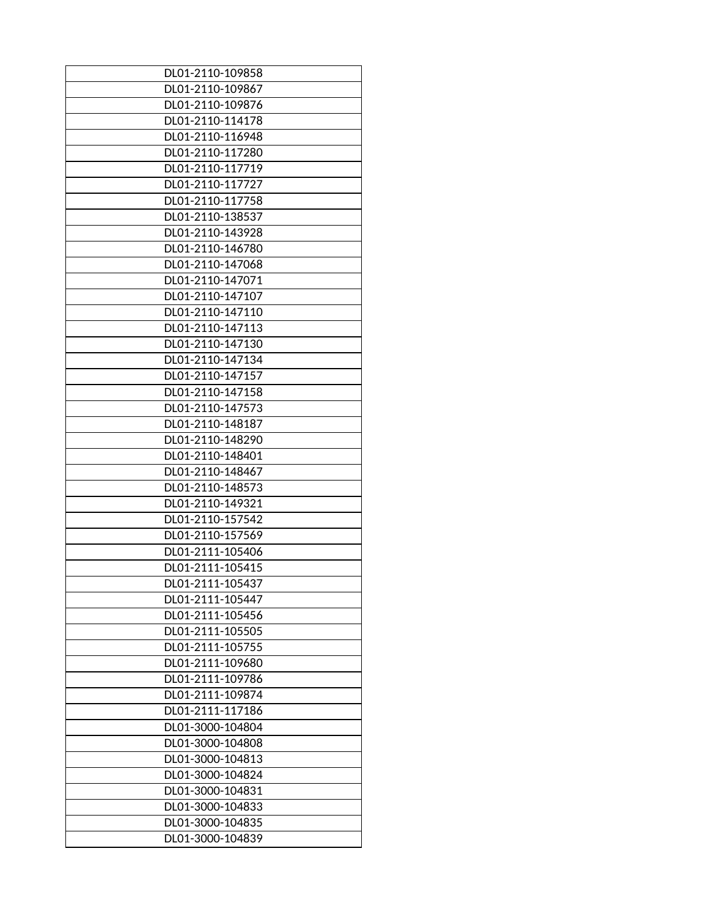| DL01-2110-109858                     |
|--------------------------------------|
| DL01-2110-109867                     |
| DL01-2110-109876                     |
| DL01-2110-114178                     |
| DL01-2110-116948                     |
| DL01-2110-117280                     |
| DL01-2110-117719                     |
| DL01-2110-117727                     |
| DL01-2110-117758                     |
| DL01-2110-138537                     |
| DL01-2110-143928                     |
| DL01-2110-146780                     |
| DL01-2110-147068                     |
| DL01-2110-147071                     |
| DL01-2110-147107                     |
| DL01-2110-147110                     |
| DL01-2110-147113                     |
| DL01-2110-147130                     |
| DL01-2110-147134                     |
| DL01-2110-147157                     |
| DL01-2110-147158                     |
| DL01-2110-147573                     |
| DL01-2110-148187                     |
| DL01-2110-148290                     |
| DL01-2110-148401                     |
| DL01-2110-148467                     |
| DL01-2110-148573                     |
| DL01-2110-149321                     |
| DL01-2110-157542                     |
| DL01-2110-157569                     |
| DL01-2111-105406                     |
| DL01-2111-105415                     |
| DL01-2111-105437                     |
| DL01-2111-105447                     |
| DL01-2111-105456                     |
| DL01-2111-105505                     |
| DL01-2111-105755                     |
|                                      |
| DL01-2111-109680                     |
| DL01-2111-109786<br>DL01-2111-109874 |
| DL01-2111-117186                     |
|                                      |
| DL01-3000-104804                     |
| DL01-3000-104808                     |
| DL01-3000-104813                     |
| DL01-3000-104824                     |
| DL01-3000-104831                     |
| DL01-3000-104833                     |
| DL01-3000-104835                     |
| DL01-3000-104839                     |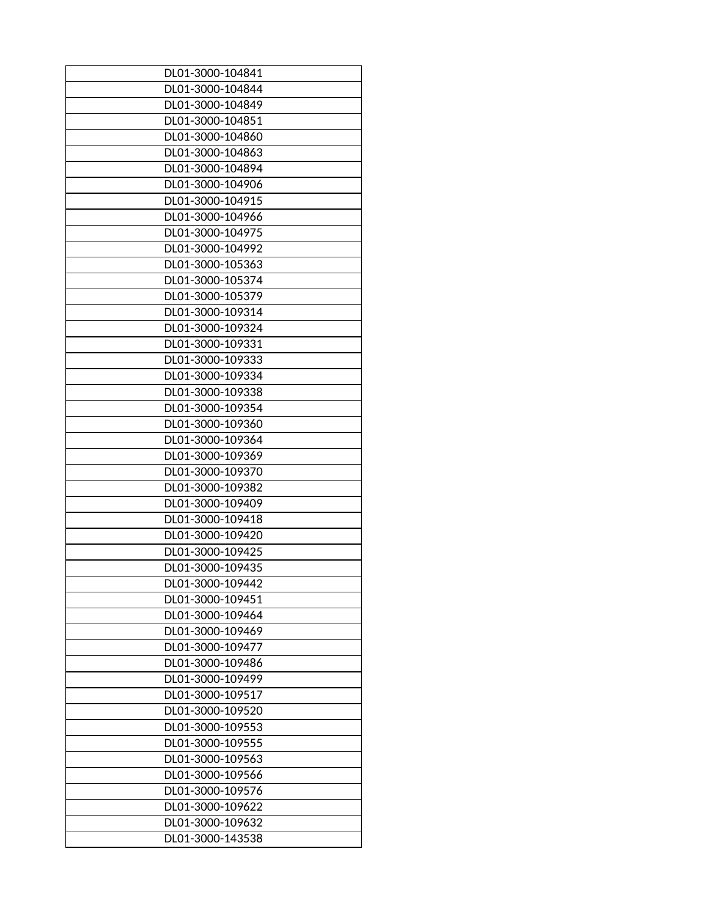| DL01-3000-104841 |
|------------------|
| DL01-3000-104844 |
| DL01-3000-104849 |
| DL01-3000-104851 |
| DL01-3000-104860 |
| DL01-3000-104863 |
| DL01-3000-104894 |
| DL01-3000-104906 |
| DL01-3000-104915 |
| DL01-3000-104966 |
| DL01-3000-104975 |
| DL01-3000-104992 |
| DL01-3000-105363 |
| DL01-3000-105374 |
| DL01-3000-105379 |
| DL01-3000-109314 |
| DL01-3000-109324 |
| DL01-3000-109331 |
| DL01-3000-109333 |
| DL01-3000-109334 |
| DL01-3000-109338 |
| DL01-3000-109354 |
| DL01-3000-109360 |
| DL01-3000-109364 |
| DL01-3000-109369 |
| DL01-3000-109370 |
| DL01-3000-109382 |
| DL01-3000-109409 |
| DL01-3000-109418 |
| DL01-3000-109420 |
| DL01-3000-109425 |
|                  |
| DL01-3000-109435 |
| DL01-3000-109442 |
| DL01-3000-109451 |
| DL01-3000-109464 |
| DL01-3000-109469 |
| DL01-3000-109477 |
| DL01-3000-109486 |
| DL01-3000-109499 |
| DL01-3000-109517 |
| DL01-3000-109520 |
| DL01-3000-109553 |
| DL01-3000-109555 |
| DL01-3000-109563 |
| DL01-3000-109566 |
| DL01-3000-109576 |
| DL01-3000-109622 |
| DL01-3000-109632 |
| DL01-3000-143538 |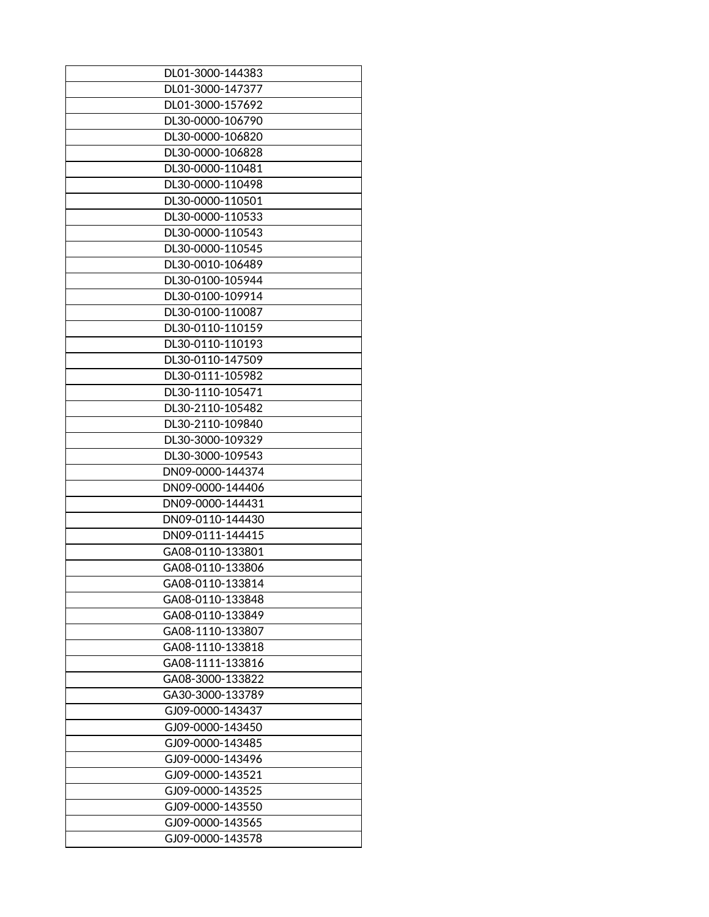| DL01-3000-144383 |
|------------------|
| DL01-3000-147377 |
| DL01-3000-157692 |
|                  |
| DL30-0000-106790 |
| DL30-0000-106820 |
| DL30-0000-106828 |
| DL30-0000-110481 |
| DL30-0000-110498 |
| DL30-0000-110501 |
| DL30-0000-110533 |
| DL30-0000-110543 |
| DL30-0000-110545 |
| DL30-0010-106489 |
| DL30-0100-105944 |
| DL30-0100-109914 |
| DL30-0100-110087 |
| DL30-0110-110159 |
| DL30-0110-110193 |
| DL30-0110-147509 |
| DL30-0111-105982 |
| DL30-1110-105471 |
|                  |
| DL30-2110-105482 |
| DL30-2110-109840 |
| DL30-3000-109329 |
| DL30-3000-109543 |
| DN09-0000-144374 |
| DN09-0000-144406 |
| DN09-0000-144431 |
| DN09-0110-144430 |
| DN09-0111-144415 |
| GA08-0110-133801 |
| GA08-0110-133806 |
| GA08-0110-133814 |
| GA08-0110-133848 |
| GA08-0110-133849 |
| GA08-1110-133807 |
| GA08-1110-133818 |
| GA08-1111-133816 |
| GA08-3000-133822 |
| GA30-3000-133789 |
| GJ09-0000-143437 |
| GJ09-0000-143450 |
| GJ09-0000-143485 |
| GJ09-0000-143496 |
| GJ09-0000-143521 |
|                  |
| GJ09-0000-143525 |
| GJ09-0000-143550 |
| GJ09-0000-143565 |
| GJ09-0000-143578 |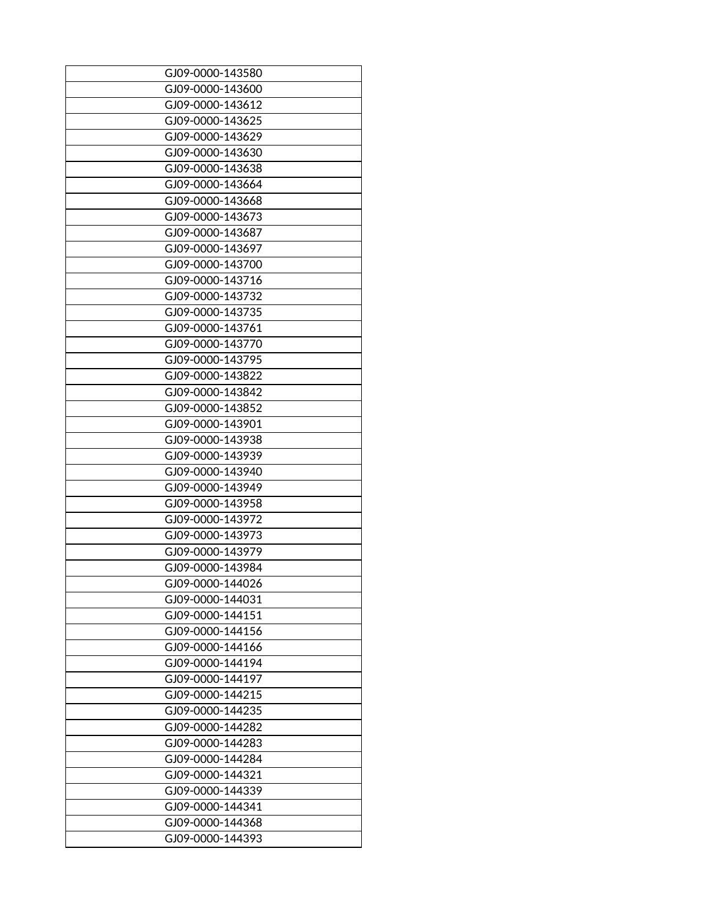| GJ09-0000-143580 |
|------------------|
| GJ09-0000-143600 |
| GJ09-0000-143612 |
| GJ09-0000-143625 |
|                  |
| GJ09-0000-143629 |
| GJ09-0000-143630 |
| GJ09-0000-143638 |
| GJ09-0000-143664 |
| GJ09-0000-143668 |
| GJ09-0000-143673 |
| GJ09-0000-143687 |
| GJ09-0000-143697 |
| GJ09-0000-143700 |
| GJ09-0000-143716 |
| GJ09-0000-143732 |
| GJ09-0000-143735 |
| GJ09-0000-143761 |
| GJ09-0000-143770 |
| GJ09-0000-143795 |
| GJ09-0000-143822 |
| GJ09-0000-143842 |
| GJ09-0000-143852 |
| GJ09-0000-143901 |
| GJ09-0000-143938 |
| GJ09-0000-143939 |
| GJ09-0000-143940 |
| GJ09-0000-143949 |
|                  |
| GJ09-0000-143958 |
| GJ09-0000-143972 |
| GJ09-0000-143973 |
| GJ09-0000-143979 |
| GJ09-0000-143984 |
| GJ09-0000-144026 |
| GJ09-0000-144031 |
| GJ09-0000-144151 |
| GJ09-0000-144156 |
| GJ09-0000-144166 |
| GJ09-0000-144194 |
| GJ09-0000-144197 |
| GJ09-0000-144215 |
| GJ09-0000-144235 |
| GJ09-0000-144282 |
| GJ09-0000-144283 |
| GJ09-0000-144284 |
| GJ09-0000-144321 |
| GJ09-0000-144339 |
| GJ09-0000-144341 |
| GJ09-0000-144368 |
|                  |
| GJ09-0000-144393 |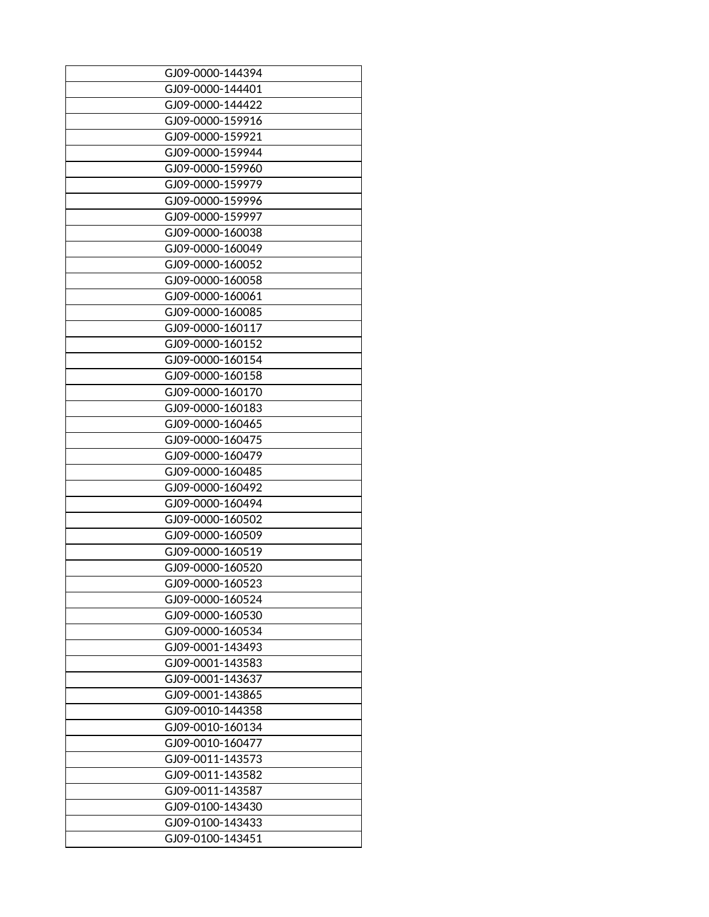| GJ09-0000-144394 |
|------------------|
| GJ09-0000-144401 |
| GJ09-0000-144422 |
|                  |
| GJ09-0000-159916 |
| GJ09-0000-159921 |
| GJ09-0000-159944 |
| GJ09-0000-159960 |
| GJ09-0000-159979 |
| GJ09-0000-159996 |
| GJ09-0000-159997 |
| GJ09-0000-160038 |
| GJ09-0000-160049 |
| GJ09-0000-160052 |
| GJ09-0000-160058 |
| GJ09-0000-160061 |
| GJ09-0000-160085 |
| GJ09-0000-160117 |
| GJ09-0000-160152 |
| GJ09-0000-160154 |
| GJ09-0000-160158 |
| GJ09-0000-160170 |
| GJ09-0000-160183 |
| GJ09-0000-160465 |
|                  |
| GJ09-0000-160475 |
| GJ09-0000-160479 |
| GJ09-0000-160485 |
| GJ09-0000-160492 |
| GJ09-0000-160494 |
| GJ09-0000-160502 |
| GJ09-0000-160509 |
| GJ09-0000-160519 |
| GJ09-0000-160520 |
| GJ09-0000-160523 |
| GJ09-0000-160524 |
| GJ09-0000-160530 |
| GJ09-0000-160534 |
| GJ09-0001-143493 |
| GJ09-0001-143583 |
| GJ09-0001-143637 |
| GJ09-0001-143865 |
| GJ09-0010-144358 |
| GJ09-0010-160134 |
| GJ09-0010-160477 |
| GJ09-0011-143573 |
| GJ09-0011-143582 |
| GJ09-0011-143587 |
| GJ09-0100-143430 |
|                  |
| GJ09-0100-143433 |
| GJ09-0100-143451 |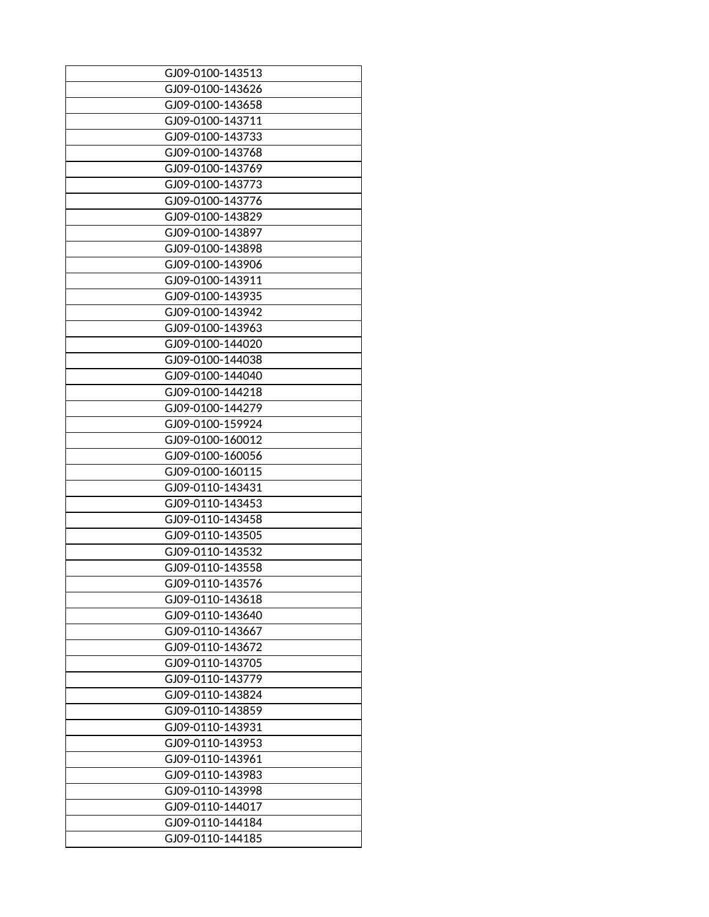| GJ09-0100-143513 |
|------------------|
|                  |
| GJ09-0100-143626 |
| GJ09-0100-143658 |
| GJ09-0100-143711 |
| GJ09-0100-143733 |
| GJ09-0100-143768 |
| GJ09-0100-143769 |
| GJ09-0100-143773 |
| GJ09-0100-143776 |
| GJ09-0100-143829 |
| GJ09-0100-143897 |
| GJ09-0100-143898 |
| GJ09-0100-143906 |
| GJ09-0100-143911 |
| GJ09-0100-143935 |
| GJ09-0100-143942 |
| GJ09-0100-143963 |
| GJ09-0100-144020 |
| GJ09-0100-144038 |
| GJ09-0100-144040 |
| GJ09-0100-144218 |
| GJ09-0100-144279 |
| GJ09-0100-159924 |
|                  |
| GJ09-0100-160012 |
| GJ09-0100-160056 |
| GJ09-0100-160115 |
| GJ09-0110-143431 |
| GJ09-0110-143453 |
| GJ09-0110-143458 |
| GJ09-0110-143505 |
| GJ09-0110-143532 |
| GJ09-0110-143558 |
| GJ09-0110-143576 |
| GJ09-0110-143618 |
| GJ09-0110-143640 |
| GJ09-0110-143667 |
| GJ09-0110-143672 |
| GJ09-0110-143705 |
| GJ09-0110-143779 |
| GJ09-0110-143824 |
| GJ09-0110-143859 |
| GJ09-0110-143931 |
| GJ09-0110-143953 |
| GJ09-0110-143961 |
| GJ09-0110-143983 |
|                  |
| GJ09-0110-143998 |
| GJ09-0110-144017 |
| GJ09-0110-144184 |
| GJ09-0110-144185 |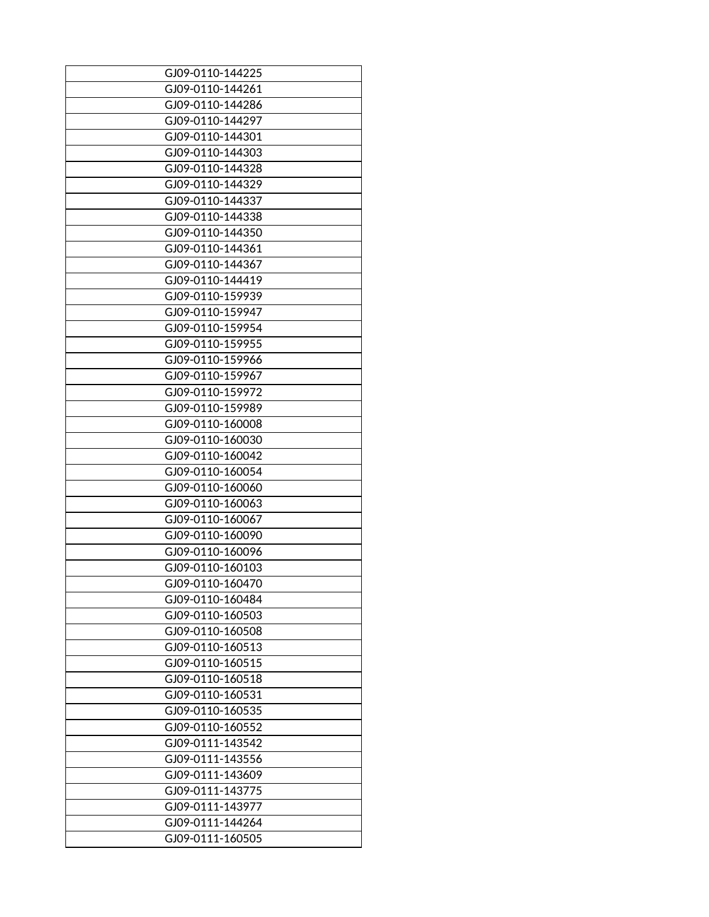| GJ09-0110-144225 |
|------------------|
| GJ09-0110-144261 |
| GJ09-0110-144286 |
|                  |
| GJ09-0110-144297 |
| GJ09-0110-144301 |
| GJ09-0110-144303 |
| GJ09-0110-144328 |
| GJ09-0110-144329 |
| GJ09-0110-144337 |
| GJ09-0110-144338 |
| GJ09-0110-144350 |
| GJ09-0110-144361 |
| GJ09-0110-144367 |
| GJ09-0110-144419 |
| GJ09-0110-159939 |
| GJ09-0110-159947 |
| GJ09-0110-159954 |
| GJ09-0110-159955 |
| GJ09-0110-159966 |
| GJ09-0110-159967 |
|                  |
| GJ09-0110-159972 |
| GJ09-0110-159989 |
| GJ09-0110-160008 |
| GJ09-0110-160030 |
| GJ09-0110-160042 |
| GJ09-0110-160054 |
| GJ09-0110-160060 |
| GJ09-0110-160063 |
| GJ09-0110-160067 |
| GJ09-0110-160090 |
| GJ09-0110-160096 |
| GJ09-0110-160103 |
| GJ09-0110-160470 |
| GJ09-0110-160484 |
| GJ09-0110-160503 |
| GJ09-0110-160508 |
| GJ09-0110-160513 |
| GJ09-0110-160515 |
| GJ09-0110-160518 |
| GJ09-0110-160531 |
| GJ09-0110-160535 |
| GJ09-0110-160552 |
| GJ09-0111-143542 |
|                  |
| GJ09-0111-143556 |
| GJ09-0111-143609 |
| GJ09-0111-143775 |
| GJ09-0111-143977 |
| GJ09-0111-144264 |
| GJ09-0111-160505 |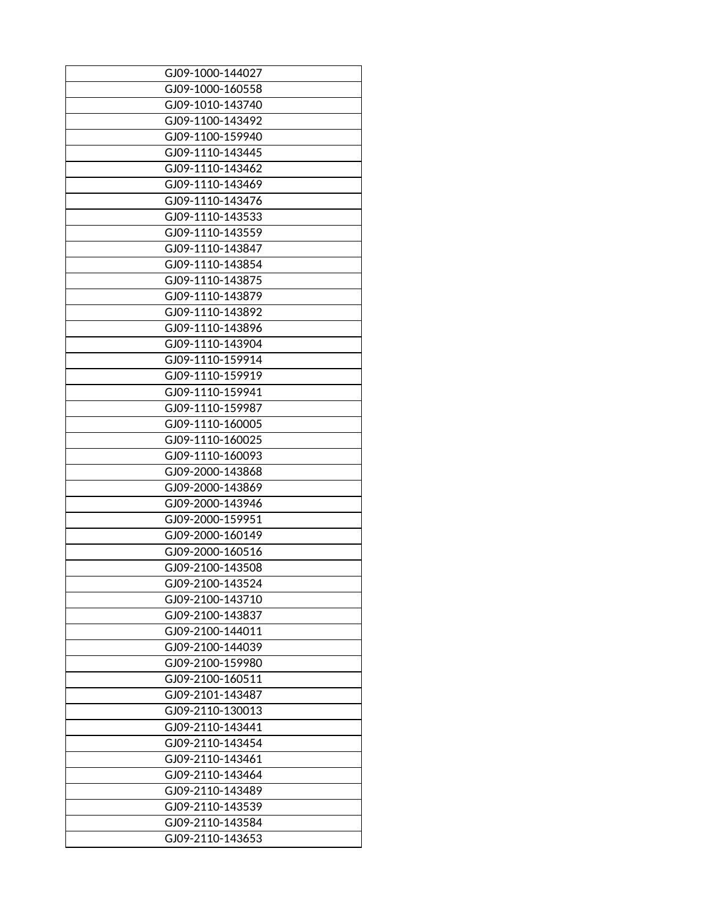| GJ09-1000-144027 |
|------------------|
| GJ09-1000-160558 |
|                  |
| GJ09-1010-143740 |
| GJ09-1100-143492 |
| GJ09-1100-159940 |
| GJ09-1110-143445 |
| GJ09-1110-143462 |
| GJ09-1110-143469 |
| GJ09-1110-143476 |
| GJ09-1110-143533 |
| GJ09-1110-143559 |
| GJ09-1110-143847 |
| GJ09-1110-143854 |
| GJ09-1110-143875 |
| GJ09-1110-143879 |
| GJ09-1110-143892 |
| GJ09-1110-143896 |
| GJ09-1110-143904 |
| GJ09-1110-159914 |
| GJ09-1110-159919 |
| GJ09-1110-159941 |
| GJ09-1110-159987 |
| GJ09-1110-160005 |
|                  |
| GJ09-1110-160025 |
| GJ09-1110-160093 |
| GJ09-2000-143868 |
| GJ09-2000-143869 |
| GJ09-2000-143946 |
| GJ09-2000-159951 |
| GJ09-2000-160149 |
| GJ09-2000-160516 |
| GJ09-2100-143508 |
| GJ09-2100-143524 |
| GJ09-2100-143710 |
| GJ09-2100-143837 |
| GJ09-2100-144011 |
| GJ09-2100-144039 |
| GJ09-2100-159980 |
| GJ09-2100-160511 |
| GJ09-2101-143487 |
| GJ09-2110-130013 |
| GJ09-2110-143441 |
| GJ09-2110-143454 |
| GJ09-2110-143461 |
| GJ09-2110-143464 |
| GJ09-2110-143489 |
|                  |
| GJ09-2110-143539 |
| GJ09-2110-143584 |
| GJ09-2110-143653 |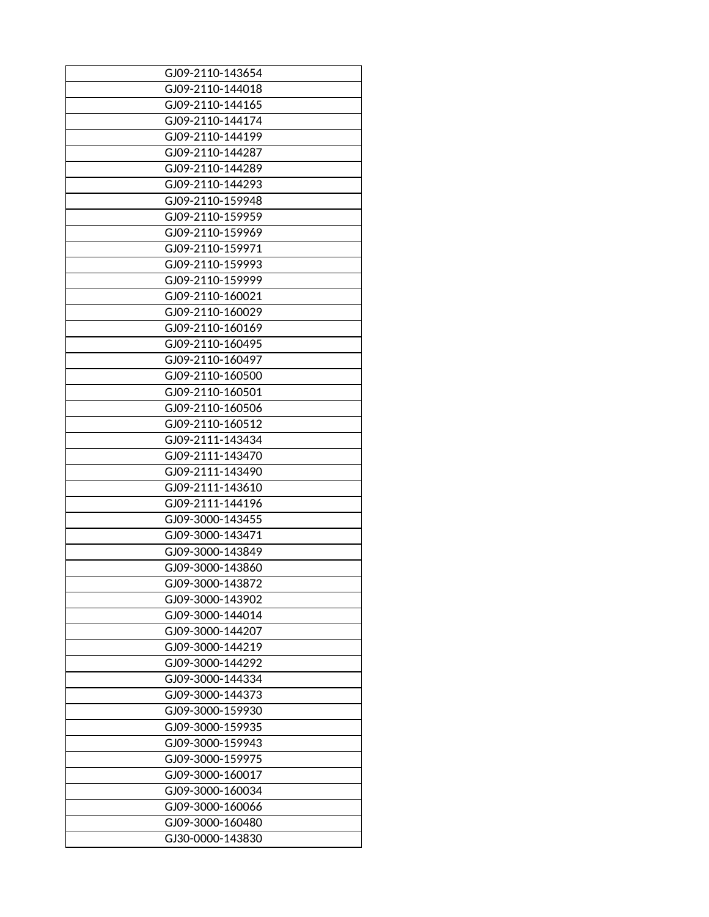| GJ09-2110-143654 |
|------------------|
| GJ09-2110-144018 |
| GJ09-2110-144165 |
|                  |
| GJ09-2110-144174 |
| GJ09-2110-144199 |
| GJ09-2110-144287 |
| GJ09-2110-144289 |
| GJ09-2110-144293 |
| GJ09-2110-159948 |
| GJ09-2110-159959 |
| GJ09-2110-159969 |
| GJ09-2110-159971 |
| GJ09-2110-159993 |
| GJ09-2110-159999 |
| GJ09-2110-160021 |
| GJ09-2110-160029 |
| GJ09-2110-160169 |
| GJ09-2110-160495 |
| GJ09-2110-160497 |
| GJ09-2110-160500 |
| GJ09-2110-160501 |
| GJ09-2110-160506 |
| GJ09-2110-160512 |
| GJ09-2111-143434 |
| GJ09-2111-143470 |
| GJ09-2111-143490 |
| GJ09-2111-143610 |
|                  |
| GJ09-2111-144196 |
| GJ09-3000-143455 |
| GJ09-3000-143471 |
| GJ09-3000-143849 |
| GJ09-3000-143860 |
| GJ09-3000-143872 |
| GJ09-3000-143902 |
| GJ09-3000-144014 |
| GJ09-3000-144207 |
| GJ09-3000-144219 |
| GJ09-3000-144292 |
| GJ09-3000-144334 |
| GJ09-3000-144373 |
| GJ09-3000-159930 |
| GJ09-3000-159935 |
| GJ09-3000-159943 |
| GJ09-3000-159975 |
| GJ09-3000-160017 |
| GJ09-3000-160034 |
| GJ09-3000-160066 |
| GJ09-3000-160480 |
| GJ30-0000-143830 |
|                  |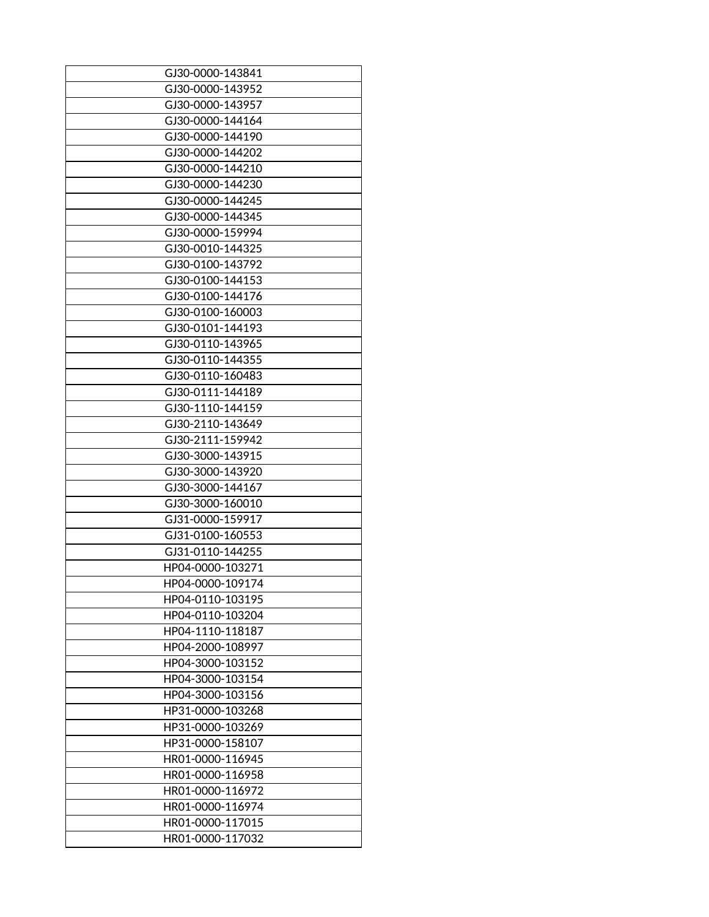| GJ30-0000-143841 |
|------------------|
| GJ30-0000-143952 |
| GJ30-0000-143957 |
| GJ30-0000-144164 |
| GJ30-0000-144190 |
| GJ30-0000-144202 |
| GJ30-0000-144210 |
| GJ30-0000-144230 |
| GJ30-0000-144245 |
| GJ30-0000-144345 |
| GJ30-0000-159994 |
| GJ30-0010-144325 |
|                  |
| GJ30-0100-143792 |
| GJ30-0100-144153 |
| GJ30-0100-144176 |
| GJ30-0100-160003 |
| GJ30-0101-144193 |
| GJ30-0110-143965 |
| GJ30-0110-144355 |
| GJ30-0110-160483 |
| GJ30-0111-144189 |
| GJ30-1110-144159 |
| GJ30-2110-143649 |
| GJ30-2111-159942 |
| GJ30-3000-143915 |
| GJ30-3000-143920 |
| GJ30-3000-144167 |
| GJ30-3000-160010 |
| GJ31-0000-159917 |
| GJ31-0100-160553 |
| GJ31-0110-144255 |
| HP04-0000-103271 |
| HP04-0000-109174 |
| HP04-0110-103195 |
| HP04-0110-103204 |
| HP04-1110-118187 |
| HP04-2000-108997 |
| HP04-3000-103152 |
| HP04-3000-103154 |
| HP04-3000-103156 |
| HP31-0000-103268 |
| HP31-0000-103269 |
| HP31-0000-158107 |
|                  |
| HR01-0000-116945 |
| HR01-0000-116958 |
| HR01-0000-116972 |
| HR01-0000-116974 |
| HR01-0000-117015 |
| HR01-0000-117032 |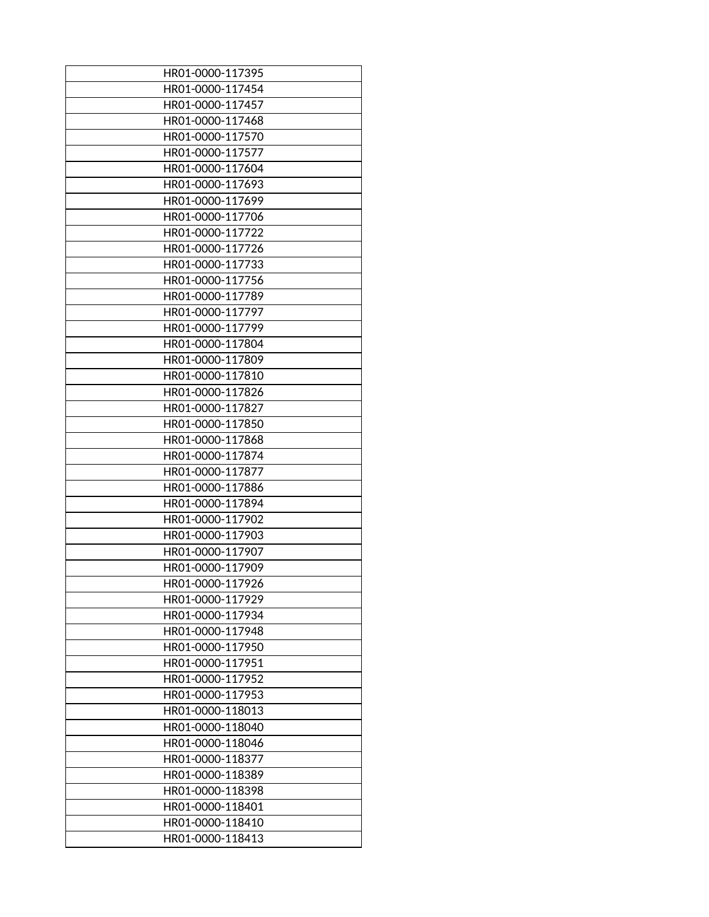| HR01-0000-117395 |
|------------------|
| HR01-0000-117454 |
| HR01-0000-117457 |
| HR01-0000-117468 |
| HR01-0000-117570 |
| HR01-0000-117577 |
| HR01-0000-117604 |
| HR01-0000-117693 |
| HR01-0000-117699 |
| HR01-0000-117706 |
| HR01-0000-117722 |
| HR01-0000-117726 |
| HR01-0000-117733 |
| HR01-0000-117756 |
| HR01-0000-117789 |
| HR01-0000-117797 |
| HR01-0000-117799 |
| HR01-0000-117804 |
| HR01-0000-117809 |
|                  |
| HR01-0000-117810 |
| HR01-0000-117826 |
| HR01-0000-117827 |
| HR01-0000-117850 |
| HR01-0000-117868 |
| HR01-0000-117874 |
| HR01-0000-117877 |
| HR01-0000-117886 |
| HR01-0000-117894 |
| HR01-0000-117902 |
| HR01-0000-117903 |
| HR01-0000-117907 |
| HR01-0000-117909 |
| HR01-0000-117926 |
| HR01-0000-117929 |
| HR01-0000-117934 |
| HR01-0000-117948 |
| HR01-0000-117950 |
| HR01-0000-117951 |
| HR01-0000-117952 |
| HR01-0000-117953 |
| HR01-0000-118013 |
| HR01-0000-118040 |
| HR01-0000-118046 |
| HR01-0000-118377 |
| HR01-0000-118389 |
|                  |
| HR01-0000-118398 |
| HR01-0000-118401 |
| HR01-0000-118410 |
| HR01-0000-118413 |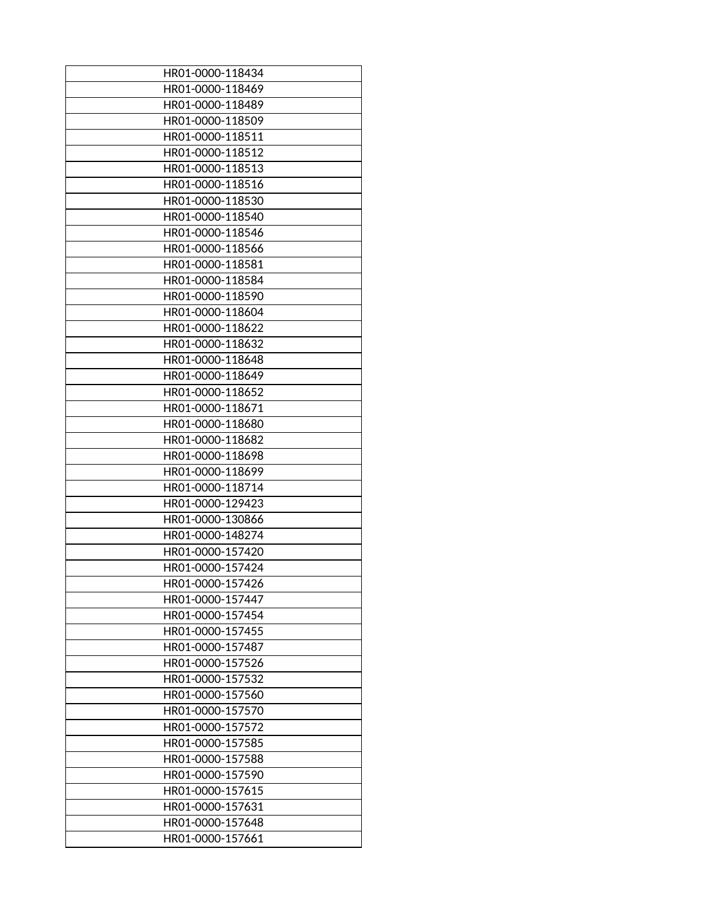| HR01-0000-118434 |
|------------------|
| HR01-0000-118469 |
| HR01-0000-118489 |
| HR01-0000-118509 |
| HR01-0000-118511 |
|                  |
| HR01-0000-118512 |
| HR01-0000-118513 |
| HR01-0000-118516 |
| HR01-0000-118530 |
| HR01-0000-118540 |
| HR01-0000-118546 |
| HR01-0000-118566 |
| HR01-0000-118581 |
| HR01-0000-118584 |
| HR01-0000-118590 |
| HR01-0000-118604 |
| HR01-0000-118622 |
| HR01-0000-118632 |
| HR01-0000-118648 |
| HR01-0000-118649 |
| HR01-0000-118652 |
| HR01-0000-118671 |
| HR01-0000-118680 |
| HR01-0000-118682 |
| HR01-0000-118698 |
| HR01-0000-118699 |
| HR01-0000-118714 |
|                  |
| HR01-0000-129423 |
| HR01-0000-130866 |
| HR01-0000-148274 |
| HR01-0000-157420 |
| HR01-0000-157424 |
| HR01-0000-157426 |
| HR01-0000-157447 |
| HR01-0000-157454 |
| HR01-0000-157455 |
| HR01-0000-157487 |
| HR01-0000-157526 |
| HR01-0000-157532 |
| HR01-0000-157560 |
| HR01-0000-157570 |
| HR01-0000-157572 |
| HR01-0000-157585 |
| HR01-0000-157588 |
| HR01-0000-157590 |
| HR01-0000-157615 |
| HR01-0000-157631 |
| HR01-0000-157648 |
| HR01-0000-157661 |
|                  |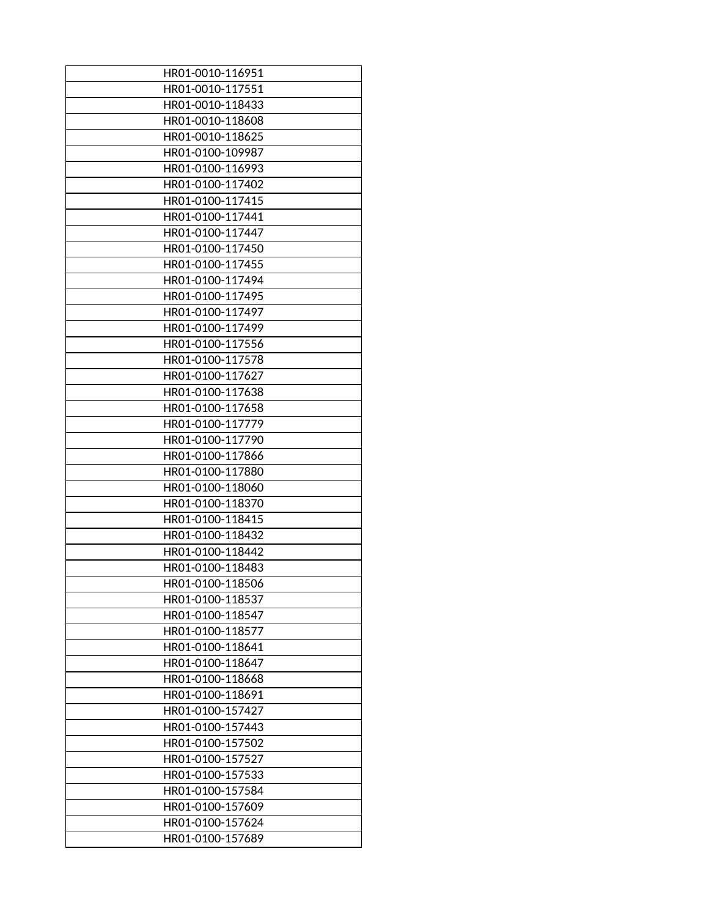| HR01-0010-116951 |
|------------------|
| HR01-0010-117551 |
| HR01-0010-118433 |
| HR01-0010-118608 |
| HR01-0010-118625 |
| HR01-0100-109987 |
| HR01-0100-116993 |
| HR01-0100-117402 |
| HR01-0100-117415 |
| HR01-0100-117441 |
| HR01-0100-117447 |
| HR01-0100-117450 |
| HR01-0100-117455 |
| HR01-0100-117494 |
| HR01-0100-117495 |
| HR01-0100-117497 |
| HR01-0100-117499 |
| HR01-0100-117556 |
| HR01-0100-117578 |
| HR01-0100-117627 |
| HR01-0100-117638 |
| HR01-0100-117658 |
| HR01-0100-117779 |
|                  |
| HR01-0100-117790 |
| HR01-0100-117866 |
| HR01-0100-117880 |
| HR01-0100-118060 |
| HR01-0100-118370 |
| HR01-0100-118415 |
| HR01-0100-118432 |
| HR01-0100-118442 |
| HR01-0100-118483 |
| HR01-0100-118506 |
| HR01-0100-118537 |
| HR01-0100-118547 |
| HR01-0100-118577 |
| HR01-0100-118641 |
| HR01-0100-118647 |
| HR01-0100-118668 |
| HR01-0100-118691 |
| HR01-0100-157427 |
| HR01-0100-157443 |
| HR01-0100-157502 |
| HR01-0100-157527 |
| HR01-0100-157533 |
| HR01-0100-157584 |
| HR01-0100-157609 |
| HR01-0100-157624 |
| HR01-0100-157689 |
|                  |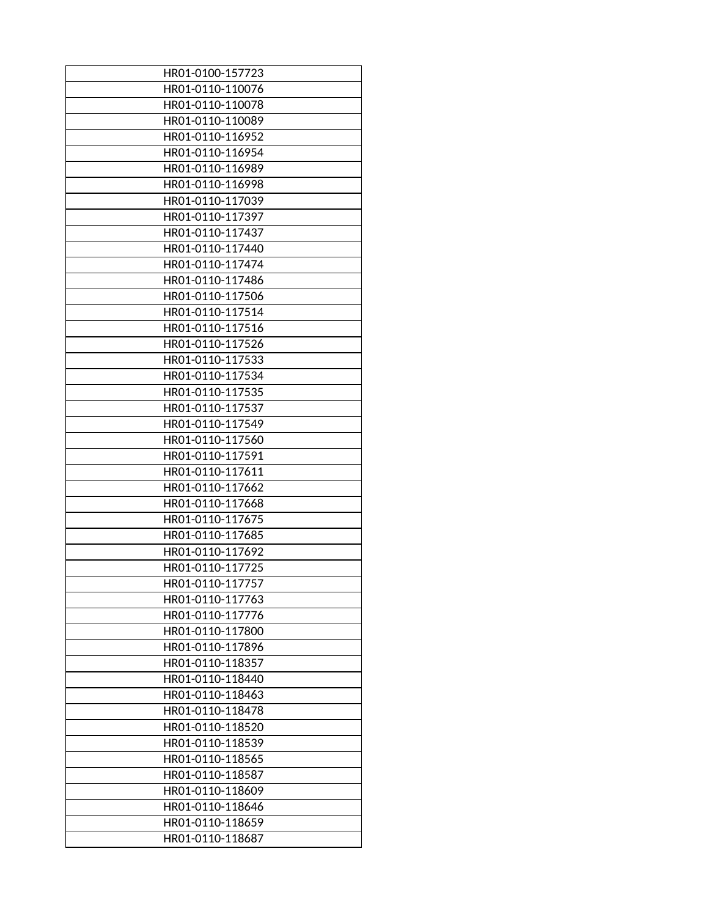| HR01-0110-110076<br>HR01-0110-110078<br>HR01-0110-110089<br>HR01-0110-116952<br>HR01-0110-116954<br>HR01-0110-116989<br>HR01-0110-116998<br>HR01-0110-117039<br>HR01-0110-117397<br>HR01-0110-117437<br>HR01-0110-117440<br>HR01-0110-117474<br>HR01-0110-117486<br>HR01-0110-117506<br>HR01-0110-117514<br>HR01-0110-117516<br>HR01-0110-117526<br>HR01-0110-117533<br>HR01-0110-117534<br>HR01-0110-117535<br>HR01-0110-117537<br>HR01-0110-117549<br>HR01-0110-117560<br>HR01-0110-117591<br>HR01-0110-117611<br>HR01-0110-117662<br>HR01-0110-117668<br>HR01-0110-117675<br>HR01-0110-117685<br>HR01-0110-117692<br>HR01-0110-117725<br>HR01-0110-117757<br>HR01-0110-117763<br>HR01-0110-117776<br>HR01-0110-117800<br>HR01-0110-117896<br>HR01-0110-118357<br>HR01-0110-118440<br>HR01-0110-118463<br>HR01-0110-118478<br>HR01-0110-118520<br>HR01-0110-118539<br>HR01-0110-118565<br>HR01-0110-118587<br>HR01-0110-118609<br>HR01-0110-118646<br>HR01-0110-118659<br>HR01-0110-118687 | HR01-0100-157723 |
|----------------------------------------------------------------------------------------------------------------------------------------------------------------------------------------------------------------------------------------------------------------------------------------------------------------------------------------------------------------------------------------------------------------------------------------------------------------------------------------------------------------------------------------------------------------------------------------------------------------------------------------------------------------------------------------------------------------------------------------------------------------------------------------------------------------------------------------------------------------------------------------------------------------------------------------------------------------------------------------------|------------------|
|                                                                                                                                                                                                                                                                                                                                                                                                                                                                                                                                                                                                                                                                                                                                                                                                                                                                                                                                                                                              |                  |
|                                                                                                                                                                                                                                                                                                                                                                                                                                                                                                                                                                                                                                                                                                                                                                                                                                                                                                                                                                                              |                  |
|                                                                                                                                                                                                                                                                                                                                                                                                                                                                                                                                                                                                                                                                                                                                                                                                                                                                                                                                                                                              |                  |
|                                                                                                                                                                                                                                                                                                                                                                                                                                                                                                                                                                                                                                                                                                                                                                                                                                                                                                                                                                                              |                  |
|                                                                                                                                                                                                                                                                                                                                                                                                                                                                                                                                                                                                                                                                                                                                                                                                                                                                                                                                                                                              |                  |
|                                                                                                                                                                                                                                                                                                                                                                                                                                                                                                                                                                                                                                                                                                                                                                                                                                                                                                                                                                                              |                  |
|                                                                                                                                                                                                                                                                                                                                                                                                                                                                                                                                                                                                                                                                                                                                                                                                                                                                                                                                                                                              |                  |
|                                                                                                                                                                                                                                                                                                                                                                                                                                                                                                                                                                                                                                                                                                                                                                                                                                                                                                                                                                                              |                  |
|                                                                                                                                                                                                                                                                                                                                                                                                                                                                                                                                                                                                                                                                                                                                                                                                                                                                                                                                                                                              |                  |
|                                                                                                                                                                                                                                                                                                                                                                                                                                                                                                                                                                                                                                                                                                                                                                                                                                                                                                                                                                                              |                  |
|                                                                                                                                                                                                                                                                                                                                                                                                                                                                                                                                                                                                                                                                                                                                                                                                                                                                                                                                                                                              |                  |
|                                                                                                                                                                                                                                                                                                                                                                                                                                                                                                                                                                                                                                                                                                                                                                                                                                                                                                                                                                                              |                  |
|                                                                                                                                                                                                                                                                                                                                                                                                                                                                                                                                                                                                                                                                                                                                                                                                                                                                                                                                                                                              |                  |
|                                                                                                                                                                                                                                                                                                                                                                                                                                                                                                                                                                                                                                                                                                                                                                                                                                                                                                                                                                                              |                  |
|                                                                                                                                                                                                                                                                                                                                                                                                                                                                                                                                                                                                                                                                                                                                                                                                                                                                                                                                                                                              |                  |
|                                                                                                                                                                                                                                                                                                                                                                                                                                                                                                                                                                                                                                                                                                                                                                                                                                                                                                                                                                                              |                  |
|                                                                                                                                                                                                                                                                                                                                                                                                                                                                                                                                                                                                                                                                                                                                                                                                                                                                                                                                                                                              |                  |
|                                                                                                                                                                                                                                                                                                                                                                                                                                                                                                                                                                                                                                                                                                                                                                                                                                                                                                                                                                                              |                  |
|                                                                                                                                                                                                                                                                                                                                                                                                                                                                                                                                                                                                                                                                                                                                                                                                                                                                                                                                                                                              |                  |
|                                                                                                                                                                                                                                                                                                                                                                                                                                                                                                                                                                                                                                                                                                                                                                                                                                                                                                                                                                                              |                  |
|                                                                                                                                                                                                                                                                                                                                                                                                                                                                                                                                                                                                                                                                                                                                                                                                                                                                                                                                                                                              |                  |
|                                                                                                                                                                                                                                                                                                                                                                                                                                                                                                                                                                                                                                                                                                                                                                                                                                                                                                                                                                                              |                  |
|                                                                                                                                                                                                                                                                                                                                                                                                                                                                                                                                                                                                                                                                                                                                                                                                                                                                                                                                                                                              |                  |
|                                                                                                                                                                                                                                                                                                                                                                                                                                                                                                                                                                                                                                                                                                                                                                                                                                                                                                                                                                                              |                  |
|                                                                                                                                                                                                                                                                                                                                                                                                                                                                                                                                                                                                                                                                                                                                                                                                                                                                                                                                                                                              |                  |
|                                                                                                                                                                                                                                                                                                                                                                                                                                                                                                                                                                                                                                                                                                                                                                                                                                                                                                                                                                                              |                  |
|                                                                                                                                                                                                                                                                                                                                                                                                                                                                                                                                                                                                                                                                                                                                                                                                                                                                                                                                                                                              |                  |
|                                                                                                                                                                                                                                                                                                                                                                                                                                                                                                                                                                                                                                                                                                                                                                                                                                                                                                                                                                                              |                  |
|                                                                                                                                                                                                                                                                                                                                                                                                                                                                                                                                                                                                                                                                                                                                                                                                                                                                                                                                                                                              |                  |
|                                                                                                                                                                                                                                                                                                                                                                                                                                                                                                                                                                                                                                                                                                                                                                                                                                                                                                                                                                                              |                  |
|                                                                                                                                                                                                                                                                                                                                                                                                                                                                                                                                                                                                                                                                                                                                                                                                                                                                                                                                                                                              |                  |
|                                                                                                                                                                                                                                                                                                                                                                                                                                                                                                                                                                                                                                                                                                                                                                                                                                                                                                                                                                                              |                  |
|                                                                                                                                                                                                                                                                                                                                                                                                                                                                                                                                                                                                                                                                                                                                                                                                                                                                                                                                                                                              |                  |
|                                                                                                                                                                                                                                                                                                                                                                                                                                                                                                                                                                                                                                                                                                                                                                                                                                                                                                                                                                                              |                  |
|                                                                                                                                                                                                                                                                                                                                                                                                                                                                                                                                                                                                                                                                                                                                                                                                                                                                                                                                                                                              |                  |
|                                                                                                                                                                                                                                                                                                                                                                                                                                                                                                                                                                                                                                                                                                                                                                                                                                                                                                                                                                                              |                  |
|                                                                                                                                                                                                                                                                                                                                                                                                                                                                                                                                                                                                                                                                                                                                                                                                                                                                                                                                                                                              |                  |
|                                                                                                                                                                                                                                                                                                                                                                                                                                                                                                                                                                                                                                                                                                                                                                                                                                                                                                                                                                                              |                  |
|                                                                                                                                                                                                                                                                                                                                                                                                                                                                                                                                                                                                                                                                                                                                                                                                                                                                                                                                                                                              |                  |
|                                                                                                                                                                                                                                                                                                                                                                                                                                                                                                                                                                                                                                                                                                                                                                                                                                                                                                                                                                                              |                  |
|                                                                                                                                                                                                                                                                                                                                                                                                                                                                                                                                                                                                                                                                                                                                                                                                                                                                                                                                                                                              |                  |
|                                                                                                                                                                                                                                                                                                                                                                                                                                                                                                                                                                                                                                                                                                                                                                                                                                                                                                                                                                                              |                  |
|                                                                                                                                                                                                                                                                                                                                                                                                                                                                                                                                                                                                                                                                                                                                                                                                                                                                                                                                                                                              |                  |
|                                                                                                                                                                                                                                                                                                                                                                                                                                                                                                                                                                                                                                                                                                                                                                                                                                                                                                                                                                                              |                  |
|                                                                                                                                                                                                                                                                                                                                                                                                                                                                                                                                                                                                                                                                                                                                                                                                                                                                                                                                                                                              |                  |
|                                                                                                                                                                                                                                                                                                                                                                                                                                                                                                                                                                                                                                                                                                                                                                                                                                                                                                                                                                                              |                  |
|                                                                                                                                                                                                                                                                                                                                                                                                                                                                                                                                                                                                                                                                                                                                                                                                                                                                                                                                                                                              |                  |
|                                                                                                                                                                                                                                                                                                                                                                                                                                                                                                                                                                                                                                                                                                                                                                                                                                                                                                                                                                                              |                  |
|                                                                                                                                                                                                                                                                                                                                                                                                                                                                                                                                                                                                                                                                                                                                                                                                                                                                                                                                                                                              |                  |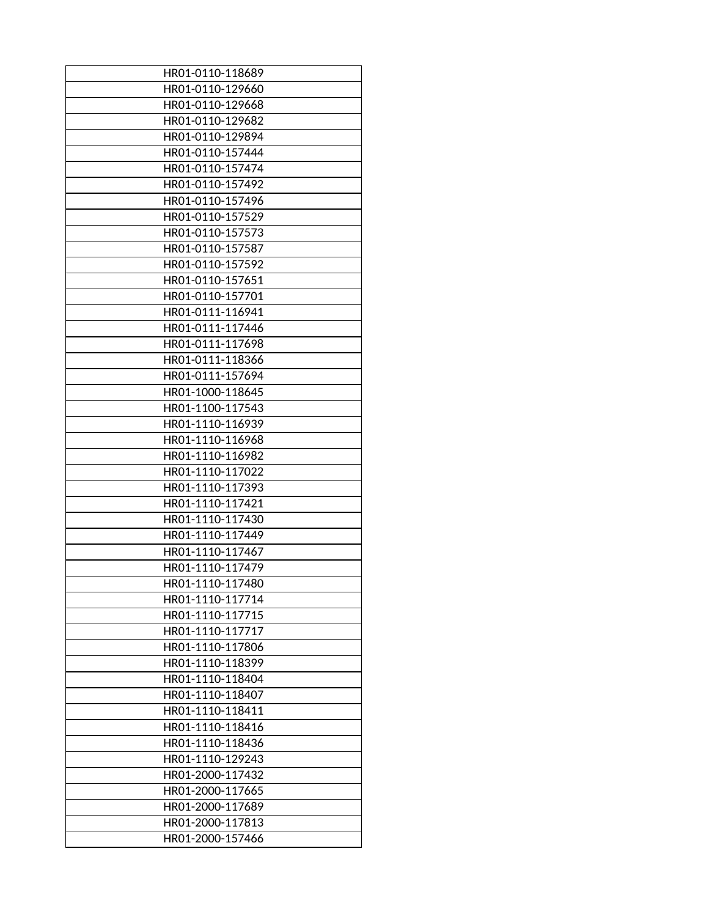| HR01-0110-118689 |
|------------------|
| HR01-0110-129660 |
| HR01-0110-129668 |
| HR01-0110-129682 |
| HR01-0110-129894 |
| HR01-0110-157444 |
| HR01-0110-157474 |
| HR01-0110-157492 |
| HR01-0110-157496 |
| HR01-0110-157529 |
| HR01-0110-157573 |
| HR01-0110-157587 |
| HR01-0110-157592 |
| HR01-0110-157651 |
|                  |
| HR01-0110-157701 |
| HR01-0111-116941 |
| HR01-0111-117446 |
| HR01-0111-117698 |
| HR01-0111-118366 |
| HR01-0111-157694 |
| HR01-1000-118645 |
| HR01-1100-117543 |
| HR01-1110-116939 |
| HR01-1110-116968 |
| HR01-1110-116982 |
| HR01-1110-117022 |
| HR01-1110-117393 |
| HR01-1110-117421 |
| HR01-1110-117430 |
| HR01-1110-117449 |
| HR01-1110-117467 |
| HR01-1110-117479 |
| HR01-1110-117480 |
| HR01-1110-117714 |
| HR01-1110-117715 |
| HR01-1110-117717 |
| HR01-1110-117806 |
| HR01-1110-118399 |
| HR01-1110-118404 |
| HR01-1110-118407 |
| HR01-1110-118411 |
| HR01-1110-118416 |
| HR01-1110-118436 |
| HR01-1110-129243 |
| HR01-2000-117432 |
| HR01-2000-117665 |
| HR01-2000-117689 |
| HR01-2000-117813 |
| HR01-2000-157466 |
|                  |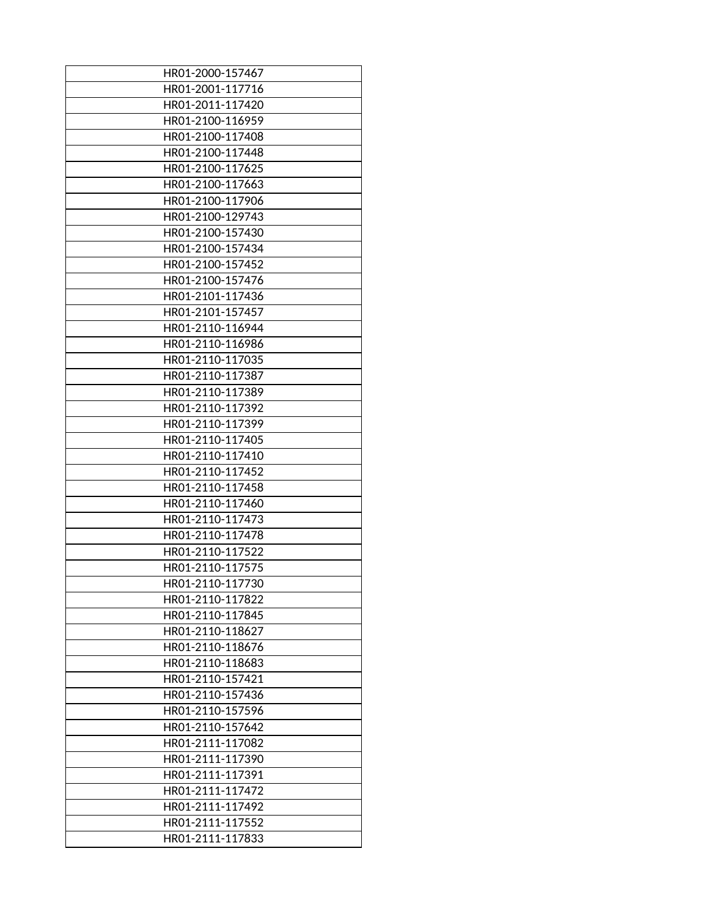| HR01-2000-157467 |
|------------------|
| HR01-2001-117716 |
| HR01-2011-117420 |
| HR01-2100-116959 |
| HR01-2100-117408 |
| HR01-2100-117448 |
| HR01-2100-117625 |
| HR01-2100-117663 |
| HR01-2100-117906 |
| HR01-2100-129743 |
| HR01-2100-157430 |
| HR01-2100-157434 |
| HR01-2100-157452 |
| HR01-2100-157476 |
| HR01-2101-117436 |
| HR01-2101-157457 |
| HR01-2110-116944 |
| HR01-2110-116986 |
| HR01-2110-117035 |
| HR01-2110-117387 |
| HR01-2110-117389 |
| HR01-2110-117392 |
| HR01-2110-117399 |
| HR01-2110-117405 |
| HR01-2110-117410 |
| HR01-2110-117452 |
| HR01-2110-117458 |
| HR01-2110-117460 |
| HR01-2110-117473 |
| HR01-2110-117478 |
| HR01-2110-117522 |
| HR01-2110-117575 |
| HR01-2110-117730 |
| HR01-2110-117822 |
| HR01-2110-117845 |
| HR01-2110-118627 |
| HR01-2110-118676 |
| HR01-2110-118683 |
| HR01-2110-157421 |
| HR01-2110-157436 |
| HR01-2110-157596 |
| HR01-2110-157642 |
| HR01-2111-117082 |
| HR01-2111-117390 |
| HR01-2111-117391 |
| HR01-2111-117472 |
| HR01-2111-117492 |
| HR01-2111-117552 |
| HR01-2111-117833 |
|                  |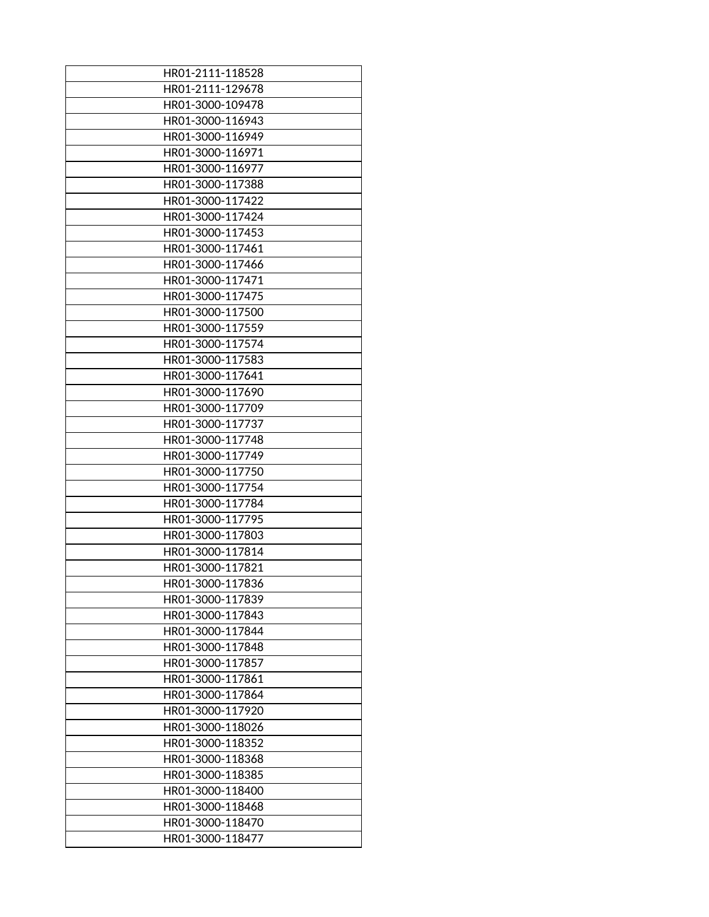| HR01-2111-118528 |
|------------------|
| HR01-2111-129678 |
| HR01-3000-109478 |
| HR01-3000-116943 |
| HR01-3000-116949 |
| HR01-3000-116971 |
| HR01-3000-116977 |
| HR01-3000-117388 |
| HR01-3000-117422 |
| HR01-3000-117424 |
| HR01-3000-117453 |
| HR01-3000-117461 |
| HR01-3000-117466 |
| HR01-3000-117471 |
| HR01-3000-117475 |
| HR01-3000-117500 |
| HR01-3000-117559 |
| HR01-3000-117574 |
| HR01-3000-117583 |
| HR01-3000-117641 |
| HR01-3000-117690 |
| HR01-3000-117709 |
| HR01-3000-117737 |
| HR01-3000-117748 |
| HR01-3000-117749 |
| HR01-3000-117750 |
| HR01-3000-117754 |
| HR01-3000-117784 |
| HR01-3000-117795 |
| HR01-3000-117803 |
| HR01-3000-117814 |
| HR01-3000-117821 |
| HR01-3000-117836 |
|                  |
| HR01-3000-117839 |
| HR01-3000-117843 |
| HR01-3000-117844 |
| HR01-3000-117848 |
| HR01-3000-117857 |
| HR01-3000-117861 |
| HR01-3000-117864 |
| HR01-3000-117920 |
| HR01-3000-118026 |
| HR01-3000-118352 |
| HR01-3000-118368 |
| HR01-3000-118385 |
| HR01-3000-118400 |
| HR01-3000-118468 |
| HR01-3000-118470 |
| HR01-3000-118477 |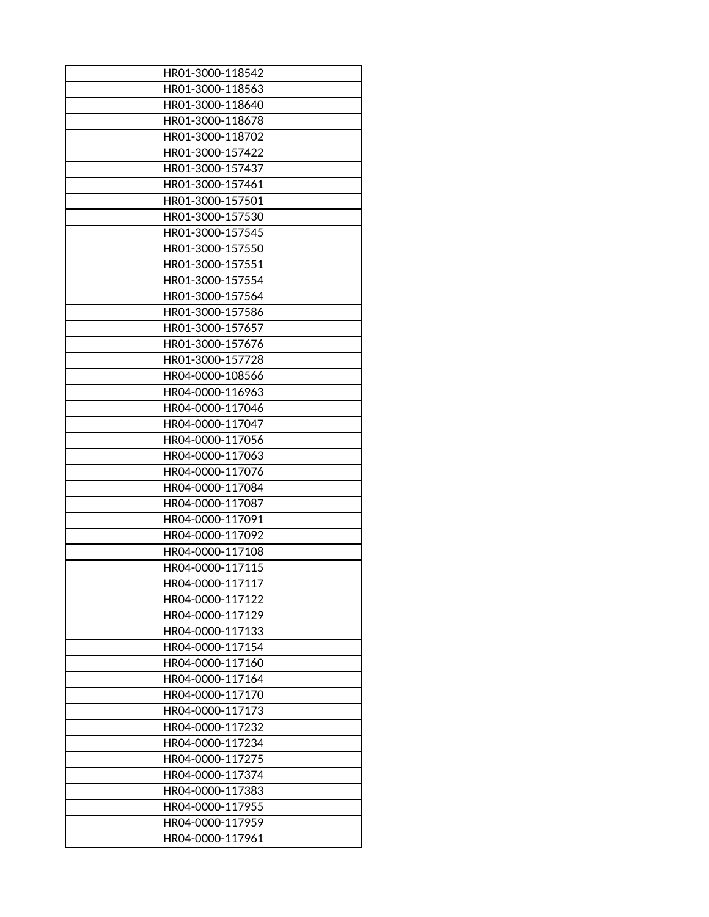| HR01-3000-118542 |
|------------------|
|                  |
| HR01-3000-118563 |
| HR01-3000-118640 |
| HR01-3000-118678 |
| HR01-3000-118702 |
| HR01-3000-157422 |
| HR01-3000-157437 |
| HR01-3000-157461 |
| HR01-3000-157501 |
| HR01-3000-157530 |
| HR01-3000-157545 |
| HR01-3000-157550 |
| HR01-3000-157551 |
| HR01-3000-157554 |
| HR01-3000-157564 |
| HR01-3000-157586 |
| HR01-3000-157657 |
| HR01-3000-157676 |
|                  |
| HR01-3000-157728 |
| HR04-0000-108566 |
| HR04-0000-116963 |
| HR04-0000-117046 |
| HR04-0000-117047 |
| HR04-0000-117056 |
| HR04-0000-117063 |
| HR04-0000-117076 |
| HR04-0000-117084 |
| HR04-0000-117087 |
| HR04-0000-117091 |
| HR04-0000-117092 |
| HR04-0000-117108 |
| HR04-0000-117115 |
| HR04-0000-117117 |
| HR04-0000-117122 |
| HR04-0000-117129 |
| HR04-0000-117133 |
| HR04-0000-117154 |
| HR04-0000-117160 |
| HR04-0000-117164 |
| HR04-0000-117170 |
| HR04-0000-117173 |
| HR04-0000-117232 |
| HR04-0000-117234 |
| HR04-0000-117275 |
|                  |
| HR04-0000-117374 |
| HR04-0000-117383 |
| HR04-0000-117955 |
| HR04-0000-117959 |
| HR04-0000-117961 |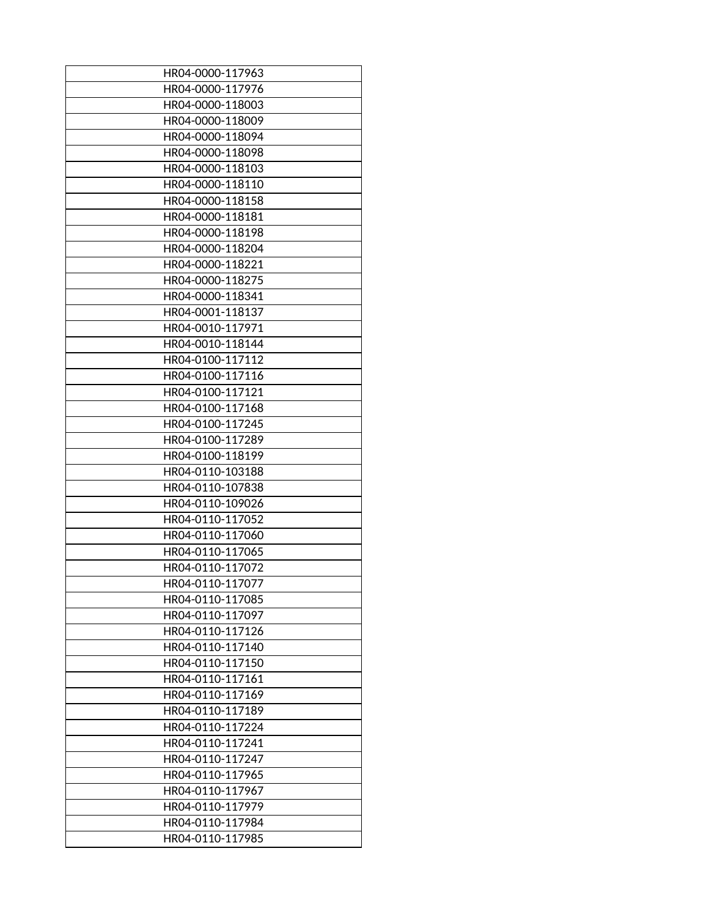| HR04-0000-117963                     |
|--------------------------------------|
| HR04-0000-117976                     |
| HR04-0000-118003                     |
| HR04-0000-118009                     |
|                                      |
| HR04-0000-118094                     |
| HR04-0000-118098                     |
| HR04-0000-118103                     |
| HR04-0000-118110                     |
| HR04-0000-118158                     |
| HR04-0000-118181                     |
| HR04-0000-118198                     |
| HR04-0000-118204                     |
| HR04-0000-118221                     |
| HR04-0000-118275                     |
| HR04-0000-118341                     |
| HR04-0001-118137                     |
| HR04-0010-117971                     |
| HR04-0010-118144                     |
| HR04-0100-117112                     |
| HR04-0100-117116                     |
| HR04-0100-117121                     |
| HR04-0100-117168                     |
| HR04-0100-117245                     |
| HR04-0100-117289                     |
| HR04-0100-118199                     |
| HR04-0110-103188                     |
| HR04-0110-107838                     |
|                                      |
| HR04-0110-109026<br>HR04-0110-117052 |
|                                      |
| HR04-0110-117060                     |
| HR04-0110-117065                     |
| HR04-0110-117072                     |
| HR04-0110-117077                     |
| HR04-0110-117085                     |
| HR04-0110-117097                     |
| HR04-0110-117126                     |
| HR04-0110-117140                     |
| HR04-0110-117150                     |
| HR04-0110-117161                     |
| HR04-0110-117169                     |
| HR04-0110-117189                     |
| HR04-0110-117224                     |
| HR04-0110-117241                     |
| HR04-0110-117247                     |
| HR04-0110-117965                     |
| HR04-0110-117967                     |
| HR04-0110-117979                     |
| HR04-0110-117984                     |
| HR04-0110-117985                     |
|                                      |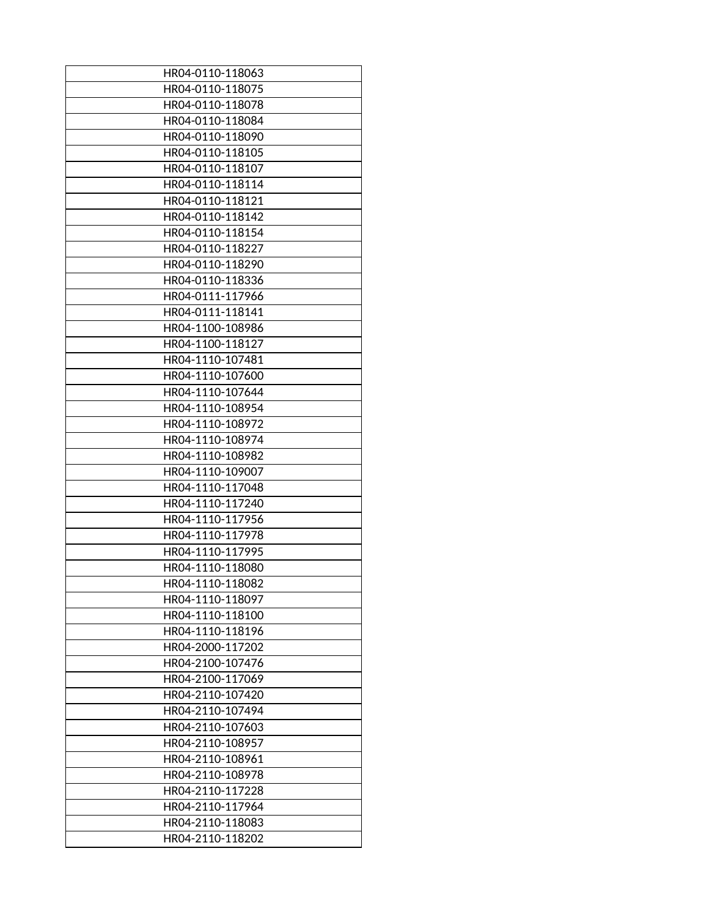| HR04-0110-118063 |
|------------------|
| HR04-0110-118075 |
| HR04-0110-118078 |
| HR04-0110-118084 |
| HR04-0110-118090 |
| HR04-0110-118105 |
| HR04-0110-118107 |
| HR04-0110-118114 |
| HR04-0110-118121 |
| HR04-0110-118142 |
| HR04-0110-118154 |
| HR04-0110-118227 |
| HR04-0110-118290 |
| HR04-0110-118336 |
| HR04-0111-117966 |
| HR04-0111-118141 |
| HR04-1100-108986 |
|                  |
| HR04-1100-118127 |
| HR04-1110-107481 |
| HR04-1110-107600 |
| HR04-1110-107644 |
| HR04-1110-108954 |
| HR04-1110-108972 |
| HR04-1110-108974 |
| HR04-1110-108982 |
| HR04-1110-109007 |
| HR04-1110-117048 |
| HR04-1110-117240 |
| HR04-1110-117956 |
| HR04-1110-117978 |
| HR04-1110-117995 |
| HR04-1110-118080 |
| HR04-1110-118082 |
| HR04-1110-118097 |
| HR04-1110-118100 |
| HR04-1110-118196 |
| HR04-2000-117202 |
| HR04-2100-107476 |
| HR04-2100-117069 |
| HR04-2110-107420 |
| HR04-2110-107494 |
| HR04-2110-107603 |
| HR04-2110-108957 |
|                  |
| HR04-2110-108961 |
| HR04-2110-108978 |
| HR04-2110-117228 |
| HR04-2110-117964 |
| HR04-2110-118083 |
| HR04-2110-118202 |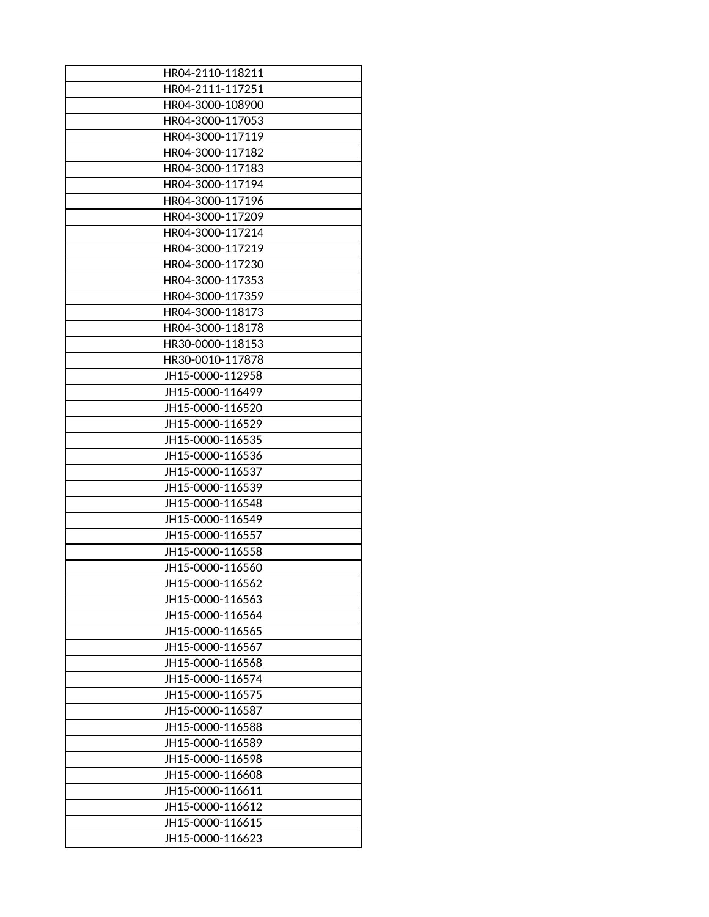| HR04-2110-118211 |
|------------------|
| HR04-2111-117251 |
| HR04-3000-108900 |
| HR04-3000-117053 |
| HR04-3000-117119 |
| HR04-3000-117182 |
| HR04-3000-117183 |
| HR04-3000-117194 |
| HR04-3000-117196 |
| HR04-3000-117209 |
| HR04-3000-117214 |
| HR04-3000-117219 |
| HR04-3000-117230 |
| HR04-3000-117353 |
| HR04-3000-117359 |
|                  |
| HR04-3000-118173 |
| HR04-3000-118178 |
| HR30-0000-118153 |
| HR30-0010-117878 |
| JH15-0000-112958 |
| JH15-0000-116499 |
| JH15-0000-116520 |
| JH15-0000-116529 |
| JH15-0000-116535 |
| JH15-0000-116536 |
| JH15-0000-116537 |
| JH15-0000-116539 |
| JH15-0000-116548 |
| JH15-0000-116549 |
| JH15-0000-116557 |
| JH15-0000-116558 |
| JH15-0000-116560 |
| JH15-0000-116562 |
| JH15-0000-116563 |
| JH15-0000-116564 |
| JH15-0000-116565 |
| JH15-0000-116567 |
| JH15-0000-116568 |
| JH15-0000-116574 |
| JH15-0000-116575 |
|                  |
| JH15-0000-116587 |
| JH15-0000-116588 |
| JH15-0000-116589 |
| JH15-0000-116598 |
| JH15-0000-116608 |
| JH15-0000-116611 |
| JH15-0000-116612 |
| JH15-0000-116615 |
| JH15-0000-116623 |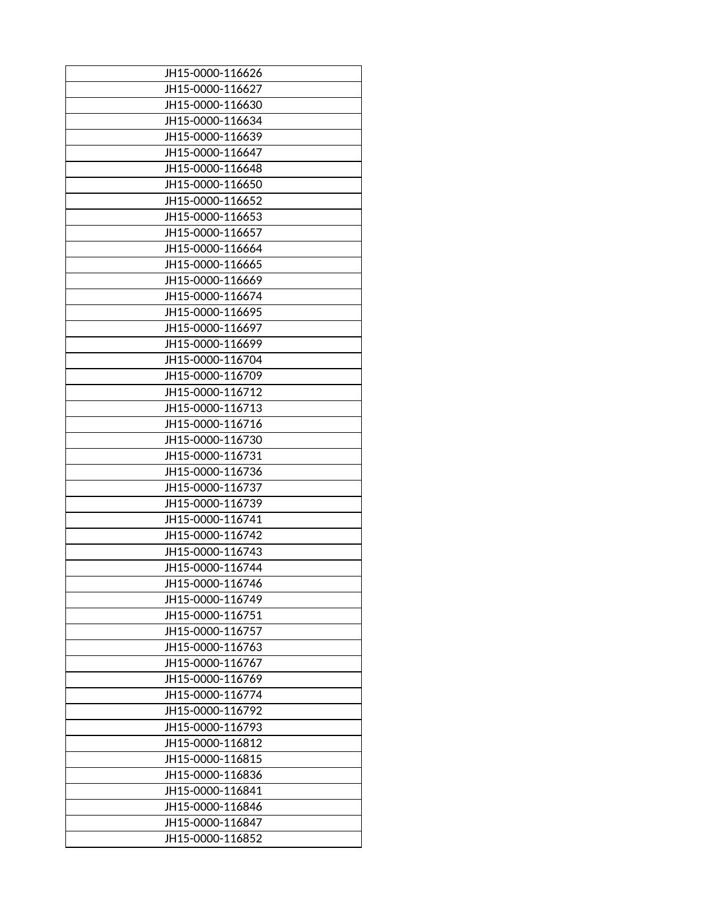| JH15-0000-116626 |
|------------------|
| JH15-0000-116627 |
| JH15-0000-116630 |
| JH15-0000-116634 |
| JH15-0000-116639 |
| JH15-0000-116647 |
| JH15-0000-116648 |
| JH15-0000-116650 |
| JH15-0000-116652 |
| JH15-0000-116653 |
| JH15-0000-116657 |
| JH15-0000-116664 |
| JH15-0000-116665 |
| JH15-0000-116669 |
| JH15-0000-116674 |
| JH15-0000-116695 |
| JH15-0000-116697 |
| JH15-0000-116699 |
| JH15-0000-116704 |
| JH15-0000-116709 |
| JH15-0000-116712 |
| JH15-0000-116713 |
| JH15-0000-116716 |
| JH15-0000-116730 |
| JH15-0000-116731 |
| JH15-0000-116736 |
| JH15-0000-116737 |
| JH15-0000-116739 |
| JH15-0000-116741 |
| JH15-0000-116742 |
|                  |
| JH15-0000-116743 |
| JH15-0000-116744 |
| JH15-0000-116746 |
| JH15-0000-116749 |
| JH15-0000-116751 |
| JH15-0000-116757 |
| JH15-0000-116763 |
| JH15-0000-116767 |
| JH15-0000-116769 |
| JH15-0000-116774 |
| JH15-0000-116792 |
| JH15-0000-116793 |
| JH15-0000-116812 |
| JH15-0000-116815 |
| JH15-0000-116836 |
| JH15-0000-116841 |
| JH15-0000-116846 |
| JH15-0000-116847 |
| JH15-0000-116852 |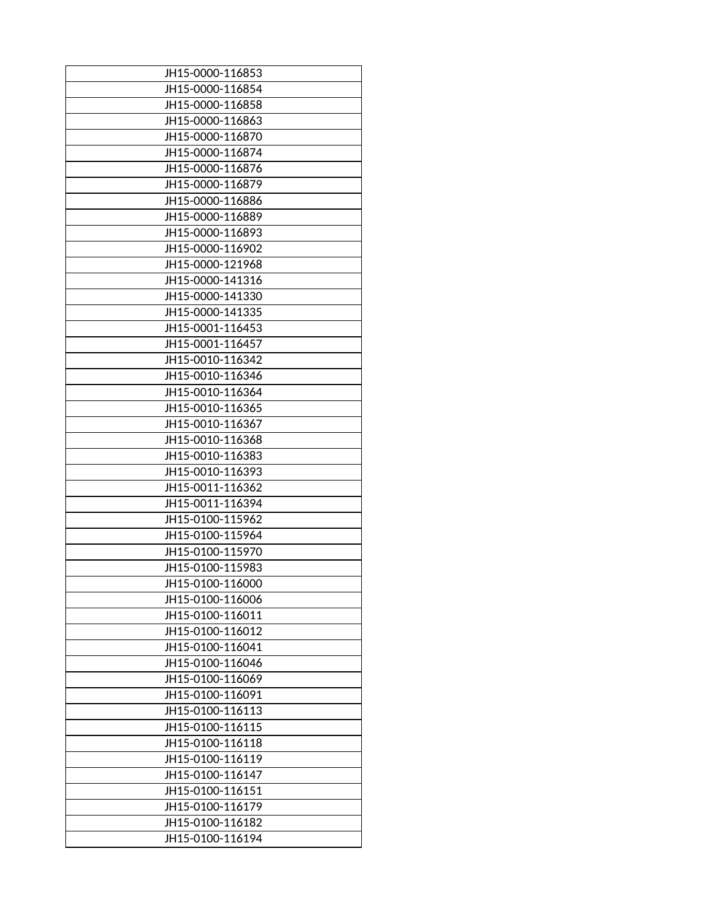| JH15-0000-116853 |
|------------------|
| JH15-0000-116854 |
| JH15-0000-116858 |
| JH15-0000-116863 |
| JH15-0000-116870 |
| JH15-0000-116874 |
| JH15-0000-116876 |
|                  |
| JH15-0000-116879 |
| JH15-0000-116886 |
| JH15-0000-116889 |
| JH15-0000-116893 |
| JH15-0000-116902 |
| JH15-0000-121968 |
| JH15-0000-141316 |
| JH15-0000-141330 |
| JH15-0000-141335 |
| JH15-0001-116453 |
| JH15-0001-116457 |
| JH15-0010-116342 |
| JH15-0010-116346 |
| JH15-0010-116364 |
| JH15-0010-116365 |
| JH15-0010-116367 |
| JH15-0010-116368 |
| JH15-0010-116383 |
| JH15-0010-116393 |
| JH15-0011-116362 |
| JH15-0011-116394 |
| JH15-0100-115962 |
| JH15-0100-115964 |
| JH15-0100-115970 |
| JH15-0100-115983 |
|                  |
| JH15-0100-116000 |
| JH15-0100-116006 |
| JH15-0100-116011 |
| JH15-0100-116012 |
| JH15-0100-116041 |
| JH15-0100-116046 |
| JH15-0100-116069 |
| JH15-0100-116091 |
| JH15-0100-116113 |
| JH15-0100-116115 |
| JH15-0100-116118 |
| JH15-0100-116119 |
| JH15-0100-116147 |
| JH15-0100-116151 |
| JH15-0100-116179 |
| JH15-0100-116182 |
| JH15-0100-116194 |
|                  |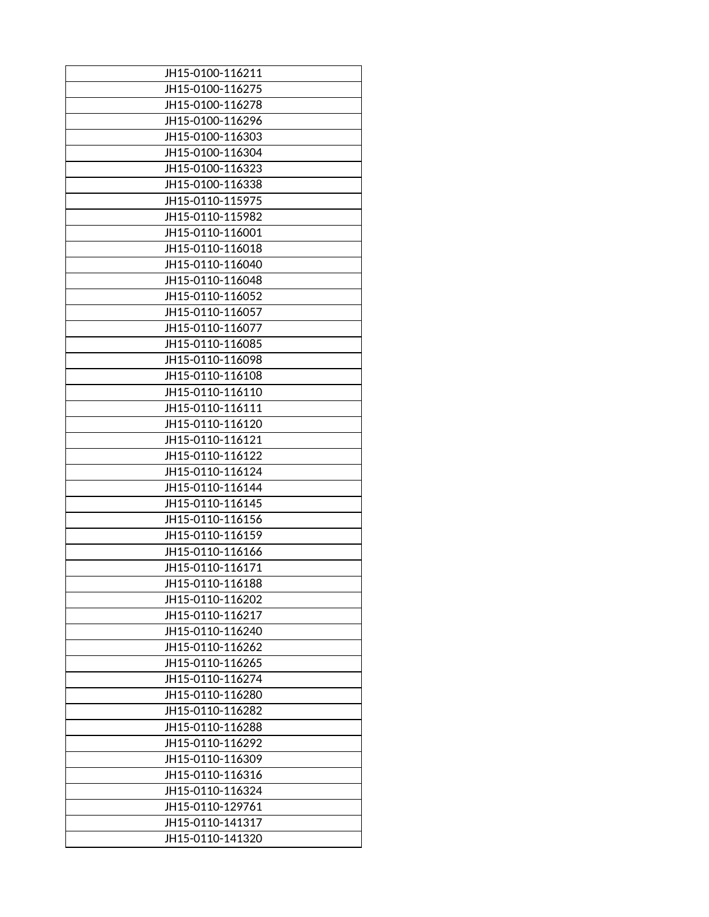| JH15-0100-116211 |
|------------------|
| JH15-0100-116275 |
| JH15-0100-116278 |
| JH15-0100-116296 |
| JH15-0100-116303 |
| JH15-0100-116304 |
|                  |
| JH15-0100-116323 |
| JH15-0100-116338 |
| JH15-0110-115975 |
| JH15-0110-115982 |
| JH15-0110-116001 |
| JH15-0110-116018 |
| JH15-0110-116040 |
| JH15-0110-116048 |
| JH15-0110-116052 |
| JH15-0110-116057 |
| JH15-0110-116077 |
| JH15-0110-116085 |
| JH15-0110-116098 |
| JH15-0110-116108 |
| JH15-0110-116110 |
| JH15-0110-116111 |
| JH15-0110-116120 |
| JH15-0110-116121 |
| JH15-0110-116122 |
| JH15-0110-116124 |
| JH15-0110-116144 |
| JH15-0110-116145 |
| JH15-0110-116156 |
| JH15-0110-116159 |
| JH15-0110-116166 |
| JH15-0110-116171 |
|                  |
| JH15-0110-116188 |
| JH15-0110-116202 |
| JH15-0110-116217 |
| JH15-0110-116240 |
| JH15-0110-116262 |
| JH15-0110-116265 |
| JH15-0110-116274 |
| JH15-0110-116280 |
| JH15-0110-116282 |
| JH15-0110-116288 |
| JH15-0110-116292 |
| JH15-0110-116309 |
| JH15-0110-116316 |
| JH15-0110-116324 |
| JH15-0110-129761 |
| JH15-0110-141317 |
| JH15-0110-141320 |
|                  |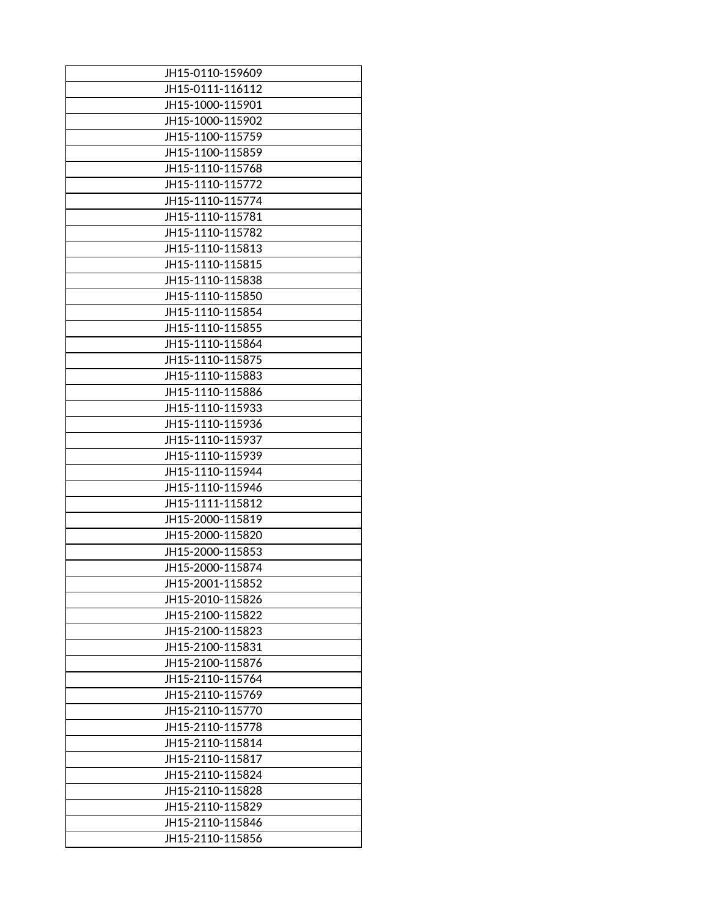| JH15-0110-159609 |
|------------------|
| JH15-0111-116112 |
| JH15-1000-115901 |
| JH15-1000-115902 |
| JH15-1100-115759 |
| JH15-1100-115859 |
| JH15-1110-115768 |
| JH15-1110-115772 |
| JH15-1110-115774 |
| JH15-1110-115781 |
| JH15-1110-115782 |
| JH15-1110-115813 |
| JH15-1110-115815 |
| JH15-1110-115838 |
| JH15-1110-115850 |
| JH15-1110-115854 |
| JH15-1110-115855 |
| JH15-1110-115864 |
| JH15-1110-115875 |
| JH15-1110-115883 |
| JH15-1110-115886 |
| JH15-1110-115933 |
| JH15-1110-115936 |
| JH15-1110-115937 |
| JH15-1110-115939 |
| JH15-1110-115944 |
| JH15-1110-115946 |
| JH15-1111-115812 |
| JH15-2000-115819 |
| JH15-2000-115820 |
| JH15-2000-115853 |
| JH15-2000-115874 |
| JH15-2001-115852 |
| JH15-2010-115826 |
| JH15-2100-115822 |
| JH15-2100-115823 |
| JH15-2100-115831 |
| JH15-2100-115876 |
| JH15-2110-115764 |
| JH15-2110-115769 |
| JH15-2110-115770 |
| JH15-2110-115778 |
| JH15-2110-115814 |
| JH15-2110-115817 |
| JH15-2110-115824 |
| JH15-2110-115828 |
| JH15-2110-115829 |
| JH15-2110-115846 |
| JH15-2110-115856 |
|                  |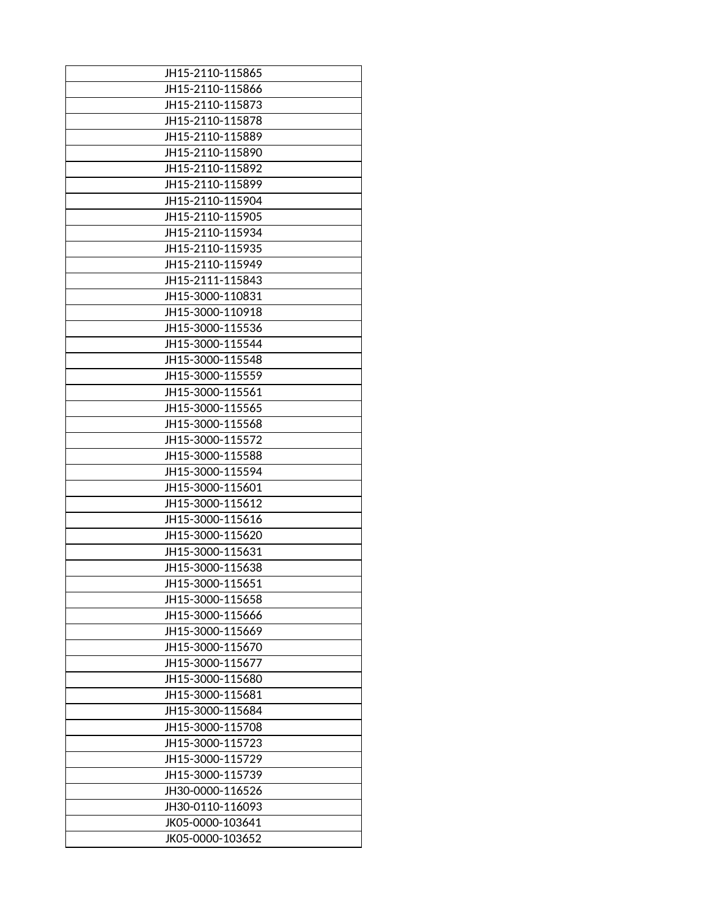| JH15-2110-115865 |
|------------------|
| JH15-2110-115866 |
| JH15-2110-115873 |
| JH15-2110-115878 |
| JH15-2110-115889 |
| JH15-2110-115890 |
| JH15-2110-115892 |
| JH15-2110-115899 |
| JH15-2110-115904 |
| JH15-2110-115905 |
| JH15-2110-115934 |
| JH15-2110-115935 |
| JH15-2110-115949 |
| JH15-2111-115843 |
| JH15-3000-110831 |
| JH15-3000-110918 |
| JH15-3000-115536 |
| JH15-3000-115544 |
| JH15-3000-115548 |
| JH15-3000-115559 |
|                  |
| JH15-3000-115561 |
| JH15-3000-115565 |
| JH15-3000-115568 |
| JH15-3000-115572 |
| JH15-3000-115588 |
| JH15-3000-115594 |
| JH15-3000-115601 |
| JH15-3000-115612 |
| JH15-3000-115616 |
| JH15-3000-115620 |
| JH15-3000-115631 |
| JH15-3000-115638 |
| JH15-3000-115651 |
| JH15-3000-115658 |
| JH15-3000-115666 |
| JH15-3000-115669 |
| JH15-3000-115670 |
| JH15-3000-115677 |
| JH15-3000-115680 |
| JH15-3000-115681 |
| JH15-3000-115684 |
| JH15-3000-115708 |
| JH15-3000-115723 |
|                  |
| JH15-3000-115729 |
| JH15-3000-115739 |
| JH30-0000-116526 |
| JH30-0110-116093 |
| JK05-0000-103641 |
| JK05-0000-103652 |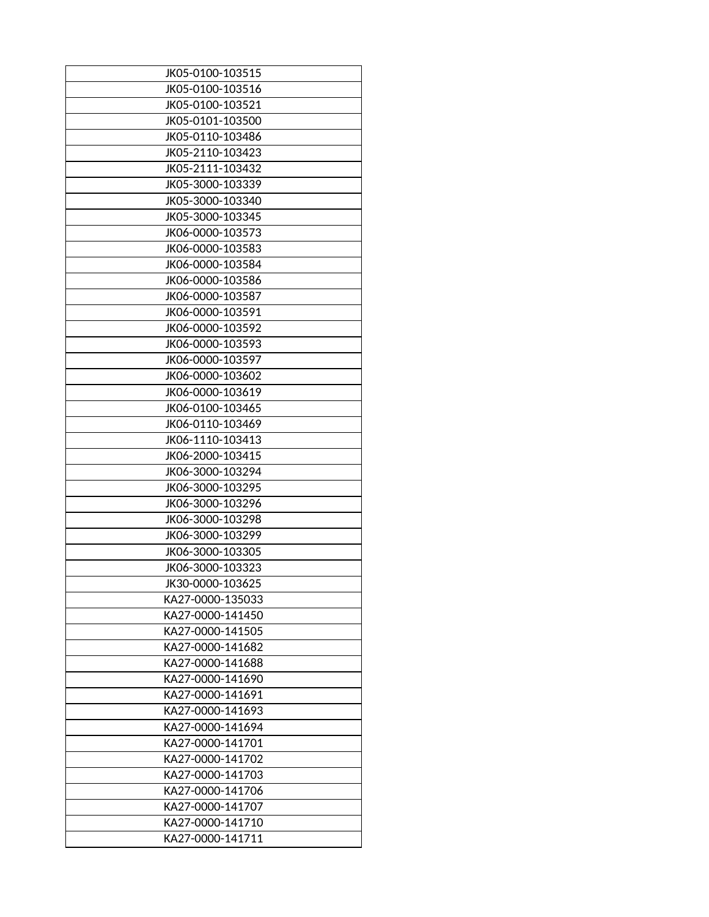| JK05-0100-103515 |
|------------------|
| JK05-0100-103516 |
| JK05-0100-103521 |
| JK05-0101-103500 |
| JK05-0110-103486 |
| JK05-2110-103423 |
| JK05-2111-103432 |
| JK05-3000-103339 |
| JK05-3000-103340 |
| JK05-3000-103345 |
| JK06-0000-103573 |
| JK06-0000-103583 |
| JK06-0000-103584 |
| JK06-0000-103586 |
| JK06-0000-103587 |
| JK06-0000-103591 |
| JK06-0000-103592 |
| JK06-0000-103593 |
| JK06-0000-103597 |
| JK06-0000-103602 |
| JK06-0000-103619 |
| JK06-0100-103465 |
| JK06-0110-103469 |
| JK06-1110-103413 |
| JK06-2000-103415 |
| JK06-3000-103294 |
| JK06-3000-103295 |
| JK06-3000-103296 |
| JK06-3000-103298 |
| JK06-3000-103299 |
| JK06-3000-103305 |
| JK06-3000-103323 |
| JK30-0000-103625 |
| KA27-0000-135033 |
| KA27-0000-141450 |
| KA27-0000-141505 |
| KA27-0000-141682 |
| KA27-0000-141688 |
| KA27-0000-141690 |
| KA27-0000-141691 |
| KA27-0000-141693 |
| KA27-0000-141694 |
| KA27-0000-141701 |
| KA27-0000-141702 |
| KA27-0000-141703 |
| KA27-0000-141706 |
| KA27-0000-141707 |
| KA27-0000-141710 |
| KA27-0000-141711 |
|                  |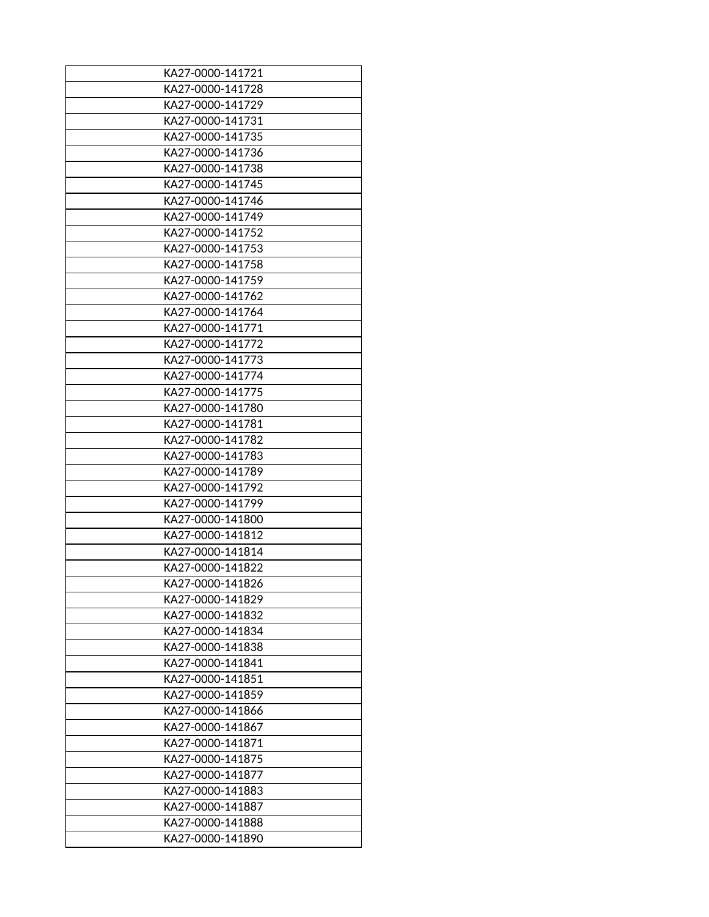| KA27-0000-141721 |
|------------------|
| KA27-0000-141728 |
| KA27-0000-141729 |
| KA27-0000-141731 |
| KA27-0000-141735 |
| KA27-0000-141736 |
| KA27-0000-141738 |
| KA27-0000-141745 |
| KA27-0000-141746 |
| KA27-0000-141749 |
| KA27-0000-141752 |
| KA27-0000-141753 |
| KA27-0000-141758 |
| KA27-0000-141759 |
| KA27-0000-141762 |
| KA27-0000-141764 |
| KA27-0000-141771 |
| KA27-0000-141772 |
| KA27-0000-141773 |
| KA27-0000-141774 |
| KA27-0000-141775 |
| KA27-0000-141780 |
| KA27-0000-141781 |
| KA27-0000-141782 |
| KA27-0000-141783 |
| KA27-0000-141789 |
| KA27-0000-141792 |
| KA27-0000-141799 |
| KA27-0000-141800 |
| KA27-0000-141812 |
| KA27-0000-141814 |
| KA27-0000-141822 |
| KA27-0000-141826 |
| KA27-0000-141829 |
| KA27-0000-141832 |
| KA27-0000-141834 |
| KA27-0000-141838 |
| KA27-0000-141841 |
| KA27-0000-141851 |
| KA27-0000-141859 |
| KA27-0000-141866 |
| KA27-0000-141867 |
| KA27-0000-141871 |
| KA27-0000-141875 |
| KA27-0000-141877 |
| KA27-0000-141883 |
| KA27-0000-141887 |
| KA27-0000-141888 |
| KA27-0000-141890 |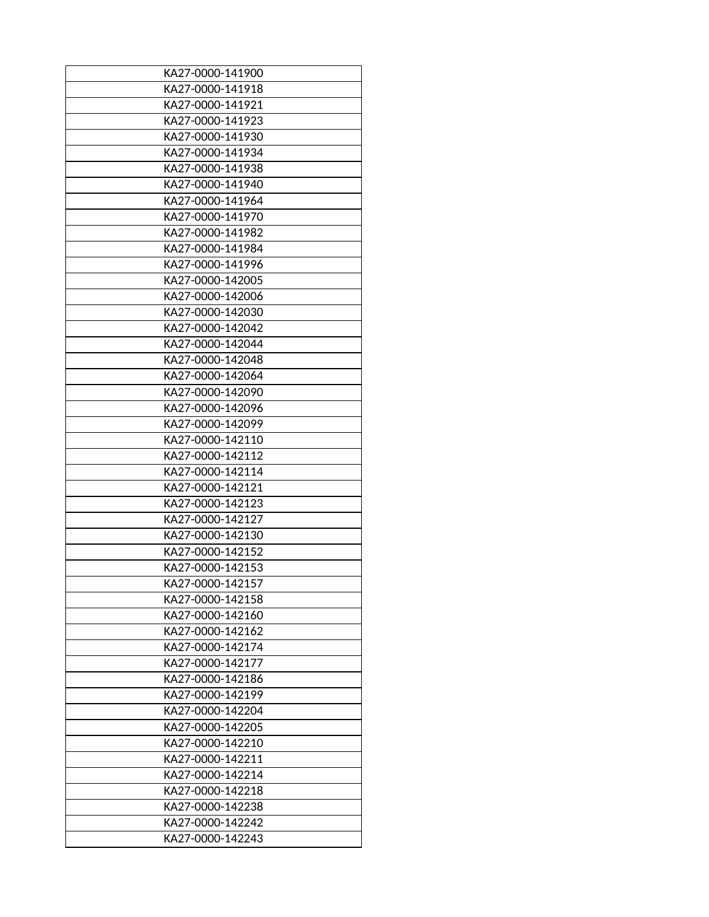| KA27-0000-141918<br>KA27-0000-141921<br>KA27-0000-141923<br>KA27-0000-141930<br>KA27-0000-141934<br>KA27-0000-141938<br>KA27-0000-141940<br>KA27-0000-141964<br>KA27-0000-141970<br>KA27-0000-141982<br>KA27-0000-141984<br>KA27-0000-141996<br>KA27-0000-142005<br>KA27-0000-142006<br>KA27-0000-142030<br>KA27-0000-142042<br>KA27-0000-142044<br>KA27-0000-142048<br>KA27-0000-142064<br>KA27-0000-142090<br>KA27-0000-142096<br>KA27-0000-142099<br>KA27-0000-142110<br>KA27-0000-142112<br>KA27-0000-142114<br>KA27-0000-142121<br>KA27-0000-142123<br>KA27-0000-142127<br>KA27-0000-142130<br>KA27-0000-142152<br>KA27-0000-142153<br>KA27-0000-142157<br>KA27-0000-142158<br>KA27-0000-142160<br>KA27-0000-142162<br>KA27-0000-142174<br>KA27-0000-142177<br>KA27-0000-142186<br>KA27-0000-142199<br>KA27-0000-142204<br>KA27-0000-142205<br>KA27-0000-142210<br>KA27-0000-142211<br>KA27-0000-142214<br>KA27-0000-142218<br>KA27-0000-142238<br>KA27-0000-142242 | KA27-0000-141900 |
|--------------------------------------------------------------------------------------------------------------------------------------------------------------------------------------------------------------------------------------------------------------------------------------------------------------------------------------------------------------------------------------------------------------------------------------------------------------------------------------------------------------------------------------------------------------------------------------------------------------------------------------------------------------------------------------------------------------------------------------------------------------------------------------------------------------------------------------------------------------------------------------------------------------------------------------------------------------------------|------------------|
|                                                                                                                                                                                                                                                                                                                                                                                                                                                                                                                                                                                                                                                                                                                                                                                                                                                                                                                                                                          |                  |
|                                                                                                                                                                                                                                                                                                                                                                                                                                                                                                                                                                                                                                                                                                                                                                                                                                                                                                                                                                          |                  |
|                                                                                                                                                                                                                                                                                                                                                                                                                                                                                                                                                                                                                                                                                                                                                                                                                                                                                                                                                                          |                  |
|                                                                                                                                                                                                                                                                                                                                                                                                                                                                                                                                                                                                                                                                                                                                                                                                                                                                                                                                                                          |                  |
|                                                                                                                                                                                                                                                                                                                                                                                                                                                                                                                                                                                                                                                                                                                                                                                                                                                                                                                                                                          |                  |
|                                                                                                                                                                                                                                                                                                                                                                                                                                                                                                                                                                                                                                                                                                                                                                                                                                                                                                                                                                          |                  |
|                                                                                                                                                                                                                                                                                                                                                                                                                                                                                                                                                                                                                                                                                                                                                                                                                                                                                                                                                                          |                  |
|                                                                                                                                                                                                                                                                                                                                                                                                                                                                                                                                                                                                                                                                                                                                                                                                                                                                                                                                                                          |                  |
|                                                                                                                                                                                                                                                                                                                                                                                                                                                                                                                                                                                                                                                                                                                                                                                                                                                                                                                                                                          |                  |
|                                                                                                                                                                                                                                                                                                                                                                                                                                                                                                                                                                                                                                                                                                                                                                                                                                                                                                                                                                          |                  |
|                                                                                                                                                                                                                                                                                                                                                                                                                                                                                                                                                                                                                                                                                                                                                                                                                                                                                                                                                                          |                  |
|                                                                                                                                                                                                                                                                                                                                                                                                                                                                                                                                                                                                                                                                                                                                                                                                                                                                                                                                                                          |                  |
|                                                                                                                                                                                                                                                                                                                                                                                                                                                                                                                                                                                                                                                                                                                                                                                                                                                                                                                                                                          |                  |
|                                                                                                                                                                                                                                                                                                                                                                                                                                                                                                                                                                                                                                                                                                                                                                                                                                                                                                                                                                          |                  |
|                                                                                                                                                                                                                                                                                                                                                                                                                                                                                                                                                                                                                                                                                                                                                                                                                                                                                                                                                                          |                  |
|                                                                                                                                                                                                                                                                                                                                                                                                                                                                                                                                                                                                                                                                                                                                                                                                                                                                                                                                                                          |                  |
|                                                                                                                                                                                                                                                                                                                                                                                                                                                                                                                                                                                                                                                                                                                                                                                                                                                                                                                                                                          |                  |
|                                                                                                                                                                                                                                                                                                                                                                                                                                                                                                                                                                                                                                                                                                                                                                                                                                                                                                                                                                          |                  |
|                                                                                                                                                                                                                                                                                                                                                                                                                                                                                                                                                                                                                                                                                                                                                                                                                                                                                                                                                                          |                  |
|                                                                                                                                                                                                                                                                                                                                                                                                                                                                                                                                                                                                                                                                                                                                                                                                                                                                                                                                                                          |                  |
|                                                                                                                                                                                                                                                                                                                                                                                                                                                                                                                                                                                                                                                                                                                                                                                                                                                                                                                                                                          |                  |
|                                                                                                                                                                                                                                                                                                                                                                                                                                                                                                                                                                                                                                                                                                                                                                                                                                                                                                                                                                          |                  |
|                                                                                                                                                                                                                                                                                                                                                                                                                                                                                                                                                                                                                                                                                                                                                                                                                                                                                                                                                                          |                  |
|                                                                                                                                                                                                                                                                                                                                                                                                                                                                                                                                                                                                                                                                                                                                                                                                                                                                                                                                                                          |                  |
|                                                                                                                                                                                                                                                                                                                                                                                                                                                                                                                                                                                                                                                                                                                                                                                                                                                                                                                                                                          |                  |
|                                                                                                                                                                                                                                                                                                                                                                                                                                                                                                                                                                                                                                                                                                                                                                                                                                                                                                                                                                          |                  |
|                                                                                                                                                                                                                                                                                                                                                                                                                                                                                                                                                                                                                                                                                                                                                                                                                                                                                                                                                                          |                  |
|                                                                                                                                                                                                                                                                                                                                                                                                                                                                                                                                                                                                                                                                                                                                                                                                                                                                                                                                                                          |                  |
|                                                                                                                                                                                                                                                                                                                                                                                                                                                                                                                                                                                                                                                                                                                                                                                                                                                                                                                                                                          |                  |
|                                                                                                                                                                                                                                                                                                                                                                                                                                                                                                                                                                                                                                                                                                                                                                                                                                                                                                                                                                          |                  |
|                                                                                                                                                                                                                                                                                                                                                                                                                                                                                                                                                                                                                                                                                                                                                                                                                                                                                                                                                                          |                  |
|                                                                                                                                                                                                                                                                                                                                                                                                                                                                                                                                                                                                                                                                                                                                                                                                                                                                                                                                                                          |                  |
|                                                                                                                                                                                                                                                                                                                                                                                                                                                                                                                                                                                                                                                                                                                                                                                                                                                                                                                                                                          |                  |
|                                                                                                                                                                                                                                                                                                                                                                                                                                                                                                                                                                                                                                                                                                                                                                                                                                                                                                                                                                          |                  |
|                                                                                                                                                                                                                                                                                                                                                                                                                                                                                                                                                                                                                                                                                                                                                                                                                                                                                                                                                                          |                  |
|                                                                                                                                                                                                                                                                                                                                                                                                                                                                                                                                                                                                                                                                                                                                                                                                                                                                                                                                                                          |                  |
|                                                                                                                                                                                                                                                                                                                                                                                                                                                                                                                                                                                                                                                                                                                                                                                                                                                                                                                                                                          |                  |
|                                                                                                                                                                                                                                                                                                                                                                                                                                                                                                                                                                                                                                                                                                                                                                                                                                                                                                                                                                          |                  |
|                                                                                                                                                                                                                                                                                                                                                                                                                                                                                                                                                                                                                                                                                                                                                                                                                                                                                                                                                                          |                  |
|                                                                                                                                                                                                                                                                                                                                                                                                                                                                                                                                                                                                                                                                                                                                                                                                                                                                                                                                                                          |                  |
|                                                                                                                                                                                                                                                                                                                                                                                                                                                                                                                                                                                                                                                                                                                                                                                                                                                                                                                                                                          |                  |
|                                                                                                                                                                                                                                                                                                                                                                                                                                                                                                                                                                                                                                                                                                                                                                                                                                                                                                                                                                          |                  |
|                                                                                                                                                                                                                                                                                                                                                                                                                                                                                                                                                                                                                                                                                                                                                                                                                                                                                                                                                                          |                  |
|                                                                                                                                                                                                                                                                                                                                                                                                                                                                                                                                                                                                                                                                                                                                                                                                                                                                                                                                                                          |                  |
|                                                                                                                                                                                                                                                                                                                                                                                                                                                                                                                                                                                                                                                                                                                                                                                                                                                                                                                                                                          |                  |
|                                                                                                                                                                                                                                                                                                                                                                                                                                                                                                                                                                                                                                                                                                                                                                                                                                                                                                                                                                          |                  |
|                                                                                                                                                                                                                                                                                                                                                                                                                                                                                                                                                                                                                                                                                                                                                                                                                                                                                                                                                                          |                  |
|                                                                                                                                                                                                                                                                                                                                                                                                                                                                                                                                                                                                                                                                                                                                                                                                                                                                                                                                                                          | KA27-0000-142243 |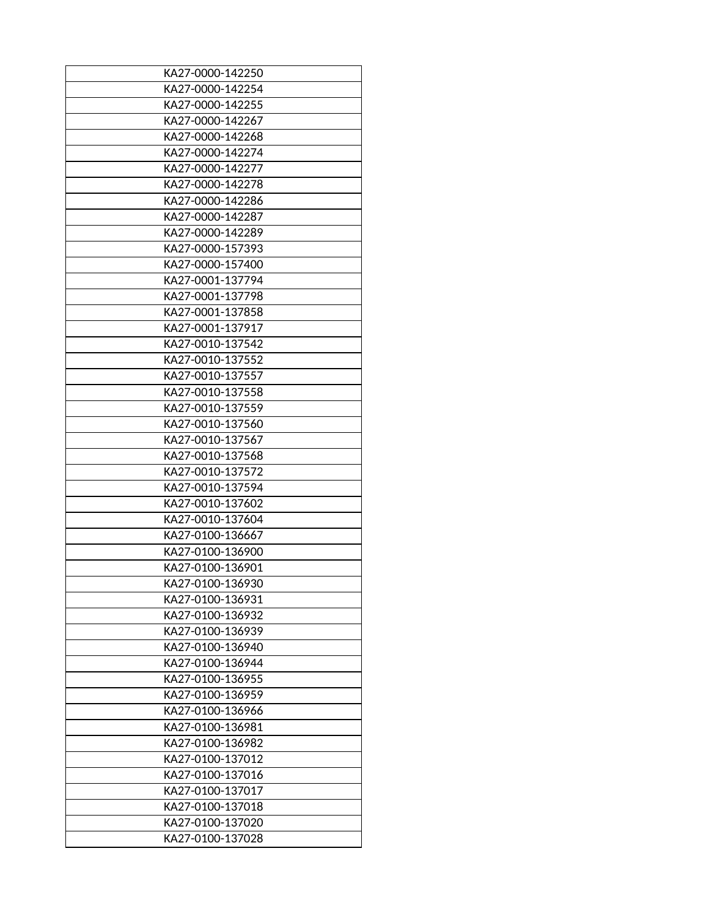| KA27-0000-142250 |
|------------------|
| KA27-0000-142254 |
| KA27-0000-142255 |
| KA27-0000-142267 |
| KA27-0000-142268 |
| KA27-0000-142274 |
| KA27-0000-142277 |
| KA27-0000-142278 |
| KA27-0000-142286 |
| KA27-0000-142287 |
| KA27-0000-142289 |
| KA27-0000-157393 |
| KA27-0000-157400 |
| KA27-0001-137794 |
| KA27-0001-137798 |
| KA27-0001-137858 |
| KA27-0001-137917 |
| KA27-0010-137542 |
| KA27-0010-137552 |
| KA27-0010-137557 |
| KA27-0010-137558 |
| KA27-0010-137559 |
| KA27-0010-137560 |
| KA27-0010-137567 |
| KA27-0010-137568 |
| KA27-0010-137572 |
| KA27-0010-137594 |
| KA27-0010-137602 |
| KA27-0010-137604 |
| KA27-0100-136667 |
| KA27-0100-136900 |
| KA27-0100-136901 |
| KA27-0100-136930 |
| KA27-0100-136931 |
| KA27-0100-136932 |
| KA27-0100-136939 |
| KA27-0100-136940 |
| KA27-0100-136944 |
| KA27-0100-136955 |
| KA27-0100-136959 |
| KA27-0100-136966 |
| KA27-0100-136981 |
| KA27-0100-136982 |
| KA27-0100-137012 |
| KA27-0100-137016 |
| KA27-0100-137017 |
| KA27-0100-137018 |
| KA27-0100-137020 |
| KA27-0100-137028 |
|                  |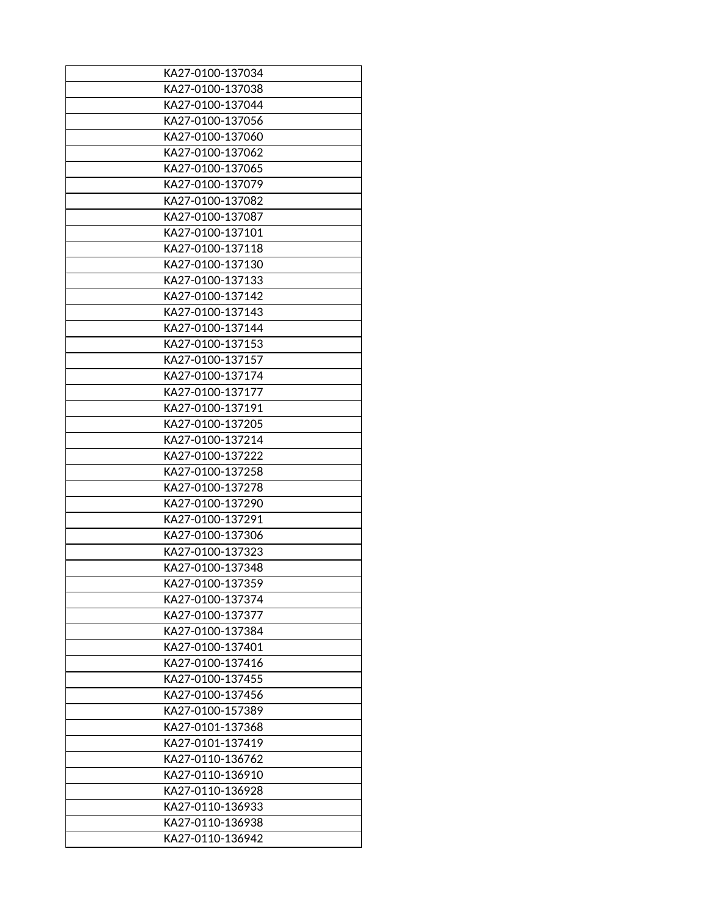| KA27-0100-137034 |
|------------------|
| KA27-0100-137038 |
| KA27-0100-137044 |
| KA27-0100-137056 |
| KA27-0100-137060 |
| KA27-0100-137062 |
| KA27-0100-137065 |
| KA27-0100-137079 |
| KA27-0100-137082 |
| KA27-0100-137087 |
| KA27-0100-137101 |
| KA27-0100-137118 |
| KA27-0100-137130 |
| KA27-0100-137133 |
| KA27-0100-137142 |
| KA27-0100-137143 |
| KA27-0100-137144 |
| KA27-0100-137153 |
| KA27-0100-137157 |
| KA27-0100-137174 |
| KA27-0100-137177 |
| KA27-0100-137191 |
| KA27-0100-137205 |
| KA27-0100-137214 |
| KA27-0100-137222 |
| KA27-0100-137258 |
| KA27-0100-137278 |
| KA27-0100-137290 |
| KA27-0100-137291 |
| KA27-0100-137306 |
| KA27-0100-137323 |
| KA27-0100-137348 |
| KA27-0100-137359 |
| KA27-0100-137374 |
| KA27-0100-137377 |
| KA27-0100-137384 |
| KA27-0100-137401 |
| KA27-0100-137416 |
| KA27-0100-137455 |
| KA27-0100-137456 |
| KA27-0100-157389 |
| KA27-0101-137368 |
| KA27-0101-137419 |
| KA27-0110-136762 |
| KA27-0110-136910 |
| KA27-0110-136928 |
| KA27-0110-136933 |
| KA27-0110-136938 |
| KA27-0110-136942 |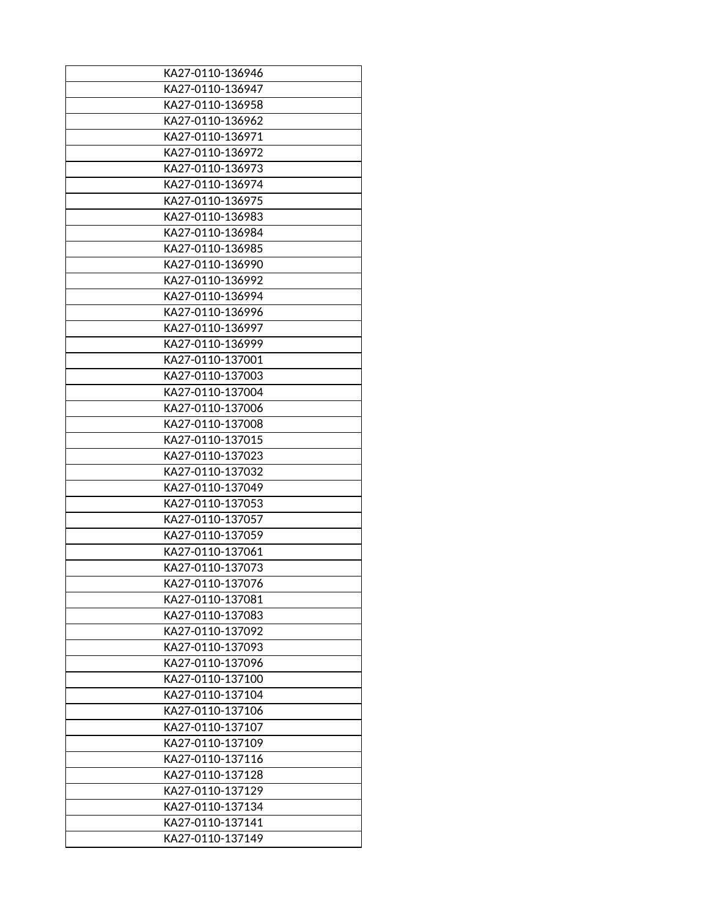| KA27-0110-136946 |
|------------------|
| KA27-0110-136947 |
| KA27-0110-136958 |
| KA27-0110-136962 |
| KA27-0110-136971 |
| KA27-0110-136972 |
| KA27-0110-136973 |
| KA27-0110-136974 |
| KA27-0110-136975 |
| KA27-0110-136983 |
| KA27-0110-136984 |
| KA27-0110-136985 |
| KA27-0110-136990 |
| KA27-0110-136992 |
| KA27-0110-136994 |
| KA27-0110-136996 |
| KA27-0110-136997 |
| KA27-0110-136999 |
| KA27-0110-137001 |
| KA27-0110-137003 |
| KA27-0110-137004 |
| KA27-0110-137006 |
| KA27-0110-137008 |
| KA27-0110-137015 |
| KA27-0110-137023 |
| KA27-0110-137032 |
| KA27-0110-137049 |
| KA27-0110-137053 |
| KA27-0110-137057 |
| KA27-0110-137059 |
| KA27-0110-137061 |
| KA27-0110-137073 |
| KA27-0110-137076 |
| KA27-0110-137081 |
| KA27-0110-137083 |
| KA27-0110-137092 |
| KA27-0110-137093 |
| KA27-0110-137096 |
| KA27-0110-137100 |
| KA27-0110-137104 |
| KA27-0110-137106 |
| KA27-0110-137107 |
| KA27-0110-137109 |
| KA27-0110-137116 |
| KA27-0110-137128 |
| KA27-0110-137129 |
| KA27-0110-137134 |
| KA27-0110-137141 |
| KA27-0110-137149 |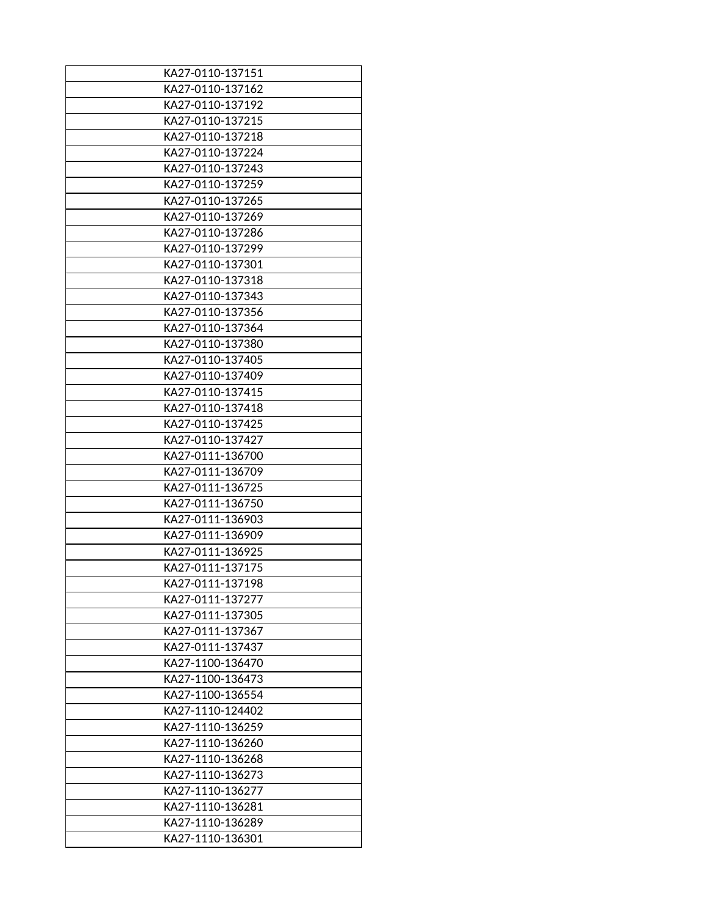| KA27-0110-137151 |
|------------------|
| KA27-0110-137162 |
| KA27-0110-137192 |
| KA27-0110-137215 |
| KA27-0110-137218 |
| KA27-0110-137224 |
| KA27-0110-137243 |
| KA27-0110-137259 |
| KA27-0110-137265 |
| KA27-0110-137269 |
| KA27-0110-137286 |
| KA27-0110-137299 |
| KA27-0110-137301 |
| KA27-0110-137318 |
| KA27-0110-137343 |
| KA27-0110-137356 |
| KA27-0110-137364 |
| KA27-0110-137380 |
| KA27-0110-137405 |
| KA27-0110-137409 |
| KA27-0110-137415 |
| KA27-0110-137418 |
| KA27-0110-137425 |
| KA27-0110-137427 |
| KA27-0111-136700 |
| KA27-0111-136709 |
| KA27-0111-136725 |
| KA27-0111-136750 |
| KA27-0111-136903 |
| KA27-0111-136909 |
|                  |
| KA27-0111-136925 |
| KA27-0111-137175 |
| KA27-0111-137198 |
| KA27-0111-137277 |
| KA27-0111-137305 |
| KA27-0111-137367 |
| KA27-0111-137437 |
| KA27-1100-136470 |
| KA27-1100-136473 |
| KA27-1100-136554 |
| KA27-1110-124402 |
| KA27-1110-136259 |
| KA27-1110-136260 |
| KA27-1110-136268 |
| KA27-1110-136273 |
| KA27-1110-136277 |
| KA27-1110-136281 |
| KA27-1110-136289 |
| KA27-1110-136301 |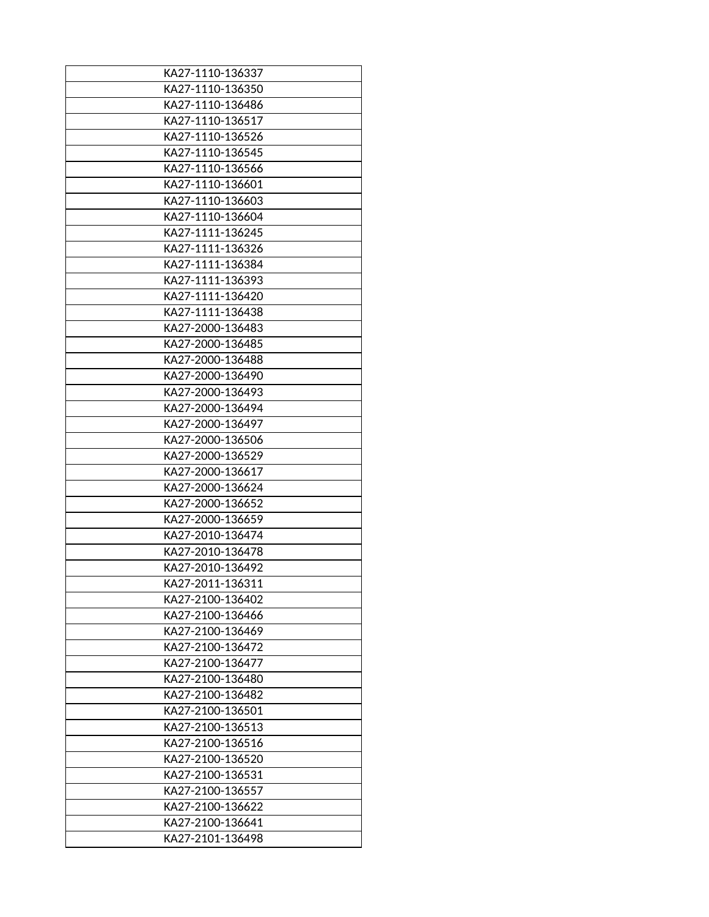| KA27-1110-136337 |
|------------------|
| KA27-1110-136350 |
| KA27-1110-136486 |
| KA27-1110-136517 |
| KA27-1110-136526 |
| KA27-1110-136545 |
| KA27-1110-136566 |
| KA27-1110-136601 |
| KA27-1110-136603 |
| KA27-1110-136604 |
| KA27-1111-136245 |
| KA27-1111-136326 |
| KA27-1111-136384 |
| KA27-1111-136393 |
| KA27-1111-136420 |
| KA27-1111-136438 |
| KA27-2000-136483 |
| KA27-2000-136485 |
| KA27-2000-136488 |
| KA27-2000-136490 |
| KA27-2000-136493 |
| KA27-2000-136494 |
| KA27-2000-136497 |
| KA27-2000-136506 |
| KA27-2000-136529 |
| KA27-2000-136617 |
| KA27-2000-136624 |
| KA27-2000-136652 |
| KA27-2000-136659 |
| KA27-2010-136474 |
| KA27-2010-136478 |
| KA27-2010-136492 |
| KA27-2011-136311 |
| KA27-2100-136402 |
| KA27-2100-136466 |
| KA27-2100-136469 |
| KA27-2100-136472 |
| KA27-2100-136477 |
| KA27-2100-136480 |
| KA27-2100-136482 |
| KA27-2100-136501 |
| KA27-2100-136513 |
| KA27-2100-136516 |
| KA27-2100-136520 |
| KA27-2100-136531 |
| KA27-2100-136557 |
| KA27-2100-136622 |
| KA27-2100-136641 |
| KA27-2101-136498 |
|                  |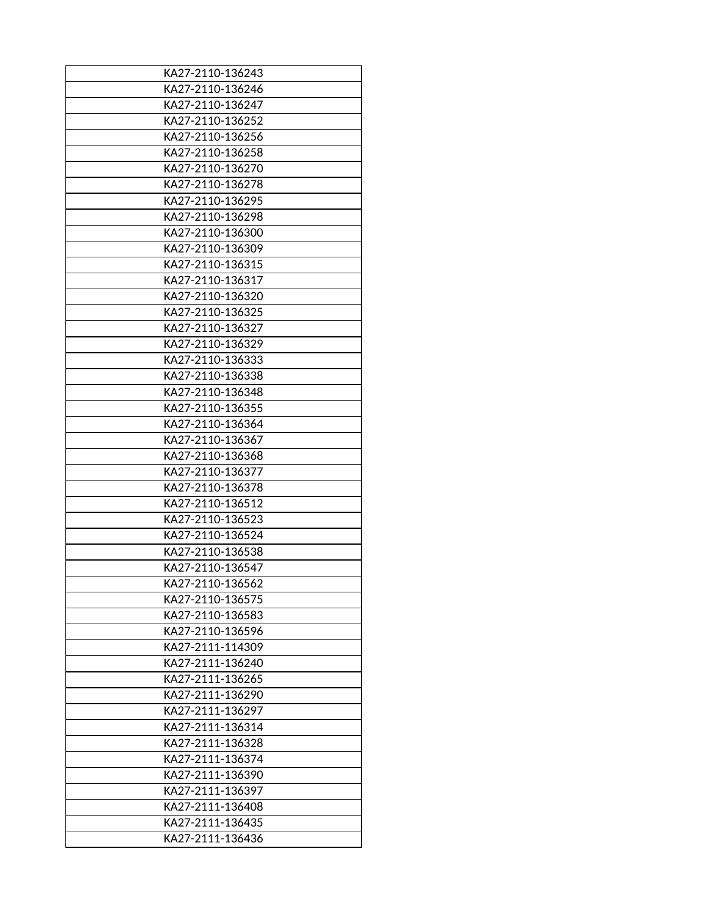| KA27-2110-136243 |
|------------------|
| KA27-2110-136246 |
| KA27-2110-136247 |
| KA27-2110-136252 |
| KA27-2110-136256 |
| KA27-2110-136258 |
| KA27-2110-136270 |
| KA27-2110-136278 |
| KA27-2110-136295 |
| KA27-2110-136298 |
| KA27-2110-136300 |
| KA27-2110-136309 |
| KA27-2110-136315 |
| KA27-2110-136317 |
| KA27-2110-136320 |
| KA27-2110-136325 |
| KA27-2110-136327 |
| KA27-2110-136329 |
| KA27-2110-136333 |
| KA27-2110-136338 |
| KA27-2110-136348 |
| KA27-2110-136355 |
| KA27-2110-136364 |
| KA27-2110-136367 |
| KA27-2110-136368 |
| KA27-2110-136377 |
| KA27-2110-136378 |
| KA27-2110-136512 |
| KA27-2110-136523 |
| KA27-2110-136524 |
| KA27-2110-136538 |
| KA27-2110-136547 |
| KA27-2110-136562 |
| KA27-2110-136575 |
| KA27-2110-136583 |
| KA27-2110-136596 |
| KA27-2111-114309 |
| KA27-2111-136240 |
| KA27-2111-136265 |
| KA27-2111-136290 |
| KA27-2111-136297 |
| KA27-2111-136314 |
| KA27-2111-136328 |
| KA27-2111-136374 |
| KA27-2111-136390 |
| KA27-2111-136397 |
| KA27-2111-136408 |
| KA27-2111-136435 |
| KA27-2111-136436 |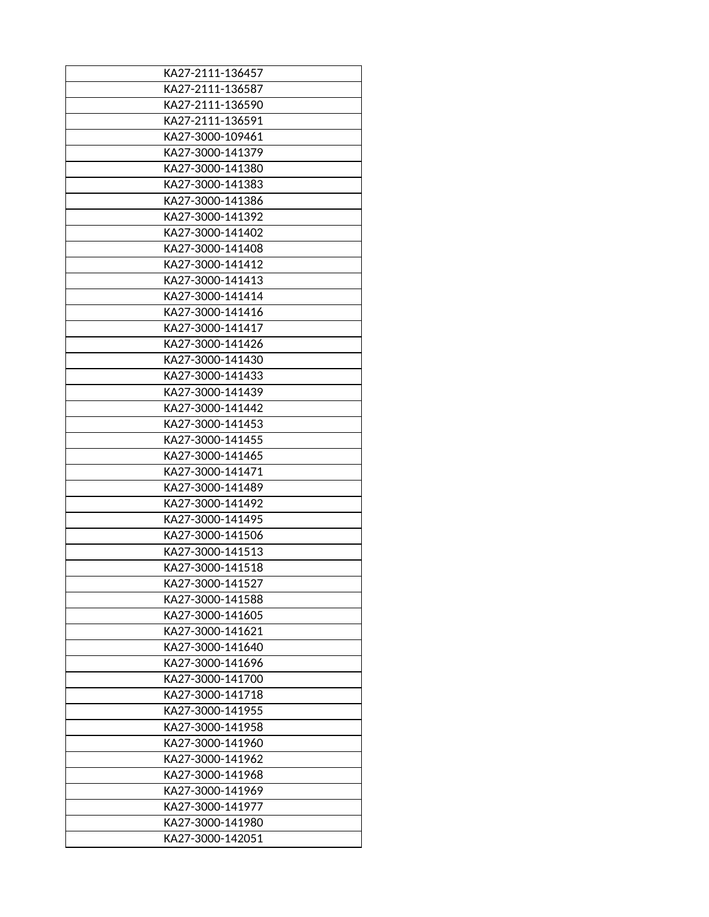| KA27-2111-136457 |
|------------------|
| KA27-2111-136587 |
| KA27-2111-136590 |
| KA27-2111-136591 |
| KA27-3000-109461 |
| KA27-3000-141379 |
| KA27-3000-141380 |
| KA27-3000-141383 |
| KA27-3000-141386 |
| KA27-3000-141392 |
| KA27-3000-141402 |
| KA27-3000-141408 |
| KA27-3000-141412 |
| KA27-3000-141413 |
| KA27-3000-141414 |
| KA27-3000-141416 |
| KA27-3000-141417 |
| KA27-3000-141426 |
| KA27-3000-141430 |
| KA27-3000-141433 |
| KA27-3000-141439 |
| KA27-3000-141442 |
| KA27-3000-141453 |
| KA27-3000-141455 |
| KA27-3000-141465 |
| KA27-3000-141471 |
| KA27-3000-141489 |
| KA27-3000-141492 |
| KA27-3000-141495 |
| KA27-3000-141506 |
| KA27-3000-141513 |
| KA27-3000-141518 |
| KA27-3000-141527 |
| KA27-3000-141588 |
| KA27-3000-141605 |
| KA27-3000-141621 |
| KA27-3000-141640 |
| KA27-3000-141696 |
| KA27-3000-141700 |
| KA27-3000-141718 |
| KA27-3000-141955 |
| KA27-3000-141958 |
| KA27-3000-141960 |
| KA27-3000-141962 |
| KA27-3000-141968 |
| KA27-3000-141969 |
| KA27-3000-141977 |
| KA27-3000-141980 |
| KA27-3000-142051 |
|                  |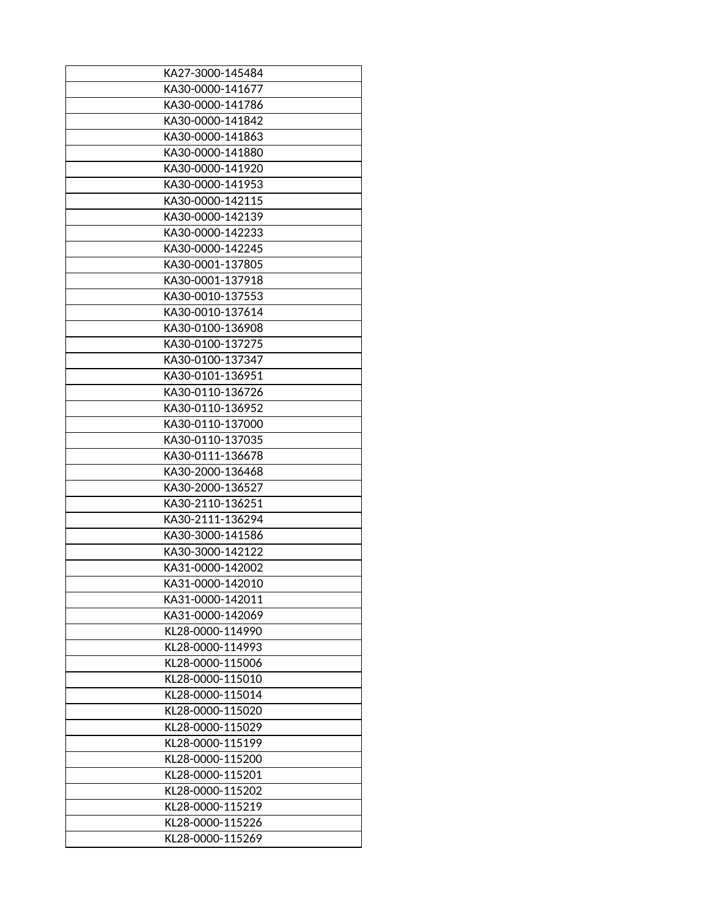| KA27-3000-145484 |
|------------------|
| KA30-0000-141677 |
| KA30-0000-141786 |
| KA30-0000-141842 |
| KA30-0000-141863 |
| KA30-0000-141880 |
| KA30-0000-141920 |
| KA30-0000-141953 |
| KA30-0000-142115 |
| KA30-0000-142139 |
| KA30-0000-142233 |
| KA30-0000-142245 |
| KA30-0001-137805 |
| KA30-0001-137918 |
| KA30-0010-137553 |
| KA30-0010-137614 |
| KA30-0100-136908 |
| KA30-0100-137275 |
| KA30-0100-137347 |
| KA30-0101-136951 |
| KA30-0110-136726 |
| KA30-0110-136952 |
| KA30-0110-137000 |
| KA30-0110-137035 |
| KA30-0111-136678 |
| KA30-2000-136468 |
| KA30-2000-136527 |
| KA30-2110-136251 |
| KA30-2111-136294 |
| KA30-3000-141586 |
| KA30-3000-142122 |
| KA31-0000-142002 |
| KA31-0000-142010 |
| KA31-0000-142011 |
| KA31-0000-142069 |
| KL28-0000-114990 |
| KL28-0000-114993 |
| KL28-0000-115006 |
| KL28-0000-115010 |
| KL28-0000-115014 |
| KL28-0000-115020 |
| KL28-0000-115029 |
| KL28-0000-115199 |
| KL28-0000-115200 |
| KL28-0000-115201 |
| KL28-0000-115202 |
| KL28-0000-115219 |
|                  |
| KL28-0000-115226 |
| KL28-0000-115269 |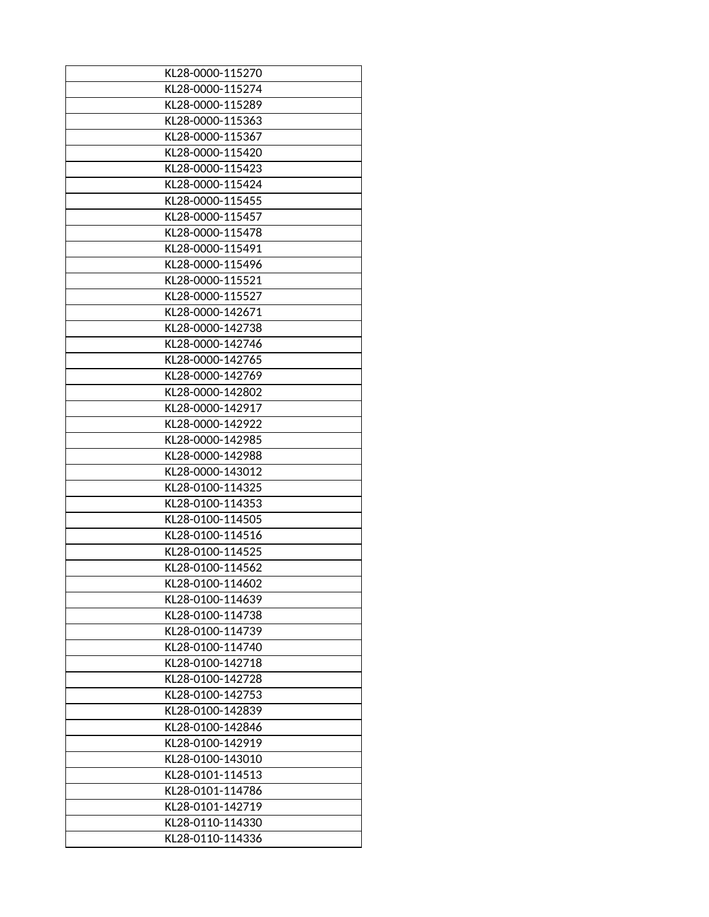| KL28-0000-115270 |
|------------------|
| KL28-0000-115274 |
| KL28-0000-115289 |
| KL28-0000-115363 |
| KL28-0000-115367 |
| KL28-0000-115420 |
| KL28-0000-115423 |
| KL28-0000-115424 |
| KL28-0000-115455 |
| KL28-0000-115457 |
| KL28-0000-115478 |
| KL28-0000-115491 |
| KL28-0000-115496 |
| KL28-0000-115521 |
| KL28-0000-115527 |
| KL28-0000-142671 |
|                  |
| KL28-0000-142738 |
| KL28-0000-142746 |
| KL28-0000-142765 |
| KL28-0000-142769 |
| KL28-0000-142802 |
| KL28-0000-142917 |
| KL28-0000-142922 |
| KL28-0000-142985 |
| KL28-0000-142988 |
| KL28-0000-143012 |
| KL28-0100-114325 |
| KL28-0100-114353 |
| KL28-0100-114505 |
| KL28-0100-114516 |
| KL28-0100-114525 |
| KL28-0100-114562 |
| KL28-0100-114602 |
| KL28-0100-114639 |
| KL28-0100-114738 |
| KL28-0100-114739 |
| KL28-0100-114740 |
| KL28-0100-142718 |
| KL28-0100-142728 |
|                  |
| KL28-0100-142753 |
| KL28-0100-142839 |
| KL28-0100-142846 |
| KL28-0100-142919 |
| KL28-0100-143010 |
| KL28-0101-114513 |
| KL28-0101-114786 |
| KL28-0101-142719 |
| KL28-0110-114330 |
| KL28-0110-114336 |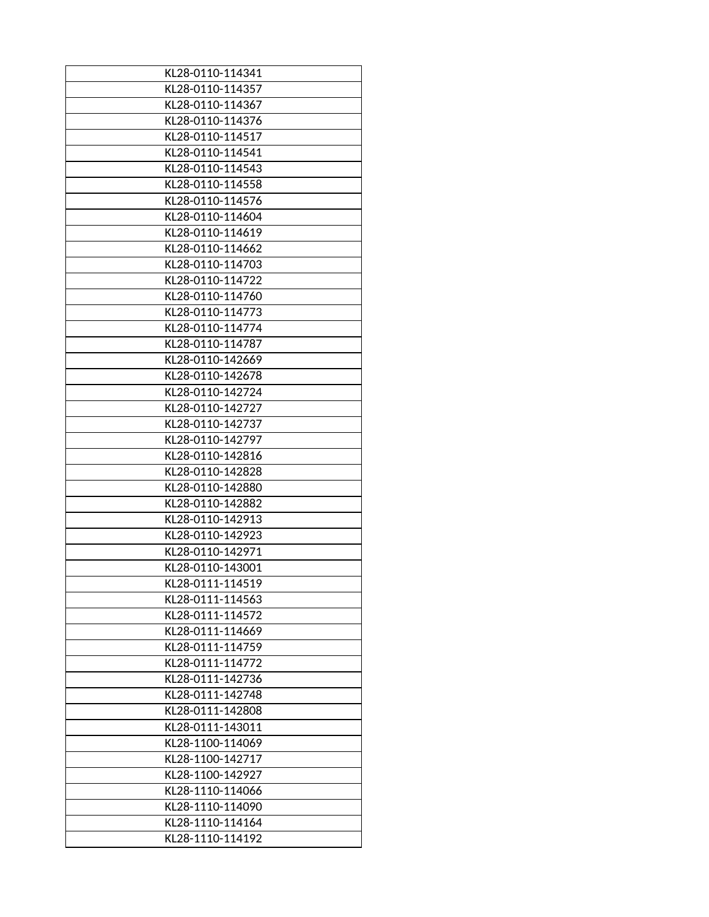| KL28-0110-114341                     |
|--------------------------------------|
| KL28-0110-114357                     |
| KL28-0110-114367                     |
| KL28-0110-114376                     |
| KL28-0110-114517                     |
| KL28-0110-114541                     |
| KL28-0110-114543                     |
| KL28-0110-114558                     |
| KL28-0110-114576                     |
| KL28-0110-114604                     |
| KL28-0110-114619                     |
| KL28-0110-114662                     |
| KL28-0110-114703                     |
| KL28-0110-114722                     |
| KL28-0110-114760                     |
| KL28-0110-114773                     |
| KL28-0110-114774                     |
| KL28-0110-114787                     |
| KL28-0110-142669                     |
| KL28-0110-142678                     |
|                                      |
| KL28-0110-142724<br>KL28-0110-142727 |
| KL28-0110-142737                     |
| KL28-0110-142797                     |
| KL28-0110-142816                     |
| KL28-0110-142828                     |
| KL28-0110-142880                     |
| KL28-0110-142882                     |
| KL28-0110-142913                     |
| KL28-0110-142923                     |
| KL28-0110-142971                     |
| KL28-0110-143001                     |
| KL28-0111-114519                     |
| KL28-0111-114563                     |
| KL28-0111-114572                     |
| KL28-0111-114669                     |
| KL28-0111-114759                     |
|                                      |
| KL28-0111-114772                     |
| KL28-0111-142736<br>KL28-0111-142748 |
|                                      |
| KL28-0111-142808                     |
| KL28-0111-143011<br>KL28-1100-114069 |
| KL28-1100-142717                     |
|                                      |
| KL28-1100-142927                     |
| KL28-1110-114066                     |
| KL28-1110-114090                     |
| KL28-1110-114164                     |
| KL28-1110-114192                     |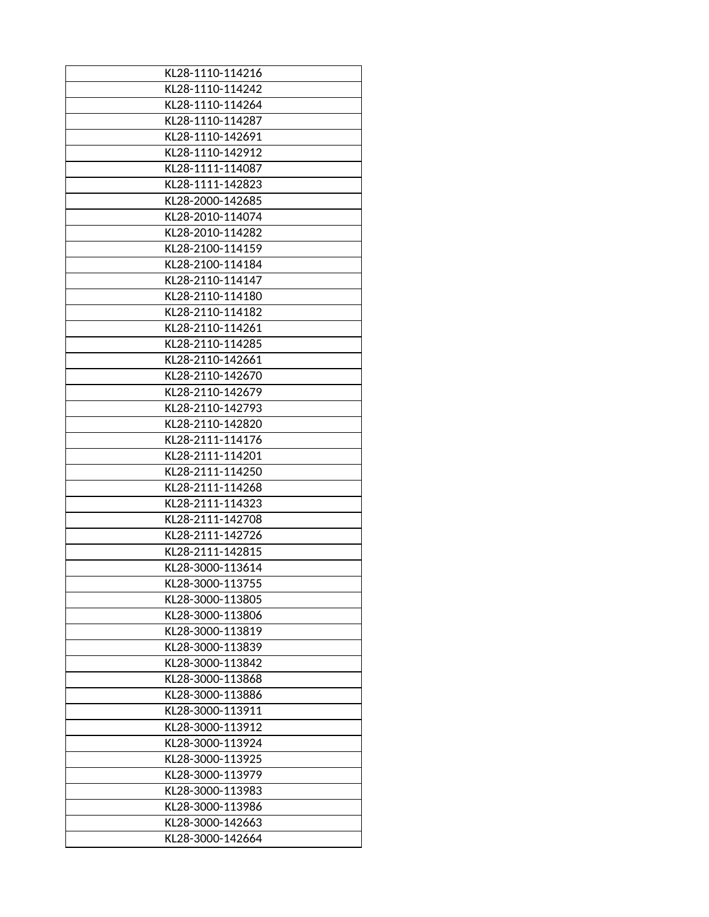| KL28-1110-114216 |
|------------------|
| KL28-1110-114242 |
| KL28-1110-114264 |
| KL28-1110-114287 |
| KL28-1110-142691 |
| KL28-1110-142912 |
| KL28-1111-114087 |
| KL28-1111-142823 |
| KL28-2000-142685 |
| KL28-2010-114074 |
| KL28-2010-114282 |
| KL28-2100-114159 |
| KL28-2100-114184 |
| KL28-2110-114147 |
| KL28-2110-114180 |
| KL28-2110-114182 |
| KL28-2110-114261 |
| KL28-2110-114285 |
| KL28-2110-142661 |
| KL28-2110-142670 |
| KL28-2110-142679 |
| KL28-2110-142793 |
| KL28-2110-142820 |
| KL28-2111-114176 |
| KL28-2111-114201 |
| KL28-2111-114250 |
| KL28-2111-114268 |
| KL28-2111-114323 |
| KL28-2111-142708 |
| KL28-2111-142726 |
|                  |
| KL28-2111-142815 |
| KL28-3000-113614 |
| KL28-3000-113755 |
| KL28-3000-113805 |
| KL28-3000-113806 |
| KL28-3000-113819 |
| KL28-3000-113839 |
| KL28-3000-113842 |
| KL28-3000-113868 |
| KL28-3000-113886 |
| KL28-3000-113911 |
| KL28-3000-113912 |
| KL28-3000-113924 |
| KL28-3000-113925 |
| KL28-3000-113979 |
| KL28-3000-113983 |
| KL28-3000-113986 |
| KL28-3000-142663 |
| KL28-3000-142664 |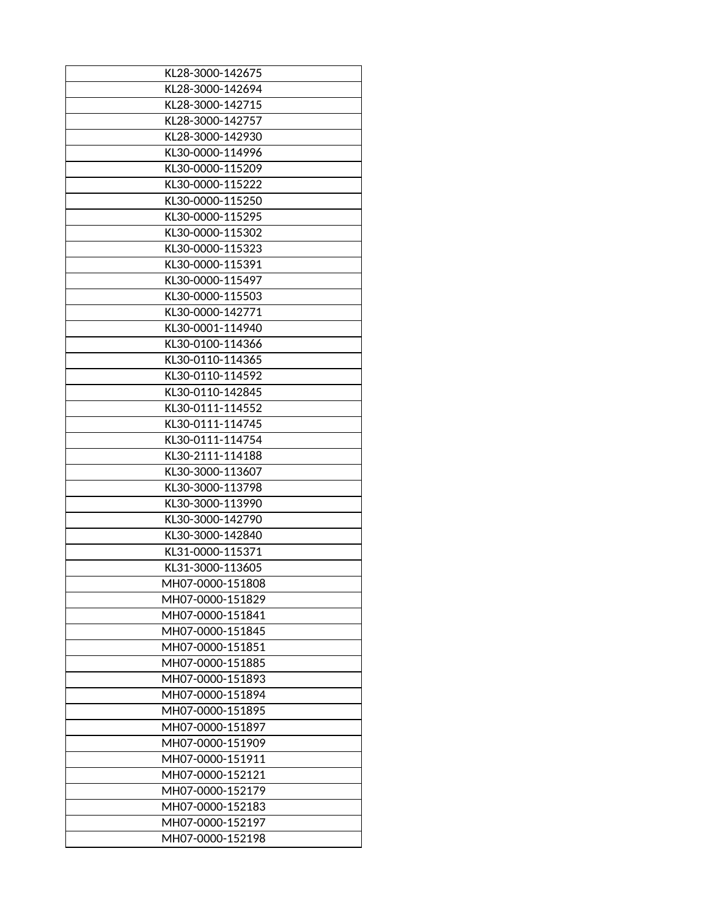| KL28-3000-142675 |
|------------------|
| KL28-3000-142694 |
| KL28-3000-142715 |
| KL28-3000-142757 |
| KL28-3000-142930 |
| KL30-0000-114996 |
| KL30-0000-115209 |
|                  |
| KL30-0000-115222 |
| KL30-0000-115250 |
| KL30-0000-115295 |
| KL30-0000-115302 |
| KL30-0000-115323 |
| KL30-0000-115391 |
| KL30-0000-115497 |
| KL30-0000-115503 |
| KL30-0000-142771 |
| KL30-0001-114940 |
| KL30-0100-114366 |
| KL30-0110-114365 |
| KL30-0110-114592 |
| KL30-0110-142845 |
| KL30-0111-114552 |
| KL30-0111-114745 |
| KL30-0111-114754 |
| KL30-2111-114188 |
| KL30-3000-113607 |
| KL30-3000-113798 |
| KL30-3000-113990 |
| KL30-3000-142790 |
| KL30-3000-142840 |
| KL31-0000-115371 |
| KL31-3000-113605 |
| MH07-0000-151808 |
| MH07-0000-151829 |
| MH07-0000-151841 |
| MH07-0000-151845 |
| MH07-0000-151851 |
| MH07-0000-151885 |
| MH07-0000-151893 |
| MH07-0000-151894 |
| MH07-0000-151895 |
| MH07-0000-151897 |
| MH07-0000-151909 |
| MH07-0000-151911 |
| MH07-0000-152121 |
| MH07-0000-152179 |
| MH07-0000-152183 |
|                  |
| MH07-0000-152197 |
| MH07-0000-152198 |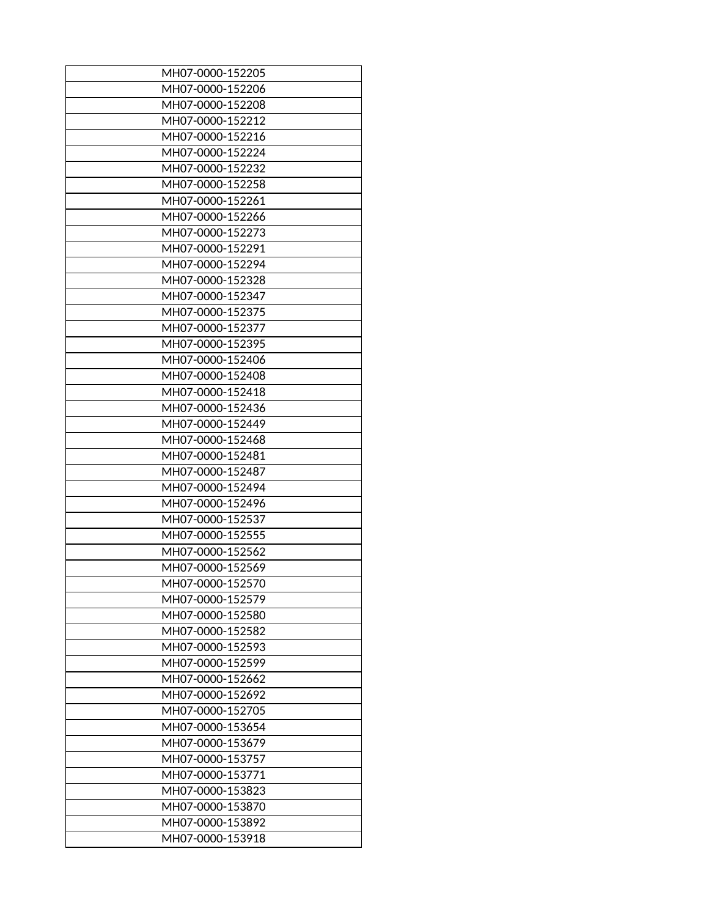| MH07-0000-152205 |
|------------------|
| MH07-0000-152206 |
| MH07-0000-152208 |
| MH07-0000-152212 |
| MH07-0000-152216 |
| MH07-0000-152224 |
| MH07-0000-152232 |
| MH07-0000-152258 |
| MH07-0000-152261 |
| MH07-0000-152266 |
| MH07-0000-152273 |
| MH07-0000-152291 |
| MH07-0000-152294 |
| MH07-0000-152328 |
|                  |
| MH07-0000-152347 |
| MH07-0000-152375 |
| MH07-0000-152377 |
| MH07-0000-152395 |
| MH07-0000-152406 |
| MH07-0000-152408 |
| MH07-0000-152418 |
| MH07-0000-152436 |
| MH07-0000-152449 |
| MH07-0000-152468 |
| MH07-0000-152481 |
| MH07-0000-152487 |
| MH07-0000-152494 |
| MH07-0000-152496 |
| MH07-0000-152537 |
| MH07-0000-152555 |
| MH07-0000-152562 |
| MH07-0000-152569 |
| MH07-0000-152570 |
| MH07-0000-152579 |
| MH07-0000-152580 |
| MH07-0000-152582 |
|                  |
| MH07-0000-152593 |
| MH07-0000-152599 |
| MH07-0000-152662 |
| MH07-0000-152692 |
| MH07-0000-152705 |
| MH07-0000-153654 |
| MH07-0000-153679 |
| MH07-0000-153757 |
| MH07-0000-153771 |
| MH07-0000-153823 |
| MH07-0000-153870 |
| MH07-0000-153892 |
| MH07-0000-153918 |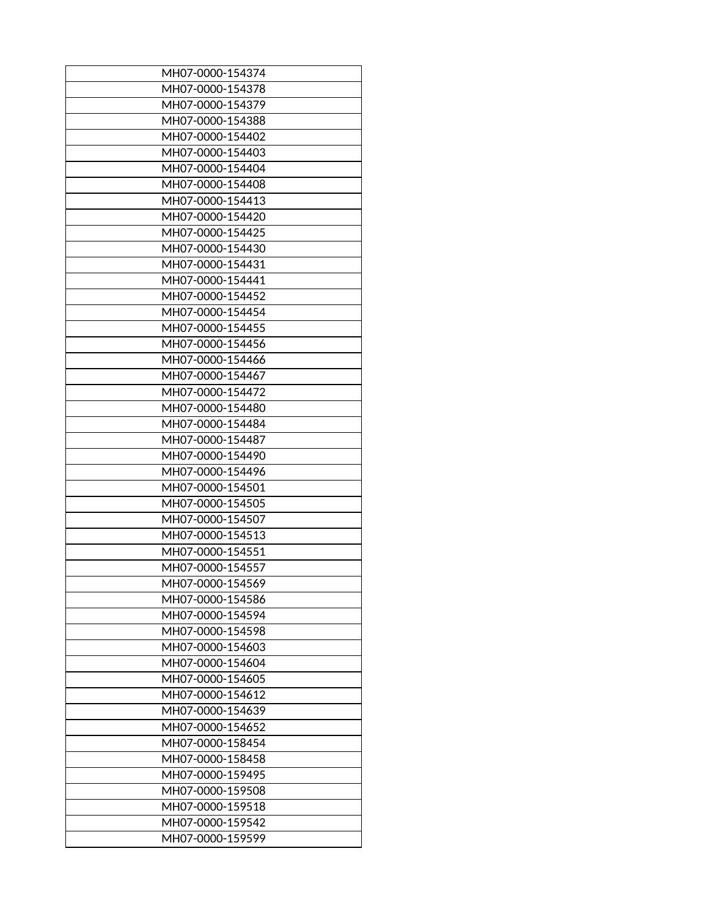| MH07-0000-154374 |
|------------------|
| MH07-0000-154378 |
| MH07-0000-154379 |
| MH07-0000-154388 |
| MH07-0000-154402 |
| MH07-0000-154403 |
| MH07-0000-154404 |
| MH07-0000-154408 |
| MH07-0000-154413 |
| MH07-0000-154420 |
| MH07-0000-154425 |
| MH07-0000-154430 |
| MH07-0000-154431 |
| MH07-0000-154441 |
| MH07-0000-154452 |
|                  |
| MH07-0000-154454 |
| MH07-0000-154455 |
| MH07-0000-154456 |
| MH07-0000-154466 |
| MH07-0000-154467 |
| MH07-0000-154472 |
| MH07-0000-154480 |
| MH07-0000-154484 |
| MH07-0000-154487 |
| MH07-0000-154490 |
| MH07-0000-154496 |
| MH07-0000-154501 |
| MH07-0000-154505 |
| MH07-0000-154507 |
| MH07-0000-154513 |
| MH07-0000-154551 |
| MH07-0000-154557 |
| MH07-0000-154569 |
| MH07-0000-154586 |
| MH07-0000-154594 |
| MH07-0000-154598 |
| MH07-0000-154603 |
| MH07-0000-154604 |
|                  |
| MH07-0000-154605 |
| MH07-0000-154612 |
| MH07-0000-154639 |
| MH07-0000-154652 |
| MH07-0000-158454 |
| MH07-0000-158458 |
| MH07-0000-159495 |
| MH07-0000-159508 |
| MH07-0000-159518 |
| MH07-0000-159542 |
| MH07-0000-159599 |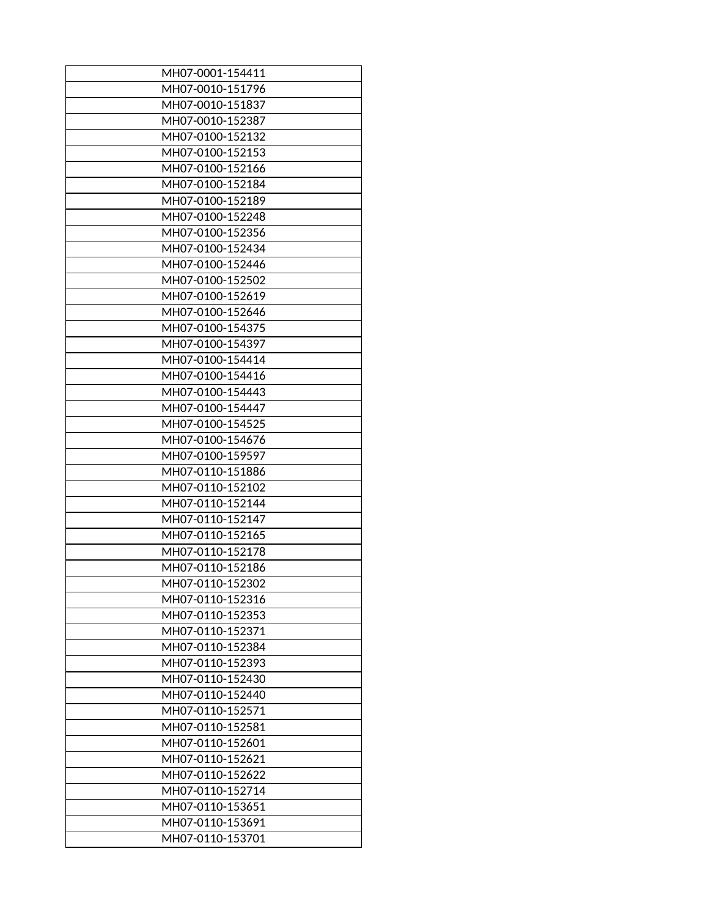| MH07-0001-154411 |
|------------------|
| MH07-0010-151796 |
| MH07-0010-151837 |
| MH07-0010-152387 |
| MH07-0100-152132 |
| MH07-0100-152153 |
| MH07-0100-152166 |
| MH07-0100-152184 |
| MH07-0100-152189 |
| MH07-0100-152248 |
| MH07-0100-152356 |
| MH07-0100-152434 |
| MH07-0100-152446 |
| MH07-0100-152502 |
| MH07-0100-152619 |
| MH07-0100-152646 |
| MH07-0100-154375 |
| MH07-0100-154397 |
| MH07-0100-154414 |
| MH07-0100-154416 |
| MH07-0100-154443 |
| MH07-0100-154447 |
| MH07-0100-154525 |
| MH07-0100-154676 |
| MH07-0100-159597 |
| MH07-0110-151886 |
| MH07-0110-152102 |
| MH07-0110-152144 |
| MH07-0110-152147 |
|                  |
| MH07-0110-152165 |
| MH07-0110-152178 |
| MH07-0110-152186 |
| MH07-0110-152302 |
| MH07-0110-152316 |
| MH07-0110-152353 |
| MH07-0110-152371 |
| MH07-0110-152384 |
| MH07-0110-152393 |
| MH07-0110-152430 |
| MH07-0110-152440 |
| MH07-0110-152571 |
| MH07-0110-152581 |
| MH07-0110-152601 |
| MH07-0110-152621 |
| MH07-0110-152622 |
| MH07-0110-152714 |
| MH07-0110-153651 |
| MH07-0110-153691 |
| MH07-0110-153701 |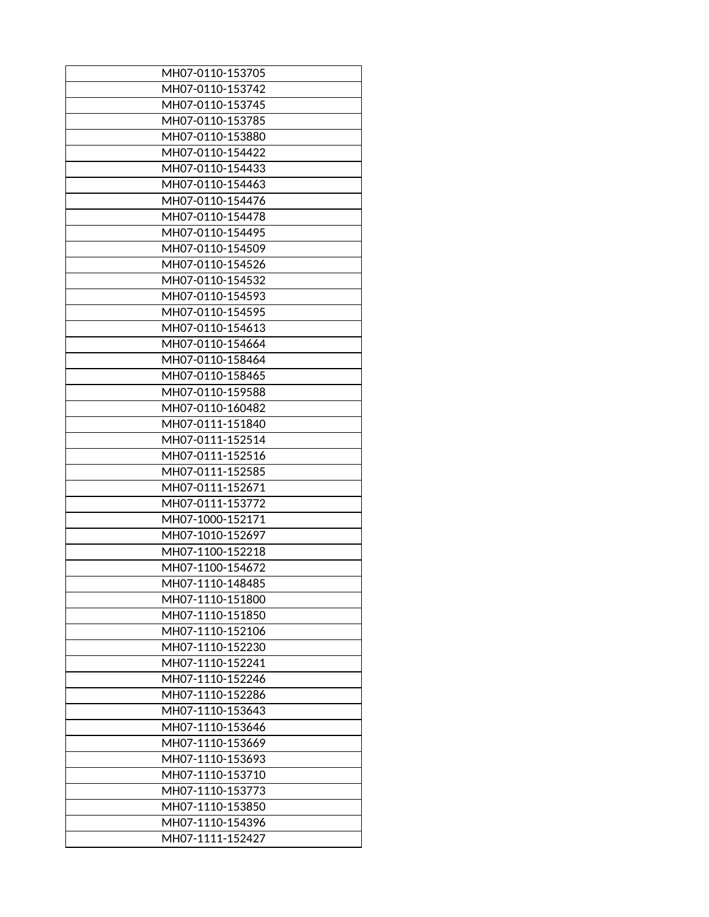| MH07-0110-153705 |
|------------------|
| MH07-0110-153742 |
| MH07-0110-153745 |
| MH07-0110-153785 |
| MH07-0110-153880 |
| MH07-0110-154422 |
| MH07-0110-154433 |
| MH07-0110-154463 |
| MH07-0110-154476 |
| MH07-0110-154478 |
| MH07-0110-154495 |
| MH07-0110-154509 |
| MH07-0110-154526 |
| MH07-0110-154532 |
| MH07-0110-154593 |
|                  |
| MH07-0110-154595 |
| MH07-0110-154613 |
| MH07-0110-154664 |
| MH07-0110-158464 |
| MH07-0110-158465 |
| MH07-0110-159588 |
| MH07-0110-160482 |
| MH07-0111-151840 |
| MH07-0111-152514 |
| MH07-0111-152516 |
| MH07-0111-152585 |
| MH07-0111-152671 |
| MH07-0111-153772 |
| MH07-1000-152171 |
| MH07-1010-152697 |
| MH07-1100-152218 |
| MH07-1100-154672 |
| MH07-1110-148485 |
| MH07-1110-151800 |
| MH07-1110-151850 |
| MH07-1110-152106 |
| MH07-1110-152230 |
| MH07-1110-152241 |
|                  |
| MH07-1110-152246 |
| MH07-1110-152286 |
| MH07-1110-153643 |
| MH07-1110-153646 |
| MH07-1110-153669 |
| MH07-1110-153693 |
| MH07-1110-153710 |
| MH07-1110-153773 |
| MH07-1110-153850 |
| MH07-1110-154396 |
| MH07-1111-152427 |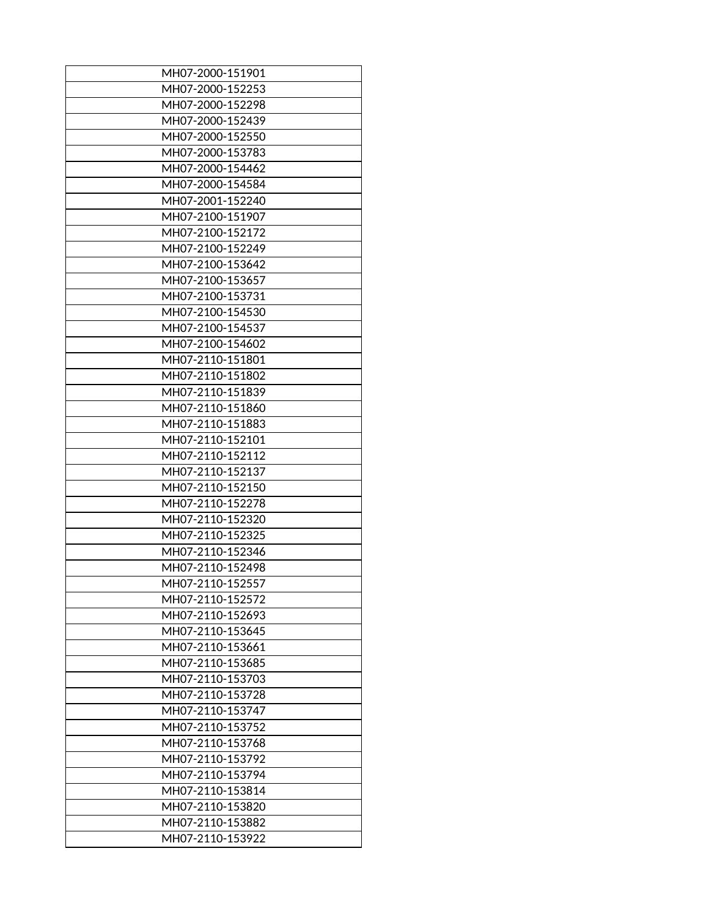| MH07-2000-151901                     |
|--------------------------------------|
| MH07-2000-152253                     |
| MH07-2000-152298                     |
| MH07-2000-152439                     |
| MH07-2000-152550                     |
| MH07-2000-153783                     |
| MH07-2000-154462                     |
| MH07-2000-154584                     |
| MH07-2001-152240                     |
| MH07-2100-151907                     |
| MH07-2100-152172                     |
| MH07-2100-152249                     |
| MH07-2100-153642                     |
| MH07-2100-153657                     |
| MH07-2100-153731                     |
| MH07-2100-154530                     |
| MH07-2100-154537                     |
| MH07-2100-154602                     |
| MH07-2110-151801                     |
| MH07-2110-151802                     |
| MH07-2110-151839                     |
| MH07-2110-151860                     |
| MH07-2110-151883                     |
| MH07-2110-152101                     |
| MH07-2110-152112                     |
|                                      |
| MH07-2110-152137<br>MH07-2110-152150 |
|                                      |
| MH07-2110-152278                     |
| MH07-2110-152320                     |
| MH07-2110-152325                     |
| MH07-2110-152346                     |
| MH07-2110-152498                     |
| MH07-2110-152557                     |
| MH07-2110-152572                     |
| MH07-2110-152693                     |
| MH07-2110-153645                     |
| MH07-2110-153661                     |
| MH07-2110-153685                     |
| MH07-2110-153703                     |
| MH07-2110-153728                     |
| MH07-2110-153747                     |
| MH07-2110-153752                     |
| MH07-2110-153768                     |
| MH07-2110-153792                     |
| MH07-2110-153794                     |
| MH07-2110-153814                     |
| MH07-2110-153820                     |
| MH07-2110-153882                     |
| MH07-2110-153922                     |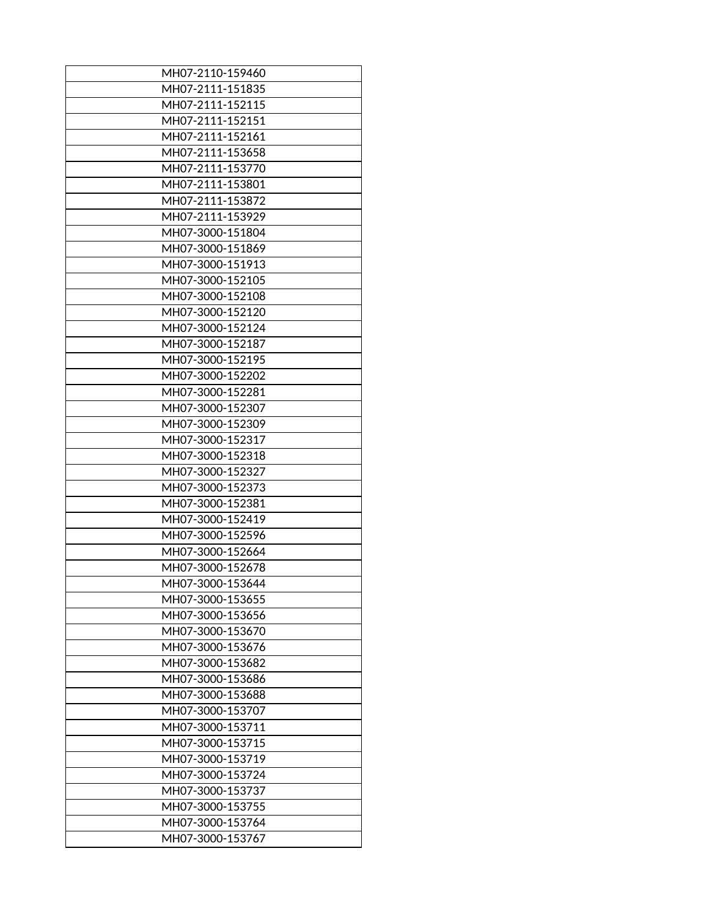| MH07-2110-159460                     |
|--------------------------------------|
| MH07-2111-151835                     |
| MH07-2111-152115                     |
| MH07-2111-152151                     |
| MH07-2111-152161                     |
| MH07-2111-153658                     |
| MH07-2111-153770                     |
| MH07-2111-153801                     |
| MH07-2111-153872                     |
| MH07-2111-153929                     |
| MH07-3000-151804                     |
| MH07-3000-151869                     |
| MH07-3000-151913                     |
| MH07-3000-152105                     |
| MH07-3000-152108                     |
| MH07-3000-152120                     |
| MH07-3000-152124                     |
| MH07-3000-152187                     |
| MH07-3000-152195                     |
| MH07-3000-152202                     |
| MH07-3000-152281                     |
| MH07-3000-152307                     |
| MH07-3000-152309                     |
| MH07-3000-152317                     |
| MH07-3000-152318                     |
| MH07-3000-152327                     |
| MH07-3000-152373                     |
|                                      |
| MH07-3000-152381                     |
| MH07-3000-152419<br>MH07-3000-152596 |
|                                      |
| MH07-3000-152664                     |
| MH07-3000-152678                     |
| MH07-3000-153644                     |
| MH07-3000-153655                     |
| MH07-3000-153656                     |
| MH07-3000-153670                     |
| MH07-3000-153676                     |
| MH07-3000-153682                     |
| MH07-3000-153686                     |
| MH07-3000-153688                     |
| MH07-3000-153707                     |
| MH07-3000-153711                     |
| MH07-3000-153715                     |
| MH07-3000-153719                     |
| MH07-3000-153724                     |
| MH07-3000-153737                     |
| MH07-3000-153755                     |
| MH07-3000-153764                     |
| MH07-3000-153767                     |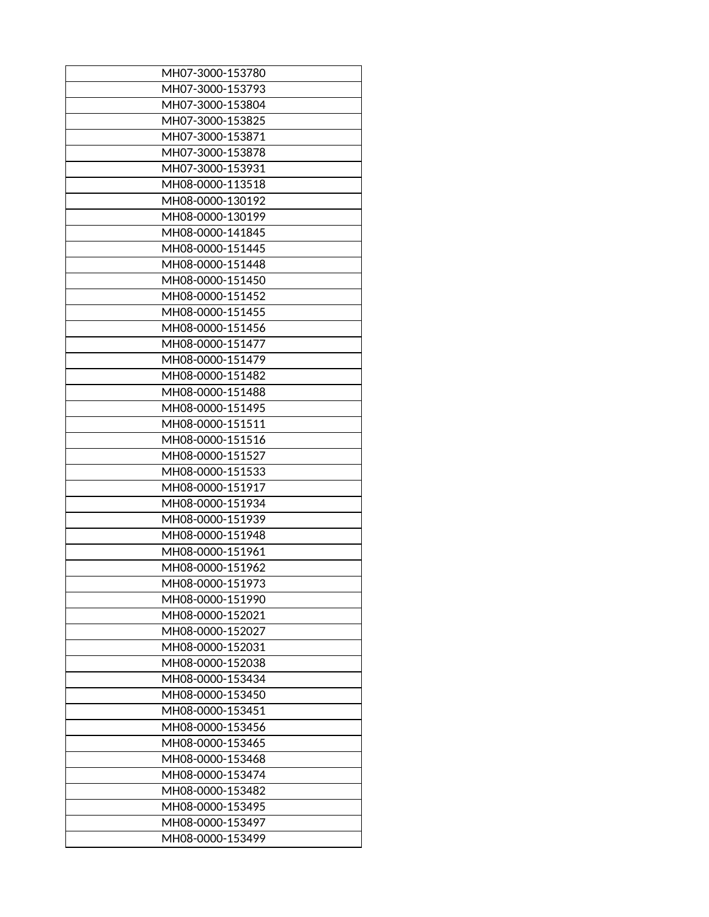| MH07-3000-153780 |
|------------------|
| MH07-3000-153793 |
| MH07-3000-153804 |
| MH07-3000-153825 |
| MH07-3000-153871 |
| MH07-3000-153878 |
| MH07-3000-153931 |
| MH08-0000-113518 |
| MH08-0000-130192 |
| MH08-0000-130199 |
| MH08-0000-141845 |
| MH08-0000-151445 |
| MH08-0000-151448 |
| MH08-0000-151450 |
| MH08-0000-151452 |
| MH08-0000-151455 |
| MH08-0000-151456 |
| MH08-0000-151477 |
| MH08-0000-151479 |
| MH08-0000-151482 |
| MH08-0000-151488 |
| MH08-0000-151495 |
| MH08-0000-151511 |
|                  |
| MH08-0000-151516 |
| MH08-0000-151527 |
| MH08-0000-151533 |
| MH08-0000-151917 |
| MH08-0000-151934 |
| MH08-0000-151939 |
| MH08-0000-151948 |
| MH08-0000-151961 |
| MH08-0000-151962 |
| MH08-0000-151973 |
| MH08-0000-151990 |
| MH08-0000-152021 |
| MH08-0000-152027 |
| MH08-0000-152031 |
| MH08-0000-152038 |
| MH08-0000-153434 |
| MH08-0000-153450 |
| MH08-0000-153451 |
| MH08-0000-153456 |
| MH08-0000-153465 |
| MH08-0000-153468 |
| MH08-0000-153474 |
| MH08-0000-153482 |
| MH08-0000-153495 |
| MH08-0000-153497 |
| MH08-0000-153499 |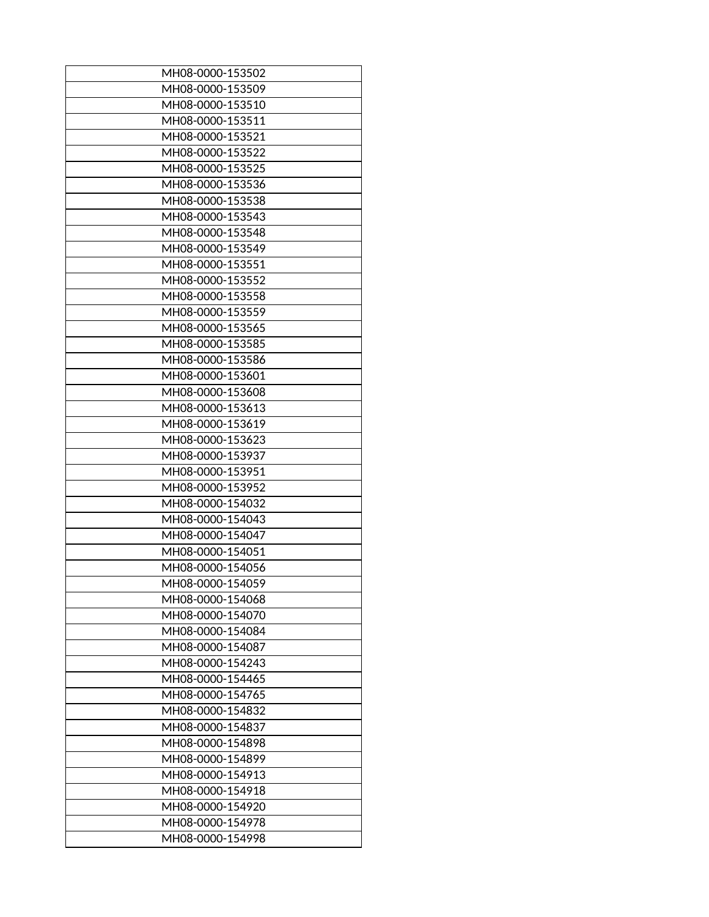| MH08-0000-153502 |
|------------------|
| MH08-0000-153509 |
| MH08-0000-153510 |
| MH08-0000-153511 |
| MH08-0000-153521 |
| MH08-0000-153522 |
| MH08-0000-153525 |
| MH08-0000-153536 |
| MH08-0000-153538 |
| MH08-0000-153543 |
| MH08-0000-153548 |
| MH08-0000-153549 |
| MH08-0000-153551 |
| MH08-0000-153552 |
| MH08-0000-153558 |
| MH08-0000-153559 |
| MH08-0000-153565 |
| MH08-0000-153585 |
| MH08-0000-153586 |
| MH08-0000-153601 |
| MH08-0000-153608 |
| MH08-0000-153613 |
| MH08-0000-153619 |
| MH08-0000-153623 |
| MH08-0000-153937 |
| MH08-0000-153951 |
| MH08-0000-153952 |
| MH08-0000-154032 |
| MH08-0000-154043 |
| MH08-0000-154047 |
|                  |
| MH08-0000-154051 |
| MH08-0000-154056 |
| MH08-0000-154059 |
| MH08-0000-154068 |
| MH08-0000-154070 |
| MH08-0000-154084 |
| MH08-0000-154087 |
| MH08-0000-154243 |
| MH08-0000-154465 |
| MH08-0000-154765 |
| MH08-0000-154832 |
| MH08-0000-154837 |
| MH08-0000-154898 |
| MH08-0000-154899 |
| MH08-0000-154913 |
| MH08-0000-154918 |
| MH08-0000-154920 |
| MH08-0000-154978 |
| MH08-0000-154998 |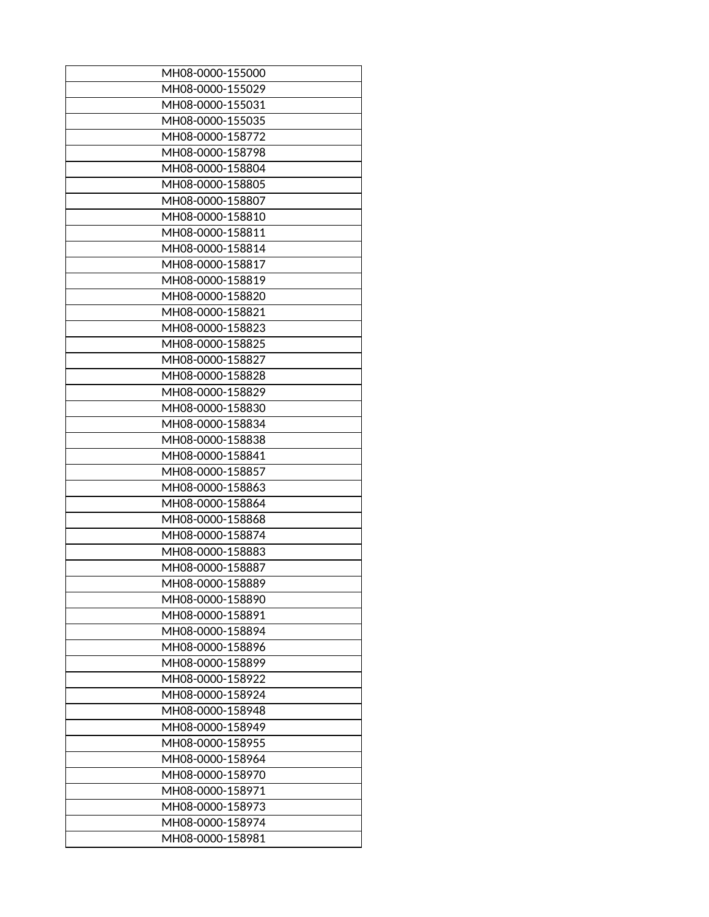| MH08-0000-155000 |
|------------------|
| MH08-0000-155029 |
| MH08-0000-155031 |
| MH08-0000-155035 |
| MH08-0000-158772 |
| MH08-0000-158798 |
| MH08-0000-158804 |
| MH08-0000-158805 |
| MH08-0000-158807 |
| MH08-0000-158810 |
| MH08-0000-158811 |
| MH08-0000-158814 |
| MH08-0000-158817 |
| MH08-0000-158819 |
| MH08-0000-158820 |
| MH08-0000-158821 |
| MH08-0000-158823 |
| MH08-0000-158825 |
| MH08-0000-158827 |
| MH08-0000-158828 |
| MH08-0000-158829 |
| MH08-0000-158830 |
| MH08-0000-158834 |
| MH08-0000-158838 |
| MH08-0000-158841 |
| MH08-0000-158857 |
| MH08-0000-158863 |
| MH08-0000-158864 |
| MH08-0000-158868 |
|                  |
| MH08-0000-158874 |
| MH08-0000-158883 |
| MH08-0000-158887 |
| MH08-0000-158889 |
| MH08-0000-158890 |
| MH08-0000-158891 |
| MH08-0000-158894 |
| MH08-0000-158896 |
| MH08-0000-158899 |
| MH08-0000-158922 |
| MH08-0000-158924 |
| MH08-0000-158948 |
| MH08-0000-158949 |
| MH08-0000-158955 |
| MH08-0000-158964 |
| MH08-0000-158970 |
| MH08-0000-158971 |
| MH08-0000-158973 |
| MH08-0000-158974 |
| MH08-0000-158981 |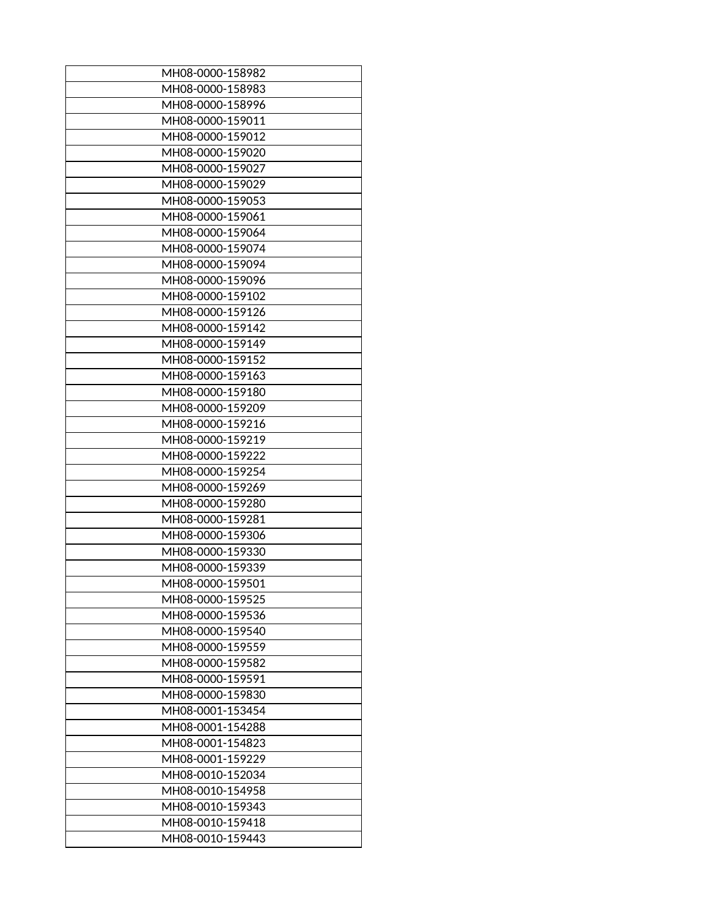| MH08-0000-158982 |
|------------------|
| MH08-0000-158983 |
| MH08-0000-158996 |
| MH08-0000-159011 |
| MH08-0000-159012 |
| MH08-0000-159020 |
| MH08-0000-159027 |
| MH08-0000-159029 |
| MH08-0000-159053 |
| MH08-0000-159061 |
| MH08-0000-159064 |
| MH08-0000-159074 |
| MH08-0000-159094 |
| MH08-0000-159096 |
| MH08-0000-159102 |
| MH08-0000-159126 |
| MH08-0000-159142 |
| MH08-0000-159149 |
| MH08-0000-159152 |
| MH08-0000-159163 |
| MH08-0000-159180 |
| MH08-0000-159209 |
| MH08-0000-159216 |
| MH08-0000-159219 |
| MH08-0000-159222 |
| MH08-0000-159254 |
| MH08-0000-159269 |
| MH08-0000-159280 |
| MH08-0000-159281 |
| MH08-0000-159306 |
| MH08-0000-159330 |
|                  |
| MH08-0000-159339 |
| MH08-0000-159501 |
| MH08-0000-159525 |
| MH08-0000-159536 |
| MH08-0000-159540 |
| MH08-0000-159559 |
| MH08-0000-159582 |
| MH08-0000-159591 |
| MH08-0000-159830 |
| MH08-0001-153454 |
| MH08-0001-154288 |
| MH08-0001-154823 |
| MH08-0001-159229 |
| MH08-0010-152034 |
| MH08-0010-154958 |
| MH08-0010-159343 |
| MH08-0010-159418 |
| MH08-0010-159443 |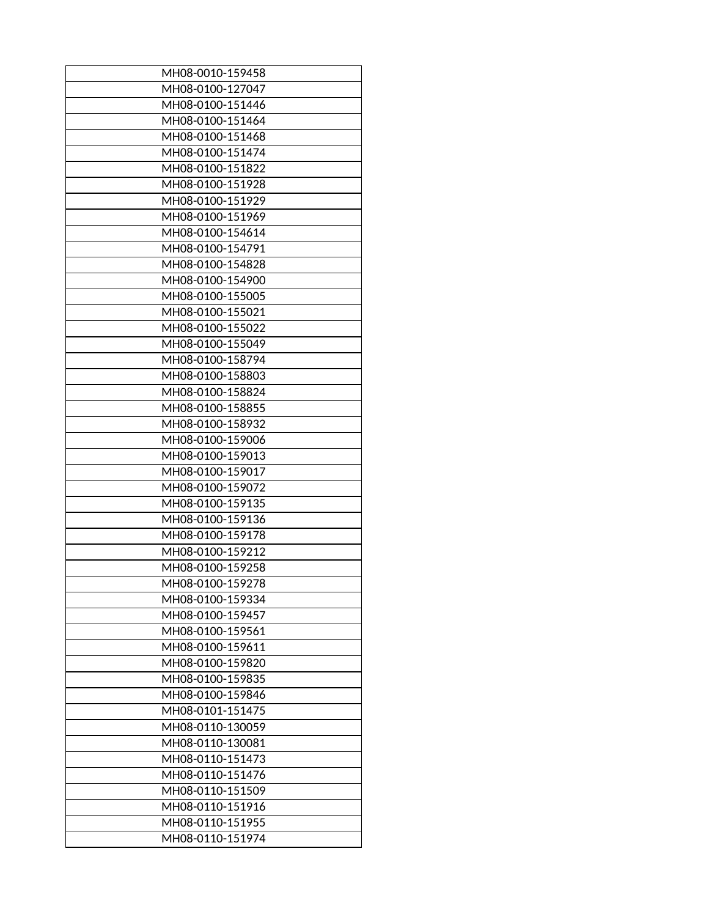| MH08-0010-159458                     |
|--------------------------------------|
| MH08-0100-127047                     |
| MH08-0100-151446                     |
| MH08-0100-151464                     |
| MH08-0100-151468                     |
| MH08-0100-151474                     |
| MH08-0100-151822                     |
| MH08-0100-151928                     |
| MH08-0100-151929                     |
| MH08-0100-151969                     |
| MH08-0100-154614                     |
| MH08-0100-154791                     |
| MH08-0100-154828                     |
| MH08-0100-154900                     |
| MH08-0100-155005                     |
| MH08-0100-155021                     |
| MH08-0100-155022                     |
| MH08-0100-155049                     |
| MH08-0100-158794                     |
| MH08-0100-158803                     |
| MH08-0100-158824                     |
| MH08-0100-158855                     |
| MH08-0100-158932                     |
| MH08-0100-159006                     |
| MH08-0100-159013                     |
| MH08-0100-159017                     |
| MH08-0100-159072                     |
| MH08-0100-159135                     |
| MH08-0100-159136                     |
| MH08-0100-159178                     |
| MH08-0100-159212                     |
| MH08-0100-159258                     |
| MH08-0100-159278                     |
| MH08-0100-159334                     |
| MH08-0100-159457                     |
| MH08-0100-159561                     |
|                                      |
| MH08-0100-159611<br>MH08-0100-159820 |
|                                      |
| MH08-0100-159835<br>MH08-0100-159846 |
| MH08-0101-151475                     |
|                                      |
| MH08-0110-130059                     |
| MH08-0110-130081                     |
| MH08-0110-151473                     |
| MH08-0110-151476                     |
| MH08-0110-151509                     |
| MH08-0110-151916                     |
| MH08-0110-151955                     |
| MH08-0110-151974                     |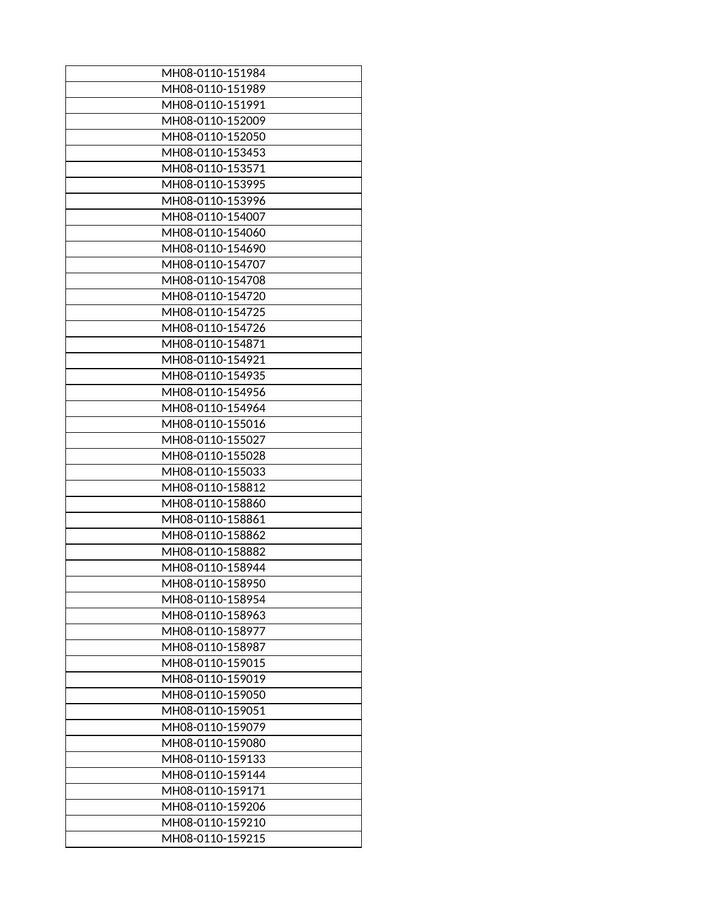| MH08-0110-151984 |
|------------------|
| MH08-0110-151989 |
| MH08-0110-151991 |
| MH08-0110-152009 |
| MH08-0110-152050 |
| MH08-0110-153453 |
| MH08-0110-153571 |
| MH08-0110-153995 |
| MH08-0110-153996 |
| MH08-0110-154007 |
| MH08-0110-154060 |
| MH08-0110-154690 |
| MH08-0110-154707 |
| MH08-0110-154708 |
| MH08-0110-154720 |
| MH08-0110-154725 |
| MH08-0110-154726 |
| MH08-0110-154871 |
| MH08-0110-154921 |
| MH08-0110-154935 |
| MH08-0110-154956 |
| MH08-0110-154964 |
| MH08-0110-155016 |
| MH08-0110-155027 |
| MH08-0110-155028 |
| MH08-0110-155033 |
| MH08-0110-158812 |
| MH08-0110-158860 |
| MH08-0110-158861 |
| MH08-0110-158862 |
| MH08-0110-158882 |
| MH08-0110-158944 |
| MH08-0110-158950 |
| MH08-0110-158954 |
| MH08-0110-158963 |
| MH08-0110-158977 |
| MH08-0110-158987 |
| MH08-0110-159015 |
| MH08-0110-159019 |
| MH08-0110-159050 |
| MH08-0110-159051 |
| MH08-0110-159079 |
| MH08-0110-159080 |
| MH08-0110-159133 |
| MH08-0110-159144 |
| MH08-0110-159171 |
| MH08-0110-159206 |
| MH08-0110-159210 |
| MH08-0110-159215 |
|                  |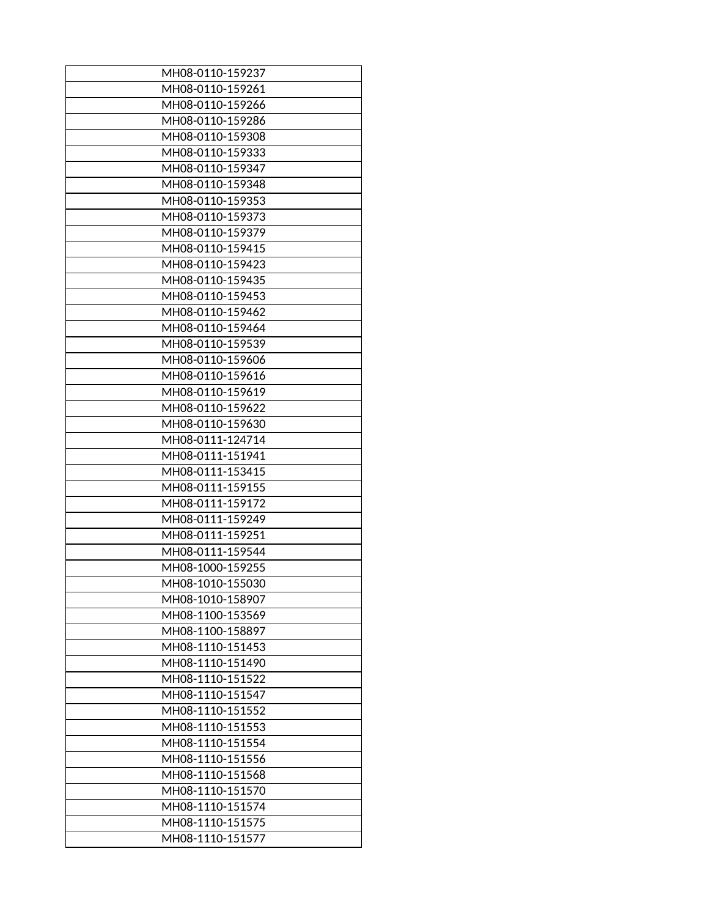| MH08-0110-159237 |
|------------------|
| MH08-0110-159261 |
| MH08-0110-159266 |
| MH08-0110-159286 |
| MH08-0110-159308 |
| MH08-0110-159333 |
| MH08-0110-159347 |
| MH08-0110-159348 |
| MH08-0110-159353 |
| MH08-0110-159373 |
| MH08-0110-159379 |
| MH08-0110-159415 |
| MH08-0110-159423 |
| MH08-0110-159435 |
| MH08-0110-159453 |
| MH08-0110-159462 |
| MH08-0110-159464 |
| MH08-0110-159539 |
| MH08-0110-159606 |
| MH08-0110-159616 |
| MH08-0110-159619 |
| MH08-0110-159622 |
| MH08-0110-159630 |
| MH08-0111-124714 |
| MH08-0111-151941 |
| MH08-0111-153415 |
| MH08-0111-159155 |
| MH08-0111-159172 |
| MH08-0111-159249 |
| MH08-0111-159251 |
| MH08-0111-159544 |
| MH08-1000-159255 |
| MH08-1010-155030 |
| MH08-1010-158907 |
| MH08-1100-153569 |
| MH08-1100-158897 |
| MH08-1110-151453 |
| MH08-1110-151490 |
| MH08-1110-151522 |
| MH08-1110-151547 |
| MH08-1110-151552 |
| MH08-1110-151553 |
| MH08-1110-151554 |
| MH08-1110-151556 |
| MH08-1110-151568 |
| MH08-1110-151570 |
| MH08-1110-151574 |
| MH08-1110-151575 |
| MH08-1110-151577 |
|                  |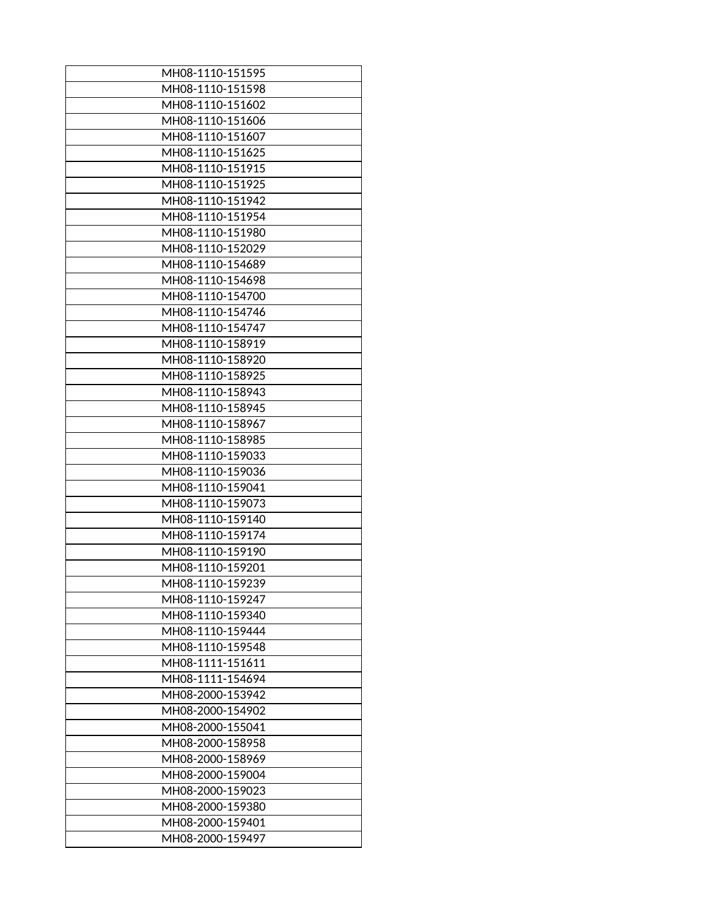| MH08-1110-151595 |
|------------------|
| MH08-1110-151598 |
| MH08-1110-151602 |
| MH08-1110-151606 |
| MH08-1110-151607 |
| MH08-1110-151625 |
| MH08-1110-151915 |
| MH08-1110-151925 |
| MH08-1110-151942 |
| MH08-1110-151954 |
| MH08-1110-151980 |
| MH08-1110-152029 |
| MH08-1110-154689 |
| MH08-1110-154698 |
| MH08-1110-154700 |
| MH08-1110-154746 |
| MH08-1110-154747 |
| MH08-1110-158919 |
| MH08-1110-158920 |
| MH08-1110-158925 |
| MH08-1110-158943 |
| MH08-1110-158945 |
| MH08-1110-158967 |
| MH08-1110-158985 |
| MH08-1110-159033 |
| MH08-1110-159036 |
| MH08-1110-159041 |
|                  |
| MH08-1110-159073 |
| MH08-1110-159140 |
| MH08-1110-159174 |
| MH08-1110-159190 |
| MH08-1110-159201 |
| MH08-1110-159239 |
| MH08-1110-159247 |
| MH08-1110-159340 |
| MH08-1110-159444 |
| MH08-1110-159548 |
| MH08-1111-151611 |
| MH08-1111-154694 |
| MH08-2000-153942 |
| MH08-2000-154902 |
| MH08-2000-155041 |
| MH08-2000-158958 |
| MH08-2000-158969 |
| MH08-2000-159004 |
| MH08-2000-159023 |
| MH08-2000-159380 |
| MH08-2000-159401 |
| MH08-2000-159497 |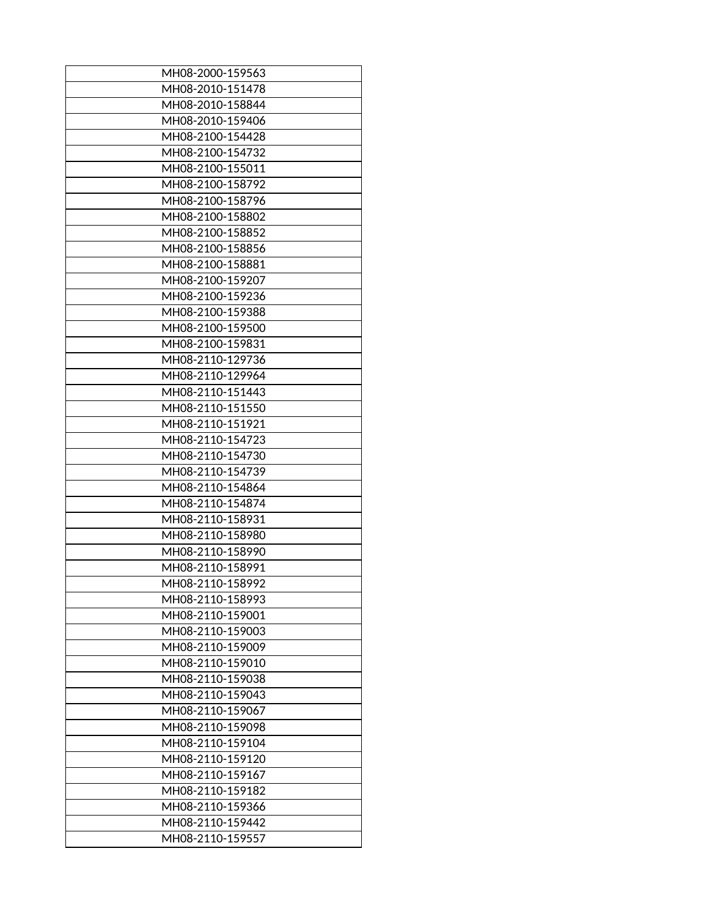| MH08-2000-159563 |
|------------------|
| MH08-2010-151478 |
| MH08-2010-158844 |
| MH08-2010-159406 |
| MH08-2100-154428 |
| MH08-2100-154732 |
| MH08-2100-155011 |
| MH08-2100-158792 |
| MH08-2100-158796 |
| MH08-2100-158802 |
| MH08-2100-158852 |
| MH08-2100-158856 |
| MH08-2100-158881 |
| MH08-2100-159207 |
| MH08-2100-159236 |
| MH08-2100-159388 |
| MH08-2100-159500 |
|                  |
| MH08-2100-159831 |
| MH08-2110-129736 |
| MH08-2110-129964 |
| MH08-2110-151443 |
| MH08-2110-151550 |
| MH08-2110-151921 |
| MH08-2110-154723 |
| MH08-2110-154730 |
| MH08-2110-154739 |
| MH08-2110-154864 |
| MH08-2110-154874 |
| MH08-2110-158931 |
| MH08-2110-158980 |
| MH08-2110-158990 |
| MH08-2110-158991 |
| MH08-2110-158992 |
| MH08-2110-158993 |
| MH08-2110-159001 |
| MH08-2110-159003 |
| MH08-2110-159009 |
| MH08-2110-159010 |
|                  |
| MH08-2110-159038 |
| MH08-2110-159043 |
| MH08-2110-159067 |
| MH08-2110-159098 |
| MH08-2110-159104 |
| MH08-2110-159120 |
| MH08-2110-159167 |
| MH08-2110-159182 |
| MH08-2110-159366 |
| MH08-2110-159442 |
| MH08-2110-159557 |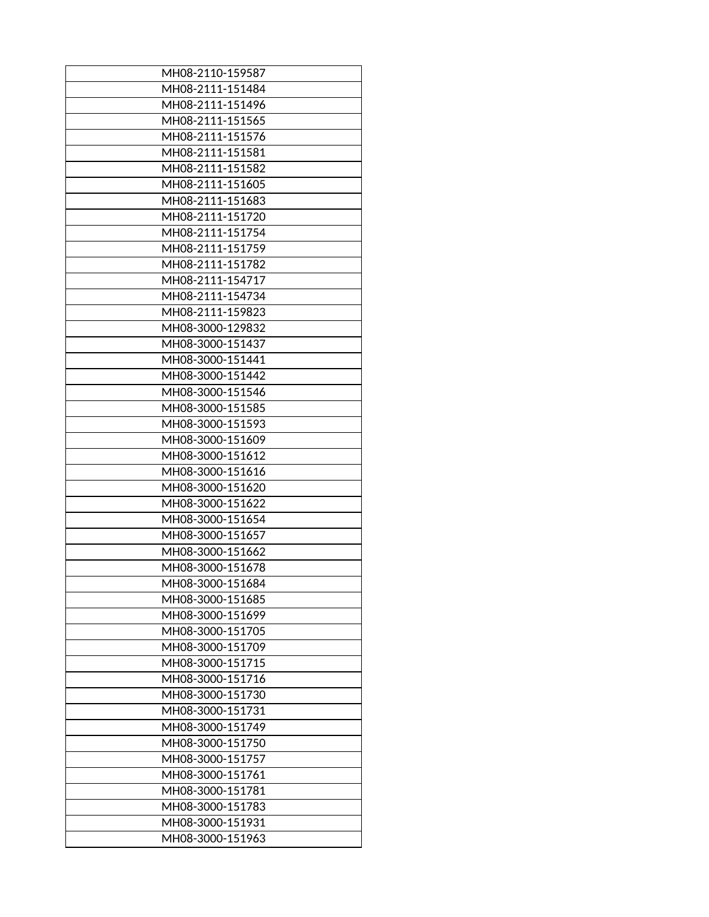| MH08-2110-159587 |
|------------------|
| MH08-2111-151484 |
| MH08-2111-151496 |
| MH08-2111-151565 |
| MH08-2111-151576 |
| MH08-2111-151581 |
| MH08-2111-151582 |
| MH08-2111-151605 |
| MH08-2111-151683 |
| MH08-2111-151720 |
| MH08-2111-151754 |
| MH08-2111-151759 |
| MH08-2111-151782 |
| MH08-2111-154717 |
| MH08-2111-154734 |
| MH08-2111-159823 |
| MH08-3000-129832 |
| MH08-3000-151437 |
| MH08-3000-151441 |
| MH08-3000-151442 |
| MH08-3000-151546 |
| MH08-3000-151585 |
| MH08-3000-151593 |
| MH08-3000-151609 |
| MH08-3000-151612 |
| MH08-3000-151616 |
| MH08-3000-151620 |
| MH08-3000-151622 |
| MH08-3000-151654 |
| MH08-3000-151657 |
| MH08-3000-151662 |
| MH08-3000-151678 |
| MH08-3000-151684 |
| MH08-3000-151685 |
| MH08-3000-151699 |
| MH08-3000-151705 |
| MH08-3000-151709 |
| MH08-3000-151715 |
| MH08-3000-151716 |
| MH08-3000-151730 |
| MH08-3000-151731 |
| MH08-3000-151749 |
| MH08-3000-151750 |
|                  |
| MH08-3000-151757 |
| MH08-3000-151761 |
| MH08-3000-151781 |
| MH08-3000-151783 |
| MH08-3000-151931 |
| MH08-3000-151963 |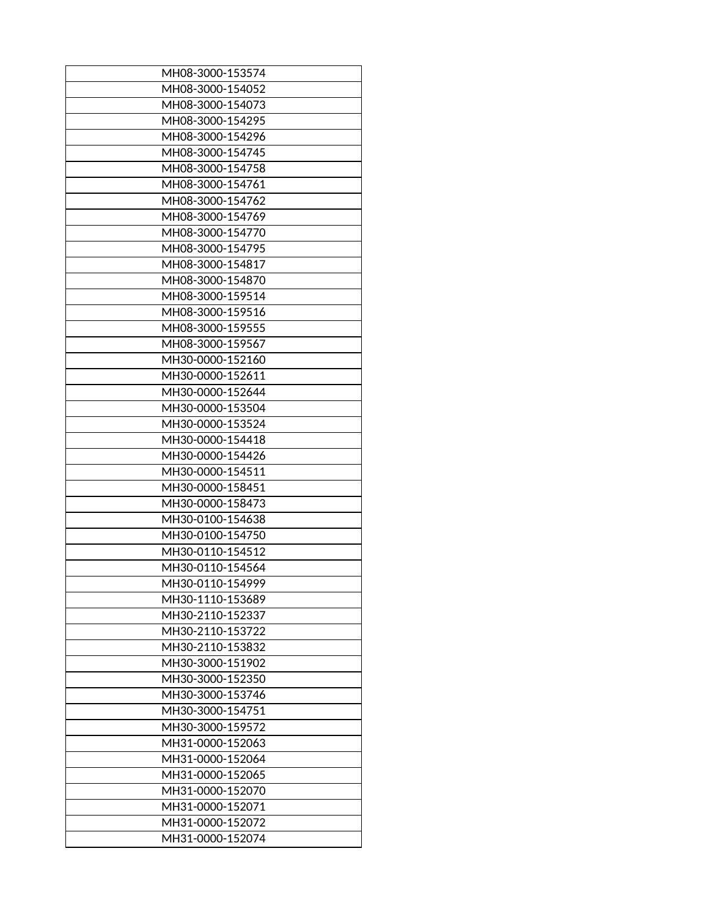| MH08-3000-153574 |
|------------------|
| MH08-3000-154052 |
| MH08-3000-154073 |
| MH08-3000-154295 |
| MH08-3000-154296 |
| MH08-3000-154745 |
| MH08-3000-154758 |
| MH08-3000-154761 |
| MH08-3000-154762 |
| MH08-3000-154769 |
| MH08-3000-154770 |
| MH08-3000-154795 |
| MH08-3000-154817 |
| MH08-3000-154870 |
| MH08-3000-159514 |
| MH08-3000-159516 |
|                  |
| MH08-3000-159555 |
| MH08-3000-159567 |
| MH30-0000-152160 |
| MH30-0000-152611 |
| MH30-0000-152644 |
| MH30-0000-153504 |
| MH30-0000-153524 |
| MH30-0000-154418 |
| MH30-0000-154426 |
| MH30-0000-154511 |
| MH30-0000-158451 |
| MH30-0000-158473 |
| MH30-0100-154638 |
| MH30-0100-154750 |
| MH30-0110-154512 |
| MH30-0110-154564 |
| MH30-0110-154999 |
| MH30-1110-153689 |
| MH30-2110-152337 |
| MH30-2110-153722 |
| MH30-2110-153832 |
| MH30-3000-151902 |
|                  |
| MH30-3000-152350 |
| MH30-3000-153746 |
| MH30-3000-154751 |
| MH30-3000-159572 |
| MH31-0000-152063 |
| MH31-0000-152064 |
| MH31-0000-152065 |
| MH31-0000-152070 |
| MH31-0000-152071 |
| MH31-0000-152072 |
| MH31-0000-152074 |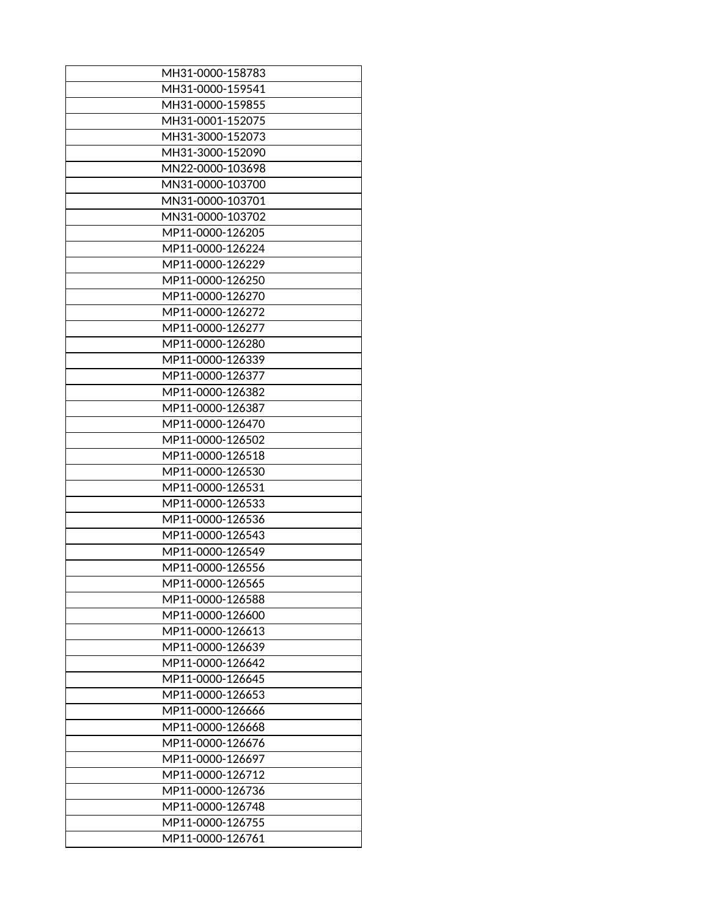| MH31-0000-158783 |
|------------------|
| MH31-0000-159541 |
| MH31-0000-159855 |
| MH31-0001-152075 |
| MH31-3000-152073 |
| MH31-3000-152090 |
| MN22-0000-103698 |
| MN31-0000-103700 |
| MN31-0000-103701 |
| MN31-0000-103702 |
| MP11-0000-126205 |
| MP11-0000-126224 |
| MP11-0000-126229 |
| MP11-0000-126250 |
| MP11-0000-126270 |
| MP11-0000-126272 |
| MP11-0000-126277 |
| MP11-0000-126280 |
| MP11-0000-126339 |
| MP11-0000-126377 |
| MP11-0000-126382 |
| MP11-0000-126387 |
| MP11-0000-126470 |
| MP11-0000-126502 |
| MP11-0000-126518 |
| MP11-0000-126530 |
| MP11-0000-126531 |
| MP11-0000-126533 |
| MP11-0000-126536 |
| MP11-0000-126543 |
| MP11-0000-126549 |
| MP11-0000-126556 |
| MP11-0000-126565 |
| MP11-0000-126588 |
| MP11-0000-126600 |
| MP11-0000-126613 |
| MP11-0000-126639 |
| MP11-0000-126642 |
| MP11-0000-126645 |
| MP11-0000-126653 |
| MP11-0000-126666 |
| MP11-0000-126668 |
| MP11-0000-126676 |
| MP11-0000-126697 |
| MP11-0000-126712 |
| MP11-0000-126736 |
| MP11-0000-126748 |
| MP11-0000-126755 |
| MP11-0000-126761 |
|                  |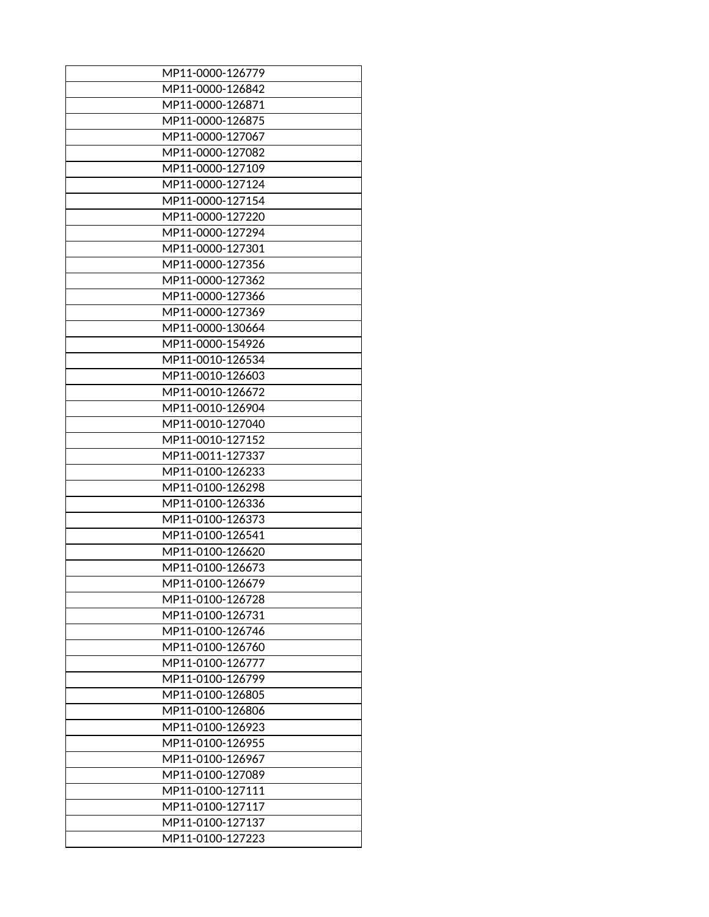| MP11-0000-126779 |
|------------------|
| MP11-0000-126842 |
| MP11-0000-126871 |
| MP11-0000-126875 |
| MP11-0000-127067 |
| MP11-0000-127082 |
| MP11-0000-127109 |
| MP11-0000-127124 |
| MP11-0000-127154 |
| MP11-0000-127220 |
| MP11-0000-127294 |
| MP11-0000-127301 |
| MP11-0000-127356 |
| MP11-0000-127362 |
| MP11-0000-127366 |
| MP11-0000-127369 |
| MP11-0000-130664 |
|                  |
| MP11-0000-154926 |
| MP11-0010-126534 |
| MP11-0010-126603 |
| MP11-0010-126672 |
| MP11-0010-126904 |
| MP11-0010-127040 |
| MP11-0010-127152 |
| MP11-0011-127337 |
| MP11-0100-126233 |
| MP11-0100-126298 |
| MP11-0100-126336 |
| MP11-0100-126373 |
| MP11-0100-126541 |
| MP11-0100-126620 |
| MP11-0100-126673 |
| MP11-0100-126679 |
| MP11-0100-126728 |
| MP11-0100-126731 |
| MP11-0100-126746 |
| MP11-0100-126760 |
| MP11-0100-126777 |
| MP11-0100-126799 |
| MP11-0100-126805 |
| MP11-0100-126806 |
| MP11-0100-126923 |
| MP11-0100-126955 |
|                  |
| MP11-0100-126967 |
| MP11-0100-127089 |
| MP11-0100-127111 |
| MP11-0100-127117 |
| MP11-0100-127137 |
| MP11-0100-127223 |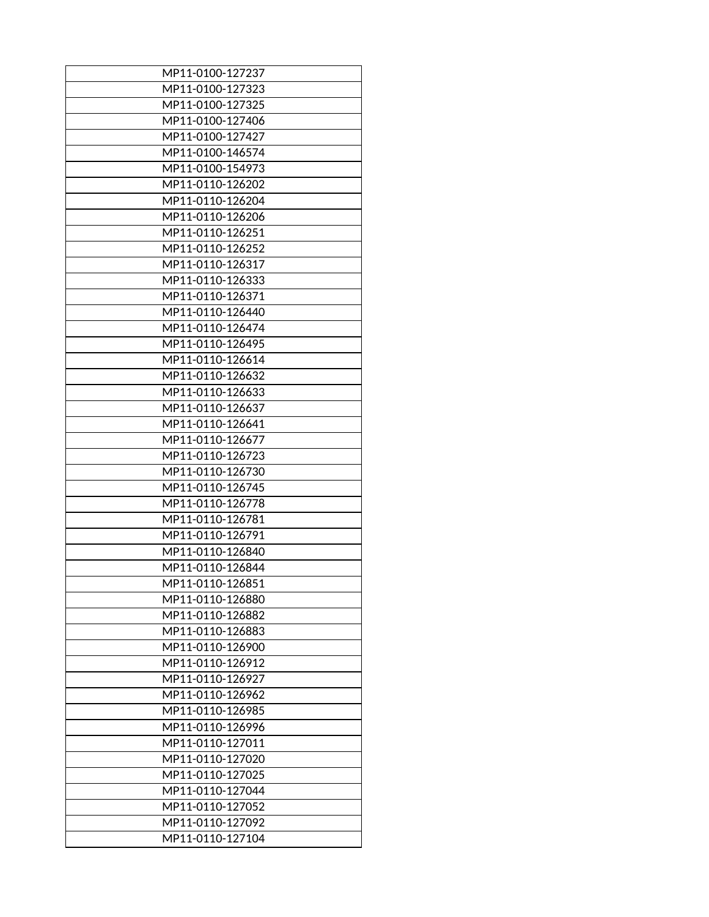| MP11-0100-127237                     |
|--------------------------------------|
| MP11-0100-127323                     |
| MP11-0100-127325                     |
| MP11-0100-127406                     |
| MP11-0100-127427                     |
| MP11-0100-146574                     |
| MP11-0100-154973                     |
| MP11-0110-126202                     |
| MP11-0110-126204                     |
| MP11-0110-126206                     |
| MP11-0110-126251                     |
| MP11-0110-126252                     |
| MP11-0110-126317                     |
| MP11-0110-126333                     |
| MP11-0110-126371                     |
| MP11-0110-126440                     |
| MP11-0110-126474                     |
|                                      |
| MP11-0110-126495<br>MP11-0110-126614 |
|                                      |
| MP11-0110-126632                     |
| MP11-0110-126633                     |
| MP11-0110-126637                     |
| MP11-0110-126641                     |
| MP11-0110-126677                     |
| MP11-0110-126723                     |
| MP11-0110-126730                     |
| MP11-0110-126745                     |
| MP11-0110-126778                     |
| MP11-0110-126781                     |
| MP11-0110-126791                     |
| MP11-0110-126840                     |
| MP11-0110-126844                     |
| MP11-0110-126851                     |
| MP11-0110-126880                     |
| MP11-0110-126882                     |
| MP11-0110-126883                     |
| MP11-0110-126900                     |
| MP11-0110-126912                     |
| MP11-0110-126927                     |
| MP11-0110-126962                     |
| MP11-0110-126985                     |
| MP11-0110-126996                     |
| MP11-0110-127011                     |
| MP11-0110-127020                     |
| MP11-0110-127025                     |
| MP11-0110-127044                     |
|                                      |
| MP11-0110-127052                     |
| MP11-0110-127092                     |
| MP11-0110-127104                     |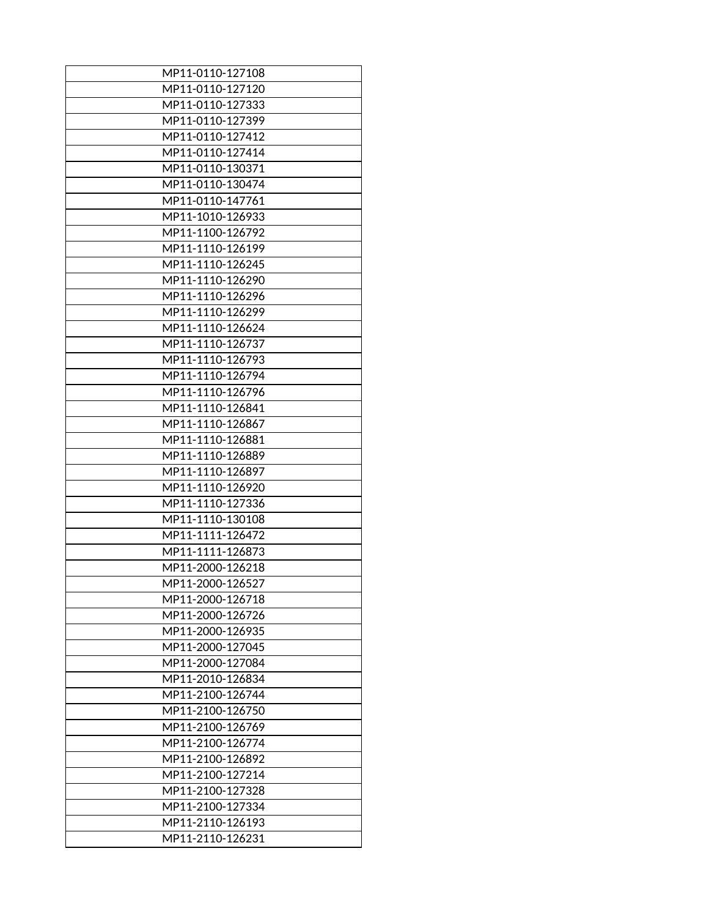| MP11-0110-127108 |
|------------------|
| MP11-0110-127120 |
|                  |
| MP11-0110-127333 |
| MP11-0110-127399 |
| MP11-0110-127412 |
| MP11-0110-127414 |
| MP11-0110-130371 |
| MP11-0110-130474 |
| MP11-0110-147761 |
| MP11-1010-126933 |
| MP11-1100-126792 |
| MP11-1110-126199 |
| MP11-1110-126245 |
| MP11-1110-126290 |
| MP11-1110-126296 |
| MP11-1110-126299 |
| MP11-1110-126624 |
|                  |
| MP11-1110-126737 |
| MP11-1110-126793 |
| MP11-1110-126794 |
| MP11-1110-126796 |
| MP11-1110-126841 |
| MP11-1110-126867 |
| MP11-1110-126881 |
| MP11-1110-126889 |
| MP11-1110-126897 |
| MP11-1110-126920 |
| MP11-1110-127336 |
| MP11-1110-130108 |
| MP11-1111-126472 |
| MP11-1111-126873 |
| MP11-2000-126218 |
| MP11-2000-126527 |
| MP11-2000-126718 |
|                  |
| MP11-2000-126726 |
| MP11-2000-126935 |
| MP11-2000-127045 |
| MP11-2000-127084 |
| MP11-2010-126834 |
| MP11-2100-126744 |
| MP11-2100-126750 |
| MP11-2100-126769 |
| MP11-2100-126774 |
| MP11-2100-126892 |
| MP11-2100-127214 |
| MP11-2100-127328 |
| MP11-2100-127334 |
| MP11-2110-126193 |
| MP11-2110-126231 |
|                  |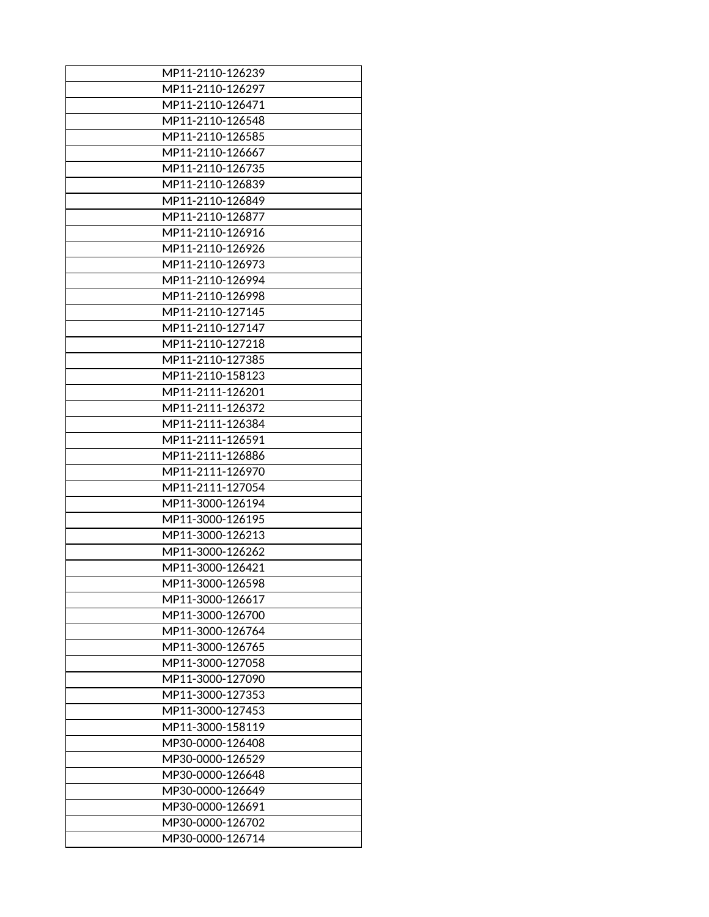| MP11-2110-126239 |
|------------------|
| MP11-2110-126297 |
| MP11-2110-126471 |
| MP11-2110-126548 |
| MP11-2110-126585 |
| MP11-2110-126667 |
|                  |
| MP11-2110-126735 |
| MP11-2110-126839 |
| MP11-2110-126849 |
| MP11-2110-126877 |
| MP11-2110-126916 |
| MP11-2110-126926 |
| MP11-2110-126973 |
| MP11-2110-126994 |
| MP11-2110-126998 |
| MP11-2110-127145 |
| MP11-2110-127147 |
| MP11-2110-127218 |
| MP11-2110-127385 |
| MP11-2110-158123 |
| MP11-2111-126201 |
| MP11-2111-126372 |
| MP11-2111-126384 |
| MP11-2111-126591 |
| MP11-2111-126886 |
| MP11-2111-126970 |
| MP11-2111-127054 |
| MP11-3000-126194 |
| MP11-3000-126195 |
| MP11-3000-126213 |
|                  |
| MP11-3000-126262 |
| MP11-3000-126421 |
| MP11-3000-126598 |
| MP11-3000-126617 |
| MP11-3000-126700 |
| MP11-3000-126764 |
| MP11-3000-126765 |
| MP11-3000-127058 |
| MP11-3000-127090 |
| MP11-3000-127353 |
| MP11-3000-127453 |
| MP11-3000-158119 |
| MP30-0000-126408 |
| MP30-0000-126529 |
| MP30-0000-126648 |
| MP30-0000-126649 |
| MP30-0000-126691 |
| MP30-0000-126702 |
| MP30-0000-126714 |
|                  |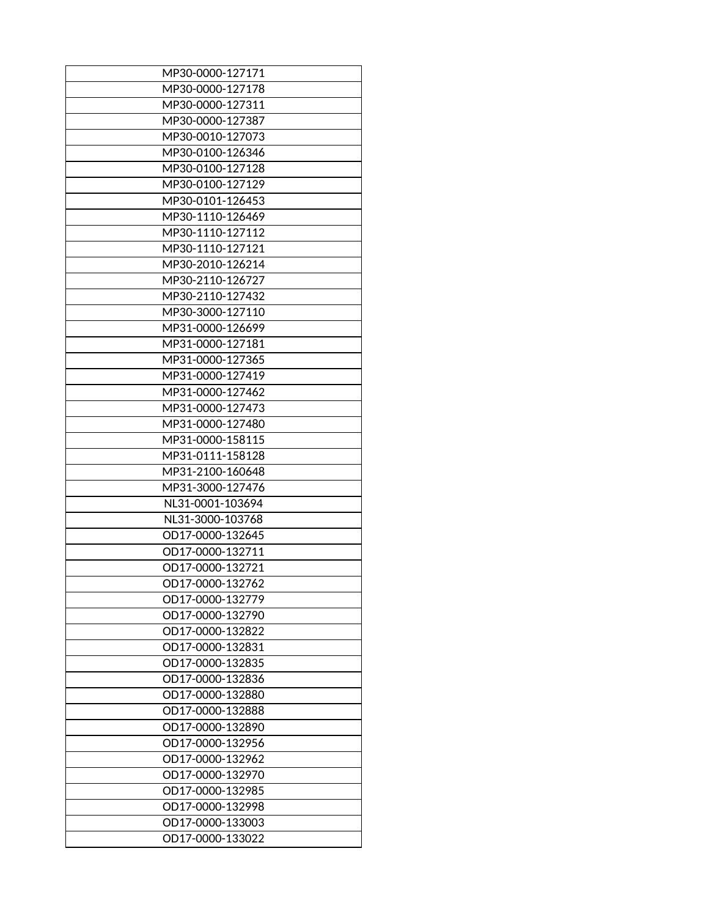| MP30-0000-127171 |
|------------------|
| MP30-0000-127178 |
| MP30-0000-127311 |
| MP30-0000-127387 |
| MP30-0010-127073 |
| MP30-0100-126346 |
| MP30-0100-127128 |
| MP30-0100-127129 |
| MP30-0101-126453 |
| MP30-1110-126469 |
| MP30-1110-127112 |
| MP30-1110-127121 |
| MP30-2010-126214 |
| MP30-2110-126727 |
| MP30-2110-127432 |
| MP30-3000-127110 |
| MP31-0000-126699 |
| MP31-0000-127181 |
| MP31-0000-127365 |
| MP31-0000-127419 |
| MP31-0000-127462 |
| MP31-0000-127473 |
| MP31-0000-127480 |
| MP31-0000-158115 |
| MP31-0111-158128 |
| MP31-2100-160648 |
| MP31-3000-127476 |
| NL31-0001-103694 |
| NL31-3000-103768 |
| OD17-0000-132645 |
| OD17-0000-132711 |
| OD17-0000-132721 |
| OD17-0000-132762 |
| OD17-0000-132779 |
| OD17-0000-132790 |
| OD17-0000-132822 |
| OD17-0000-132831 |
| OD17-0000-132835 |
| OD17-0000-132836 |
| OD17-0000-132880 |
| OD17-0000-132888 |
| OD17-0000-132890 |
| OD17-0000-132956 |
| OD17-0000-132962 |
| OD17-0000-132970 |
| OD17-0000-132985 |
| OD17-0000-132998 |
| OD17-0000-133003 |
| OD17-0000-133022 |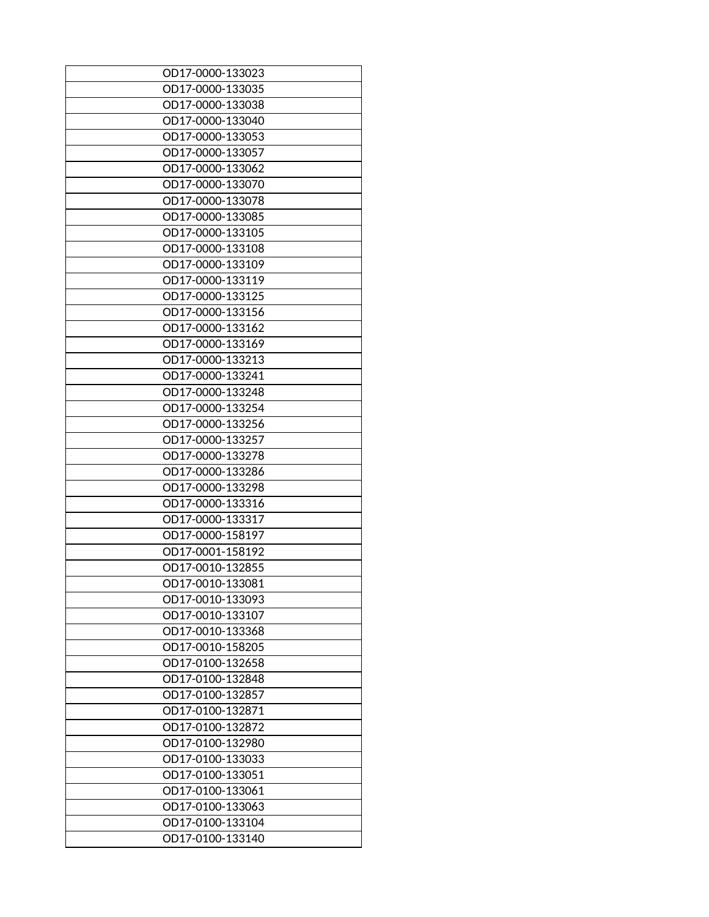| OD17-0000-133023 |
|------------------|
| OD17-0000-133035 |
| OD17-0000-133038 |
|                  |
| OD17-0000-133040 |
| OD17-0000-133053 |
| OD17-0000-133057 |
| OD17-0000-133062 |
| OD17-0000-133070 |
| OD17-0000-133078 |
| OD17-0000-133085 |
| OD17-0000-133105 |
| OD17-0000-133108 |
| OD17-0000-133109 |
| OD17-0000-133119 |
| OD17-0000-133125 |
| OD17-0000-133156 |
| OD17-0000-133162 |
| OD17-0000-133169 |
| OD17-0000-133213 |
| OD17-0000-133241 |
|                  |
| OD17-0000-133248 |
| OD17-0000-133254 |
| OD17-0000-133256 |
| OD17-0000-133257 |
| OD17-0000-133278 |
| OD17-0000-133286 |
| OD17-0000-133298 |
| OD17-0000-133316 |
| OD17-0000-133317 |
| OD17-0000-158197 |
| OD17-0001-158192 |
| OD17-0010-132855 |
| OD17-0010-133081 |
| OD17-0010-133093 |
| OD17-0010-133107 |
| OD17-0010-133368 |
| OD17-0010-158205 |
| OD17-0100-132658 |
| OD17-0100-132848 |
| OD17-0100-132857 |
| OD17-0100-132871 |
|                  |
| OD17-0100-132872 |
| OD17-0100-132980 |
| OD17-0100-133033 |
| OD17-0100-133051 |
| OD17-0100-133061 |
| OD17-0100-133063 |
| OD17-0100-133104 |
| OD17-0100-133140 |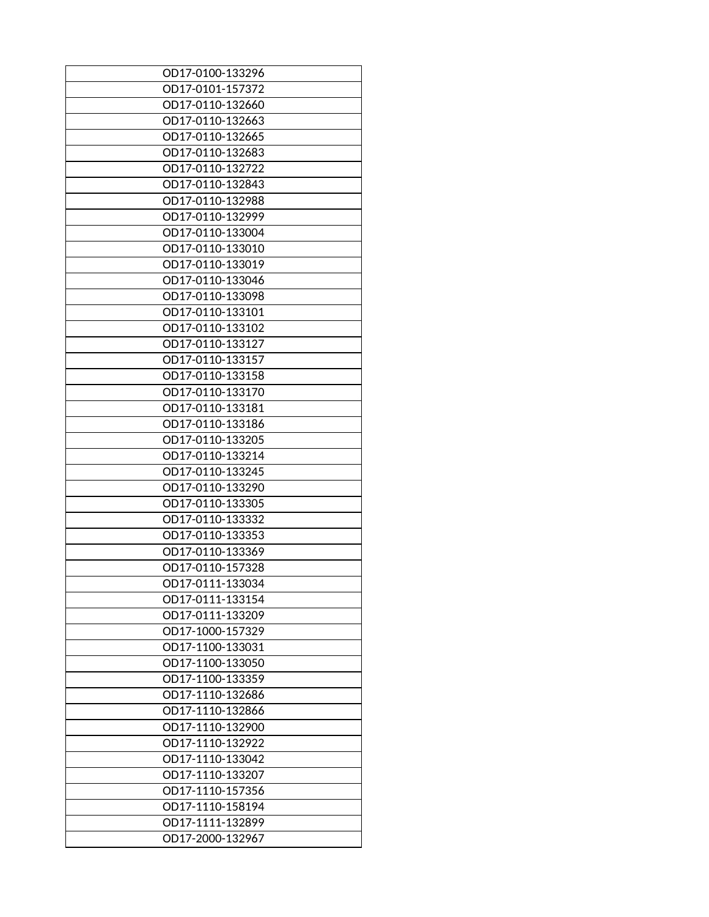| OD17-0100-133296 |
|------------------|
| OD17-0101-157372 |
| OD17-0110-132660 |
| OD17-0110-132663 |
| OD17-0110-132665 |
| OD17-0110-132683 |
| OD17-0110-132722 |
| OD17-0110-132843 |
| OD17-0110-132988 |
| OD17-0110-132999 |
| OD17-0110-133004 |
| OD17-0110-133010 |
| OD17-0110-133019 |
| OD17-0110-133046 |
| OD17-0110-133098 |
| OD17-0110-133101 |
| OD17-0110-133102 |
| OD17-0110-133127 |
| OD17-0110-133157 |
| OD17-0110-133158 |
| OD17-0110-133170 |
| OD17-0110-133181 |
| OD17-0110-133186 |
| OD17-0110-133205 |
| OD17-0110-133214 |
| OD17-0110-133245 |
| OD17-0110-133290 |
| OD17-0110-133305 |
| OD17-0110-133332 |
| OD17-0110-133353 |
| OD17-0110-133369 |
| OD17-0110-157328 |
| OD17-0111-133034 |
| OD17-0111-133154 |
| OD17-0111-133209 |
| OD17-1000-157329 |
| OD17-1100-133031 |
| OD17-1100-133050 |
| OD17-1100-133359 |
| OD17-1110-132686 |
| OD17-1110-132866 |
| OD17-1110-132900 |
| OD17-1110-132922 |
| OD17-1110-133042 |
| OD17-1110-133207 |
| OD17-1110-157356 |
| OD17-1110-158194 |
| OD17-1111-132899 |
| OD17-2000-132967 |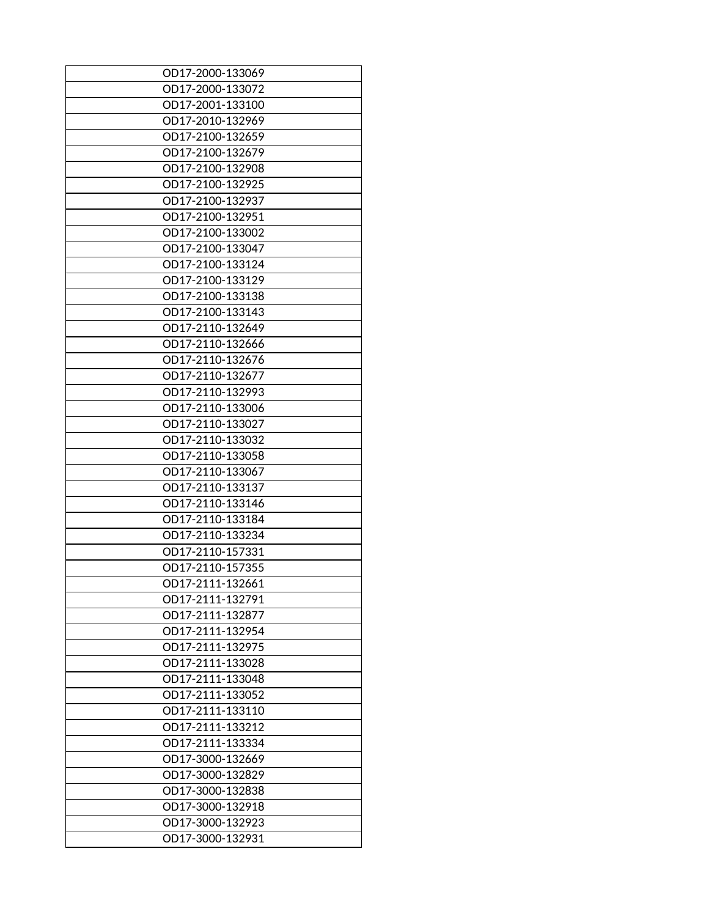| OD17-2000-133069 |
|------------------|
| OD17-2000-133072 |
| OD17-2001-133100 |
| OD17-2010-132969 |
| OD17-2100-132659 |
| OD17-2100-132679 |
| OD17-2100-132908 |
| OD17-2100-132925 |
| OD17-2100-132937 |
| OD17-2100-132951 |
| OD17-2100-133002 |
| OD17-2100-133047 |
| OD17-2100-133124 |
| OD17-2100-133129 |
| OD17-2100-133138 |
| OD17-2100-133143 |
| OD17-2110-132649 |
| OD17-2110-132666 |
| OD17-2110-132676 |
| OD17-2110-132677 |
| OD17-2110-132993 |
| OD17-2110-133006 |
| OD17-2110-133027 |
| OD17-2110-133032 |
| OD17-2110-133058 |
| OD17-2110-133067 |
| OD17-2110-133137 |
| OD17-2110-133146 |
| OD17-2110-133184 |
| OD17-2110-133234 |
| OD17-2110-157331 |
| OD17-2110-157355 |
| OD17-2111-132661 |
| OD17-2111-132791 |
| OD17-2111-132877 |
| OD17-2111-132954 |
| OD17-2111-132975 |
| OD17-2111-133028 |
| OD17-2111-133048 |
| OD17-2111-133052 |
| OD17-2111-133110 |
| OD17-2111-133212 |
| OD17-2111-133334 |
| OD17-3000-132669 |
| OD17-3000-132829 |
| OD17-3000-132838 |
| OD17-3000-132918 |
| OD17-3000-132923 |
| OD17-3000-132931 |
|                  |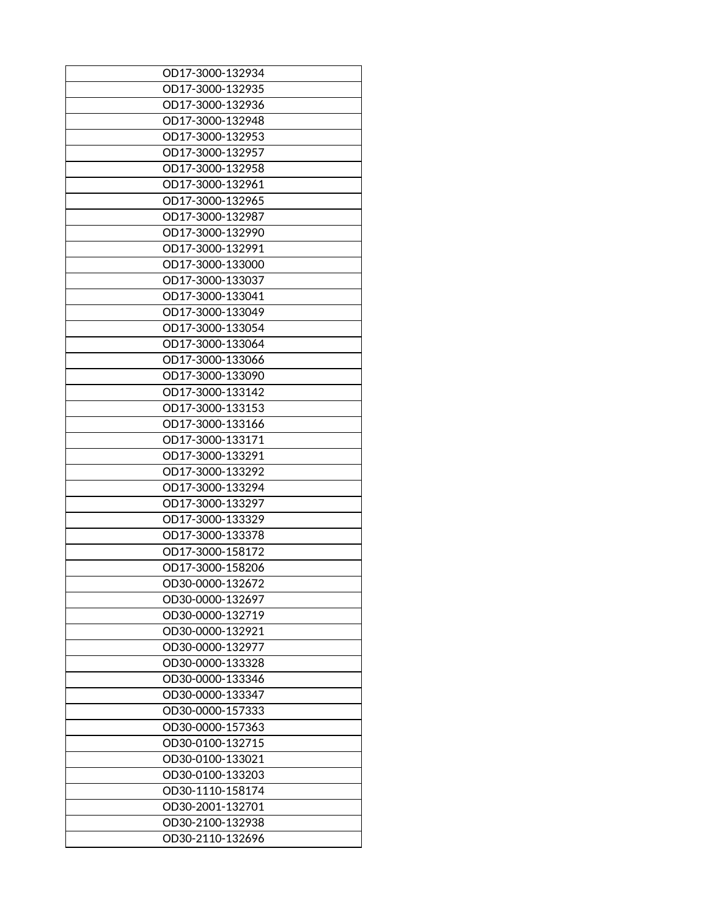| OD17-3000-132934                     |
|--------------------------------------|
| OD17-3000-132935                     |
| OD17-3000-132936                     |
| OD17-3000-132948                     |
| OD17-3000-132953                     |
| OD17-3000-132957                     |
| OD17-3000-132958                     |
| OD17-3000-132961                     |
| OD17-3000-132965                     |
| OD17-3000-132987                     |
| OD17-3000-132990                     |
| OD17-3000-132991                     |
| OD17-3000-133000                     |
| OD17-3000-133037                     |
| OD17-3000-133041                     |
| OD17-3000-133049                     |
| OD17-3000-133054                     |
| OD17-3000-133064                     |
| OD17-3000-133066                     |
| OD17-3000-133090                     |
| OD17-3000-133142                     |
| OD17-3000-133153                     |
| OD17-3000-133166                     |
| OD17-3000-133171                     |
| OD17-3000-133291                     |
| OD17-3000-133292                     |
| OD17-3000-133294                     |
| OD17-3000-133297                     |
| OD17-3000-133329                     |
| OD17-3000-133378                     |
| OD17-3000-158172                     |
| OD17-3000-158206                     |
|                                      |
| OD30-0000-132672<br>OD30-0000-132697 |
|                                      |
| OD30-0000-132719                     |
| OD30-0000-132921                     |
| OD30-0000-132977                     |
| OD30-0000-133328                     |
| OD30-0000-133346                     |
| OD30-0000-133347                     |
| OD30-0000-157333                     |
| OD30-0000-157363                     |
| OD30-0100-132715                     |
| OD30-0100-133021                     |
| OD30-0100-133203                     |
| OD30-1110-158174                     |
| OD30-2001-132701                     |
| OD30-2100-132938                     |
| OD30-2110-132696                     |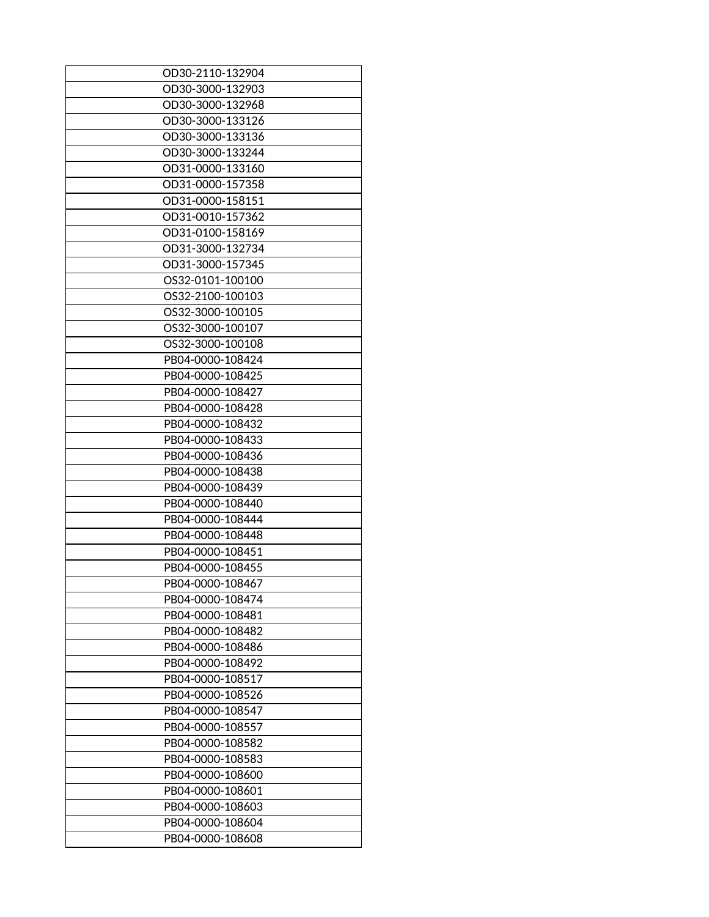| OD30-2110-132904 |
|------------------|
| OD30-3000-132903 |
|                  |
| OD30-3000-132968 |
| OD30-3000-133126 |
| OD30-3000-133136 |
| OD30-3000-133244 |
| OD31-0000-133160 |
| OD31-0000-157358 |
| OD31-0000-158151 |
| OD31-0010-157362 |
| OD31-0100-158169 |
| OD31-3000-132734 |
| OD31-3000-157345 |
| OS32-0101-100100 |
| OS32-2100-100103 |
| OS32-3000-100105 |
| OS32-3000-100107 |
| OS32-3000-100108 |
| PB04-0000-108424 |
| PB04-0000-108425 |
| PB04-0000-108427 |
|                  |
| PB04-0000-108428 |
| PB04-0000-108432 |
| PB04-0000-108433 |
| PB04-0000-108436 |
| PB04-0000-108438 |
| PB04-0000-108439 |
| PB04-0000-108440 |
| PB04-0000-108444 |
| PB04-0000-108448 |
| PB04-0000-108451 |
| PB04-0000-108455 |
| PB04-0000-108467 |
| PB04-0000-108474 |
| PB04-0000-108481 |
| PB04-0000-108482 |
| PB04-0000-108486 |
| PB04-0000-108492 |
| PB04-0000-108517 |
| PB04-0000-108526 |
| PB04-0000-108547 |
| PB04-0000-108557 |
| PB04-0000-108582 |
|                  |
| PB04-0000-108583 |
| PB04-0000-108600 |
| PB04-0000-108601 |
| PB04-0000-108603 |
| PB04-0000-108604 |
| PB04-0000-108608 |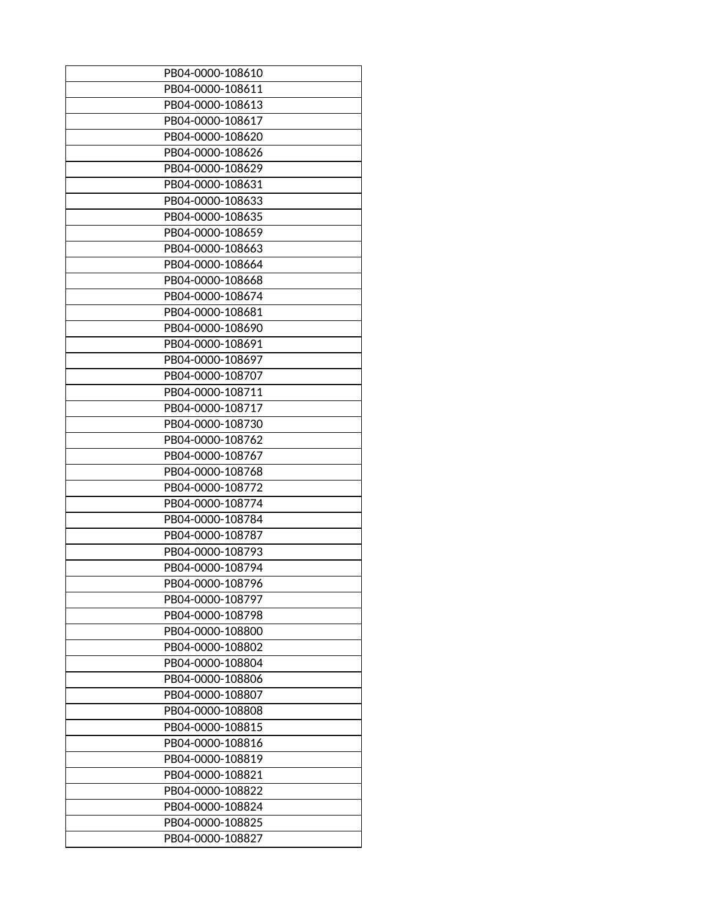| PB04-0000-108610 |
|------------------|
| PB04-0000-108611 |
|                  |
| PB04-0000-108613 |
| PB04-0000-108617 |
| PB04-0000-108620 |
| PB04-0000-108626 |
| PB04-0000-108629 |
| PB04-0000-108631 |
| PB04-0000-108633 |
| PB04-0000-108635 |
| PB04-0000-108659 |
| PB04-0000-108663 |
| PB04-0000-108664 |
| PB04-0000-108668 |
| PB04-0000-108674 |
| PB04-0000-108681 |
| PB04-0000-108690 |
| PB04-0000-108691 |
| PB04-0000-108697 |
| PB04-0000-108707 |
|                  |
| PB04-0000-108711 |
| PB04-0000-108717 |
| PB04-0000-108730 |
| PB04-0000-108762 |
| PB04-0000-108767 |
| PB04-0000-108768 |
| PB04-0000-108772 |
| PB04-0000-108774 |
| PB04-0000-108784 |
| PB04-0000-108787 |
| PB04-0000-108793 |
| PB04-0000-108794 |
| PB04-0000-108796 |
| PB04-0000-108797 |
| PB04-0000-108798 |
| PB04-0000-108800 |
| PB04-0000-108802 |
| PB04-0000-108804 |
| PB04-0000-108806 |
| PB04-0000-108807 |
| PB04-0000-108808 |
| PB04-0000-108815 |
| PB04-0000-108816 |
| PB04-0000-108819 |
| PB04-0000-108821 |
|                  |
| PB04-0000-108822 |
| PB04-0000-108824 |
| PB04-0000-108825 |
| PB04-0000-108827 |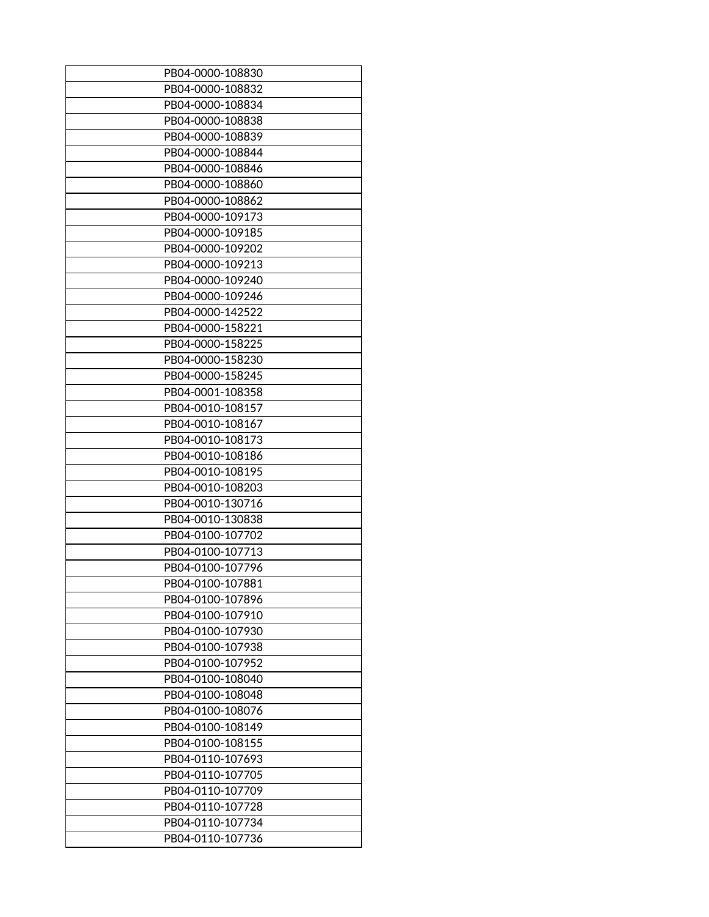| PB04-0000-108830 |
|------------------|
| PB04-0000-108832 |
| PB04-0000-108834 |
| PB04-0000-108838 |
| PB04-0000-108839 |
| PB04-0000-108844 |
| PB04-0000-108846 |
| PB04-0000-108860 |
| PB04-0000-108862 |
| PB04-0000-109173 |
| PB04-0000-109185 |
| PB04-0000-109202 |
| PB04-0000-109213 |
| PB04-0000-109240 |
| PB04-0000-109246 |
| PB04-0000-142522 |
| PB04-0000-158221 |
| PB04-0000-158225 |
|                  |
| PB04-0000-158230 |
| PB04-0000-158245 |
| PB04-0001-108358 |
| PB04-0010-108157 |
| PB04-0010-108167 |
| PB04-0010-108173 |
| PB04-0010-108186 |
| PB04-0010-108195 |
| PB04-0010-108203 |
| PB04-0010-130716 |
| PB04-0010-130838 |
| PB04-0100-107702 |
| PB04-0100-107713 |
| PB04-0100-107796 |
| PB04-0100-107881 |
| PB04-0100-107896 |
| PB04-0100-107910 |
| PB04-0100-107930 |
| PB04-0100-107938 |
| PB04-0100-107952 |
| PB04-0100-108040 |
| PB04-0100-108048 |
| PB04-0100-108076 |
| PB04-0100-108149 |
| PB04-0100-108155 |
| PB04-0110-107693 |
| PB04-0110-107705 |
|                  |
| PB04-0110-107709 |
| PB04-0110-107728 |
| PB04-0110-107734 |
| PB04-0110-107736 |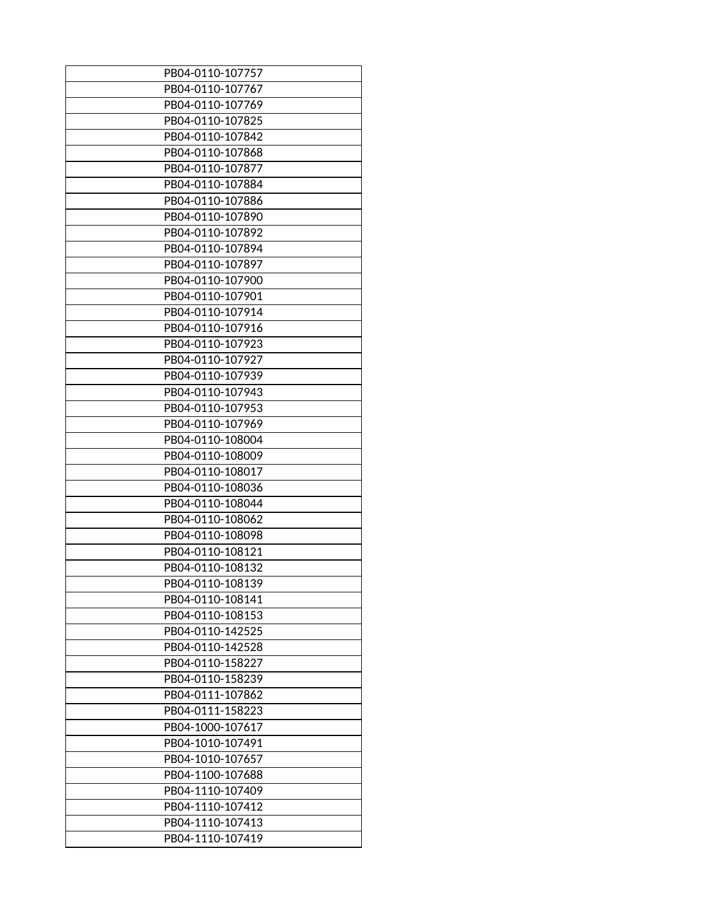| PB04-0110-107757                     |
|--------------------------------------|
| PB04-0110-107767                     |
| PB04-0110-107769                     |
| PB04-0110-107825                     |
| PB04-0110-107842                     |
| PB04-0110-107868                     |
| PB04-0110-107877                     |
| PB04-0110-107884                     |
| PB04-0110-107886                     |
| PB04-0110-107890                     |
| PB04-0110-107892                     |
| PB04-0110-107894                     |
| PB04-0110-107897                     |
| PB04-0110-107900                     |
| PB04-0110-107901                     |
| PB04-0110-107914                     |
| PB04-0110-107916                     |
| PB04-0110-107923                     |
| PB04-0110-107927                     |
| PB04-0110-107939                     |
| PB04-0110-107943                     |
| PB04-0110-107953                     |
| PB04-0110-107969                     |
| PB04-0110-108004                     |
| PB04-0110-108009                     |
| PB04-0110-108017                     |
| PB04-0110-108036                     |
| PB04-0110-108044                     |
| PB04-0110-108062                     |
| PB04-0110-108098                     |
| PB04-0110-108121                     |
|                                      |
| PB04-0110-108132<br>PB04-0110-108139 |
|                                      |
| PB04-0110-108141                     |
| PB04-0110-108153                     |
| PB04-0110-142525                     |
| PB04-0110-142528                     |
| PB04-0110-158227                     |
| PB04-0110-158239                     |
| PB04-0111-107862                     |
| PB04-0111-158223                     |
| PB04-1000-107617                     |
| PB04-1010-107491                     |
| PB04-1010-107657                     |
| PB04-1100-107688                     |
| PB04-1110-107409                     |
| PB04-1110-107412                     |
| PB04-1110-107413                     |
| PB04-1110-107419                     |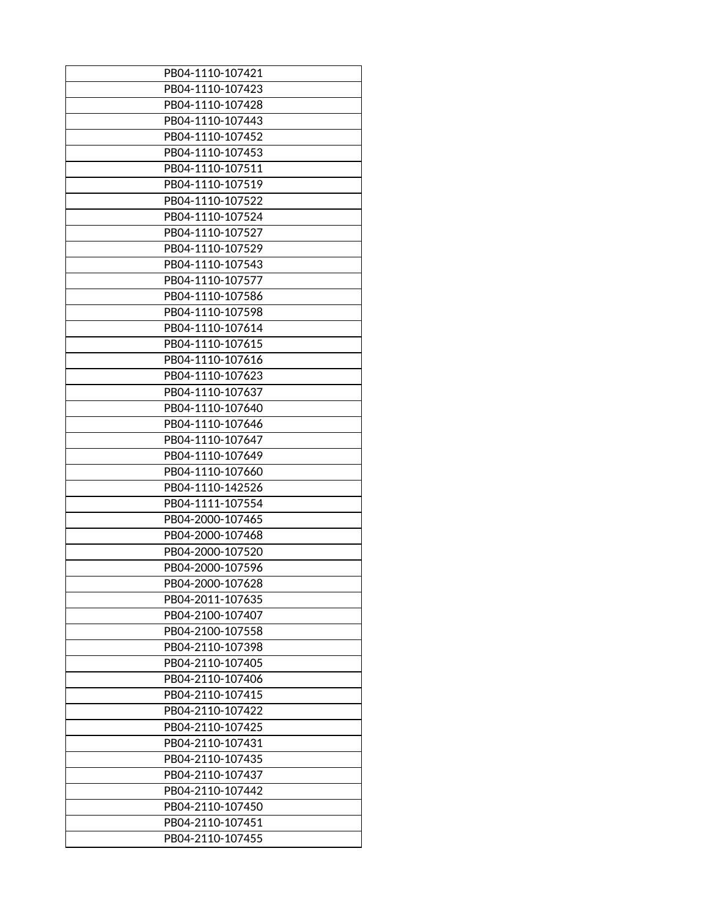| PB04-1110-107421 |
|------------------|
| PB04-1110-107423 |
| PB04-1110-107428 |
| PB04-1110-107443 |
| PB04-1110-107452 |
| PB04-1110-107453 |
| PB04-1110-107511 |
| PB04-1110-107519 |
| PB04-1110-107522 |
| PB04-1110-107524 |
| PB04-1110-107527 |
| PB04-1110-107529 |
| PB04-1110-107543 |
| PB04-1110-107577 |
|                  |
| PB04-1110-107586 |
| PB04-1110-107598 |
| PB04-1110-107614 |
| PB04-1110-107615 |
| PB04-1110-107616 |
| PB04-1110-107623 |
| PB04-1110-107637 |
| PB04-1110-107640 |
| PB04-1110-107646 |
| PB04-1110-107647 |
| PB04-1110-107649 |
| PB04-1110-107660 |
| PB04-1110-142526 |
| PB04-1111-107554 |
| PB04-2000-107465 |
| PB04-2000-107468 |
| PB04-2000-107520 |
| PB04-2000-107596 |
| PB04-2000-107628 |
| PB04-2011-107635 |
| PB04-2100-107407 |
| PB04-2100-107558 |
| PB04-2110-107398 |
| PB04-2110-107405 |
| PB04-2110-107406 |
| PB04-2110-107415 |
| PB04-2110-107422 |
| PB04-2110-107425 |
| PB04-2110-107431 |
| PB04-2110-107435 |
| PB04-2110-107437 |
| PB04-2110-107442 |
|                  |
| PB04-2110-107450 |
| PB04-2110-107451 |
| PB04-2110-107455 |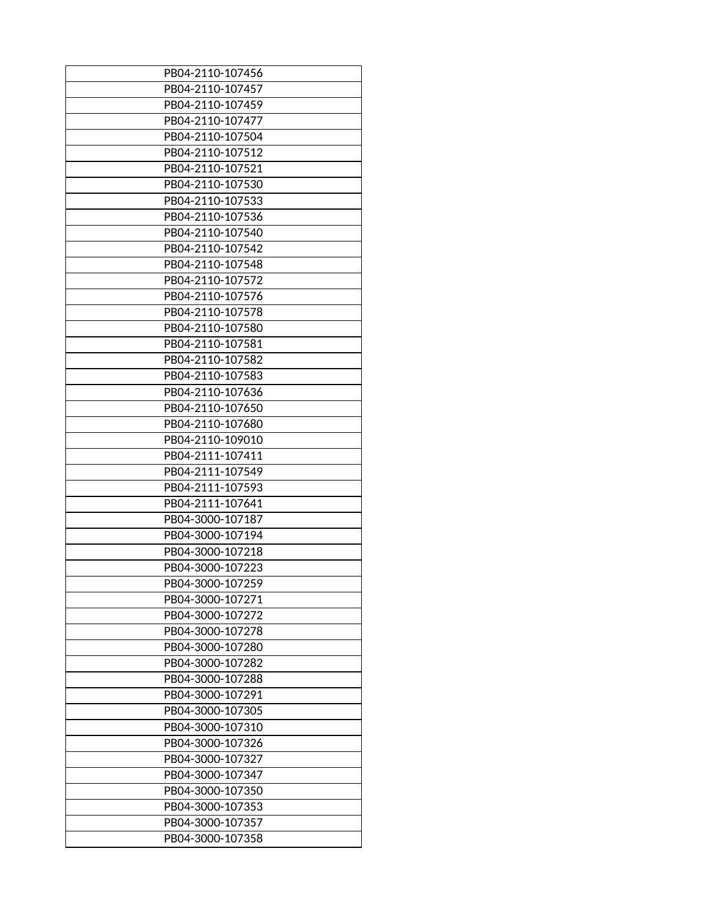| PB04-2110-107456 |
|------------------|
| PB04-2110-107457 |
| PB04-2110-107459 |
| PB04-2110-107477 |
| PB04-2110-107504 |
| PB04-2110-107512 |
| PB04-2110-107521 |
| PB04-2110-107530 |
| PB04-2110-107533 |
| PB04-2110-107536 |
| PB04-2110-107540 |
| PB04-2110-107542 |
| PB04-2110-107548 |
| PB04-2110-107572 |
| PB04-2110-107576 |
| PB04-2110-107578 |
| PB04-2110-107580 |
| PB04-2110-107581 |
| PB04-2110-107582 |
| PB04-2110-107583 |
|                  |
| PB04-2110-107636 |
| PB04-2110-107650 |
| PB04-2110-107680 |
| PB04-2110-109010 |
| PB04-2111-107411 |
| PB04-2111-107549 |
| PB04-2111-107593 |
| PB04-2111-107641 |
| PB04-3000-107187 |
| PB04-3000-107194 |
| PB04-3000-107218 |
| PB04-3000-107223 |
| PB04-3000-107259 |
| PB04-3000-107271 |
| PB04-3000-107272 |
| PB04-3000-107278 |
| PB04-3000-107280 |
| PB04-3000-107282 |
| PB04-3000-107288 |
| PB04-3000-107291 |
| PB04-3000-107305 |
| PB04-3000-107310 |
| PB04-3000-107326 |
| PB04-3000-107327 |
| PB04-3000-107347 |
| PB04-3000-107350 |
| PB04-3000-107353 |
| PB04-3000-107357 |
| PB04-3000-107358 |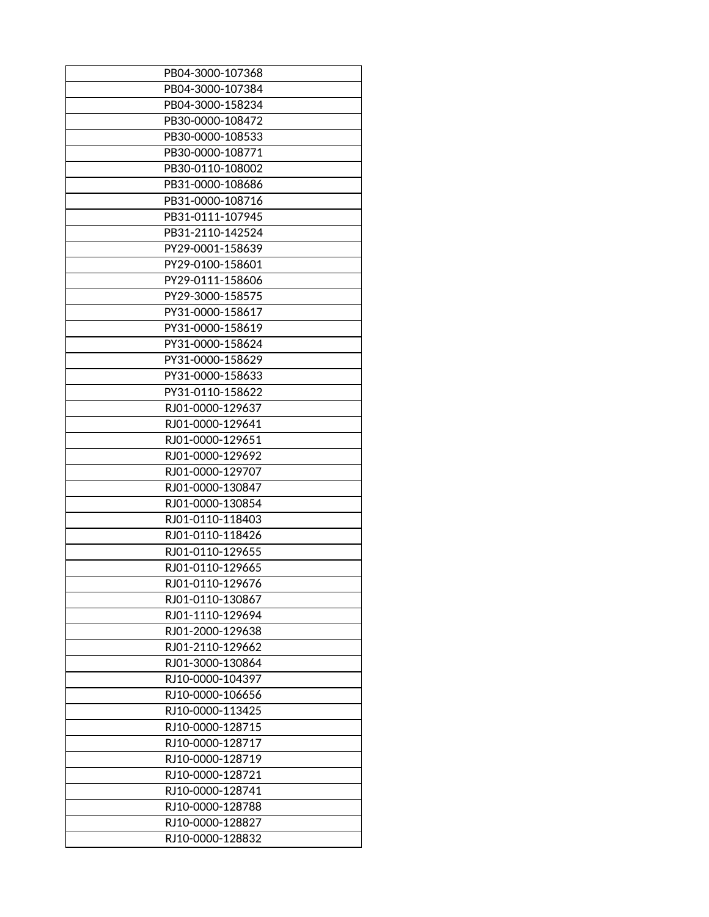| PB04-3000-107368 |
|------------------|
| PB04-3000-107384 |
| PB04-3000-158234 |
| PB30-0000-108472 |
| PB30-0000-108533 |
| PB30-0000-108771 |
| PB30-0110-108002 |
| PB31-0000-108686 |
| PB31-0000-108716 |
| PB31-0111-107945 |
| PB31-2110-142524 |
| PY29-0001-158639 |
| PY29-0100-158601 |
| PY29-0111-158606 |
| PY29-3000-158575 |
| PY31-0000-158617 |
| PY31-0000-158619 |
| PY31-0000-158624 |
| PY31-0000-158629 |
| PY31-0000-158633 |
| PY31-0110-158622 |
| RJ01-0000-129637 |
| RJ01-0000-129641 |
| RJ01-0000-129651 |
| RJ01-0000-129692 |
| RJ01-0000-129707 |
| RJ01-0000-130847 |
| RJ01-0000-130854 |
| RJ01-0110-118403 |
| RJ01-0110-118426 |
| RJ01-0110-129655 |
| RJ01-0110-129665 |
| RJ01-0110-129676 |
| RJ01-0110-130867 |
| RJ01-1110-129694 |
| RJ01-2000-129638 |
| RJ01-2110-129662 |
| RJ01-3000-130864 |
| RJ10-0000-104397 |
| RJ10-0000-106656 |
| RJ10-0000-113425 |
| RJ10-0000-128715 |
| RJ10-0000-128717 |
| RJ10-0000-128719 |
| RJ10-0000-128721 |
| RJ10-0000-128741 |
| RJ10-0000-128788 |
| RJ10-0000-128827 |
| RJ10-0000-128832 |
|                  |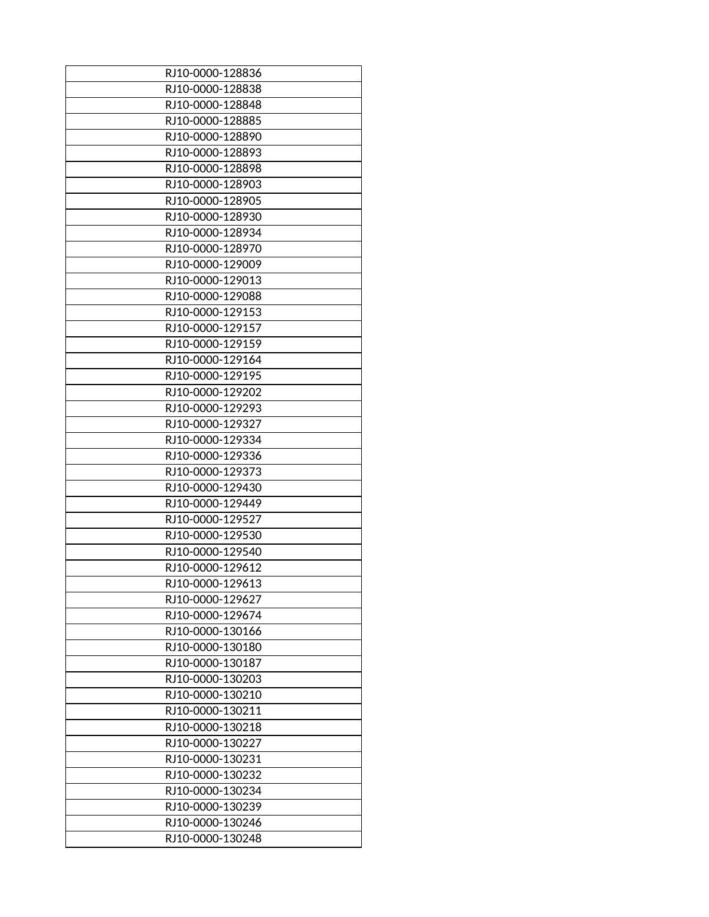| RJ10-0000-128836 |
|------------------|
| RJ10-0000-128838 |
| RJ10-0000-128848 |
| RJ10-0000-128885 |
| RJ10-0000-128890 |
| RJ10-0000-128893 |
| RJ10-0000-128898 |
| RJ10-0000-128903 |
| RJ10-0000-128905 |
| RJ10-0000-128930 |
| RJ10-0000-128934 |
| RJ10-0000-128970 |
| RJ10-0000-129009 |
|                  |
| RJ10-0000-129013 |
| RJ10-0000-129088 |
| RJ10-0000-129153 |
| RJ10-0000-129157 |
| RJ10-0000-129159 |
| RJ10-0000-129164 |
| RJ10-0000-129195 |
| RJ10-0000-129202 |
| RJ10-0000-129293 |
| RJ10-0000-129327 |
| RJ10-0000-129334 |
| RJ10-0000-129336 |
| RJ10-0000-129373 |
| RJ10-0000-129430 |
| RJ10-0000-129449 |
| RJ10-0000-129527 |
| RJ10-0000-129530 |
| RJ10-0000-129540 |
| RJ10-0000-129612 |
| RJ10-0000-129613 |
| RJ10-0000-129627 |
| RJ10-0000-129674 |
| RJ10-0000-130166 |
| RJ10-0000-130180 |
| RJ10-0000-130187 |
| RJ10-0000-130203 |
| RJ10-0000-130210 |
| RJ10-0000-130211 |
| RJ10-0000-130218 |
| RJ10-0000-130227 |
| RJ10-0000-130231 |
| RJ10-0000-130232 |
| RJ10-0000-130234 |
| RJ10-0000-130239 |
| RJ10-0000-130246 |
| RJ10-0000-130248 |
|                  |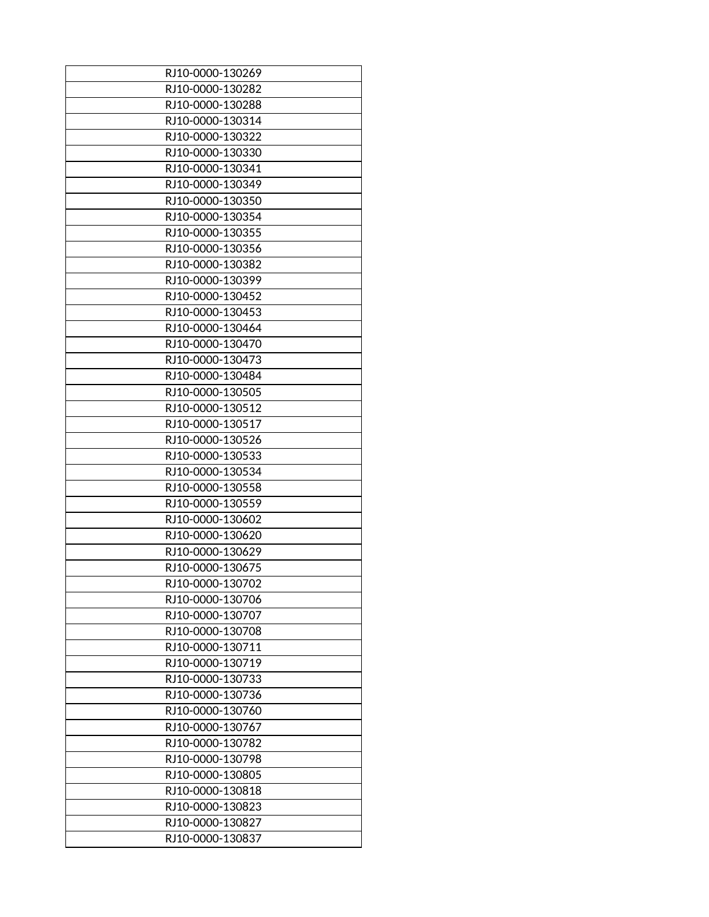| RJ10-0000-130269 |
|------------------|
| RJ10-0000-130282 |
| RJ10-0000-130288 |
| RJ10-0000-130314 |
| RJ10-0000-130322 |
| RJ10-0000-130330 |
| RJ10-0000-130341 |
| RJ10-0000-130349 |
| RJ10-0000-130350 |
| RJ10-0000-130354 |
|                  |
| RJ10-0000-130355 |
| RJ10-0000-130356 |
| RJ10-0000-130382 |
| RJ10-0000-130399 |
| RJ10-0000-130452 |
| RJ10-0000-130453 |
| RJ10-0000-130464 |
| RJ10-0000-130470 |
| RJ10-0000-130473 |
| RJ10-0000-130484 |
| RJ10-0000-130505 |
| RJ10-0000-130512 |
| RJ10-0000-130517 |
| RJ10-0000-130526 |
| RJ10-0000-130533 |
| RJ10-0000-130534 |
| RJ10-0000-130558 |
| RJ10-0000-130559 |
| RJ10-0000-130602 |
| RJ10-0000-130620 |
| RJ10-0000-130629 |
| RJ10-0000-130675 |
| RJ10-0000-130702 |
| RJ10-0000-130706 |
|                  |
| RJ10-0000-130707 |
| RJ10-0000-130708 |
| RJ10-0000-130711 |
| RJ10-0000-130719 |
| RJ10-0000-130733 |
| RJ10-0000-130736 |
| RJ10-0000-130760 |
| RJ10-0000-130767 |
| RJ10-0000-130782 |
| RJ10-0000-130798 |
| RJ10-0000-130805 |
| RJ10-0000-130818 |
| RJ10-0000-130823 |
| RJ10-0000-130827 |
| RJ10-0000-130837 |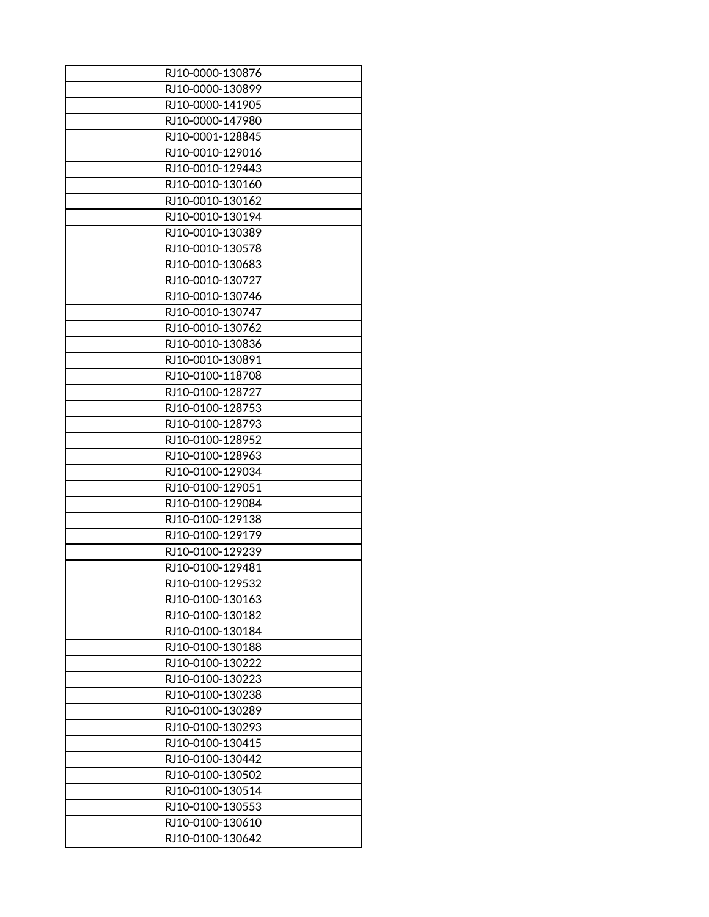| RJ10-0000-130876 |
|------------------|
| RJ10-0000-130899 |
|                  |
| RJ10-0000-141905 |
| RJ10-0000-147980 |
| RJ10-0001-128845 |
| RJ10-0010-129016 |
| RJ10-0010-129443 |
| RJ10-0010-130160 |
| RJ10-0010-130162 |
| RJ10-0010-130194 |
| RJ10-0010-130389 |
| RJ10-0010-130578 |
| RJ10-0010-130683 |
| RJ10-0010-130727 |
| RJ10-0010-130746 |
| RJ10-0010-130747 |
|                  |
| RJ10-0010-130762 |
| RJ10-0010-130836 |
| RJ10-0010-130891 |
| RJ10-0100-118708 |
| RJ10-0100-128727 |
| RJ10-0100-128753 |
| RJ10-0100-128793 |
| RJ10-0100-128952 |
| RJ10-0100-128963 |
| RJ10-0100-129034 |
| RJ10-0100-129051 |
| RJ10-0100-129084 |
| RJ10-0100-129138 |
| RJ10-0100-129179 |
| RJ10-0100-129239 |
| RJ10-0100-129481 |
| RJ10-0100-129532 |
| RJ10-0100-130163 |
| RJ10-0100-130182 |
| RJ10-0100-130184 |
|                  |
| RJ10-0100-130188 |
| RJ10-0100-130222 |
| RJ10-0100-130223 |
| RJ10-0100-130238 |
| RJ10-0100-130289 |
| RJ10-0100-130293 |
| RJ10-0100-130415 |
| RJ10-0100-130442 |
| RJ10-0100-130502 |
| RJ10-0100-130514 |
| RJ10-0100-130553 |
| RJ10-0100-130610 |
| RJ10-0100-130642 |
|                  |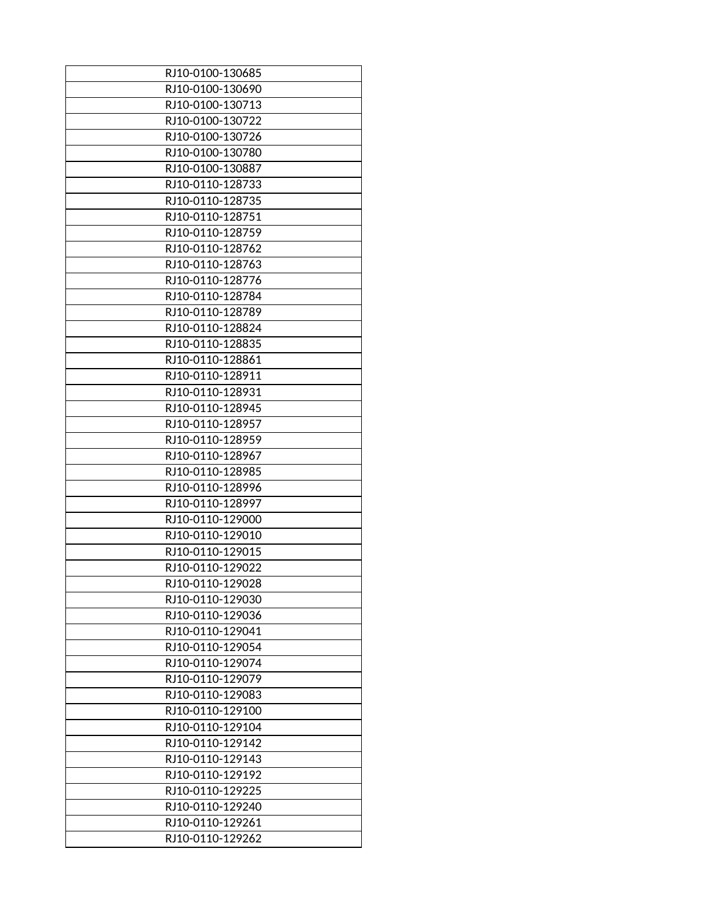| RJ10-0100-130685 |
|------------------|
| RJ10-0100-130690 |
| RJ10-0100-130713 |
| RJ10-0100-130722 |
| RJ10-0100-130726 |
| RJ10-0100-130780 |
|                  |
| RJ10-0100-130887 |
| RJ10-0110-128733 |
| RJ10-0110-128735 |
| RJ10-0110-128751 |
| RJ10-0110-128759 |
| RJ10-0110-128762 |
| RJ10-0110-128763 |
| RJ10-0110-128776 |
| RJ10-0110-128784 |
| RJ10-0110-128789 |
| RJ10-0110-128824 |
| RJ10-0110-128835 |
| RJ10-0110-128861 |
| RJ10-0110-128911 |
| RJ10-0110-128931 |
| RJ10-0110-128945 |
| RJ10-0110-128957 |
| RJ10-0110-128959 |
| RJ10-0110-128967 |
| RJ10-0110-128985 |
| RJ10-0110-128996 |
| RJ10-0110-128997 |
| RJ10-0110-129000 |
| RJ10-0110-129010 |
|                  |
| RJ10-0110-129015 |
| RJ10-0110-129022 |
| RJ10-0110-129028 |
| RJ10-0110-129030 |
| RJ10-0110-129036 |
| RJ10-0110-129041 |
| RJ10-0110-129054 |
| RJ10-0110-129074 |
| RJ10-0110-129079 |
| RJ10-0110-129083 |
| RJ10-0110-129100 |
| RJ10-0110-129104 |
| RJ10-0110-129142 |
| RJ10-0110-129143 |
| RJ10-0110-129192 |
| RJ10-0110-129225 |
| RJ10-0110-129240 |
| RJ10-0110-129261 |
| RJ10-0110-129262 |
|                  |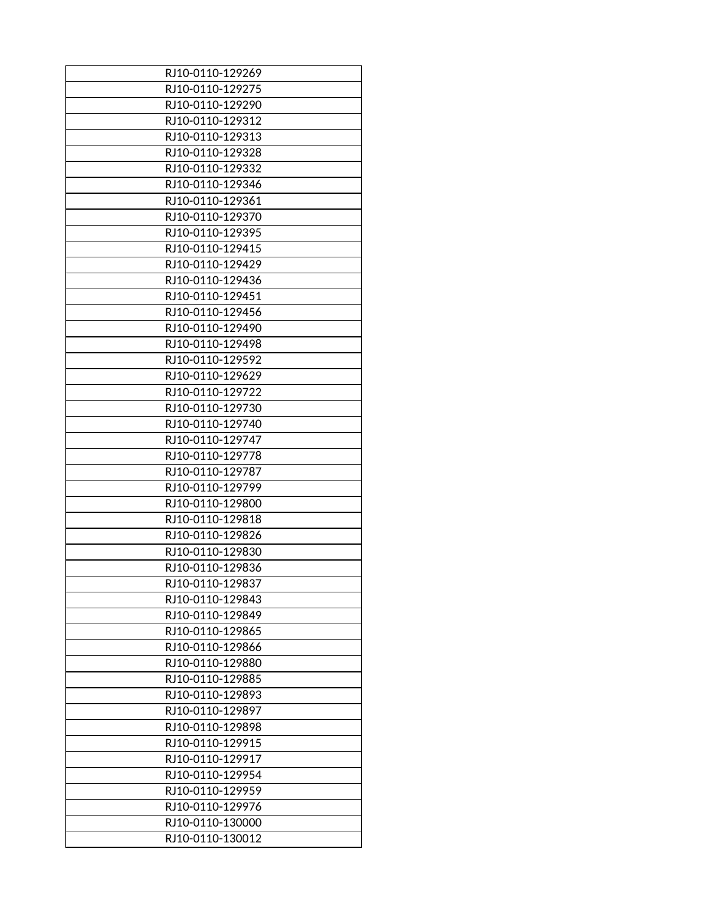| RJ10-0110-129269 |
|------------------|
| RJ10-0110-129275 |
| RJ10-0110-129290 |
| RJ10-0110-129312 |
| RJ10-0110-129313 |
| RJ10-0110-129328 |
| RJ10-0110-129332 |
| RJ10-0110-129346 |
| RJ10-0110-129361 |
| RJ10-0110-129370 |
| RJ10-0110-129395 |
| RJ10-0110-129415 |
| RJ10-0110-129429 |
|                  |
| RJ10-0110-129436 |
| RJ10-0110-129451 |
| RJ10-0110-129456 |
| RJ10-0110-129490 |
| RJ10-0110-129498 |
| RJ10-0110-129592 |
| RJ10-0110-129629 |
| RJ10-0110-129722 |
| RJ10-0110-129730 |
| RJ10-0110-129740 |
| RJ10-0110-129747 |
| RJ10-0110-129778 |
| RJ10-0110-129787 |
| RJ10-0110-129799 |
| RJ10-0110-129800 |
| RJ10-0110-129818 |
| RJ10-0110-129826 |
| RJ10-0110-129830 |
| RJ10-0110-129836 |
| RJ10-0110-129837 |
| RJ10-0110-129843 |
| RJ10-0110-129849 |
| RJ10-0110-129865 |
| RJ10-0110-129866 |
| RJ10-0110-129880 |
| RJ10-0110-129885 |
| RJ10-0110-129893 |
| RJ10-0110-129897 |
| RJ10-0110-129898 |
| RJ10-0110-129915 |
| RJ10-0110-129917 |
| RJ10-0110-129954 |
| RJ10-0110-129959 |
| RJ10-0110-129976 |
| RJ10-0110-130000 |
| RJ10-0110-130012 |
|                  |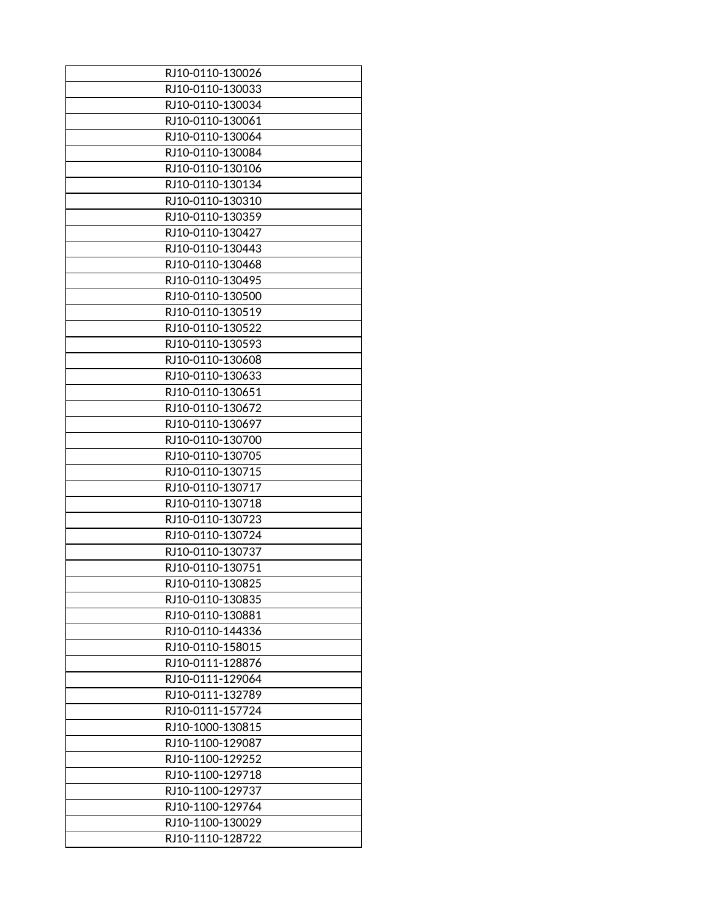| RJ10-0110-130026 |
|------------------|
|                  |
| RJ10-0110-130033 |
| RJ10-0110-130034 |
| RJ10-0110-130061 |
| RJ10-0110-130064 |
| RJ10-0110-130084 |
| RJ10-0110-130106 |
| RJ10-0110-130134 |
| RJ10-0110-130310 |
| RJ10-0110-130359 |
| RJ10-0110-130427 |
| RJ10-0110-130443 |
| RJ10-0110-130468 |
| RJ10-0110-130495 |
| RJ10-0110-130500 |
| RJ10-0110-130519 |
| RJ10-0110-130522 |
| RJ10-0110-130593 |
| RJ10-0110-130608 |
| RJ10-0110-130633 |
| RJ10-0110-130651 |
| RJ10-0110-130672 |
| RJ10-0110-130697 |
| RJ10-0110-130700 |
| RJ10-0110-130705 |
| RJ10-0110-130715 |
| RJ10-0110-130717 |
| RJ10-0110-130718 |
| RJ10-0110-130723 |
| RJ10-0110-130724 |
|                  |
| RJ10-0110-130737 |
| RJ10-0110-130751 |
| RJ10-0110-130825 |
| RJ10-0110-130835 |
| RJ10-0110-130881 |
| RJ10-0110-144336 |
| RJ10-0110-158015 |
| RJ10-0111-128876 |
| RJ10-0111-129064 |
| RJ10-0111-132789 |
| RJ10-0111-157724 |
| RJ10-1000-130815 |
| RJ10-1100-129087 |
| RJ10-1100-129252 |
| RJ10-1100-129718 |
| RJ10-1100-129737 |
| RJ10-1100-129764 |
| RJ10-1100-130029 |
| RJ10-1110-128722 |
|                  |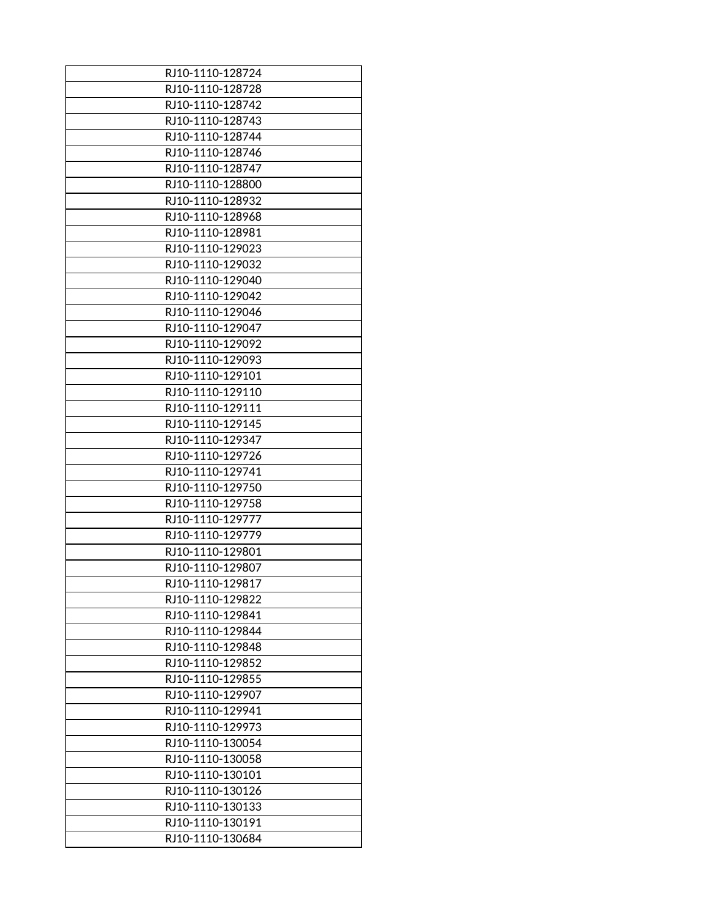| RJ10-1110-128724 |
|------------------|
| RJ10-1110-128728 |
| RJ10-1110-128742 |
| RJ10-1110-128743 |
| RJ10-1110-128744 |
| RJ10-1110-128746 |
| RJ10-1110-128747 |
| RJ10-1110-128800 |
| RJ10-1110-128932 |
| RJ10-1110-128968 |
| RJ10-1110-128981 |
| RJ10-1110-129023 |
| RJ10-1110-129032 |
| RJ10-1110-129040 |
| RJ10-1110-129042 |
| RJ10-1110-129046 |
| RJ10-1110-129047 |
|                  |
| RJ10-1110-129092 |
| RJ10-1110-129093 |
| RJ10-1110-129101 |
| RJ10-1110-129110 |
| RJ10-1110-129111 |
| RJ10-1110-129145 |
| RJ10-1110-129347 |
| RJ10-1110-129726 |
| RJ10-1110-129741 |
| RJ10-1110-129750 |
| RJ10-1110-129758 |
| RJ10-1110-129777 |
| RJ10-1110-129779 |
| RJ10-1110-129801 |
| RJ10-1110-129807 |
| RJ10-1110-129817 |
| RJ10-1110-129822 |
| RJ10-1110-129841 |
| RJ10-1110-129844 |
| RJ10-1110-129848 |
| RJ10-1110-129852 |
| RJ10-1110-129855 |
| RJ10-1110-129907 |
| RJ10-1110-129941 |
| RJ10-1110-129973 |
|                  |
| RJ10-1110-130054 |
| RJ10-1110-130058 |
| RJ10-1110-130101 |
| RJ10-1110-130126 |
| RJ10-1110-130133 |
| RJ10-1110-130191 |
| RJ10-1110-130684 |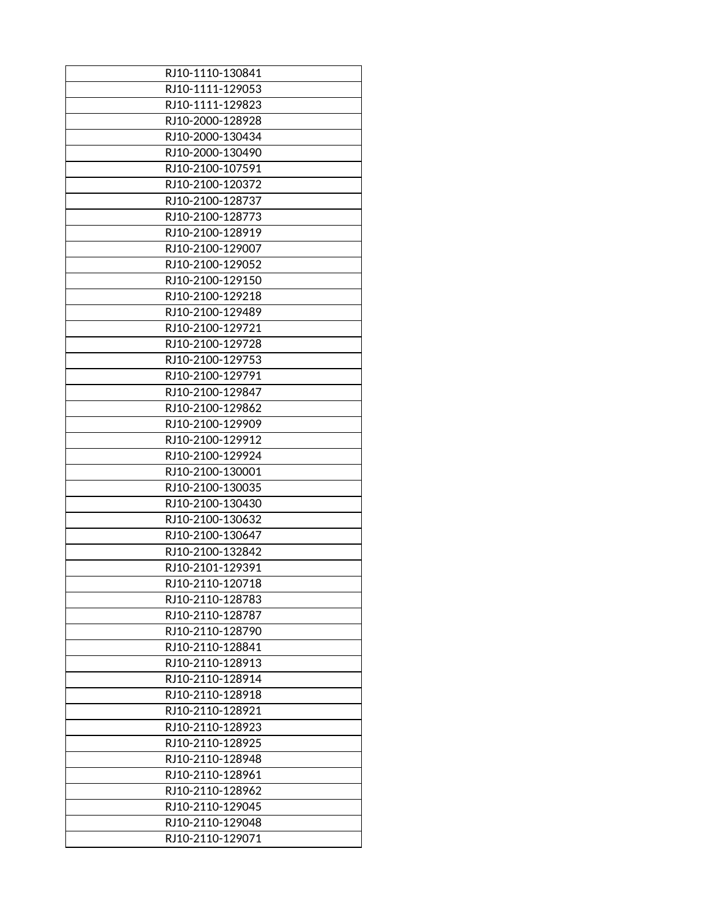| RJ10-1110-130841 |
|------------------|
| RJ10-1111-129053 |
| RJ10-1111-129823 |
| RJ10-2000-128928 |
| RJ10-2000-130434 |
| RJ10-2000-130490 |
| RJ10-2100-107591 |
| RJ10-2100-120372 |
| RJ10-2100-128737 |
| RJ10-2100-128773 |
| RJ10-2100-128919 |
| RJ10-2100-129007 |
| RJ10-2100-129052 |
|                  |
| RJ10-2100-129150 |
| RJ10-2100-129218 |
| RJ10-2100-129489 |
| RJ10-2100-129721 |
| RJ10-2100-129728 |
| RJ10-2100-129753 |
| RJ10-2100-129791 |
| RJ10-2100-129847 |
| RJ10-2100-129862 |
| RJ10-2100-129909 |
| RJ10-2100-129912 |
| RJ10-2100-129924 |
| RJ10-2100-130001 |
| RJ10-2100-130035 |
| RJ10-2100-130430 |
| RJ10-2100-130632 |
| RJ10-2100-130647 |
| RJ10-2100-132842 |
| RJ10-2101-129391 |
| RJ10-2110-120718 |
| RJ10-2110-128783 |
| RJ10-2110-128787 |
| RJ10-2110-128790 |
| RJ10-2110-128841 |
| RJ10-2110-128913 |
| RJ10-2110-128914 |
|                  |
| RJ10-2110-128918 |
| RJ10-2110-128921 |
| RJ10-2110-128923 |
| RJ10-2110-128925 |
| RJ10-2110-128948 |
| RJ10-2110-128961 |
| RJ10-2110-128962 |
| RJ10-2110-129045 |
| RJ10-2110-129048 |
| RJ10-2110-129071 |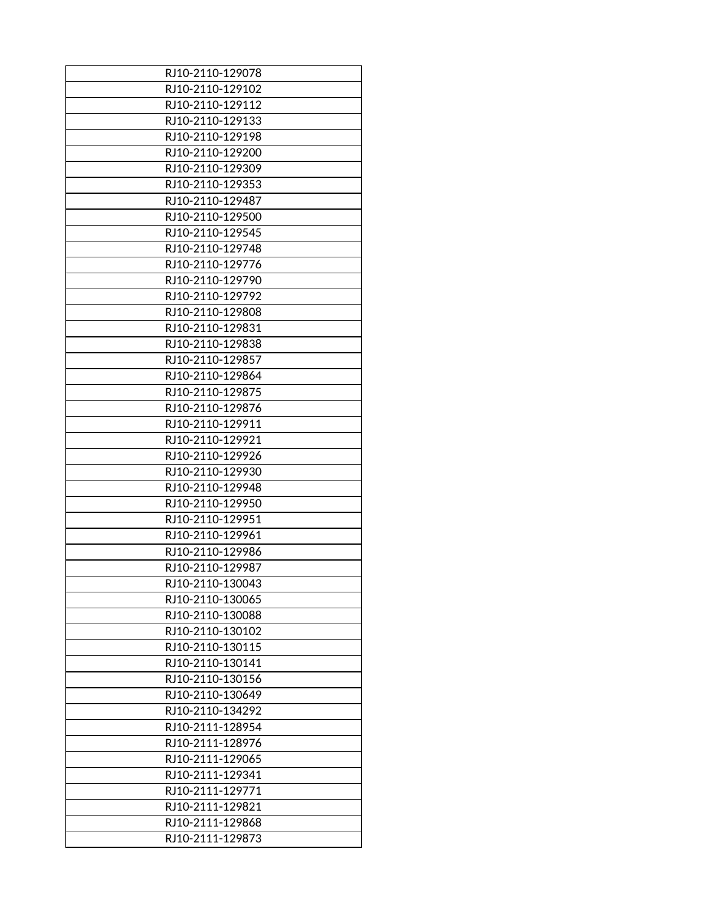| RJ10-2110-129078 |
|------------------|
| RJ10-2110-129102 |
| RJ10-2110-129112 |
| RJ10-2110-129133 |
| RJ10-2110-129198 |
| RJ10-2110-129200 |
| RJ10-2110-129309 |
| RJ10-2110-129353 |
| RJ10-2110-129487 |
| RJ10-2110-129500 |
| RJ10-2110-129545 |
| RJ10-2110-129748 |
| RJ10-2110-129776 |
| RJ10-2110-129790 |
| RJ10-2110-129792 |
| RJ10-2110-129808 |
| RJ10-2110-129831 |
| RJ10-2110-129838 |
| RJ10-2110-129857 |
| RJ10-2110-129864 |
| RJ10-2110-129875 |
| RJ10-2110-129876 |
| RJ10-2110-129911 |
| RJ10-2110-129921 |
| RJ10-2110-129926 |
| RJ10-2110-129930 |
| RJ10-2110-129948 |
| RJ10-2110-129950 |
| RJ10-2110-129951 |
| RJ10-2110-129961 |
| RJ10-2110-129986 |
| RJ10-2110-129987 |
| RJ10-2110-130043 |
| RJ10-2110-130065 |
| RJ10-2110-130088 |
| RJ10-2110-130102 |
| RJ10-2110-130115 |
| RJ10-2110-130141 |
| RJ10-2110-130156 |
| RJ10-2110-130649 |
| RJ10-2110-134292 |
| RJ10-2111-128954 |
| RJ10-2111-128976 |
| RJ10-2111-129065 |
| RJ10-2111-129341 |
| RJ10-2111-129771 |
| RJ10-2111-129821 |
| RJ10-2111-129868 |
| RJ10-2111-129873 |
|                  |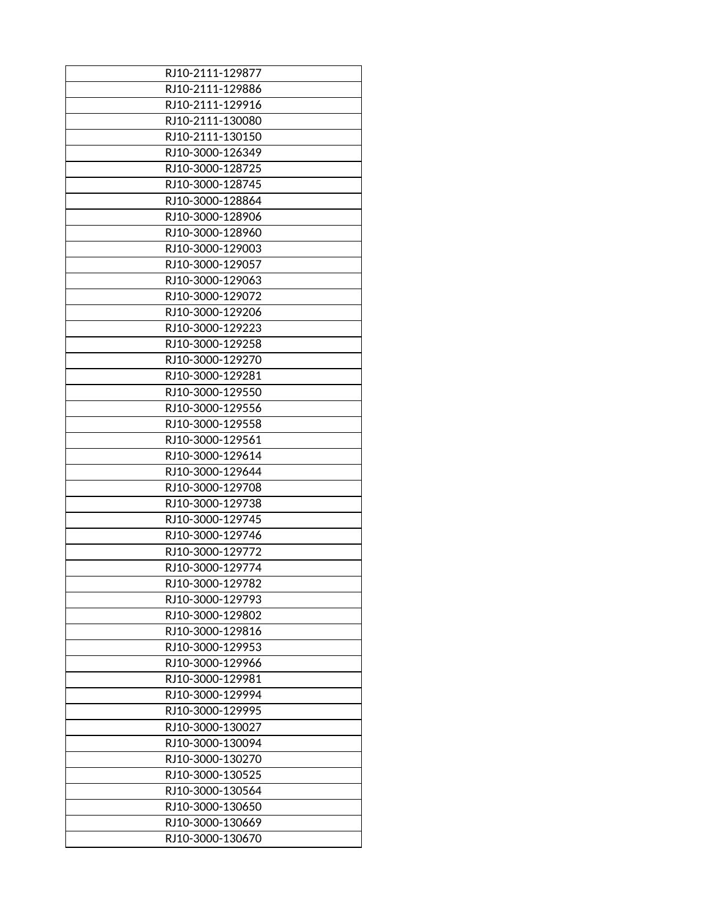| RJ10-2111-129877                     |
|--------------------------------------|
| RJ10-2111-129886                     |
| RJ10-2111-129916                     |
| RJ10-2111-130080                     |
| RJ10-2111-130150                     |
| RJ10-3000-126349                     |
| RJ10-3000-128725                     |
| RJ10-3000-128745                     |
| RJ10-3000-128864                     |
| RJ10-3000-128906                     |
| RJ10-3000-128960                     |
| RJ10-3000-129003                     |
| RJ10-3000-129057                     |
| RJ10-3000-129063                     |
| RJ10-3000-129072                     |
| RJ10-3000-129206                     |
| RJ10-3000-129223                     |
| RJ10-3000-129258                     |
| RJ10-3000-129270                     |
| RJ10-3000-129281                     |
| RJ10-3000-129550                     |
| RJ10-3000-129556                     |
| RJ10-3000-129558                     |
|                                      |
| RJ10-3000-129561                     |
| RJ10-3000-129614<br>RJ10-3000-129644 |
| RJ10-3000-129708                     |
|                                      |
| RJ10-3000-129738                     |
| RJ10-3000-129745                     |
| RJ10-3000-129746                     |
| RJ10-3000-129772                     |
| RJ10-3000-129774                     |
| RJ10-3000-129782                     |
| RJ10-3000-129793                     |
| RJ10-3000-129802                     |
| RJ10-3000-129816                     |
| RJ10-3000-129953                     |
| RJ10-3000-129966                     |
| RJ10-3000-129981                     |
| RJ10-3000-129994                     |
| RJ10-3000-129995                     |
| RJ10-3000-130027                     |
| RJ10-3000-130094                     |
| RJ10-3000-130270                     |
| RJ10-3000-130525                     |
| RJ10-3000-130564                     |
| RJ10-3000-130650                     |
| RJ10-3000-130669                     |
| RJ10-3000-130670                     |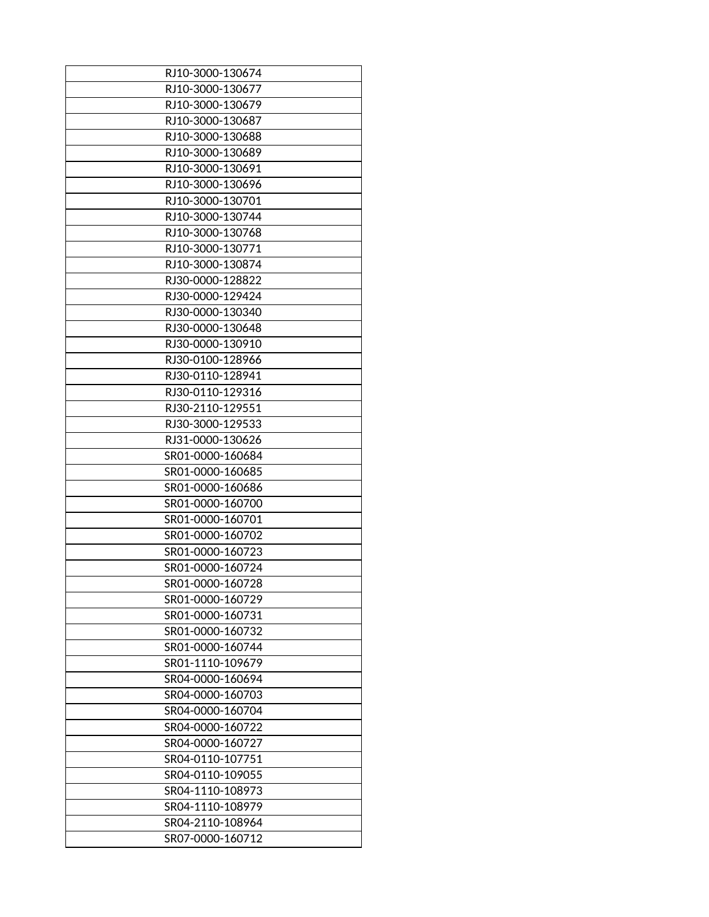| RJ10-3000-130674 |
|------------------|
| RJ10-3000-130677 |
| RJ10-3000-130679 |
| RJ10-3000-130687 |
| RJ10-3000-130688 |
| RJ10-3000-130689 |
| RJ10-3000-130691 |
| RJ10-3000-130696 |
| RJ10-3000-130701 |
| RJ10-3000-130744 |
| RJ10-3000-130768 |
| RJ10-3000-130771 |
| RJ10-3000-130874 |
| RJ30-0000-128822 |
|                  |
| RJ30-0000-129424 |
| RJ30-0000-130340 |
| RJ30-0000-130648 |
| RJ30-0000-130910 |
| RJ30-0100-128966 |
| RJ30-0110-128941 |
| RJ30-0110-129316 |
| RJ30-2110-129551 |
| RJ30-3000-129533 |
| RJ31-0000-130626 |
| SR01-0000-160684 |
| SR01-0000-160685 |
| SR01-0000-160686 |
| SR01-0000-160700 |
| SR01-0000-160701 |
| SR01-0000-160702 |
| SR01-0000-160723 |
| SR01-0000-160724 |
| SR01-0000-160728 |
| SR01-0000-160729 |
| SR01-0000-160731 |
| SR01-0000-160732 |
| SR01-0000-160744 |
| SR01-1110-109679 |
| SR04-0000-160694 |
| SR04-0000-160703 |
| SR04-0000-160704 |
| SR04-0000-160722 |
| SR04-0000-160727 |
| SR04-0110-107751 |
| SR04-0110-109055 |
| SR04-1110-108973 |
| SR04-1110-108979 |
| SR04-2110-108964 |
| SR07-0000-160712 |
|                  |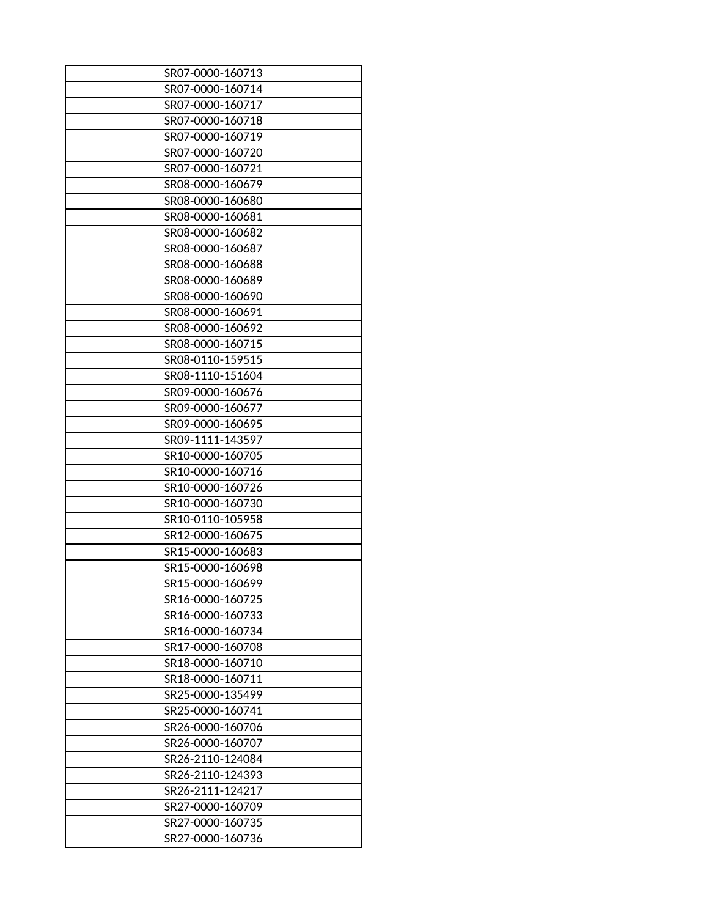| SR07-0000-160713 |
|------------------|
| SR07-0000-160714 |
| SR07-0000-160717 |
| SR07-0000-160718 |
| SR07-0000-160719 |
| SR07-0000-160720 |
| SR07-0000-160721 |
| SR08-0000-160679 |
| SR08-0000-160680 |
| SR08-0000-160681 |
| SR08-0000-160682 |
| SR08-0000-160687 |
| SR08-0000-160688 |
| SR08-0000-160689 |
| SR08-0000-160690 |
| SR08-0000-160691 |
| SR08-0000-160692 |
| SR08-0000-160715 |
| SR08-0110-159515 |
| SR08-1110-151604 |
| SR09-0000-160676 |
| SR09-0000-160677 |
| SR09-0000-160695 |
| SR09-1111-143597 |
| SR10-0000-160705 |
| SR10-0000-160716 |
| SR10-0000-160726 |
| SR10-0000-160730 |
| SR10-0110-105958 |
| SR12-0000-160675 |
| SR15-0000-160683 |
|                  |
| SR15-0000-160698 |
| SR15-0000-160699 |
| SR16-0000-160725 |
| SR16-0000-160733 |
| SR16-0000-160734 |
| SR17-0000-160708 |
| SR18-0000-160710 |
| SR18-0000-160711 |
| SR25-0000-135499 |
| SR25-0000-160741 |
| SR26-0000-160706 |
| SR26-0000-160707 |
| SR26-2110-124084 |
| SR26-2110-124393 |
| SR26-2111-124217 |
| SR27-0000-160709 |
| SR27-0000-160735 |
| SR27-0000-160736 |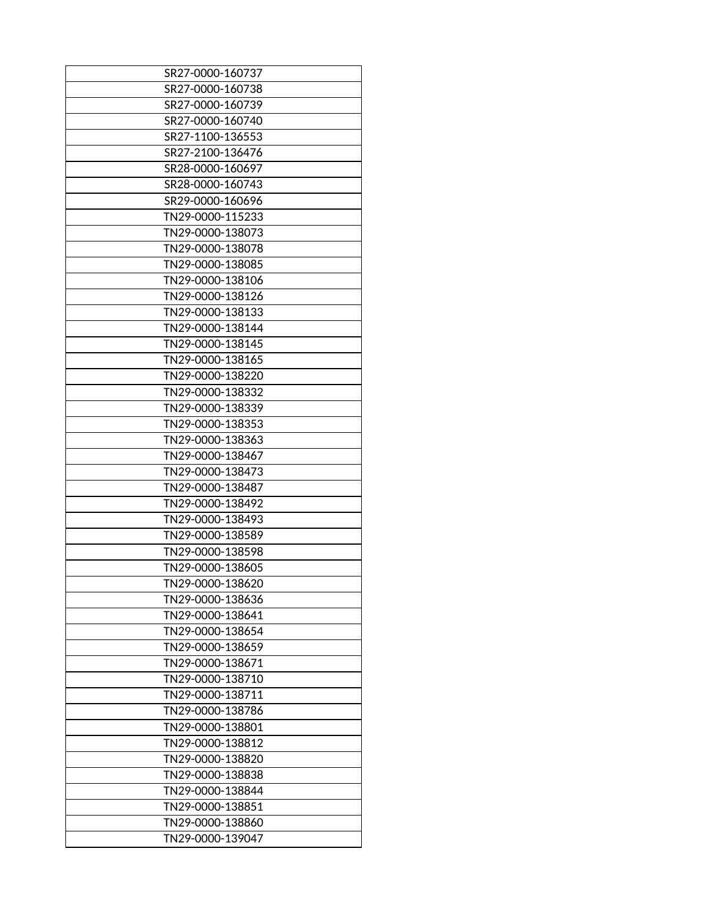| SR27-0000-160737 |
|------------------|
| SR27-0000-160738 |
| SR27-0000-160739 |
| SR27-0000-160740 |
| SR27-1100-136553 |
| SR27-2100-136476 |
| SR28-0000-160697 |
| SR28-0000-160743 |
| SR29-0000-160696 |
| TN29-0000-115233 |
| TN29-0000-138073 |
| TN29-0000-138078 |
| TN29-0000-138085 |
| TN29-0000-138106 |
| TN29-0000-138126 |
|                  |
| TN29-0000-138133 |
| TN29-0000-138144 |
| TN29-0000-138145 |
| TN29-0000-138165 |
| TN29-0000-138220 |
| TN29-0000-138332 |
| TN29-0000-138339 |
| TN29-0000-138353 |
| TN29-0000-138363 |
| TN29-0000-138467 |
| TN29-0000-138473 |
| TN29-0000-138487 |
| TN29-0000-138492 |
| TN29-0000-138493 |
| TN29-0000-138589 |
| TN29-0000-138598 |
| TN29-0000-138605 |
| TN29-0000-138620 |
| TN29-0000-138636 |
| TN29-0000-138641 |
| TN29-0000-138654 |
| TN29-0000-138659 |
| TN29-0000-138671 |
| TN29-0000-138710 |
| TN29-0000-138711 |
| TN29-0000-138786 |
| TN29-0000-138801 |
| TN29-0000-138812 |
| TN29-0000-138820 |
| TN29-0000-138838 |
| TN29-0000-138844 |
| TN29-0000-138851 |
| TN29-0000-138860 |
| TN29-0000-139047 |
|                  |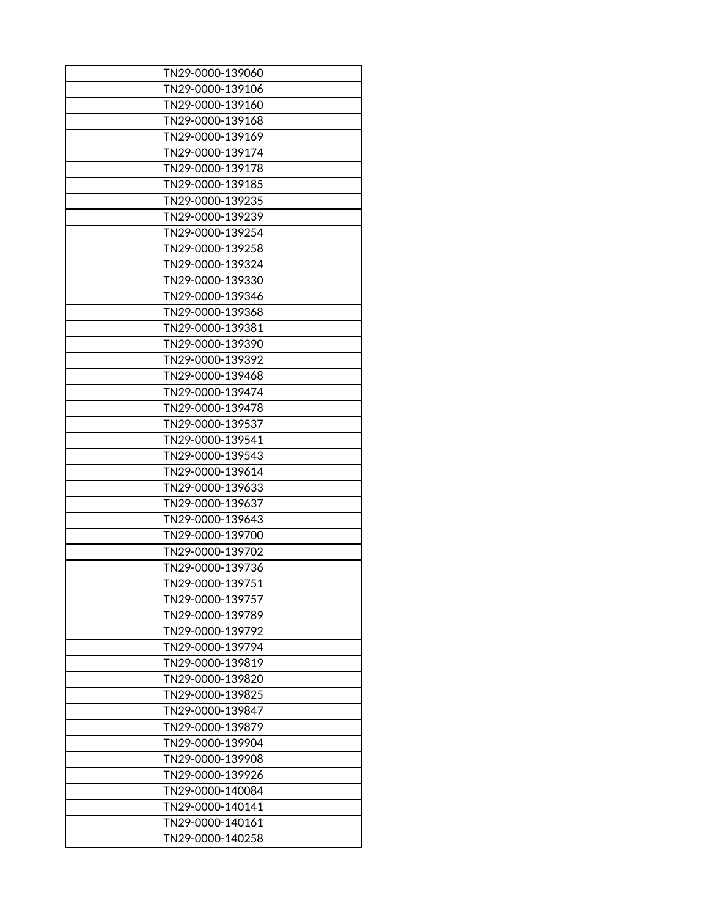| TN29-0000-139060 |
|------------------|
| TN29-0000-139106 |
| TN29-0000-139160 |
| TN29-0000-139168 |
| TN29-0000-139169 |
| TN29-0000-139174 |
|                  |
| TN29-0000-139178 |
| TN29-0000-139185 |
| TN29-0000-139235 |
| TN29-0000-139239 |
| TN29-0000-139254 |
| TN29-0000-139258 |
| TN29-0000-139324 |
| TN29-0000-139330 |
| TN29-0000-139346 |
| TN29-0000-139368 |
| TN29-0000-139381 |
| TN29-0000-139390 |
| TN29-0000-139392 |
| TN29-0000-139468 |
| TN29-0000-139474 |
| TN29-0000-139478 |
| TN29-0000-139537 |
| TN29-0000-139541 |
| TN29-0000-139543 |
| TN29-0000-139614 |
| TN29-0000-139633 |
| TN29-0000-139637 |
| TN29-0000-139643 |
| TN29-0000-139700 |
| TN29-0000-139702 |
| TN29-0000-139736 |
| TN29-0000-139751 |
|                  |
| TN29-0000-139757 |
| TN29-0000-139789 |
| TN29-0000-139792 |
| TN29-0000-139794 |
| TN29-0000-139819 |
| TN29-0000-139820 |
| TN29-0000-139825 |
| TN29-0000-139847 |
| TN29-0000-139879 |
| TN29-0000-139904 |
| TN29-0000-139908 |
| TN29-0000-139926 |
| TN29-0000-140084 |
| TN29-0000-140141 |
| TN29-0000-140161 |
| TN29-0000-140258 |
|                  |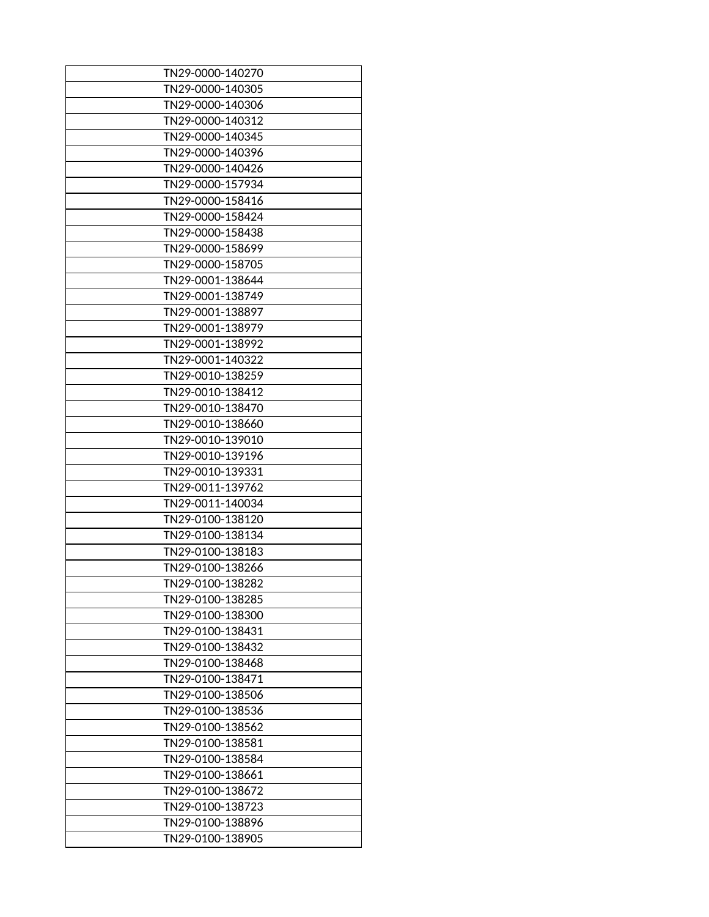| TN29-0000-140270 |
|------------------|
| TN29-0000-140305 |
| TN29-0000-140306 |
| TN29-0000-140312 |
|                  |
| TN29-0000-140345 |
| TN29-0000-140396 |
| TN29-0000-140426 |
| TN29-0000-157934 |
| TN29-0000-158416 |
| TN29-0000-158424 |
| TN29-0000-158438 |
| TN29-0000-158699 |
| TN29-0000-158705 |
| TN29-0001-138644 |
| TN29-0001-138749 |
| TN29-0001-138897 |
| TN29-0001-138979 |
| TN29-0001-138992 |
| TN29-0001-140322 |
| TN29-0010-138259 |
| TN29-0010-138412 |
| TN29-0010-138470 |
| TN29-0010-138660 |
| TN29-0010-139010 |
| TN29-0010-139196 |
| TN29-0010-139331 |
| TN29-0011-139762 |
| TN29-0011-140034 |
| TN29-0100-138120 |
| TN29-0100-138134 |
| TN29-0100-138183 |
|                  |
| TN29-0100-138266 |
| TN29-0100-138282 |
| TN29-0100-138285 |
| TN29-0100-138300 |
| TN29-0100-138431 |
| TN29-0100-138432 |
| TN29-0100-138468 |
| TN29-0100-138471 |
| TN29-0100-138506 |
| TN29-0100-138536 |
| TN29-0100-138562 |
| TN29-0100-138581 |
| TN29-0100-138584 |
| TN29-0100-138661 |
| TN29-0100-138672 |
| TN29-0100-138723 |
| TN29-0100-138896 |
| TN29-0100-138905 |
|                  |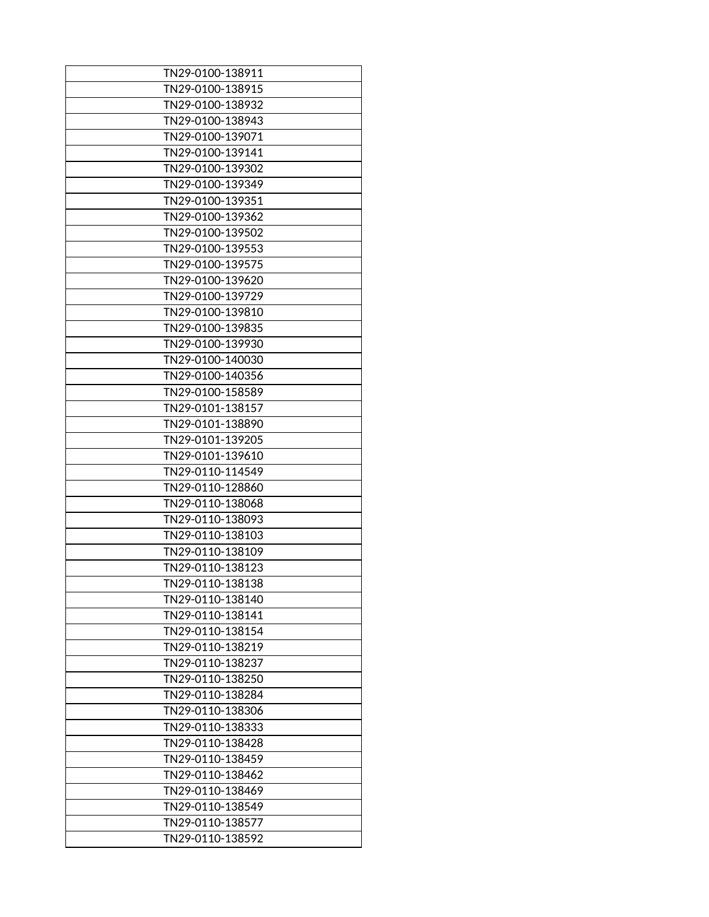| TN29-0100-138911 |
|------------------|
| TN29-0100-138915 |
| TN29-0100-138932 |
| TN29-0100-138943 |
| TN29-0100-139071 |
| TN29-0100-139141 |
| TN29-0100-139302 |
| TN29-0100-139349 |
| TN29-0100-139351 |
| TN29-0100-139362 |
| TN29-0100-139502 |
| TN29-0100-139553 |
|                  |
| TN29-0100-139575 |
| TN29-0100-139620 |
| TN29-0100-139729 |
| TN29-0100-139810 |
| TN29-0100-139835 |
| TN29-0100-139930 |
| TN29-0100-140030 |
| TN29-0100-140356 |
| TN29-0100-158589 |
| TN29-0101-138157 |
| TN29-0101-138890 |
| TN29-0101-139205 |
| TN29-0101-139610 |
| TN29-0110-114549 |
| TN29-0110-128860 |
| TN29-0110-138068 |
| TN29-0110-138093 |
| TN29-0110-138103 |
| TN29-0110-138109 |
| TN29-0110-138123 |
| TN29-0110-138138 |
| TN29-0110-138140 |
| TN29-0110-138141 |
| TN29-0110-138154 |
| TN29-0110-138219 |
| TN29-0110-138237 |
| TN29-0110-138250 |
| TN29-0110-138284 |
| TN29-0110-138306 |
| TN29-0110-138333 |
| TN29-0110-138428 |
| TN29-0110-138459 |
| TN29-0110-138462 |
| TN29-0110-138469 |
| TN29-0110-138549 |
| TN29-0110-138577 |
| TN29-0110-138592 |
|                  |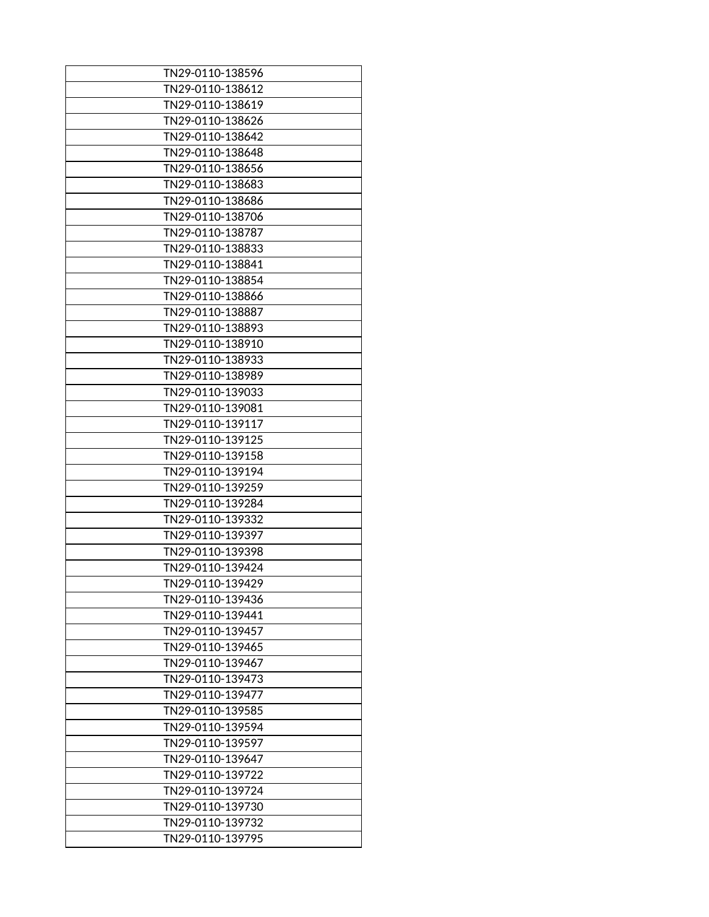| TN29-0110-138596 |
|------------------|
| TN29-0110-138612 |
| TN29-0110-138619 |
| TN29-0110-138626 |
| TN29-0110-138642 |
| TN29-0110-138648 |
| TN29-0110-138656 |
| TN29-0110-138683 |
| TN29-0110-138686 |
| TN29-0110-138706 |
| TN29-0110-138787 |
| TN29-0110-138833 |
| TN29-0110-138841 |
| TN29-0110-138854 |
| TN29-0110-138866 |
| TN29-0110-138887 |
| TN29-0110-138893 |
| TN29-0110-138910 |
| TN29-0110-138933 |
| TN29-0110-138989 |
| TN29-0110-139033 |
| TN29-0110-139081 |
| TN29-0110-139117 |
| TN29-0110-139125 |
| TN29-0110-139158 |
| TN29-0110-139194 |
| TN29-0110-139259 |
| TN29-0110-139284 |
| TN29-0110-139332 |
| TN29-0110-139397 |
| TN29-0110-139398 |
| TN29-0110-139424 |
| TN29-0110-139429 |
| TN29-0110-139436 |
| TN29-0110-139441 |
| TN29-0110-139457 |
| TN29-0110-139465 |
| TN29-0110-139467 |
| TN29-0110-139473 |
| TN29-0110-139477 |
| TN29-0110-139585 |
| TN29-0110-139594 |
| TN29-0110-139597 |
| TN29-0110-139647 |
| TN29-0110-139722 |
| TN29-0110-139724 |
| TN29-0110-139730 |
| TN29-0110-139732 |
| TN29-0110-139795 |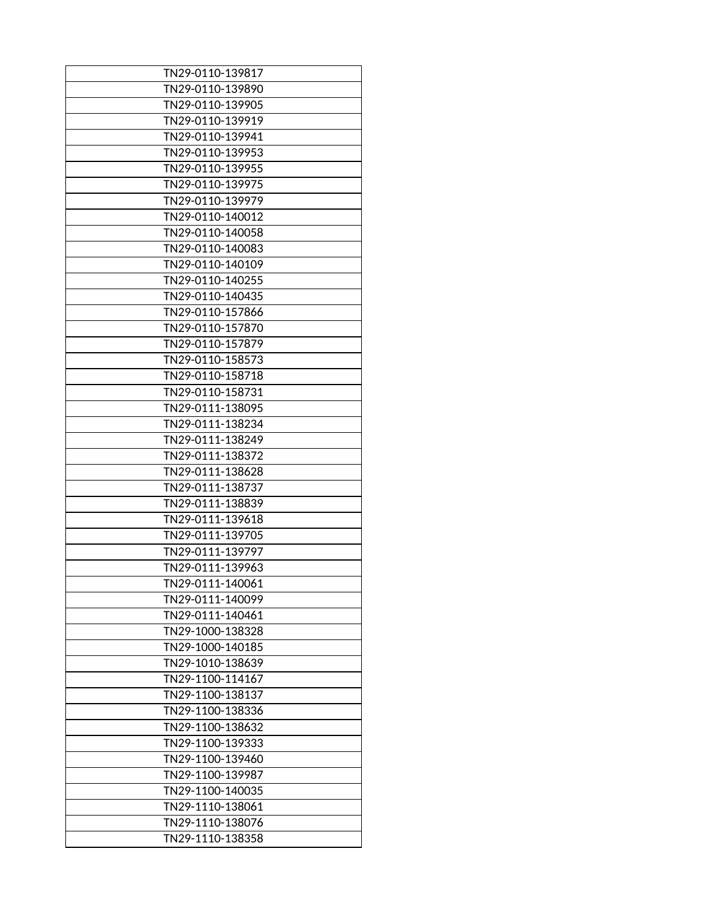| TN29-0110-139817 |
|------------------|
| TN29-0110-139890 |
| TN29-0110-139905 |
| TN29-0110-139919 |
| TN29-0110-139941 |
| TN29-0110-139953 |
| TN29-0110-139955 |
| TN29-0110-139975 |
| TN29-0110-139979 |
| TN29-0110-140012 |
| TN29-0110-140058 |
| TN29-0110-140083 |
| TN29-0110-140109 |
| TN29-0110-140255 |
| TN29-0110-140435 |
| TN29-0110-157866 |
| TN29-0110-157870 |
| TN29-0110-157879 |
| TN29-0110-158573 |
| TN29-0110-158718 |
| TN29-0110-158731 |
| TN29-0111-138095 |
| TN29-0111-138234 |
| TN29-0111-138249 |
| TN29-0111-138372 |
| TN29-0111-138628 |
| TN29-0111-138737 |
| TN29-0111-138839 |
| TN29-0111-139618 |
| TN29-0111-139705 |
| TN29-0111-139797 |
| TN29-0111-139963 |
| TN29-0111-140061 |
| TN29-0111-140099 |
| TN29-0111-140461 |
| TN29-1000-138328 |
| TN29-1000-140185 |
| TN29-1010-138639 |
| TN29-1100-114167 |
| TN29-1100-138137 |
| TN29-1100-138336 |
| TN29-1100-138632 |
| TN29-1100-139333 |
| TN29-1100-139460 |
| TN29-1100-139987 |
| TN29-1100-140035 |
| TN29-1110-138061 |
| TN29-1110-138076 |
| TN29-1110-138358 |
|                  |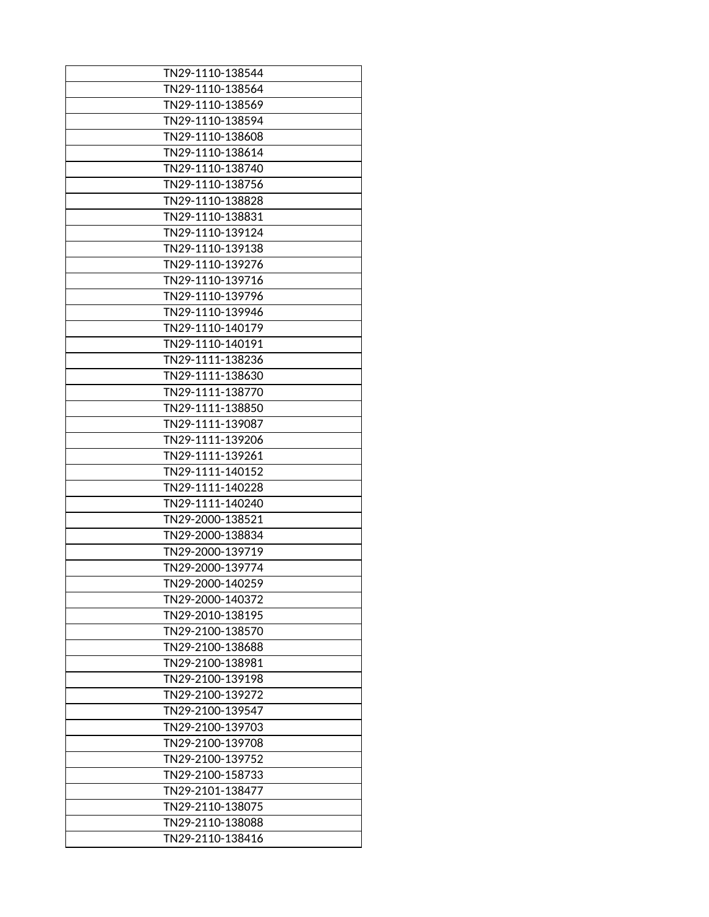| TN29-1110-138544 |
|------------------|
| TN29-1110-138564 |
| TN29-1110-138569 |
| TN29-1110-138594 |
| TN29-1110-138608 |
| TN29-1110-138614 |
| TN29-1110-138740 |
| TN29-1110-138756 |
| TN29-1110-138828 |
| TN29-1110-138831 |
| TN29-1110-139124 |
| TN29-1110-139138 |
| TN29-1110-139276 |
| TN29-1110-139716 |
| TN29-1110-139796 |
| TN29-1110-139946 |
| TN29-1110-140179 |
| TN29-1110-140191 |
| TN29-1111-138236 |
| TN29-1111-138630 |
| TN29-1111-138770 |
| TN29-1111-138850 |
| TN29-1111-139087 |
| TN29-1111-139206 |
| TN29-1111-139261 |
| TN29-1111-140152 |
| TN29-1111-140228 |
| TN29-1111-140240 |
| TN29-2000-138521 |
| TN29-2000-138834 |
| TN29-2000-139719 |
| TN29-2000-139774 |
| TN29-2000-140259 |
| TN29-2000-140372 |
| TN29-2010-138195 |
| TN29-2100-138570 |
| TN29-2100-138688 |
| TN29-2100-138981 |
| TN29-2100-139198 |
| TN29-2100-139272 |
| TN29-2100-139547 |
| TN29-2100-139703 |
| TN29-2100-139708 |
| TN29-2100-139752 |
| TN29-2100-158733 |
| TN29-2101-138477 |
| TN29-2110-138075 |
| TN29-2110-138088 |
| TN29-2110-138416 |
|                  |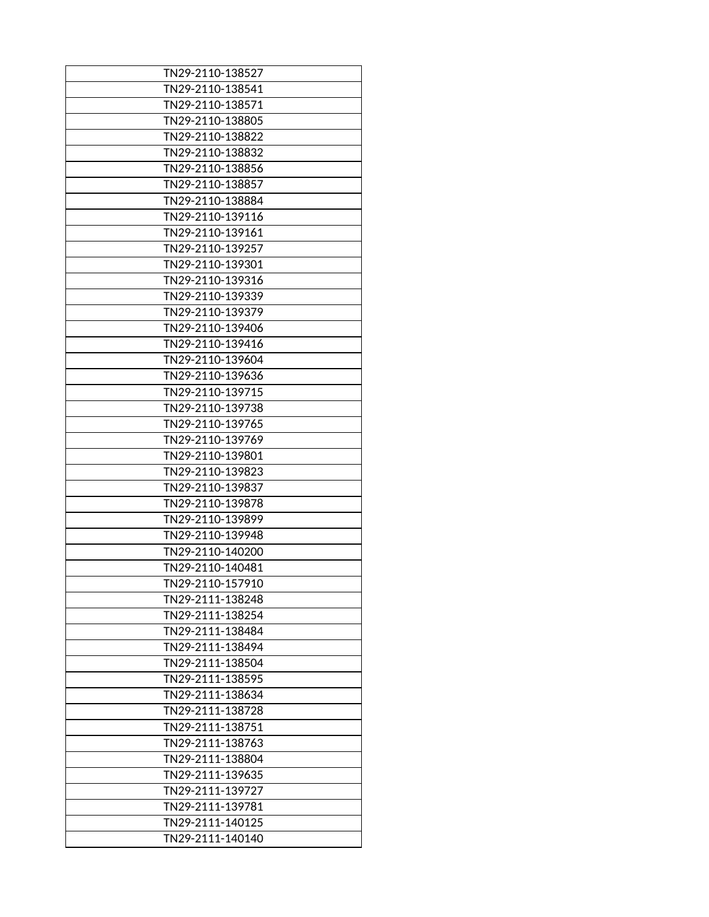| TN29-2110-138527 |
|------------------|
| TN29-2110-138541 |
| TN29-2110-138571 |
| TN29-2110-138805 |
| TN29-2110-138822 |
| TN29-2110-138832 |
| TN29-2110-138856 |
| TN29-2110-138857 |
| TN29-2110-138884 |
| TN29-2110-139116 |
| TN29-2110-139161 |
| TN29-2110-139257 |
| TN29-2110-139301 |
| TN29-2110-139316 |
| TN29-2110-139339 |
| TN29-2110-139379 |
| TN29-2110-139406 |
| TN29-2110-139416 |
| TN29-2110-139604 |
| TN29-2110-139636 |
| TN29-2110-139715 |
| TN29-2110-139738 |
| TN29-2110-139765 |
| TN29-2110-139769 |
| TN29-2110-139801 |
| TN29-2110-139823 |
| TN29-2110-139837 |
| TN29-2110-139878 |
| TN29-2110-139899 |
| TN29-2110-139948 |
| TN29-2110-140200 |
| TN29-2110-140481 |
| TN29-2110-157910 |
| TN29-2111-138248 |
| TN29-2111-138254 |
| TN29-2111-138484 |
| TN29-2111-138494 |
| TN29-2111-138504 |
| TN29-2111-138595 |
| TN29-2111-138634 |
| TN29-2111-138728 |
| TN29-2111-138751 |
| TN29-2111-138763 |
| TN29-2111-138804 |
| TN29-2111-139635 |
| TN29-2111-139727 |
| TN29-2111-139781 |
| TN29-2111-140125 |
| TN29-2111-140140 |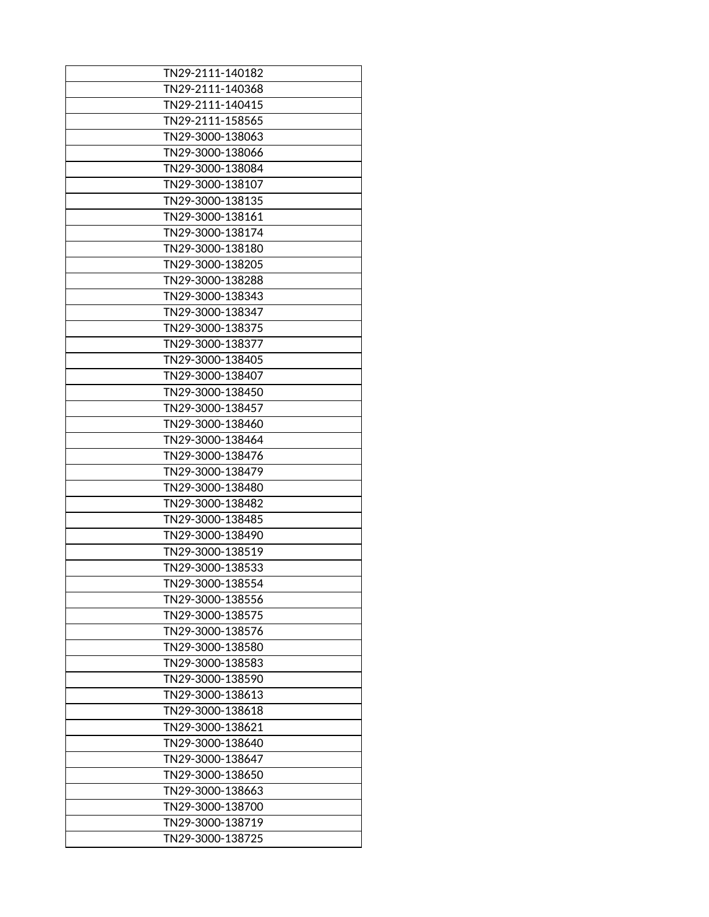| TN29-2111-140182 |
|------------------|
| TN29-2111-140368 |
| TN29-2111-140415 |
| TN29-2111-158565 |
|                  |
| TN29-3000-138063 |
| TN29-3000-138066 |
| TN29-3000-138084 |
| TN29-3000-138107 |
| TN29-3000-138135 |
| TN29-3000-138161 |
| TN29-3000-138174 |
| TN29-3000-138180 |
| TN29-3000-138205 |
| TN29-3000-138288 |
| TN29-3000-138343 |
| TN29-3000-138347 |
| TN29-3000-138375 |
| TN29-3000-138377 |
| TN29-3000-138405 |
| TN29-3000-138407 |
| TN29-3000-138450 |
| TN29-3000-138457 |
| TN29-3000-138460 |
| TN29-3000-138464 |
| TN29-3000-138476 |
| TN29-3000-138479 |
| TN29-3000-138480 |
| TN29-3000-138482 |
| TN29-3000-138485 |
| TN29-3000-138490 |
|                  |
| TN29-3000-138519 |
| TN29-3000-138533 |
| TN29-3000-138554 |
| TN29-3000-138556 |
| TN29-3000-138575 |
| TN29-3000-138576 |
| TN29-3000-138580 |
| TN29-3000-138583 |
| TN29-3000-138590 |
| TN29-3000-138613 |
| TN29-3000-138618 |
| TN29-3000-138621 |
| TN29-3000-138640 |
| TN29-3000-138647 |
| TN29-3000-138650 |
| TN29-3000-138663 |
| TN29-3000-138700 |
| TN29-3000-138719 |
| TN29-3000-138725 |
|                  |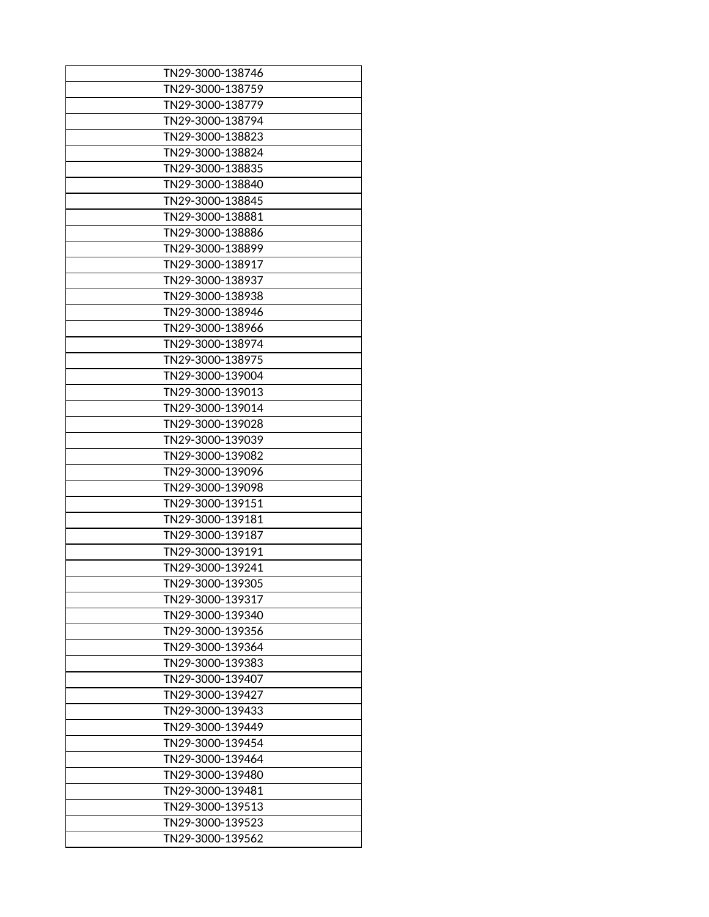| TN29-3000-138746 |
|------------------|
| TN29-3000-138759 |
| TN29-3000-138779 |
| TN29-3000-138794 |
| TN29-3000-138823 |
| TN29-3000-138824 |
| TN29-3000-138835 |
| TN29-3000-138840 |
| TN29-3000-138845 |
| TN29-3000-138881 |
| TN29-3000-138886 |
| TN29-3000-138899 |
| TN29-3000-138917 |
| TN29-3000-138937 |
| TN29-3000-138938 |
| TN29-3000-138946 |
| TN29-3000-138966 |
| TN29-3000-138974 |
| TN29-3000-138975 |
| TN29-3000-139004 |
| TN29-3000-139013 |
| TN29-3000-139014 |
| TN29-3000-139028 |
| TN29-3000-139039 |
| TN29-3000-139082 |
| TN29-3000-139096 |
| TN29-3000-139098 |
|                  |
| TN29-3000-139151 |
| TN29-3000-139181 |
| TN29-3000-139187 |
| TN29-3000-139191 |
| TN29-3000-139241 |
| TN29-3000-139305 |
| TN29-3000-139317 |
| TN29-3000-139340 |
| TN29-3000-139356 |
| TN29-3000-139364 |
| TN29-3000-139383 |
| TN29-3000-139407 |
| TN29-3000-139427 |
| TN29-3000-139433 |
| TN29-3000-139449 |
| TN29-3000-139454 |
| TN29-3000-139464 |
| TN29-3000-139480 |
| TN29-3000-139481 |
| TN29-3000-139513 |
| TN29-3000-139523 |
| TN29-3000-139562 |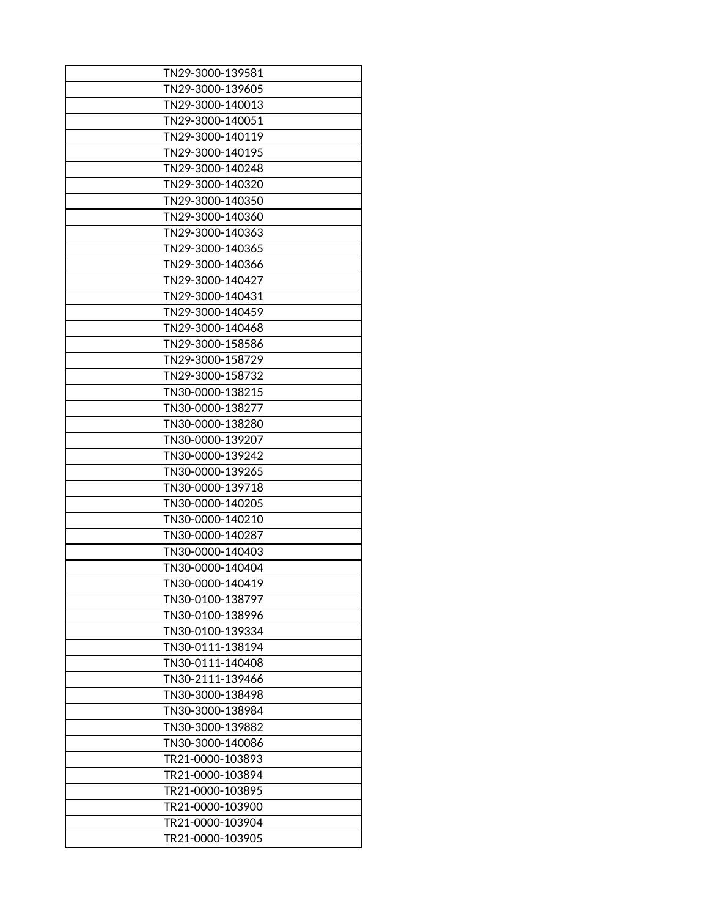| TN29-3000-139581 |
|------------------|
| TN29-3000-139605 |
| TN29-3000-140013 |
| TN29-3000-140051 |
| TN29-3000-140119 |
|                  |
| TN29-3000-140195 |
| TN29-3000-140248 |
| TN29-3000-140320 |
| TN29-3000-140350 |
| TN29-3000-140360 |
| TN29-3000-140363 |
| TN29-3000-140365 |
| TN29-3000-140366 |
| TN29-3000-140427 |
| TN29-3000-140431 |
| TN29-3000-140459 |
| TN29-3000-140468 |
| TN29-3000-158586 |
| TN29-3000-158729 |
| TN29-3000-158732 |
| TN30-0000-138215 |
| TN30-0000-138277 |
| TN30-0000-138280 |
| TN30-0000-139207 |
| TN30-0000-139242 |
| TN30-0000-139265 |
| TN30-0000-139718 |
| TN30-0000-140205 |
| TN30-0000-140210 |
| TN30-0000-140287 |
| TN30-0000-140403 |
|                  |
| TN30-0000-140404 |
| TN30-0000-140419 |
| TN30-0100-138797 |
| TN30-0100-138996 |
| TN30-0100-139334 |
| TN30-0111-138194 |
| TN30-0111-140408 |
| TN30-2111-139466 |
| TN30-3000-138498 |
| TN30-3000-138984 |
| TN30-3000-139882 |
| TN30-3000-140086 |
| TR21-0000-103893 |
| TR21-0000-103894 |
| TR21-0000-103895 |
| TR21-0000-103900 |
| TR21-0000-103904 |
| TR21-0000-103905 |
|                  |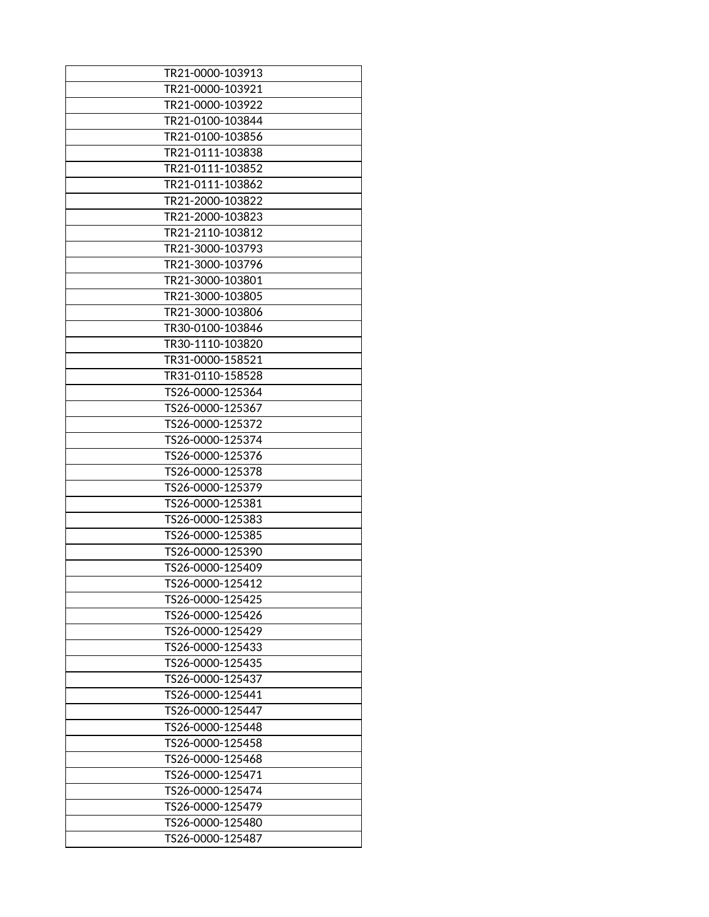| TR21-0000-103913                     |
|--------------------------------------|
| TR21-0000-103921                     |
| TR21-0000-103922                     |
| TR21-0100-103844                     |
| TR21-0100-103856                     |
| TR21-0111-103838                     |
| TR21-0111-103852                     |
| TR21-0111-103862                     |
| TR21-2000-103822                     |
| TR21-2000-103823                     |
| TR21-2110-103812                     |
| TR21-3000-103793                     |
| TR21-3000-103796                     |
| TR21-3000-103801                     |
| TR21-3000-103805                     |
| TR21-3000-103806                     |
| TR30-0100-103846                     |
| TR30-1110-103820                     |
| TR31-0000-158521                     |
| TR31-0110-158528                     |
| TS26-0000-125364                     |
| TS26-0000-125367                     |
| TS26-0000-125372                     |
| TS26-0000-125374                     |
| TS26-0000-125376                     |
| TS26-0000-125378                     |
| TS26-0000-125379                     |
|                                      |
| TS26-0000-125381<br>TS26-0000-125383 |
|                                      |
| TS26-0000-125385                     |
| TS26-0000-125390                     |
| TS26-0000-125409                     |
| TS26-0000-125412                     |
| TS26-0000-125425                     |
| TS26-0000-125426                     |
| TS26-0000-125429                     |
| TS26-0000-125433                     |
| TS26-0000-125435                     |
| TS26-0000-125437                     |
| TS26-0000-125441                     |
| TS26-0000-125447                     |
| TS26-0000-125448                     |
| TS26-0000-125458                     |
| TS26-0000-125468                     |
| TS26-0000-125471                     |
| TS26-0000-125474                     |
| TS26-0000-125479                     |
| TS26-0000-125480                     |
| TS26-0000-125487                     |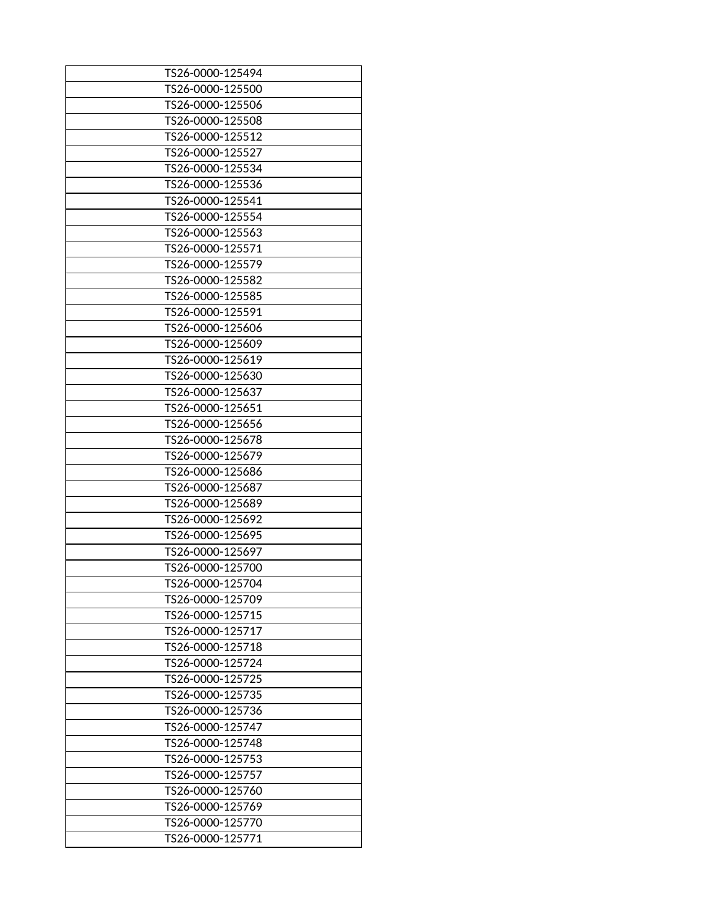| TS26-0000-125494 |
|------------------|
| TS26-0000-125500 |
| TS26-0000-125506 |
| TS26-0000-125508 |
| TS26-0000-125512 |
| TS26-0000-125527 |
| TS26-0000-125534 |
| TS26-0000-125536 |
| TS26-0000-125541 |
| TS26-0000-125554 |
| TS26-0000-125563 |
| TS26-0000-125571 |
| TS26-0000-125579 |
| TS26-0000-125582 |
| TS26-0000-125585 |
| TS26-0000-125591 |
| TS26-0000-125606 |
| TS26-0000-125609 |
| TS26-0000-125619 |
| TS26-0000-125630 |
| TS26-0000-125637 |
| TS26-0000-125651 |
| TS26-0000-125656 |
| TS26-0000-125678 |
| TS26-0000-125679 |
| TS26-0000-125686 |
| TS26-0000-125687 |
| TS26-0000-125689 |
| TS26-0000-125692 |
| TS26-0000-125695 |
| TS26-0000-125697 |
| TS26-0000-125700 |
| TS26-0000-125704 |
| TS26-0000-125709 |
| TS26-0000-125715 |
| TS26-0000-125717 |
| TS26-0000-125718 |
| TS26-0000-125724 |
| TS26-0000-125725 |
| TS26-0000-125735 |
| TS26-0000-125736 |
| TS26-0000-125747 |
| TS26-0000-125748 |
| TS26-0000-125753 |
| TS26-0000-125757 |
| TS26-0000-125760 |
| TS26-0000-125769 |
| TS26-0000-125770 |
| TS26-0000-125771 |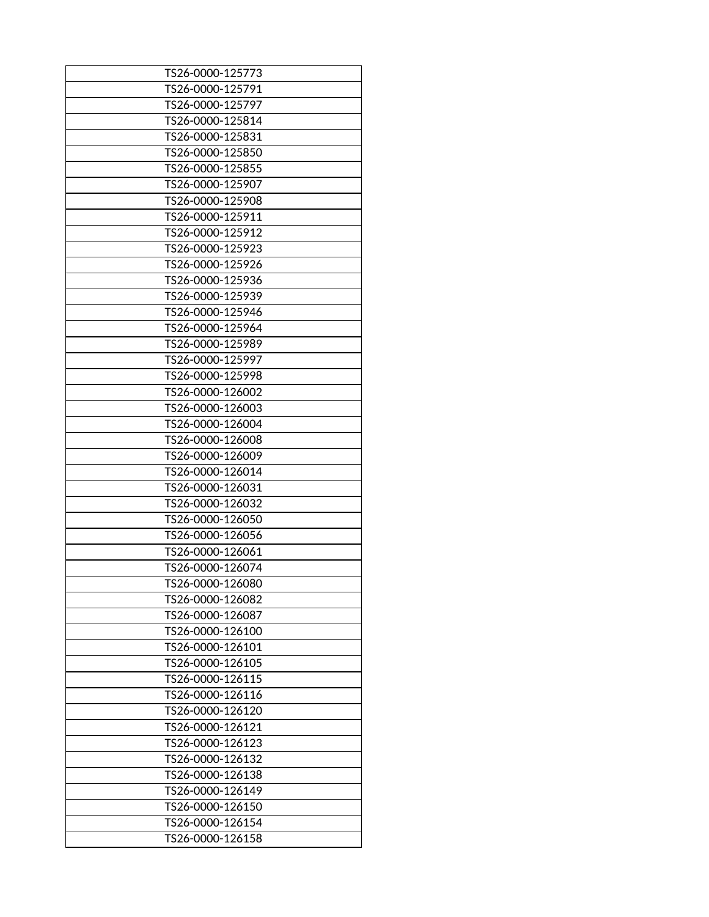| TS26-0000-125773 |
|------------------|
| TS26-0000-125791 |
| TS26-0000-125797 |
| TS26-0000-125814 |
| TS26-0000-125831 |
| TS26-0000-125850 |
| TS26-0000-125855 |
| TS26-0000-125907 |
| TS26-0000-125908 |
| TS26-0000-125911 |
| TS26-0000-125912 |
| TS26-0000-125923 |
| TS26-0000-125926 |
| TS26-0000-125936 |
| TS26-0000-125939 |
| TS26-0000-125946 |
| TS26-0000-125964 |
| TS26-0000-125989 |
| TS26-0000-125997 |
| TS26-0000-125998 |
| TS26-0000-126002 |
| TS26-0000-126003 |
| TS26-0000-126004 |
| TS26-0000-126008 |
| TS26-0000-126009 |
| TS26-0000-126014 |
| TS26-0000-126031 |
| TS26-0000-126032 |
| TS26-0000-126050 |
| TS26-0000-126056 |
| TS26-0000-126061 |
| TS26-0000-126074 |
| TS26-0000-126080 |
| TS26-0000-126082 |
| TS26-0000-126087 |
| TS26-0000-126100 |
| TS26-0000-126101 |
| TS26-0000-126105 |
| TS26-0000-126115 |
| TS26-0000-126116 |
|                  |
| TS26-0000-126120 |
| TS26-0000-126121 |
| TS26-0000-126123 |
| TS26-0000-126132 |
| TS26-0000-126138 |
| TS26-0000-126149 |
| TS26-0000-126150 |
| TS26-0000-126154 |
| TS26-0000-126158 |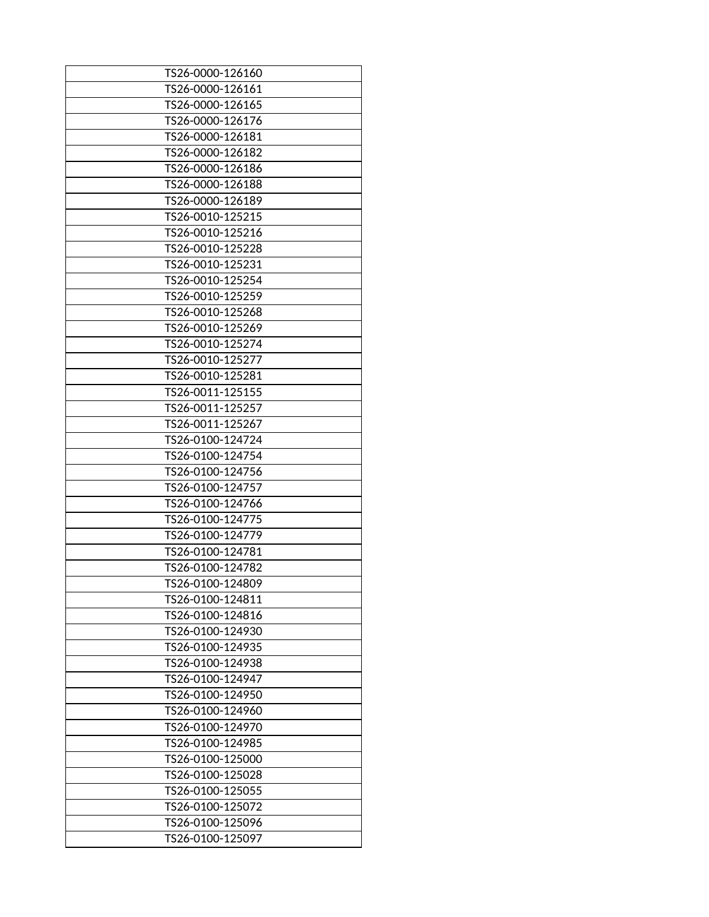| TS26-0000-126160 |
|------------------|
| TS26-0000-126161 |
| TS26-0000-126165 |
| TS26-0000-126176 |
| TS26-0000-126181 |
| TS26-0000-126182 |
| TS26-0000-126186 |
| TS26-0000-126188 |
| TS26-0000-126189 |
| TS26-0010-125215 |
| TS26-0010-125216 |
| TS26-0010-125228 |
| TS26-0010-125231 |
| TS26-0010-125254 |
| TS26-0010-125259 |
| TS26-0010-125268 |
| TS26-0010-125269 |
| TS26-0010-125274 |
| TS26-0010-125277 |
| TS26-0010-125281 |
| TS26-0011-125155 |
| TS26-0011-125257 |
| TS26-0011-125267 |
| TS26-0100-124724 |
| TS26-0100-124754 |
| TS26-0100-124756 |
| TS26-0100-124757 |
| TS26-0100-124766 |
| TS26-0100-124775 |
| TS26-0100-124779 |
| TS26-0100-124781 |
| TS26-0100-124782 |
| TS26-0100-124809 |
| TS26-0100-124811 |
| TS26-0100-124816 |
| TS26-0100-124930 |
| TS26-0100-124935 |
| TS26-0100-124938 |
| TS26-0100-124947 |
| TS26-0100-124950 |
| TS26-0100-124960 |
| TS26-0100-124970 |
| TS26-0100-124985 |
| TS26-0100-125000 |
| TS26-0100-125028 |
| TS26-0100-125055 |
| TS26-0100-125072 |
| TS26-0100-125096 |
| TS26-0100-125097 |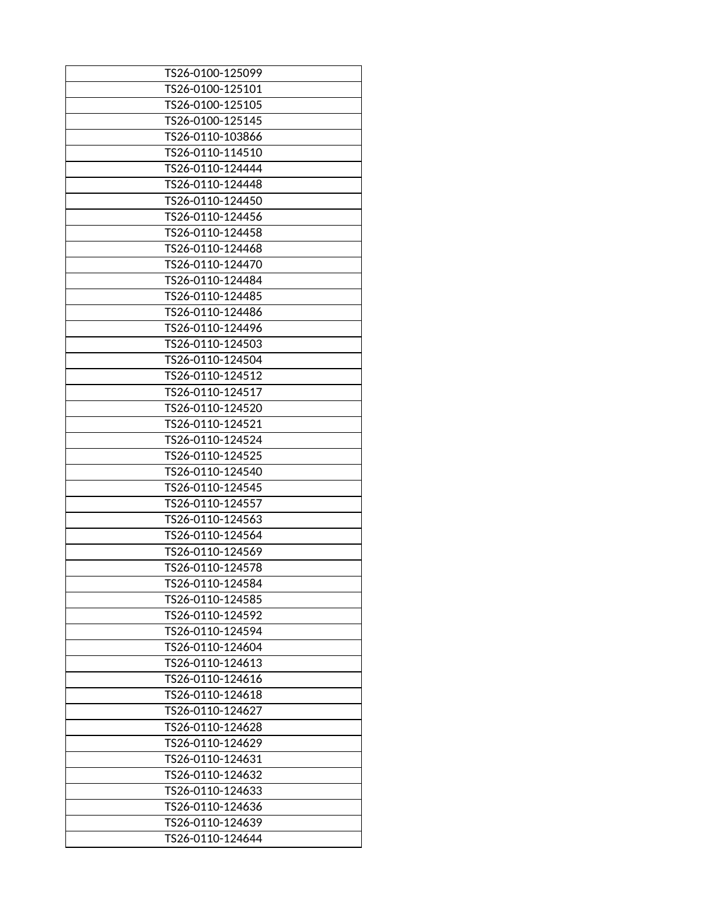| TS26-0100-125099 |
|------------------|
| TS26-0100-125101 |
| TS26-0100-125105 |
| TS26-0100-125145 |
| TS26-0110-103866 |
| TS26-0110-114510 |
| TS26-0110-124444 |
| TS26-0110-124448 |
| TS26-0110-124450 |
| TS26-0110-124456 |
| TS26-0110-124458 |
| TS26-0110-124468 |
| TS26-0110-124470 |
| TS26-0110-124484 |
| TS26-0110-124485 |
| TS26-0110-124486 |
| TS26-0110-124496 |
| TS26-0110-124503 |
| TS26-0110-124504 |
| TS26-0110-124512 |
| TS26-0110-124517 |
| TS26-0110-124520 |
| TS26-0110-124521 |
| TS26-0110-124524 |
| TS26-0110-124525 |
| TS26-0110-124540 |
| TS26-0110-124545 |
| TS26-0110-124557 |
| TS26-0110-124563 |
| TS26-0110-124564 |
| TS26-0110-124569 |
| TS26-0110-124578 |
| TS26-0110-124584 |
| TS26-0110-124585 |
| TS26-0110-124592 |
| TS26-0110-124594 |
| TS26-0110-124604 |
| TS26-0110-124613 |
| TS26-0110-124616 |
| TS26-0110-124618 |
| TS26-0110-124627 |
| TS26-0110-124628 |
| TS26-0110-124629 |
| TS26-0110-124631 |
| TS26-0110-124632 |
| TS26-0110-124633 |
| TS26-0110-124636 |
| TS26-0110-124639 |
| TS26-0110-124644 |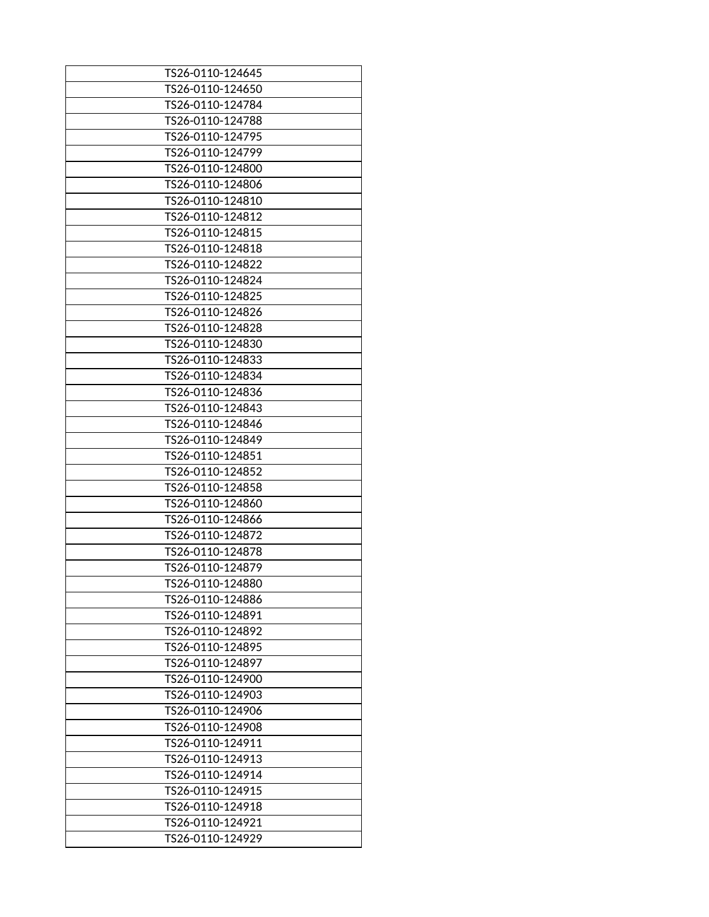| TS26-0110-124650<br>TS26-0110-124784<br>TS26-0110-124788<br>TS26-0110-124795<br>TS26-0110-124799 |
|--------------------------------------------------------------------------------------------------|
|                                                                                                  |
|                                                                                                  |
|                                                                                                  |
|                                                                                                  |
|                                                                                                  |
| TS26-0110-124800                                                                                 |
| TS26-0110-124806                                                                                 |
| TS26-0110-124810                                                                                 |
| TS26-0110-124812                                                                                 |
| TS26-0110-124815                                                                                 |
| TS26-0110-124818                                                                                 |
| TS26-0110-124822                                                                                 |
| TS26-0110-124824                                                                                 |
| TS26-0110-124825                                                                                 |
| TS26-0110-124826                                                                                 |
| TS26-0110-124828                                                                                 |
| TS26-0110-124830                                                                                 |
| TS26-0110-124833                                                                                 |
| TS26-0110-124834                                                                                 |
| TS26-0110-124836                                                                                 |
| TS26-0110-124843                                                                                 |
| TS26-0110-124846                                                                                 |
| TS26-0110-124849                                                                                 |
| TS26-0110-124851                                                                                 |
| TS26-0110-124852                                                                                 |
| TS26-0110-124858                                                                                 |
| TS26-0110-124860                                                                                 |
| TS26-0110-124866                                                                                 |
| TS26-0110-124872                                                                                 |
| TS26-0110-124878                                                                                 |
| TS26-0110-124879                                                                                 |
| TS26-0110-124880                                                                                 |
| TS26-0110-124886                                                                                 |
| TS26-0110-124891                                                                                 |
| TS26-0110-124892                                                                                 |
| TS26-0110-124895                                                                                 |
| TS26-0110-124897                                                                                 |
| TS26-0110-124900                                                                                 |
| TS26-0110-124903                                                                                 |
| TS26-0110-124906                                                                                 |
| TS26-0110-124908                                                                                 |
| TS26-0110-124911                                                                                 |
| TS26-0110-124913                                                                                 |
| TS26-0110-124914                                                                                 |
| TS26-0110-124915                                                                                 |
| TS26-0110-124918                                                                                 |
| TS26-0110-124921                                                                                 |
| TS26-0110-124929                                                                                 |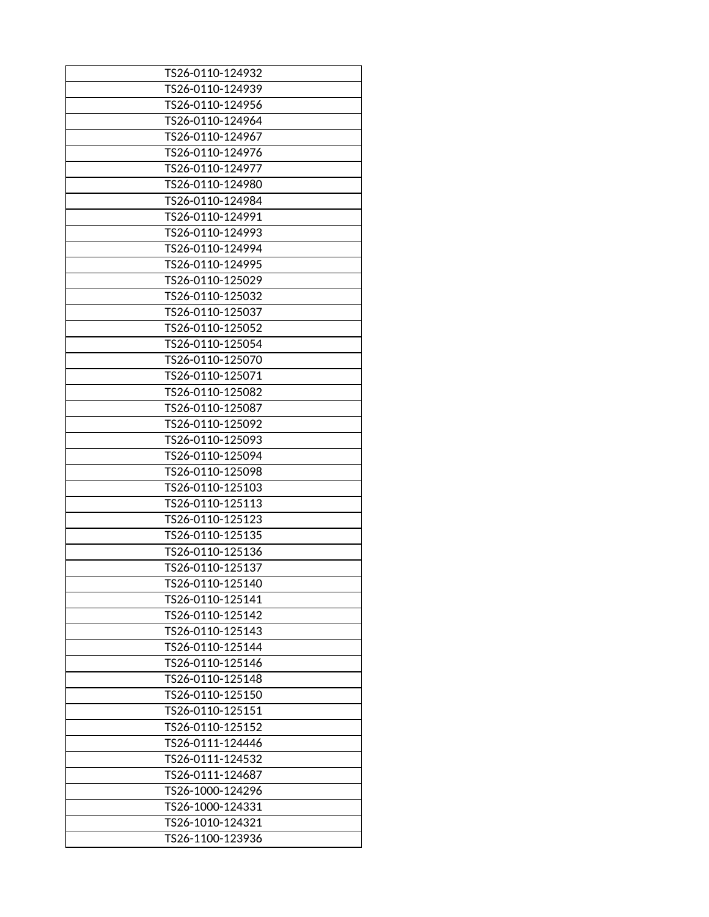| TS26-0110-124932 |
|------------------|
| TS26-0110-124939 |
| TS26-0110-124956 |
| TS26-0110-124964 |
| TS26-0110-124967 |
| TS26-0110-124976 |
| TS26-0110-124977 |
| TS26-0110-124980 |
| TS26-0110-124984 |
| TS26-0110-124991 |
| TS26-0110-124993 |
| TS26-0110-124994 |
| TS26-0110-124995 |
| TS26-0110-125029 |
| TS26-0110-125032 |
| TS26-0110-125037 |
| TS26-0110-125052 |
| TS26-0110-125054 |
| TS26-0110-125070 |
| TS26-0110-125071 |
| TS26-0110-125082 |
| TS26-0110-125087 |
| TS26-0110-125092 |
| TS26-0110-125093 |
| TS26-0110-125094 |
| TS26-0110-125098 |
| TS26-0110-125103 |
| TS26-0110-125113 |
| TS26-0110-125123 |
| TS26-0110-125135 |
| TS26-0110-125136 |
| TS26-0110-125137 |
| TS26-0110-125140 |
| TS26-0110-125141 |
| TS26-0110-125142 |
| TS26-0110-125143 |
| TS26-0110-125144 |
| TS26-0110-125146 |
| TS26-0110-125148 |
| TS26-0110-125150 |
| TS26-0110-125151 |
| TS26-0110-125152 |
| TS26-0111-124446 |
| TS26-0111-124532 |
| TS26-0111-124687 |
| TS26-1000-124296 |
| TS26-1000-124331 |
| TS26-1010-124321 |
| TS26-1100-123936 |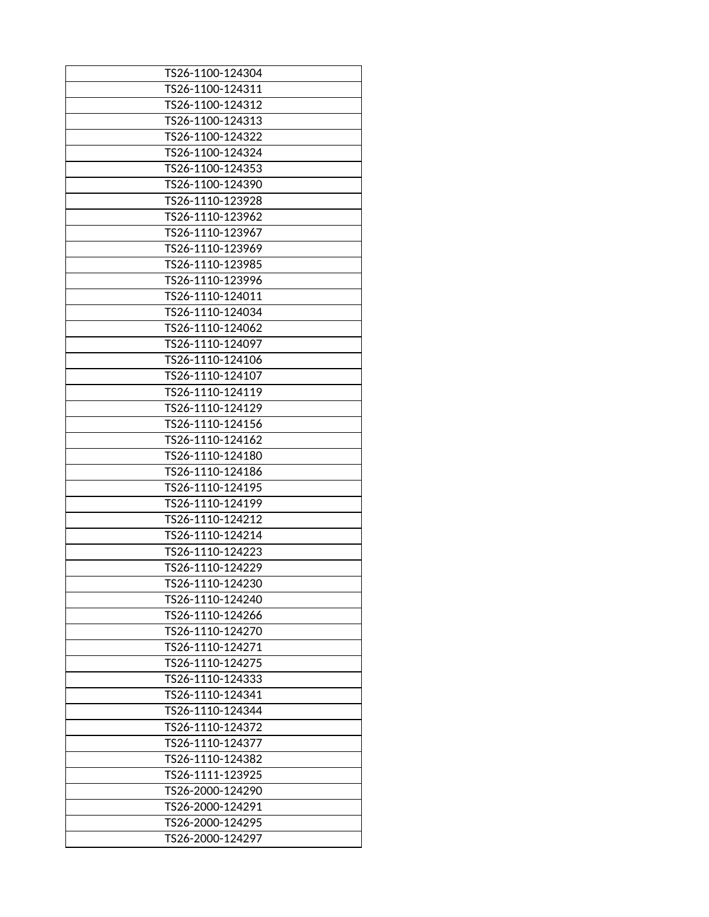| TS26-1100-124304 |
|------------------|
| TS26-1100-124311 |
| TS26-1100-124312 |
| TS26-1100-124313 |
| TS26-1100-124322 |
| TS26-1100-124324 |
| TS26-1100-124353 |
| TS26-1100-124390 |
| TS26-1110-123928 |
| TS26-1110-123962 |
| TS26-1110-123967 |
| TS26-1110-123969 |
| TS26-1110-123985 |
|                  |
| TS26-1110-123996 |
| TS26-1110-124011 |
| TS26-1110-124034 |
| TS26-1110-124062 |
| TS26-1110-124097 |
| TS26-1110-124106 |
| TS26-1110-124107 |
| TS26-1110-124119 |
| TS26-1110-124129 |
| TS26-1110-124156 |
| TS26-1110-124162 |
| TS26-1110-124180 |
| TS26-1110-124186 |
| TS26-1110-124195 |
| TS26-1110-124199 |
| TS26-1110-124212 |
| TS26-1110-124214 |
| TS26-1110-124223 |
| TS26-1110-124229 |
| TS26-1110-124230 |
| TS26-1110-124240 |
| TS26-1110-124266 |
| TS26-1110-124270 |
| TS26-1110-124271 |
|                  |
| TS26-1110-124275 |
| TS26-1110-124333 |
| TS26-1110-124341 |
| TS26-1110-124344 |
| TS26-1110-124372 |
| TS26-1110-124377 |
| TS26-1110-124382 |
| TS26-1111-123925 |
| TS26-2000-124290 |
| TS26-2000-124291 |
| TS26-2000-124295 |
| TS26-2000-124297 |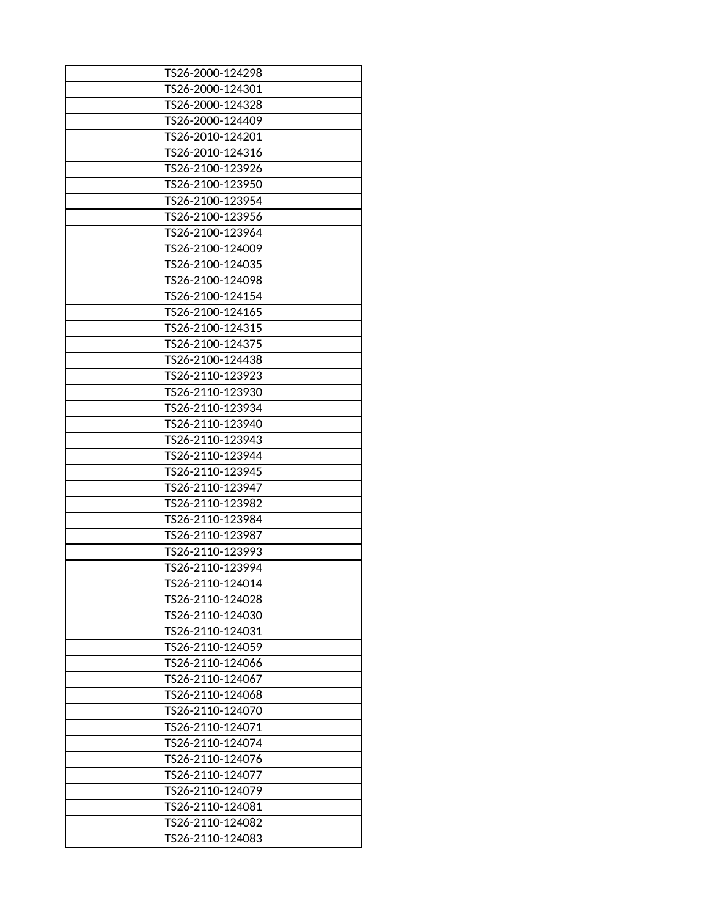| TS26-2000-124298 |
|------------------|
| TS26-2000-124301 |
| TS26-2000-124328 |
| TS26-2000-124409 |
| TS26-2010-124201 |
| TS26-2010-124316 |
| TS26-2100-123926 |
| TS26-2100-123950 |
| TS26-2100-123954 |
| TS26-2100-123956 |
| TS26-2100-123964 |
| TS26-2100-124009 |
| TS26-2100-124035 |
| TS26-2100-124098 |
| TS26-2100-124154 |
| TS26-2100-124165 |
| TS26-2100-124315 |
| TS26-2100-124375 |
| TS26-2100-124438 |
| TS26-2110-123923 |
| TS26-2110-123930 |
| TS26-2110-123934 |
| TS26-2110-123940 |
| TS26-2110-123943 |
| TS26-2110-123944 |
| TS26-2110-123945 |
| TS26-2110-123947 |
| TS26-2110-123982 |
| TS26-2110-123984 |
| TS26-2110-123987 |
| TS26-2110-123993 |
| TS26-2110-123994 |
| TS26-2110-124014 |
| TS26-2110-124028 |
| TS26-2110-124030 |
| TS26-2110-124031 |
| TS26-2110-124059 |
| TS26-2110-124066 |
| TS26-2110-124067 |
| TS26-2110-124068 |
| TS26-2110-124070 |
| TS26-2110-124071 |
| TS26-2110-124074 |
| TS26-2110-124076 |
| TS26-2110-124077 |
| TS26-2110-124079 |
| TS26-2110-124081 |
| TS26-2110-124082 |
| TS26-2110-124083 |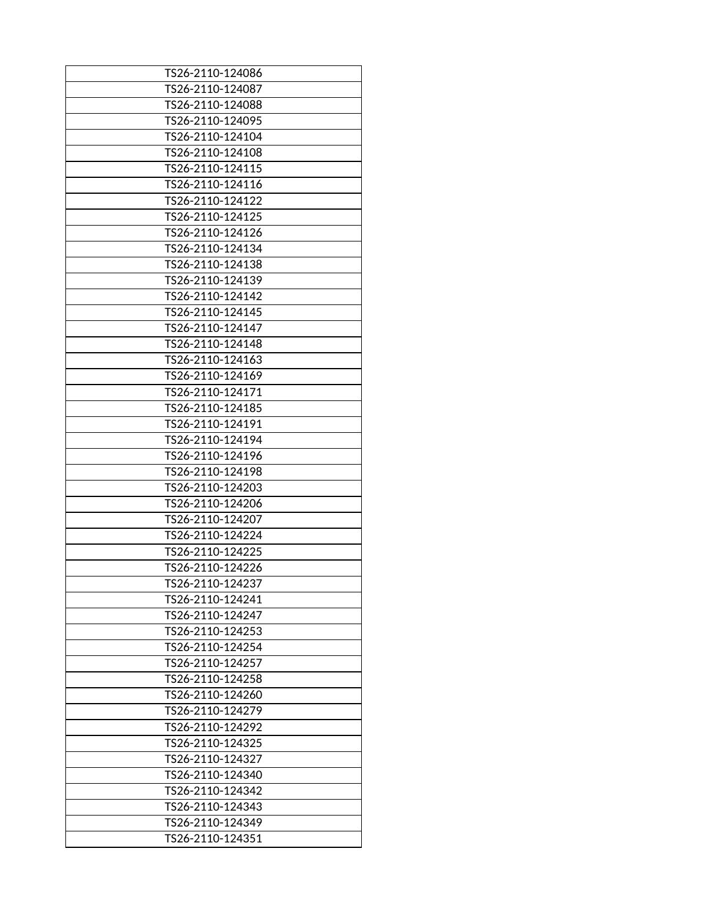| TS26-2110-124086 |
|------------------|
| TS26-2110-124087 |
| TS26-2110-124088 |
| TS26-2110-124095 |
| TS26-2110-124104 |
|                  |
| TS26-2110-124108 |
| TS26-2110-124115 |
| TS26-2110-124116 |
| TS26-2110-124122 |
| TS26-2110-124125 |
| TS26-2110-124126 |
| TS26-2110-124134 |
| TS26-2110-124138 |
|                  |
| TS26-2110-124139 |
| TS26-2110-124142 |
| TS26-2110-124145 |
| TS26-2110-124147 |
| TS26-2110-124148 |
| TS26-2110-124163 |
| TS26-2110-124169 |
| TS26-2110-124171 |
| TS26-2110-124185 |
| TS26-2110-124191 |
|                  |
| TS26-2110-124194 |
| TS26-2110-124196 |
| TS26-2110-124198 |
| TS26-2110-124203 |
| TS26-2110-124206 |
| TS26-2110-124207 |
| TS26-2110-124224 |
| TS26-2110-124225 |
| TS26-2110-124226 |
| TS26-2110-124237 |
| TS26-2110-124241 |
|                  |
| TS26-2110-124247 |
| TS26-2110-124253 |
| TS26-2110-124254 |
| TS26-2110-124257 |
| TS26-2110-124258 |
| TS26-2110-124260 |
| TS26-2110-124279 |
| TS26-2110-124292 |
| TS26-2110-124325 |
| TS26-2110-124327 |
|                  |
| TS26-2110-124340 |
| TS26-2110-124342 |
| TS26-2110-124343 |
| TS26-2110-124349 |
| TS26-2110-124351 |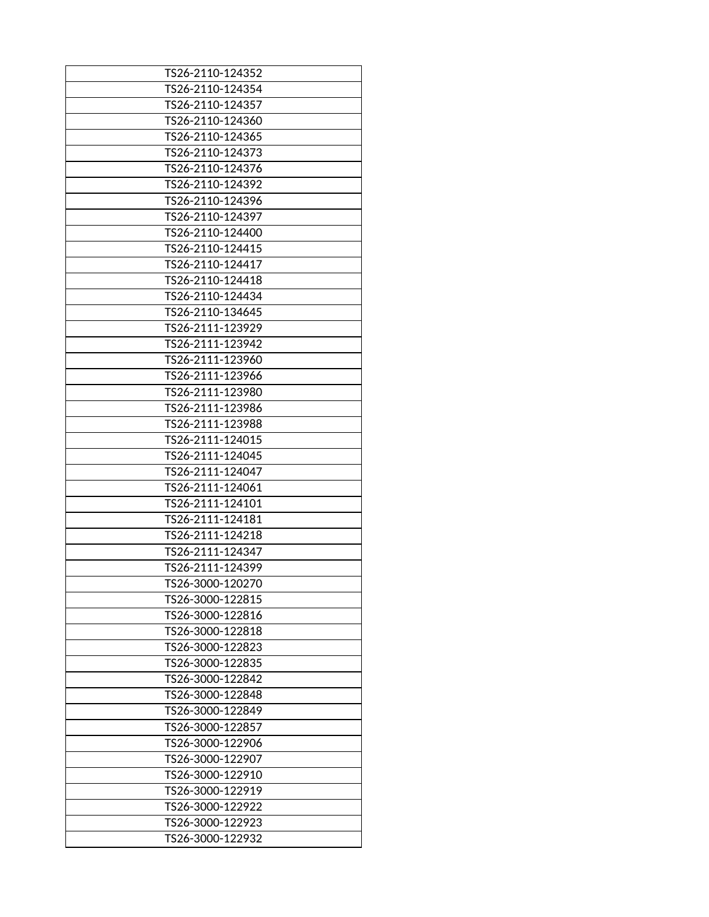| TS26-2110-124352 |
|------------------|
| TS26-2110-124354 |
| TS26-2110-124357 |
| TS26-2110-124360 |
| TS26-2110-124365 |
| TS26-2110-124373 |
| TS26-2110-124376 |
| TS26-2110-124392 |
| TS26-2110-124396 |
| TS26-2110-124397 |
| TS26-2110-124400 |
| TS26-2110-124415 |
| TS26-2110-124417 |
| TS26-2110-124418 |
| TS26-2110-124434 |
| TS26-2110-134645 |
| TS26-2111-123929 |
| TS26-2111-123942 |
| TS26-2111-123960 |
| TS26-2111-123966 |
| TS26-2111-123980 |
| TS26-2111-123986 |
| TS26-2111-123988 |
| TS26-2111-124015 |
| TS26-2111-124045 |
| TS26-2111-124047 |
| TS26-2111-124061 |
| TS26-2111-124101 |
| TS26-2111-124181 |
| TS26-2111-124218 |
| TS26-2111-124347 |
| TS26-2111-124399 |
| TS26-3000-120270 |
| TS26-3000-122815 |
| TS26-3000-122816 |
| TS26-3000-122818 |
| TS26-3000-122823 |
| TS26-3000-122835 |
| TS26-3000-122842 |
| TS26-3000-122848 |
| TS26-3000-122849 |
| TS26-3000-122857 |
| TS26-3000-122906 |
| TS26-3000-122907 |
| TS26-3000-122910 |
| TS26-3000-122919 |
| TS26-3000-122922 |
| TS26-3000-122923 |
| TS26-3000-122932 |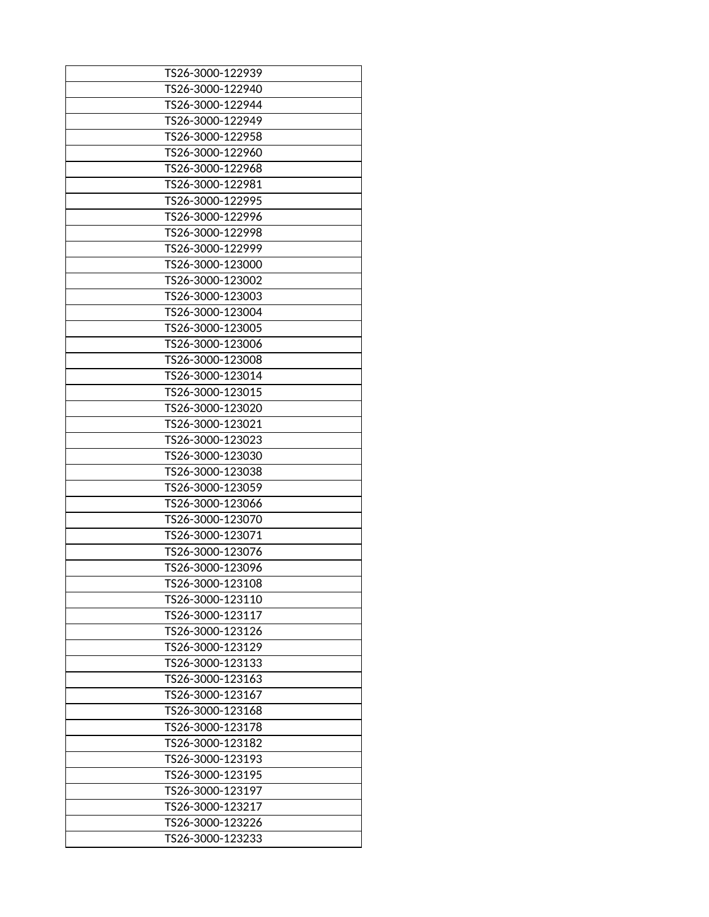| TS26-3000-122939 |
|------------------|
| TS26-3000-122940 |
| TS26-3000-122944 |
| TS26-3000-122949 |
| TS26-3000-122958 |
| TS26-3000-122960 |
| TS26-3000-122968 |
| TS26-3000-122981 |
| TS26-3000-122995 |
| TS26-3000-122996 |
| TS26-3000-122998 |
| TS26-3000-122999 |
| TS26-3000-123000 |
| TS26-3000-123002 |
| TS26-3000-123003 |
| TS26-3000-123004 |
| TS26-3000-123005 |
| TS26-3000-123006 |
| TS26-3000-123008 |
| TS26-3000-123014 |
| TS26-3000-123015 |
| TS26-3000-123020 |
| TS26-3000-123021 |
| TS26-3000-123023 |
| TS26-3000-123030 |
| TS26-3000-123038 |
| TS26-3000-123059 |
| TS26-3000-123066 |
| TS26-3000-123070 |
| TS26-3000-123071 |
|                  |
| TS26-3000-123076 |
| TS26-3000-123096 |
| TS26-3000-123108 |
| TS26-3000-123110 |
| TS26-3000-123117 |
| TS26-3000-123126 |
| TS26-3000-123129 |
| TS26-3000-123133 |
| TS26-3000-123163 |
| TS26-3000-123167 |
| TS26-3000-123168 |
| TS26-3000-123178 |
| TS26-3000-123182 |
| TS26-3000-123193 |
| TS26-3000-123195 |
| TS26-3000-123197 |
| TS26-3000-123217 |
| TS26-3000-123226 |
| TS26-3000-123233 |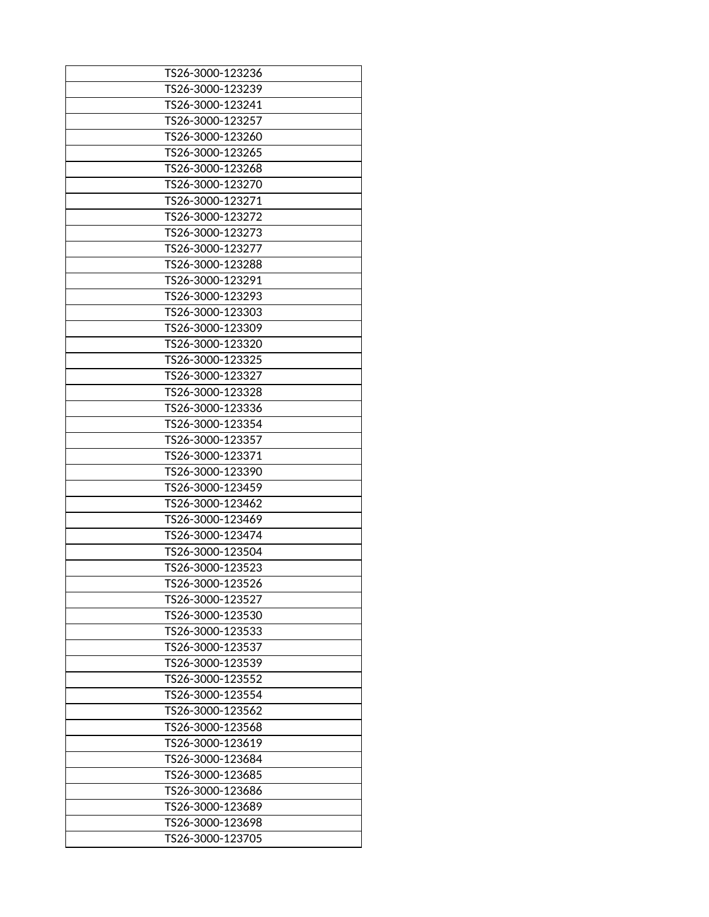| TS26-3000-123236 |
|------------------|
| TS26-3000-123239 |
| TS26-3000-123241 |
| TS26-3000-123257 |
| TS26-3000-123260 |
| TS26-3000-123265 |
| TS26-3000-123268 |
| TS26-3000-123270 |
| TS26-3000-123271 |
| TS26-3000-123272 |
| TS26-3000-123273 |
| TS26-3000-123277 |
| TS26-3000-123288 |
| TS26-3000-123291 |
| TS26-3000-123293 |
| TS26-3000-123303 |
| TS26-3000-123309 |
| TS26-3000-123320 |
| TS26-3000-123325 |
| TS26-3000-123327 |
| TS26-3000-123328 |
| TS26-3000-123336 |
| TS26-3000-123354 |
| TS26-3000-123357 |
| TS26-3000-123371 |
| TS26-3000-123390 |
| TS26-3000-123459 |
| TS26-3000-123462 |
| TS26-3000-123469 |
| TS26-3000-123474 |
| TS26-3000-123504 |
| TS26-3000-123523 |
| TS26-3000-123526 |
| TS26-3000-123527 |
| TS26-3000-123530 |
| TS26-3000-123533 |
| TS26-3000-123537 |
| TS26-3000-123539 |
| TS26-3000-123552 |
| TS26-3000-123554 |
| TS26-3000-123562 |
| TS26-3000-123568 |
| TS26-3000-123619 |
| TS26-3000-123684 |
| TS26-3000-123685 |
| TS26-3000-123686 |
| TS26-3000-123689 |
| TS26-3000-123698 |
| TS26-3000-123705 |
|                  |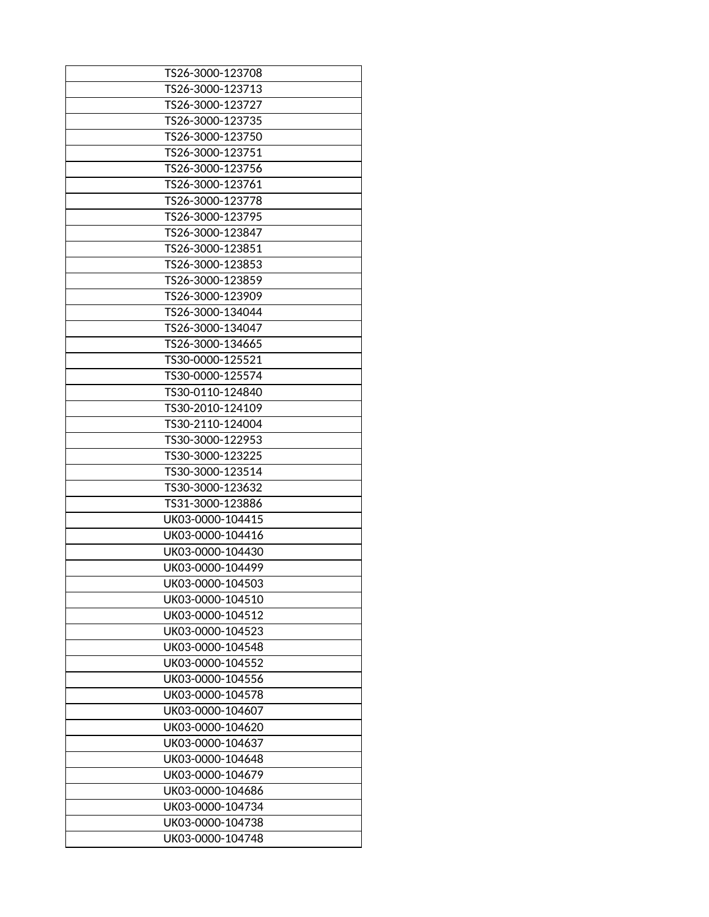| TS26-3000-123708 |
|------------------|
| TS26-3000-123713 |
| TS26-3000-123727 |
|                  |
| TS26-3000-123735 |
| TS26-3000-123750 |
| TS26-3000-123751 |
| TS26-3000-123756 |
| TS26-3000-123761 |
| TS26-3000-123778 |
| TS26-3000-123795 |
| TS26-3000-123847 |
| TS26-3000-123851 |
| TS26-3000-123853 |
| TS26-3000-123859 |
| TS26-3000-123909 |
| TS26-3000-134044 |
| TS26-3000-134047 |
| TS26-3000-134665 |
| TS30-0000-125521 |
|                  |
| TS30-0000-125574 |
| TS30-0110-124840 |
| TS30-2010-124109 |
| TS30-2110-124004 |
| TS30-3000-122953 |
| TS30-3000-123225 |
| TS30-3000-123514 |
| TS30-3000-123632 |
| TS31-3000-123886 |
| UK03-0000-104415 |
| UK03-0000-104416 |
| UK03-0000-104430 |
| UK03-0000-104499 |
| UK03-0000-104503 |
| UK03-0000-104510 |
| UK03-0000-104512 |
| UK03-0000-104523 |
| UK03-0000-104548 |
|                  |
| UK03-0000-104552 |
| UK03-0000-104556 |
| UK03-0000-104578 |
| UK03-0000-104607 |
| UK03-0000-104620 |
| UK03-0000-104637 |
| UK03-0000-104648 |
| UK03-0000-104679 |
| UK03-0000-104686 |
| UK03-0000-104734 |
| UK03-0000-104738 |
| UK03-0000-104748 |
|                  |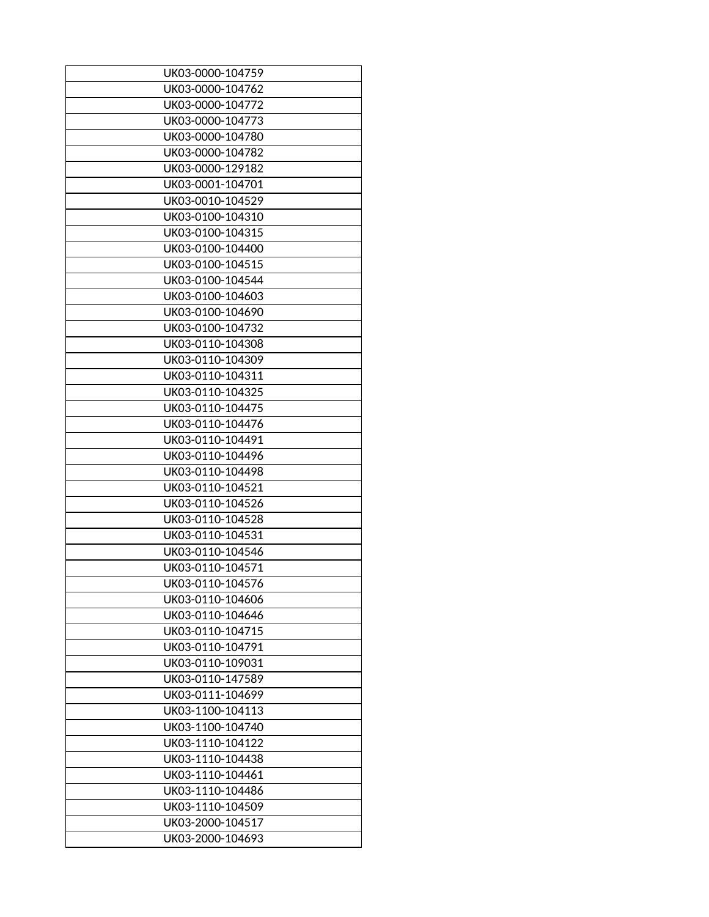| UK03-0000-104759                     |
|--------------------------------------|
| UK03-0000-104762                     |
| UK03-0000-104772                     |
| UK03-0000-104773                     |
| UK03-0000-104780                     |
| UK03-0000-104782                     |
| UK03-0000-129182                     |
| UK03-0001-104701                     |
| UK03-0010-104529                     |
| UK03-0100-104310                     |
| UK03-0100-104315                     |
| UK03-0100-104400                     |
| UK03-0100-104515                     |
| UK03-0100-104544                     |
| UK03-0100-104603                     |
| UK03-0100-104690                     |
| UK03-0100-104732                     |
| UK03-0110-104308                     |
| UK03-0110-104309                     |
| UK03-0110-104311                     |
| UK03-0110-104325                     |
| UK03-0110-104475                     |
| UK03-0110-104476                     |
| UK03-0110-104491                     |
| UK03-0110-104496                     |
| UK03-0110-104498                     |
| UK03-0110-104521                     |
|                                      |
| UK03-0110-104526<br>UK03-0110-104528 |
|                                      |
| UK03-0110-104531                     |
| UK03-0110-104546                     |
| UK03-0110-104571                     |
| UK03-0110-104576                     |
| UK03-0110-104606                     |
| UK03-0110-104646                     |
| UK03-0110-104715                     |
| UK03-0110-104791                     |
| UK03-0110-109031                     |
| UK03-0110-147589                     |
| UK03-0111-104699                     |
| UK03-1100-104113                     |
| UK03-1100-104740                     |
| UK03-1110-104122                     |
| UK03-1110-104438                     |
| UK03-1110-104461                     |
| UK03-1110-104486                     |
| UK03-1110-104509                     |
| UK03-2000-104517                     |
| UK03-2000-104693                     |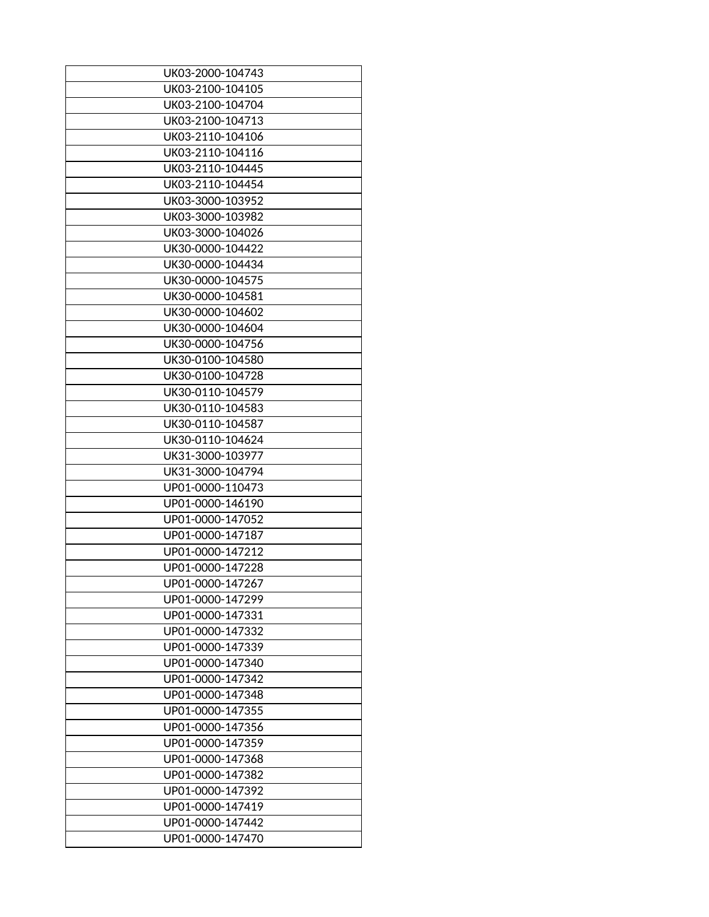| UK03-2000-104743 |
|------------------|
| UK03-2100-104105 |
| UK03-2100-104704 |
| UK03-2100-104713 |
| UK03-2110-104106 |
| UK03-2110-104116 |
| UK03-2110-104445 |
| UK03-2110-104454 |
| UK03-3000-103952 |
| UK03-3000-103982 |
| UK03-3000-104026 |
| UK30-0000-104422 |
| UK30-0000-104434 |
| UK30-0000-104575 |
| UK30-0000-104581 |
| UK30-0000-104602 |
| UK30-0000-104604 |
| UK30-0000-104756 |
| UK30-0100-104580 |
| UK30-0100-104728 |
| UK30-0110-104579 |
| UK30-0110-104583 |
| UK30-0110-104587 |
|                  |
| UK30-0110-104624 |
| UK31-3000-103977 |
| UK31-3000-104794 |
| UP01-0000-110473 |
| UP01-0000-146190 |
| UP01-0000-147052 |
| UP01-0000-147187 |
| UP01-0000-147212 |
| UP01-0000-147228 |
| UP01-0000-147267 |
| UP01-0000-147299 |
| UP01-0000-147331 |
| UP01-0000-147332 |
| UP01-0000-147339 |
| UP01-0000-147340 |
| UP01-0000-147342 |
| UP01-0000-147348 |
| UP01-0000-147355 |
| UP01-0000-147356 |
| UP01-0000-147359 |
| UP01-0000-147368 |
| UP01-0000-147382 |
| UP01-0000-147392 |
| UP01-0000-147419 |
| UP01-0000-147442 |
| UP01-0000-147470 |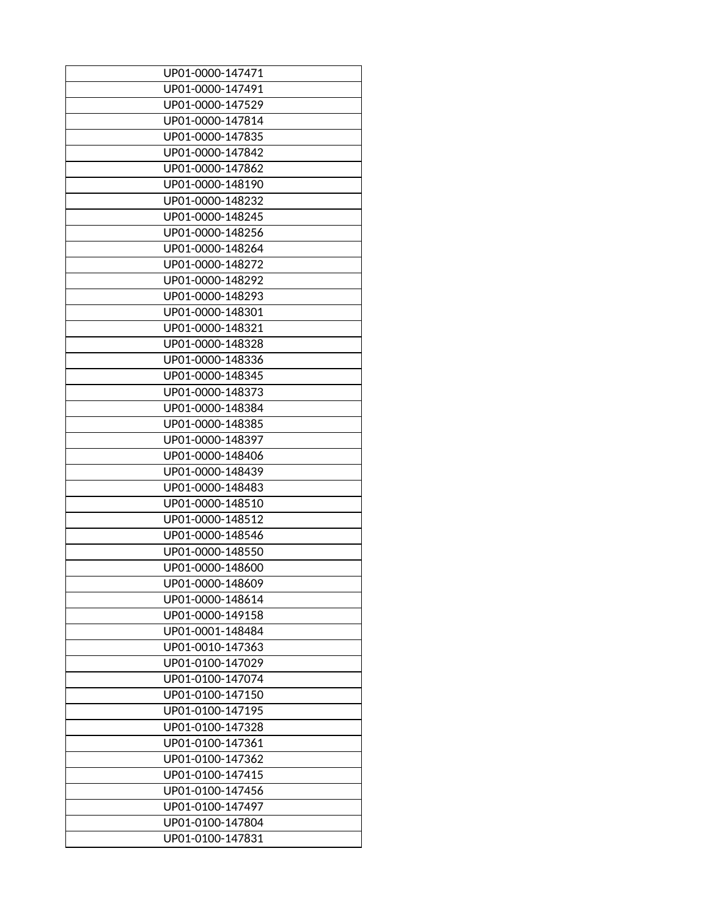| UP01-0000-147471 |
|------------------|
| UP01-0000-147491 |
| UP01-0000-147529 |
| UP01-0000-147814 |
| UP01-0000-147835 |
| UP01-0000-147842 |
| UP01-0000-147862 |
| UP01-0000-148190 |
| UP01-0000-148232 |
| UP01-0000-148245 |
| UP01-0000-148256 |
| UP01-0000-148264 |
| UP01-0000-148272 |
| UP01-0000-148292 |
| UP01-0000-148293 |
| UP01-0000-148301 |
| UP01-0000-148321 |
| UP01-0000-148328 |
| UP01-0000-148336 |
| UP01-0000-148345 |
| UP01-0000-148373 |
| UP01-0000-148384 |
|                  |
| UP01-0000-148385 |
| UP01-0000-148397 |
| UP01-0000-148406 |
| UP01-0000-148439 |
| UP01-0000-148483 |
| UP01-0000-148510 |
| UP01-0000-148512 |
| UP01-0000-148546 |
| UP01-0000-148550 |
| UP01-0000-148600 |
| UP01-0000-148609 |
| UP01-0000-148614 |
| UP01-0000-149158 |
| UP01-0001-148484 |
| UP01-0010-147363 |
| UP01-0100-147029 |
| UP01-0100-147074 |
| UP01-0100-147150 |
| UP01-0100-147195 |
| UP01-0100-147328 |
| UP01-0100-147361 |
| UP01-0100-147362 |
| UP01-0100-147415 |
| UP01-0100-147456 |
| UP01-0100-147497 |
| UP01-0100-147804 |
| UP01-0100-147831 |
|                  |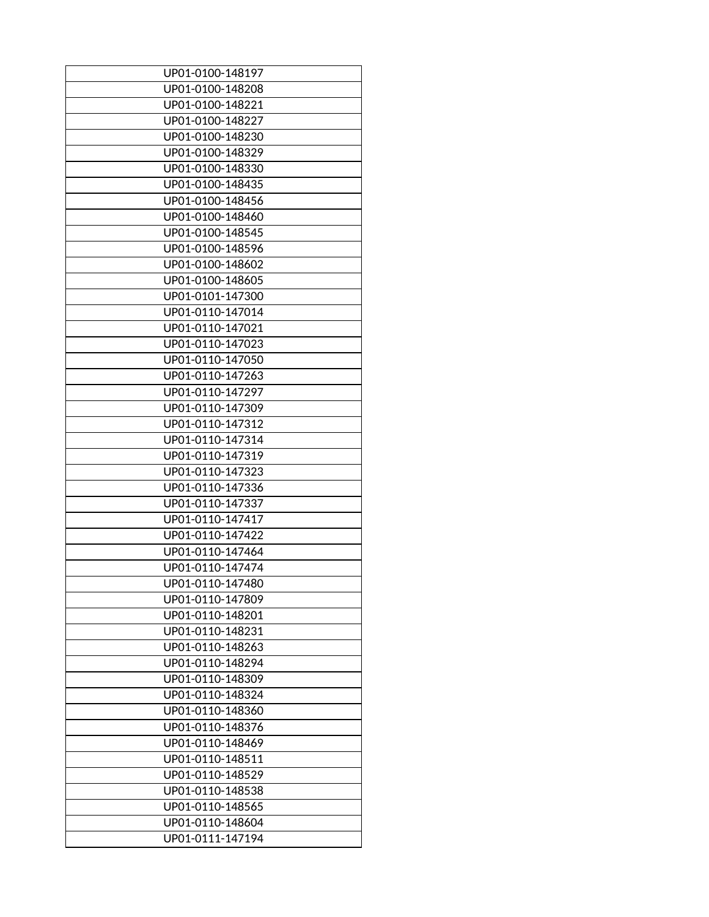| UP01-0100-148197 |
|------------------|
| UP01-0100-148208 |
| UP01-0100-148221 |
| UP01-0100-148227 |
| UP01-0100-148230 |
| UP01-0100-148329 |
| UP01-0100-148330 |
| UP01-0100-148435 |
| UP01-0100-148456 |
| UP01-0100-148460 |
| UP01-0100-148545 |
| UP01-0100-148596 |
| UP01-0100-148602 |
| UP01-0100-148605 |
| UP01-0101-147300 |
| UP01-0110-147014 |
| UP01-0110-147021 |
| UP01-0110-147023 |
| UP01-0110-147050 |
| UP01-0110-147263 |
|                  |
| UP01-0110-147297 |
| UP01-0110-147309 |
| UP01-0110-147312 |
| UP01-0110-147314 |
| UP01-0110-147319 |
| UP01-0110-147323 |
| UP01-0110-147336 |
| UP01-0110-147337 |
| UP01-0110-147417 |
| UP01-0110-147422 |
| UP01-0110-147464 |
| UP01-0110-147474 |
| UP01-0110-147480 |
| UP01-0110-147809 |
| UP01-0110-148201 |
| UP01-0110-148231 |
| UP01-0110-148263 |
| UP01-0110-148294 |
| UP01-0110-148309 |
| UP01-0110-148324 |
| UP01-0110-148360 |
| UP01-0110-148376 |
| UP01-0110-148469 |
| UP01-0110-148511 |
| UP01-0110-148529 |
| UP01-0110-148538 |
| UP01-0110-148565 |
| UP01-0110-148604 |
| UP01-0111-147194 |
|                  |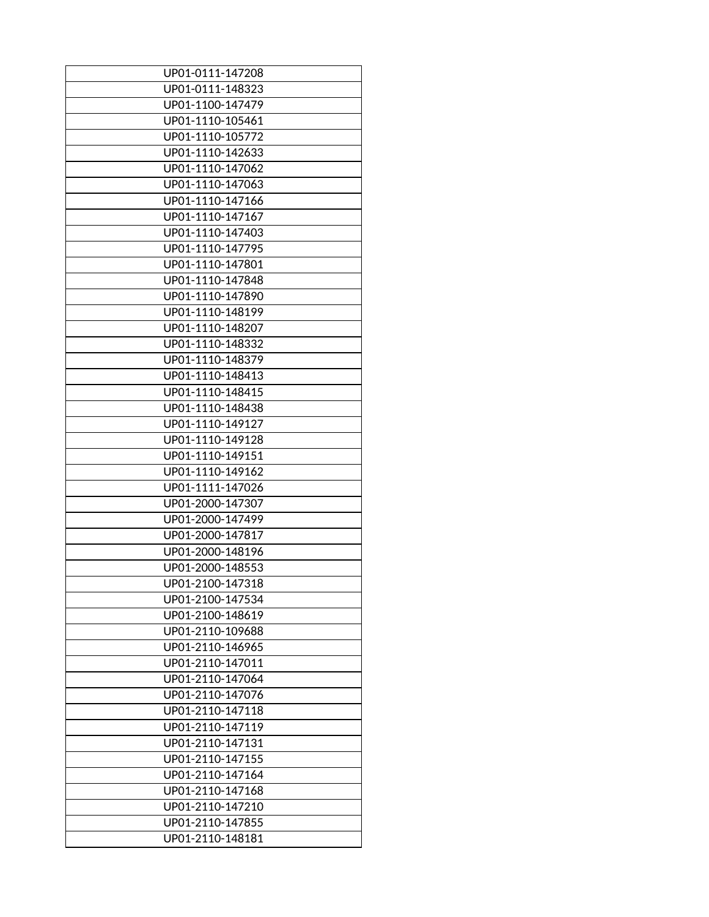| UP01-0111-147208 |
|------------------|
| UP01-0111-148323 |
| UP01-1100-147479 |
| UP01-1110-105461 |
| UP01-1110-105772 |
| UP01-1110-142633 |
| UP01-1110-147062 |
| UP01-1110-147063 |
| UP01-1110-147166 |
| UP01-1110-147167 |
| UP01-1110-147403 |
| UP01-1110-147795 |
| UP01-1110-147801 |
| UP01-1110-147848 |
| UP01-1110-147890 |
| UP01-1110-148199 |
| UP01-1110-148207 |
| UP01-1110-148332 |
| UP01-1110-148379 |
| UP01-1110-148413 |
| UP01-1110-148415 |
| UP01-1110-148438 |
| UP01-1110-149127 |
| UP01-1110-149128 |
| UP01-1110-149151 |
| UP01-1110-149162 |
| UP01-1111-147026 |
|                  |
| UP01-2000-147307 |
| UP01-2000-147499 |
| UP01-2000-147817 |
| UP01-2000-148196 |
| UP01-2000-148553 |
| UP01-2100-147318 |
| UP01-2100-147534 |
| UP01-2100-148619 |
| UP01-2110-109688 |
| UP01-2110-146965 |
| UP01-2110-147011 |
| UP01-2110-147064 |
| UP01-2110-147076 |
| UP01-2110-147118 |
| UP01-2110-147119 |
| UP01-2110-147131 |
| UP01-2110-147155 |
| UP01-2110-147164 |
| UP01-2110-147168 |
| UP01-2110-147210 |
| UP01-2110-147855 |
| UP01-2110-148181 |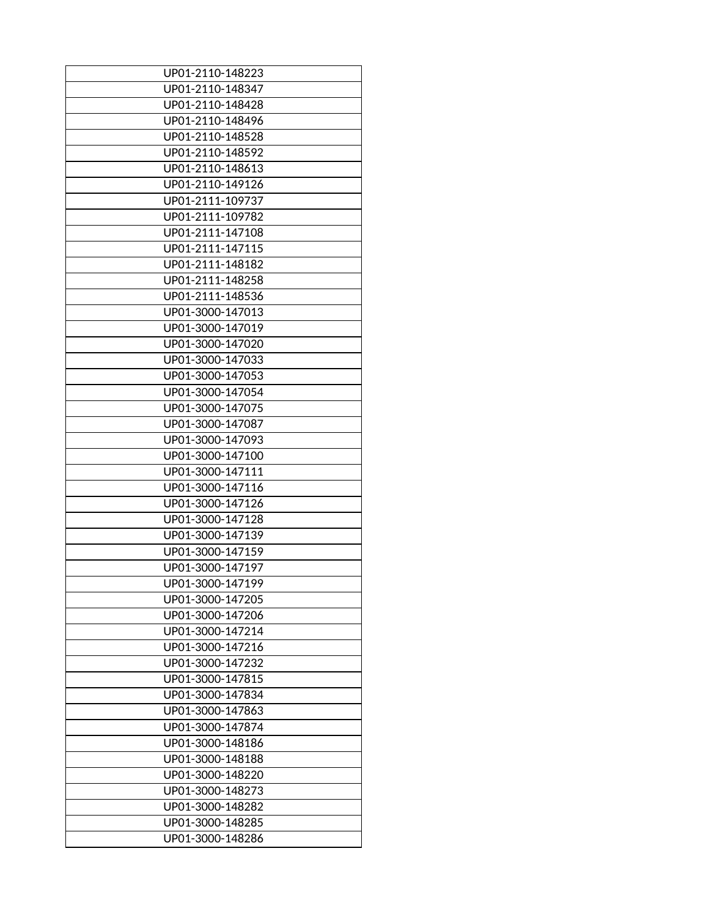| UP01-2110-148223 |
|------------------|
| UP01-2110-148347 |
| UP01-2110-148428 |
| UP01-2110-148496 |
| UP01-2110-148528 |
| UP01-2110-148592 |
| UP01-2110-148613 |
|                  |
| UP01-2110-149126 |
| UP01-2111-109737 |
| UP01-2111-109782 |
| UP01-2111-147108 |
| UP01-2111-147115 |
| UP01-2111-148182 |
| UP01-2111-148258 |
| UP01-2111-148536 |
| UP01-3000-147013 |
| UP01-3000-147019 |
| UP01-3000-147020 |
| UP01-3000-147033 |
| UP01-3000-147053 |
| UP01-3000-147054 |
| UP01-3000-147075 |
| UP01-3000-147087 |
| UP01-3000-147093 |
| UP01-3000-147100 |
| UP01-3000-147111 |
| UP01-3000-147116 |
| UP01-3000-147126 |
| UP01-3000-147128 |
| UP01-3000-147139 |
| UP01-3000-147159 |
| UP01-3000-147197 |
| UP01-3000-147199 |
|                  |
| UP01-3000-147205 |
| UP01-3000-147206 |
| UP01-3000-147214 |
| UP01-3000-147216 |
| UP01-3000-147232 |
| UP01-3000-147815 |
| UP01-3000-147834 |
| UP01-3000-147863 |
| UP01-3000-147874 |
| UP01-3000-148186 |
| UP01-3000-148188 |
| UP01-3000-148220 |
| UP01-3000-148273 |
| UP01-3000-148282 |
| UP01-3000-148285 |
| UP01-3000-148286 |
|                  |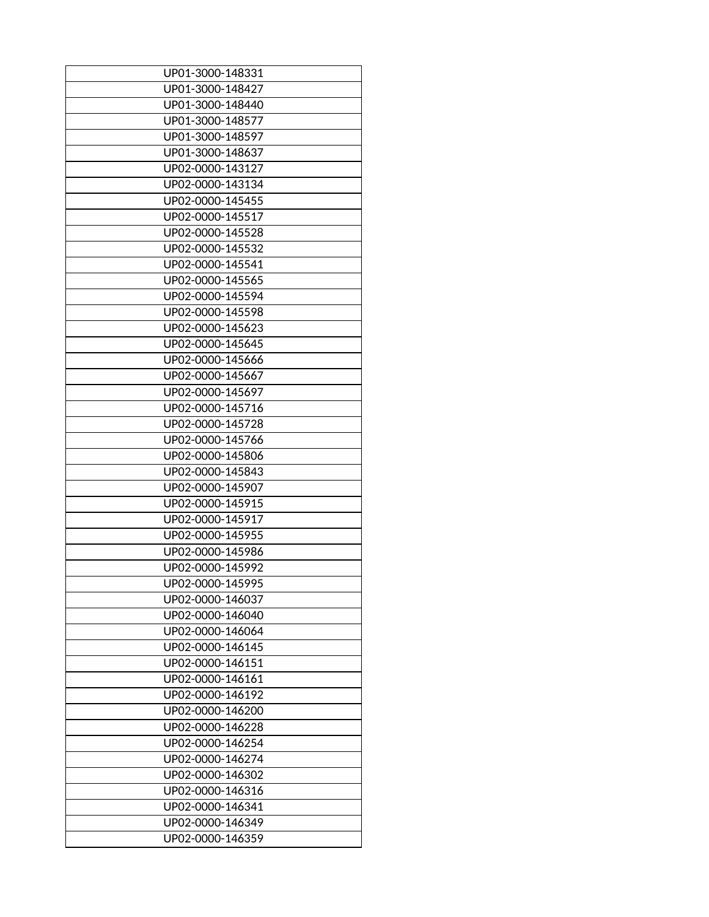| UP01-3000-148331 |
|------------------|
| UP01-3000-148427 |
| UP01-3000-148440 |
| UP01-3000-148577 |
| UP01-3000-148597 |
| UP01-3000-148637 |
| UP02-0000-143127 |
| UP02-0000-143134 |
| UP02-0000-145455 |
| UP02-0000-145517 |
| UP02-0000-145528 |
| UP02-0000-145532 |
| UP02-0000-145541 |
| UP02-0000-145565 |
| UP02-0000-145594 |
| UP02-0000-145598 |
| UP02-0000-145623 |
| UP02-0000-145645 |
| UP02-0000-145666 |
| UP02-0000-145667 |
| UP02-0000-145697 |
| UP02-0000-145716 |
| UP02-0000-145728 |
| UP02-0000-145766 |
| UP02-0000-145806 |
| UP02-0000-145843 |
| UP02-0000-145907 |
| UP02-0000-145915 |
| UP02-0000-145917 |
| UP02-0000-145955 |
| UP02-0000-145986 |
| UP02-0000-145992 |
|                  |
| UP02-0000-145995 |
| UP02-0000-146037 |
| UP02-0000-146040 |
| UP02-0000-146064 |
| UP02-0000-146145 |
| UP02-0000-146151 |
| UP02-0000-146161 |
| UP02-0000-146192 |
| UP02-0000-146200 |
| UP02-0000-146228 |
| UP02-0000-146254 |
| UP02-0000-146274 |
| UP02-0000-146302 |
| UP02-0000-146316 |
| UP02-0000-146341 |
| UP02-0000-146349 |
| UP02-0000-146359 |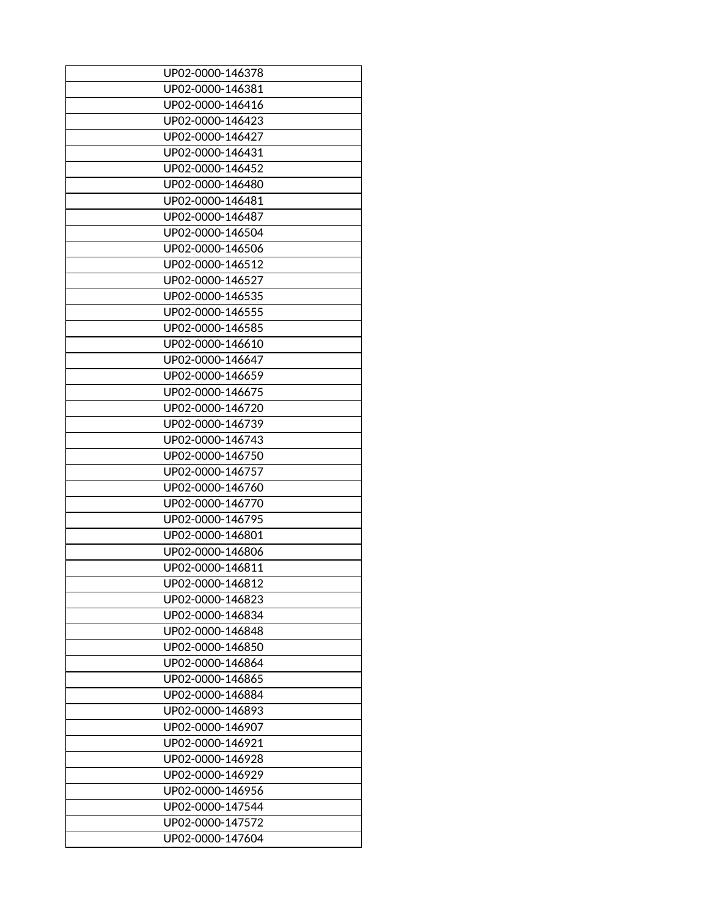| UP02-0000-146378 |
|------------------|
| UP02-0000-146381 |
| UP02-0000-146416 |
| UP02-0000-146423 |
| UP02-0000-146427 |
| UP02-0000-146431 |
| UP02-0000-146452 |
| UP02-0000-146480 |
| UP02-0000-146481 |
| UP02-0000-146487 |
| UP02-0000-146504 |
| UP02-0000-146506 |
| UP02-0000-146512 |
| UP02-0000-146527 |
| UP02-0000-146535 |
| UP02-0000-146555 |
| UP02-0000-146585 |
| UP02-0000-146610 |
| UP02-0000-146647 |
| UP02-0000-146659 |
|                  |
| UP02-0000-146675 |
| UP02-0000-146720 |
| UP02-0000-146739 |
| UP02-0000-146743 |
| UP02-0000-146750 |
| UP02-0000-146757 |
| UP02-0000-146760 |
| UP02-0000-146770 |
| UP02-0000-146795 |
| UP02-0000-146801 |
| UP02-0000-146806 |
| UP02-0000-146811 |
| UP02-0000-146812 |
| UP02-0000-146823 |
| UP02-0000-146834 |
| UP02-0000-146848 |
| UP02-0000-146850 |
| UP02-0000-146864 |
| UP02-0000-146865 |
| UP02-0000-146884 |
| UP02-0000-146893 |
| UP02-0000-146907 |
| UP02-0000-146921 |
| UP02-0000-146928 |
| UP02-0000-146929 |
| UP02-0000-146956 |
| UP02-0000-147544 |
| UP02-0000-147572 |
| UP02-0000-147604 |
|                  |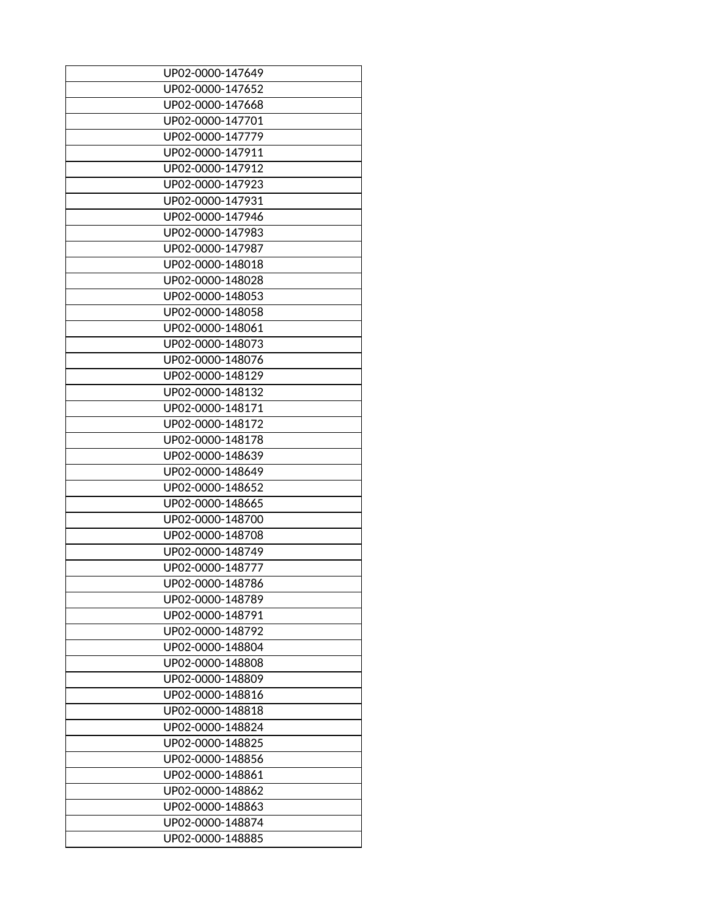| UP02-0000-147649                     |
|--------------------------------------|
| UP02-0000-147652                     |
| UP02-0000-147668                     |
| UP02-0000-147701                     |
| UP02-0000-147779                     |
| UP02-0000-147911                     |
| UP02-0000-147912                     |
| UP02-0000-147923                     |
| UP02-0000-147931                     |
| UP02-0000-147946                     |
| UP02-0000-147983                     |
| UP02-0000-147987                     |
| UP02-0000-148018                     |
| UP02-0000-148028                     |
| UP02-0000-148053                     |
| UP02-0000-148058                     |
| UP02-0000-148061                     |
| UP02-0000-148073                     |
| UP02-0000-148076                     |
| UP02-0000-148129                     |
| UP02-0000-148132                     |
| UP02-0000-148171                     |
| UP02-0000-148172                     |
| UP02-0000-148178                     |
|                                      |
| UP02-0000-148639<br>UP02-0000-148649 |
| UP02-0000-148652                     |
|                                      |
| UP02-0000-148665                     |
| UP02-0000-148700                     |
| UP02-0000-148708                     |
| UP02-0000-148749                     |
| UP02-0000-148777                     |
| UP02-0000-148786                     |
| UP02-0000-148789                     |
| UP02-0000-148791                     |
| UP02-0000-148792                     |
| UP02-0000-148804                     |
| UP02-0000-148808                     |
| UP02-0000-148809                     |
| UP02-0000-148816                     |
| UP02-0000-148818                     |
| UP02-0000-148824                     |
| UP02-0000-148825                     |
| UP02-0000-148856                     |
| UP02-0000-148861                     |
| UP02-0000-148862                     |
| UP02-0000-148863                     |
| UP02-0000-148874                     |
| UP02-0000-148885                     |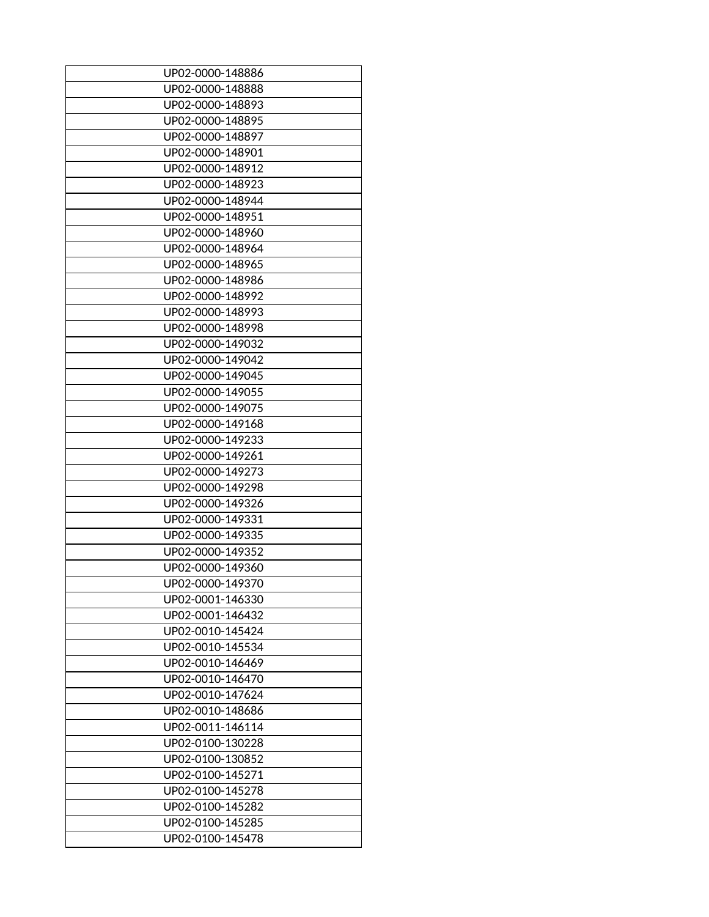| UP02-0000-148886 |
|------------------|
| UP02-0000-148888 |
| UP02-0000-148893 |
| UP02-0000-148895 |
| UP02-0000-148897 |
| UP02-0000-148901 |
| UP02-0000-148912 |
| UP02-0000-148923 |
| UP02-0000-148944 |
| UP02-0000-148951 |
| UP02-0000-148960 |
| UP02-0000-148964 |
| UP02-0000-148965 |
| UP02-0000-148986 |
| UP02-0000-148992 |
| UP02-0000-148993 |
| UP02-0000-148998 |
|                  |
| UP02-0000-149032 |
| UP02-0000-149042 |
| UP02-0000-149045 |
| UP02-0000-149055 |
| UP02-0000-149075 |
| UP02-0000-149168 |
| UP02-0000-149233 |
| UP02-0000-149261 |
| UP02-0000-149273 |
| UP02-0000-149298 |
| UP02-0000-149326 |
| UP02-0000-149331 |
| UP02-0000-149335 |
| UP02-0000-149352 |
| UP02-0000-149360 |
| UP02-0000-149370 |
| UP02-0001-146330 |
| UP02-0001-146432 |
| UP02-0010-145424 |
| UP02-0010-145534 |
| UP02-0010-146469 |
| UP02-0010-146470 |
| UP02-0010-147624 |
| UP02-0010-148686 |
| UP02-0011-146114 |
| UP02-0100-130228 |
| UP02-0100-130852 |
| UP02-0100-145271 |
| UP02-0100-145278 |
|                  |
| UP02-0100-145282 |
| UP02-0100-145285 |
| UP02-0100-145478 |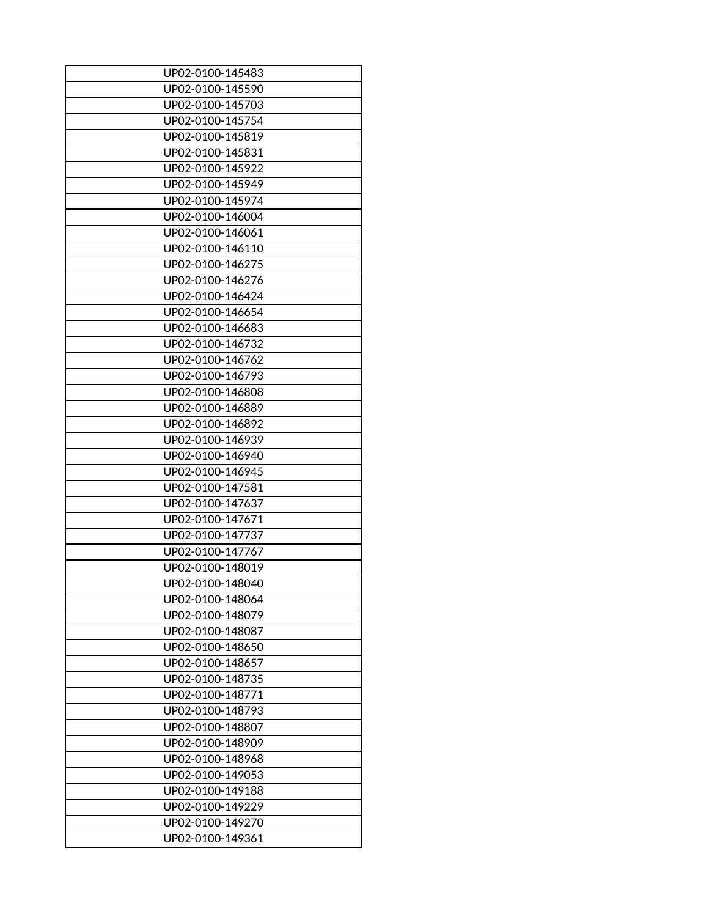| UP02-0100-145483 |
|------------------|
| UP02-0100-145590 |
| UP02-0100-145703 |
| UP02-0100-145754 |
| UP02-0100-145819 |
| UP02-0100-145831 |
| UP02-0100-145922 |
| UP02-0100-145949 |
| UP02-0100-145974 |
| UP02-0100-146004 |
| UP02-0100-146061 |
| UP02-0100-146110 |
| UP02-0100-146275 |
| UP02-0100-146276 |
| UP02-0100-146424 |
| UP02-0100-146654 |
| UP02-0100-146683 |
| UP02-0100-146732 |
| UP02-0100-146762 |
| UP02-0100-146793 |
| UP02-0100-146808 |
| UP02-0100-146889 |
| UP02-0100-146892 |
| UP02-0100-146939 |
|                  |
| UP02-0100-146940 |
| UP02-0100-146945 |
| UP02-0100-147581 |
| UP02-0100-147637 |
| UP02-0100-147671 |
| UP02-0100-147737 |
| UP02-0100-147767 |
| UP02-0100-148019 |
| UP02-0100-148040 |
| UP02-0100-148064 |
| UP02-0100-148079 |
| UP02-0100-148087 |
| UP02-0100-148650 |
| UP02-0100-148657 |
| UP02-0100-148735 |
| UP02-0100-148771 |
| UP02-0100-148793 |
| UP02-0100-148807 |
| UP02-0100-148909 |
| UP02-0100-148968 |
| UP02-0100-149053 |
| UP02-0100-149188 |
| UP02-0100-149229 |
| UP02-0100-149270 |
| UP02-0100-149361 |
|                  |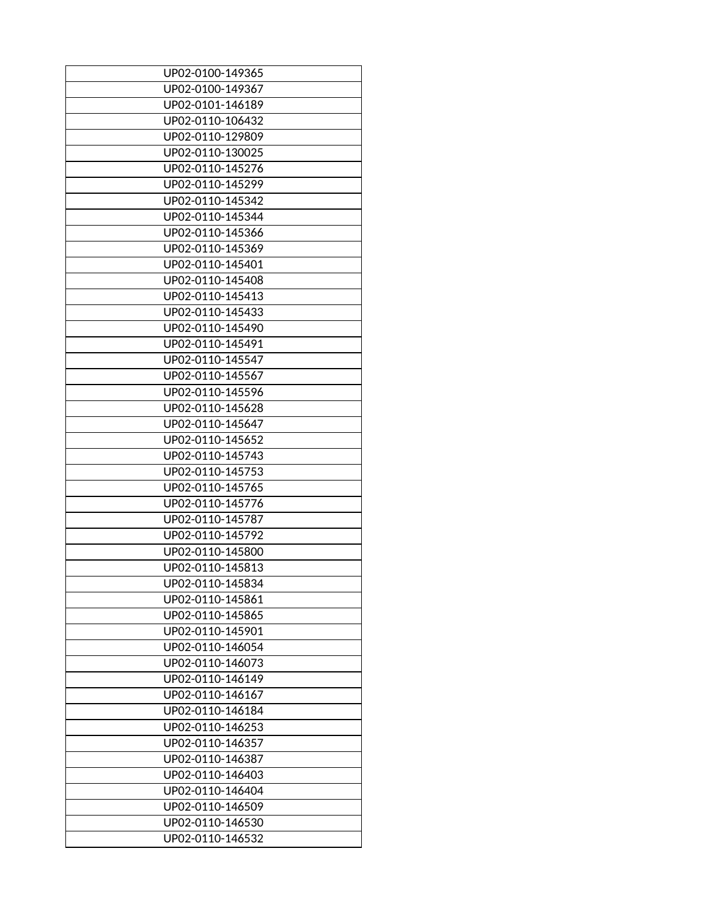| UP02-0100-149365 |
|------------------|
| UP02-0100-149367 |
| UP02-0101-146189 |
| UP02-0110-106432 |
| UP02-0110-129809 |
| UP02-0110-130025 |
| UP02-0110-145276 |
| UP02-0110-145299 |
| UP02-0110-145342 |
| UP02-0110-145344 |
| UP02-0110-145366 |
| UP02-0110-145369 |
| UP02-0110-145401 |
| UP02-0110-145408 |
| UP02-0110-145413 |
| UP02-0110-145433 |
| UP02-0110-145490 |
| UP02-0110-145491 |
| UP02-0110-145547 |
| UP02-0110-145567 |
| UP02-0110-145596 |
| UP02-0110-145628 |
| UP02-0110-145647 |
| UP02-0110-145652 |
| UP02-0110-145743 |
| UP02-0110-145753 |
| UP02-0110-145765 |
| UP02-0110-145776 |
| UP02-0110-145787 |
|                  |
| UP02-0110-145792 |
| UP02-0110-145800 |
| UP02-0110-145813 |
| UP02-0110-145834 |
| UP02-0110-145861 |
| UP02-0110-145865 |
| UP02-0110-145901 |
| UP02-0110-146054 |
| UP02-0110-146073 |
| UP02-0110-146149 |
| UP02-0110-146167 |
| UP02-0110-146184 |
| UP02-0110-146253 |
| UP02-0110-146357 |
| UP02-0110-146387 |
| UP02-0110-146403 |
| UP02-0110-146404 |
| UP02-0110-146509 |
| UP02-0110-146530 |
| UP02-0110-146532 |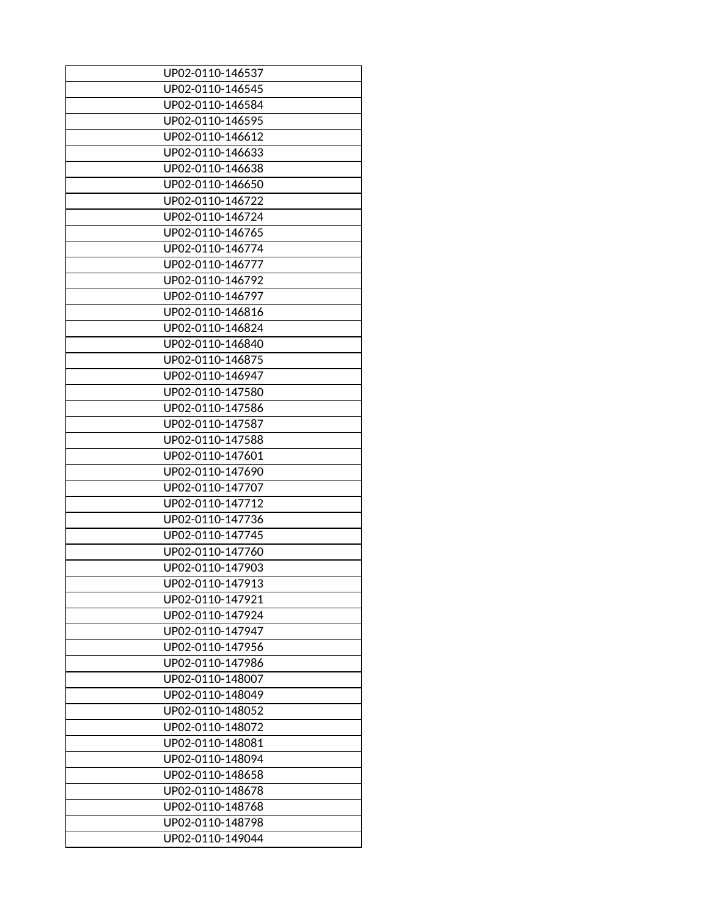| UP02-0110-146537 |
|------------------|
| UP02-0110-146545 |
| UP02-0110-146584 |
| UP02-0110-146595 |
| UP02-0110-146612 |
| UP02-0110-146633 |
| UP02-0110-146638 |
| UP02-0110-146650 |
| UP02-0110-146722 |
| UP02-0110-146724 |
| UP02-0110-146765 |
| UP02-0110-146774 |
| UP02-0110-146777 |
| UP02-0110-146792 |
| UP02-0110-146797 |
| UP02-0110-146816 |
| UP02-0110-146824 |
| UP02-0110-146840 |
| UP02-0110-146875 |
| UP02-0110-146947 |
| UP02-0110-147580 |
| UP02-0110-147586 |
|                  |
| UP02-0110-147587 |
| UP02-0110-147588 |
| UP02-0110-147601 |
| UP02-0110-147690 |
| UP02-0110-147707 |
| UP02-0110-147712 |
| UP02-0110-147736 |
| UP02-0110-147745 |
| UP02-0110-147760 |
| UP02-0110-147903 |
| UP02-0110-147913 |
| UP02-0110-147921 |
| UP02-0110-147924 |
| UP02-0110-147947 |
| UP02-0110-147956 |
| UP02-0110-147986 |
| UP02-0110-148007 |
| UP02-0110-148049 |
| UP02-0110-148052 |
| UP02-0110-148072 |
| UP02-0110-148081 |
| UP02-0110-148094 |
| UP02-0110-148658 |
| UP02-0110-148678 |
| UP02-0110-148768 |
| UP02-0110-148798 |
| UP02-0110-149044 |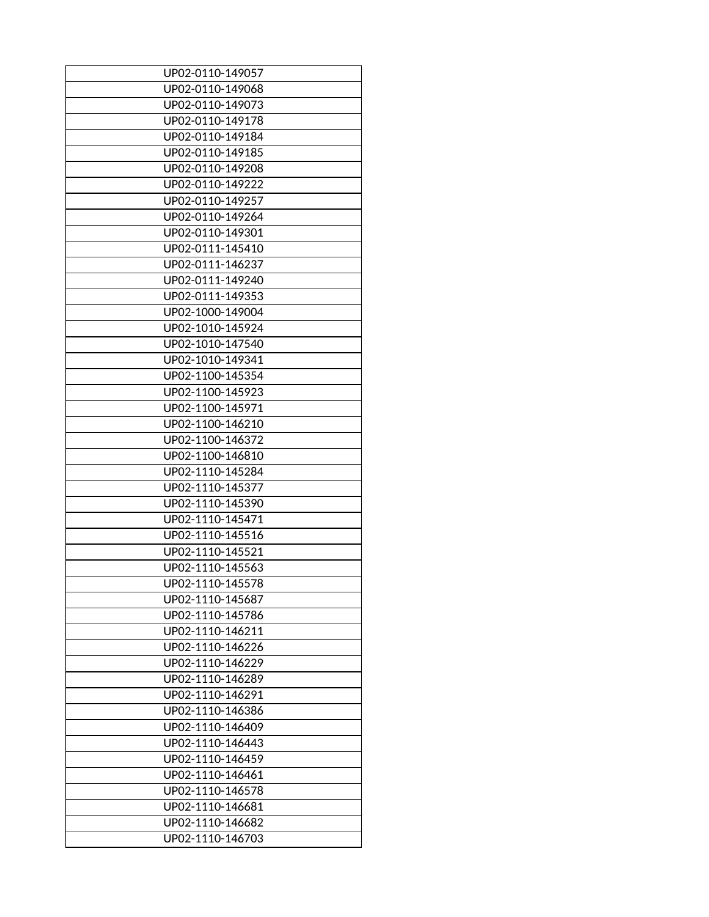| UP02-0110-149057 |
|------------------|
|                  |
| UP02-0110-149068 |
| UP02-0110-149073 |
| UP02-0110-149178 |
| UP02-0110-149184 |
| UP02-0110-149185 |
| UP02-0110-149208 |
| UP02-0110-149222 |
| UP02-0110-149257 |
| UP02-0110-149264 |
| UP02-0110-149301 |
| UP02-0111-145410 |
| UP02-0111-146237 |
| UP02-0111-149240 |
| UP02-0111-149353 |
| UP02-1000-149004 |
| UP02-1010-145924 |
| UP02-1010-147540 |
| UP02-1010-149341 |
| UP02-1100-145354 |
| UP02-1100-145923 |
| UP02-1100-145971 |
| UP02-1100-146210 |
|                  |
| UP02-1100-146372 |
| UP02-1100-146810 |
| UP02-1110-145284 |
| UP02-1110-145377 |
| UP02-1110-145390 |
| UP02-1110-145471 |
| UP02-1110-145516 |
| UP02-1110-145521 |
| UP02-1110-145563 |
| UP02-1110-145578 |
| UP02-1110-145687 |
| UP02-1110-145786 |
| UP02-1110-146211 |
| UP02-1110-146226 |
| UP02-1110-146229 |
| UP02-1110-146289 |
| UP02-1110-146291 |
| UP02-1110-146386 |
| UP02-1110-146409 |
| UP02-1110-146443 |
| UP02-1110-146459 |
| UP02-1110-146461 |
| UP02-1110-146578 |
|                  |
| UP02-1110-146681 |
| UP02-1110-146682 |
| UP02-1110-146703 |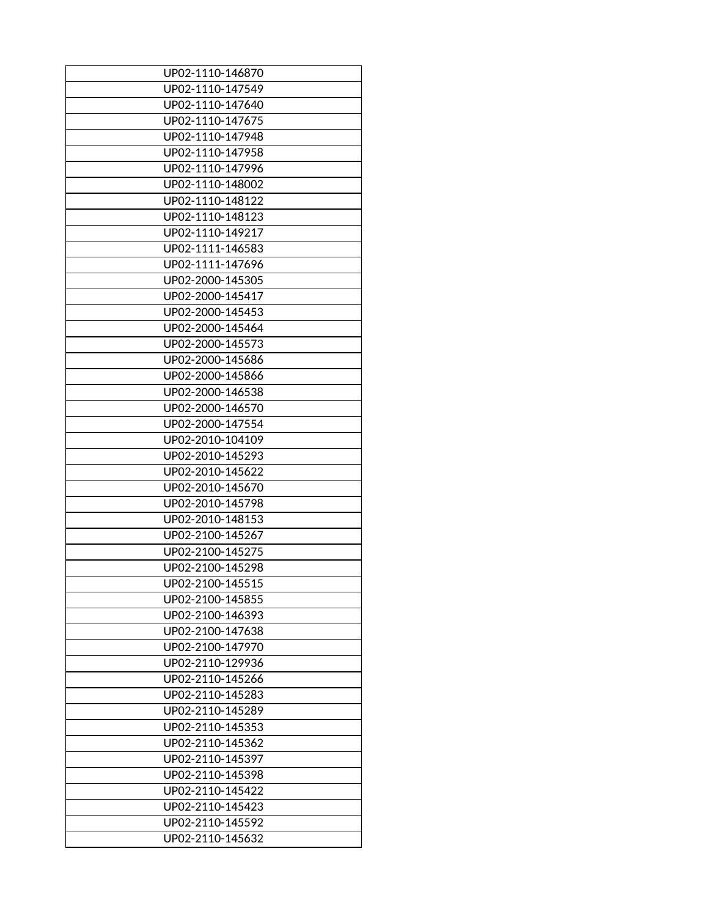| UP02-1110-146870 |
|------------------|
| UP02-1110-147549 |
| UP02-1110-147640 |
| UP02-1110-147675 |
|                  |
| UP02-1110-147948 |
| UP02-1110-147958 |
| UP02-1110-147996 |
| UP02-1110-148002 |
| UP02-1110-148122 |
| UP02-1110-148123 |
| UP02-1110-149217 |
| UP02-1111-146583 |
| UP02-1111-147696 |
| UP02-2000-145305 |
| UP02-2000-145417 |
| UP02-2000-145453 |
| UP02-2000-145464 |
| UP02-2000-145573 |
| UP02-2000-145686 |
| UP02-2000-145866 |
| UP02-2000-146538 |
| UP02-2000-146570 |
| UP02-2000-147554 |
| UP02-2010-104109 |
| UP02-2010-145293 |
| UP02-2010-145622 |
| UP02-2010-145670 |
|                  |
| UP02-2010-145798 |
| UP02-2010-148153 |
| UP02-2100-145267 |
| UP02-2100-145275 |
| UP02-2100-145298 |
| UP02-2100-145515 |
| UP02-2100-145855 |
| UP02-2100-146393 |
| UP02-2100-147638 |
| UP02-2100-147970 |
| UP02-2110-129936 |
| UP02-2110-145266 |
| UP02-2110-145283 |
| UP02-2110-145289 |
| UP02-2110-145353 |
| UP02-2110-145362 |
| UP02-2110-145397 |
| UP02-2110-145398 |
| UP02-2110-145422 |
| UP02-2110-145423 |
| UP02-2110-145592 |
| UP02-2110-145632 |
|                  |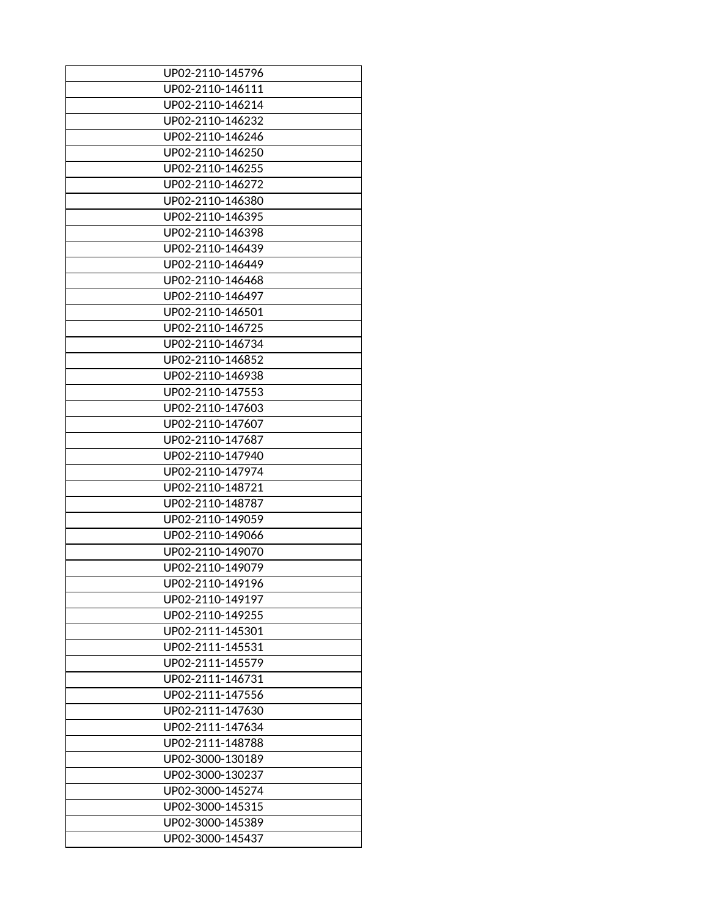| UP02-2110-145796<br>UP02-2110-146111<br>UP02-2110-146214<br>UP02-2110-146232<br>UP02-2110-146246<br>UP02-2110-146250<br>UP02-2110-146255<br>UP02-2110-146272<br>UP02-2110-146380<br>UP02-2110-146395<br>UP02-2110-146398<br>UP02-2110-146439<br>UP02-2110-146449<br>UP02-2110-146468<br>UP02-2110-146497<br>UP02-2110-146501<br>UP02-2110-146725 |
|--------------------------------------------------------------------------------------------------------------------------------------------------------------------------------------------------------------------------------------------------------------------------------------------------------------------------------------------------|
|                                                                                                                                                                                                                                                                                                                                                  |
|                                                                                                                                                                                                                                                                                                                                                  |
|                                                                                                                                                                                                                                                                                                                                                  |
|                                                                                                                                                                                                                                                                                                                                                  |
|                                                                                                                                                                                                                                                                                                                                                  |
|                                                                                                                                                                                                                                                                                                                                                  |
|                                                                                                                                                                                                                                                                                                                                                  |
|                                                                                                                                                                                                                                                                                                                                                  |
|                                                                                                                                                                                                                                                                                                                                                  |
|                                                                                                                                                                                                                                                                                                                                                  |
|                                                                                                                                                                                                                                                                                                                                                  |
|                                                                                                                                                                                                                                                                                                                                                  |
|                                                                                                                                                                                                                                                                                                                                                  |
|                                                                                                                                                                                                                                                                                                                                                  |
|                                                                                                                                                                                                                                                                                                                                                  |
|                                                                                                                                                                                                                                                                                                                                                  |
|                                                                                                                                                                                                                                                                                                                                                  |
| UP02-2110-146734                                                                                                                                                                                                                                                                                                                                 |
| UP02-2110-146852                                                                                                                                                                                                                                                                                                                                 |
| UP02-2110-146938                                                                                                                                                                                                                                                                                                                                 |
| UP02-2110-147553                                                                                                                                                                                                                                                                                                                                 |
| UP02-2110-147603                                                                                                                                                                                                                                                                                                                                 |
| UP02-2110-147607                                                                                                                                                                                                                                                                                                                                 |
| UP02-2110-147687                                                                                                                                                                                                                                                                                                                                 |
| UP02-2110-147940                                                                                                                                                                                                                                                                                                                                 |
| UP02-2110-147974                                                                                                                                                                                                                                                                                                                                 |
| UP02-2110-148721                                                                                                                                                                                                                                                                                                                                 |
| UP02-2110-148787                                                                                                                                                                                                                                                                                                                                 |
| UP02-2110-149059                                                                                                                                                                                                                                                                                                                                 |
| UP02-2110-149066                                                                                                                                                                                                                                                                                                                                 |
| UP02-2110-149070                                                                                                                                                                                                                                                                                                                                 |
| UP02-2110-149079                                                                                                                                                                                                                                                                                                                                 |
| UP02-2110-149196                                                                                                                                                                                                                                                                                                                                 |
| UP02-2110-149197                                                                                                                                                                                                                                                                                                                                 |
|                                                                                                                                                                                                                                                                                                                                                  |
| UP02-2110-149255                                                                                                                                                                                                                                                                                                                                 |
| UP02-2111-145301                                                                                                                                                                                                                                                                                                                                 |
| UP02-2111-145531                                                                                                                                                                                                                                                                                                                                 |
| UP02-2111-145579                                                                                                                                                                                                                                                                                                                                 |
| UP02-2111-146731                                                                                                                                                                                                                                                                                                                                 |
| UP02-2111-147556                                                                                                                                                                                                                                                                                                                                 |
| UP02-2111-147630                                                                                                                                                                                                                                                                                                                                 |
| UP02-2111-147634                                                                                                                                                                                                                                                                                                                                 |
| UP02-2111-148788                                                                                                                                                                                                                                                                                                                                 |
|                                                                                                                                                                                                                                                                                                                                                  |
| UP02-3000-130189                                                                                                                                                                                                                                                                                                                                 |
| UP02-3000-130237                                                                                                                                                                                                                                                                                                                                 |
| UP02-3000-145274                                                                                                                                                                                                                                                                                                                                 |
| UP02-3000-145315                                                                                                                                                                                                                                                                                                                                 |
| UP02-3000-145389                                                                                                                                                                                                                                                                                                                                 |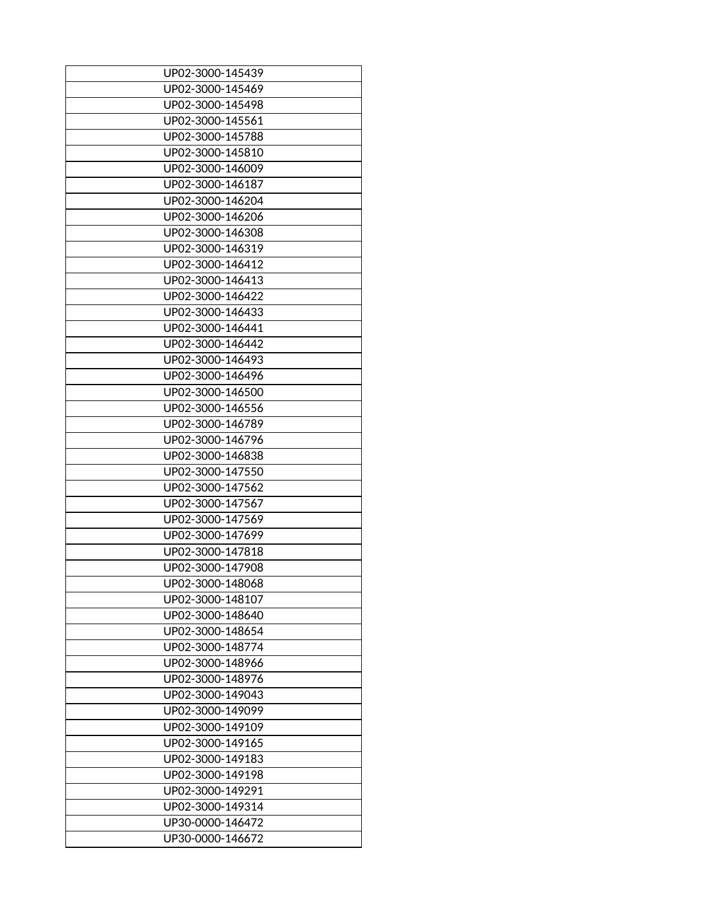| UP02-3000-145439 |
|------------------|
| UP02-3000-145469 |
| UP02-3000-145498 |
| UP02-3000-145561 |
| UP02-3000-145788 |
| UP02-3000-145810 |
| UP02-3000-146009 |
| UP02-3000-146187 |
| UP02-3000-146204 |
| UP02-3000-146206 |
| UP02-3000-146308 |
| UP02-3000-146319 |
| UP02-3000-146412 |
| UP02-3000-146413 |
| UP02-3000-146422 |
| UP02-3000-146433 |
| UP02-3000-146441 |
| UP02-3000-146442 |
| UP02-3000-146493 |
| UP02-3000-146496 |
| UP02-3000-146500 |
| UP02-3000-146556 |
| UP02-3000-146789 |
|                  |
| UP02-3000-146796 |
| UP02-3000-146838 |
| UP02-3000-147550 |
| UP02-3000-147562 |
| UP02-3000-147567 |
| UP02-3000-147569 |
| UP02-3000-147699 |
| UP02-3000-147818 |
| UP02-3000-147908 |
| UP02-3000-148068 |
| UP02-3000-148107 |
| UP02-3000-148640 |
| UP02-3000-148654 |
| UP02-3000-148774 |
| UP02-3000-148966 |
| UP02-3000-148976 |
| UP02-3000-149043 |
| UP02-3000-149099 |
| UP02-3000-149109 |
| UP02-3000-149165 |
| UP02-3000-149183 |
| UP02-3000-149198 |
| UP02-3000-149291 |
| UP02-3000-149314 |
| UP30-0000-146472 |
| UP30-0000-146672 |
|                  |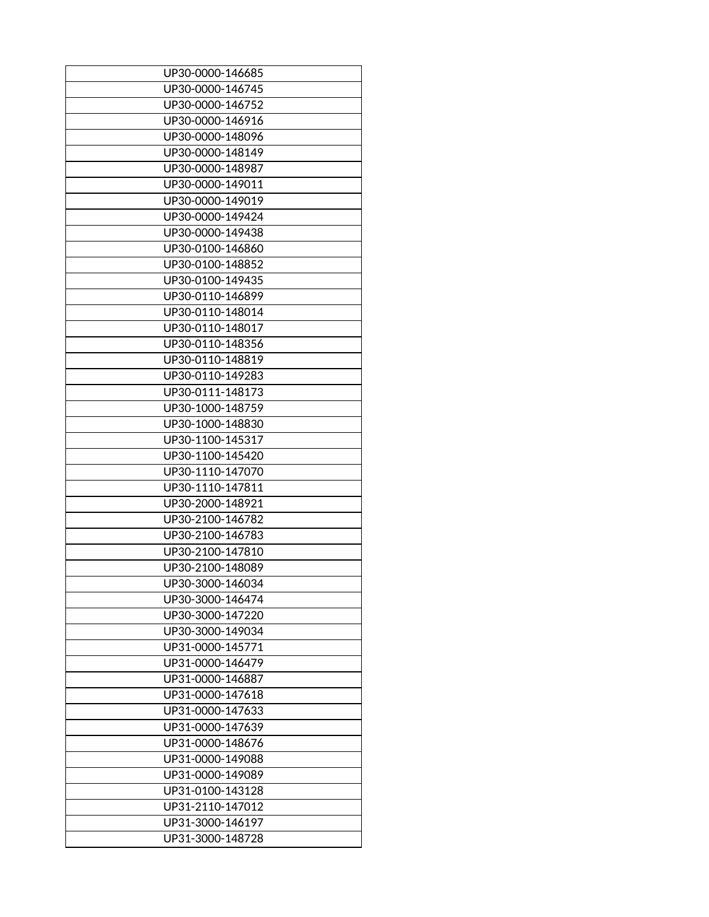| UP30-0000-146685                     |
|--------------------------------------|
| UP30-0000-146745                     |
| UP30-0000-146752                     |
| UP30-0000-146916                     |
| UP30-0000-148096                     |
| UP30-0000-148149                     |
| UP30-0000-148987                     |
| UP30-0000-149011                     |
| UP30-0000-149019                     |
| UP30-0000-149424                     |
| UP30-0000-149438                     |
| UP30-0100-146860                     |
| UP30-0100-148852                     |
| UP30-0100-149435                     |
| UP30-0110-146899                     |
| UP30-0110-148014                     |
| UP30-0110-148017                     |
| UP30-0110-148356                     |
| UP30-0110-148819                     |
| UP30-0110-149283                     |
| UP30-0111-148173                     |
| UP30-1000-148759                     |
| UP30-1000-148830                     |
| UP30-1100-145317                     |
| UP30-1100-145420                     |
|                                      |
| UP30-1110-147070<br>UP30-1110-147811 |
|                                      |
| UP30-2000-148921                     |
| UP30-2100-146782                     |
| UP30-2100-146783                     |
| UP30-2100-147810                     |
| UP30-2100-148089                     |
| UP30-3000-146034                     |
| UP30-3000-146474                     |
| UP30-3000-147220                     |
| UP30-3000-149034                     |
| UP31-0000-145771                     |
| UP31-0000-146479                     |
| UP31-0000-146887                     |
| UP31-0000-147618                     |
| UP31-0000-147633                     |
| UP31-0000-147639                     |
| UP31-0000-148676                     |
| UP31-0000-149088                     |
| UP31-0000-149089                     |
| UP31-0100-143128                     |
| UP31-2110-147012                     |
| UP31-3000-146197                     |
| UP31-3000-148728                     |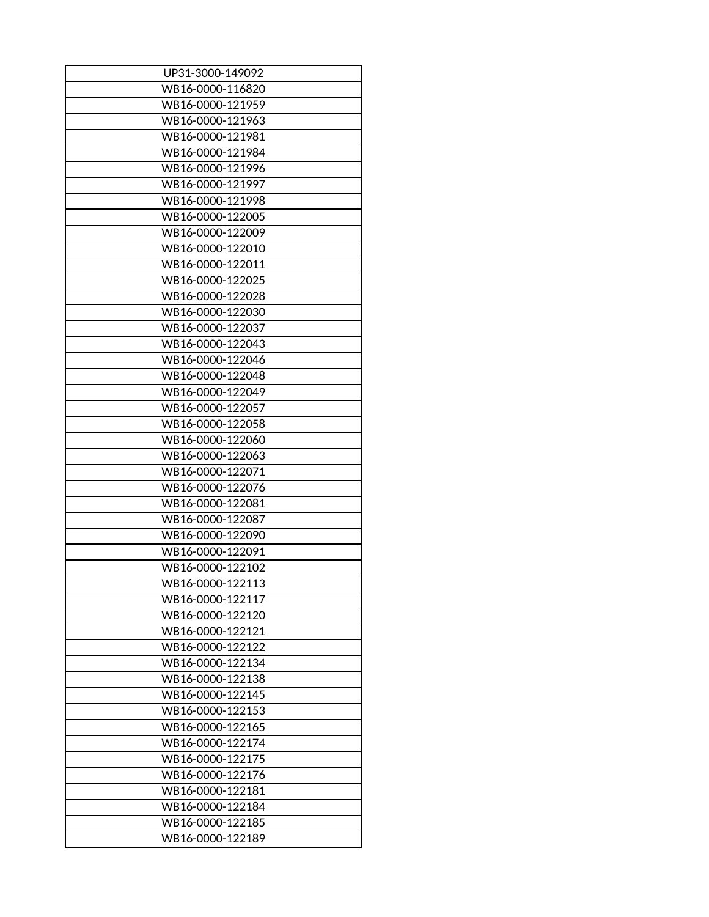| UP31-3000-149092 |
|------------------|
| WB16-0000-116820 |
| WB16-0000-121959 |
| WB16-0000-121963 |
| WB16-0000-121981 |
| WB16-0000-121984 |
| WB16-0000-121996 |
| WB16-0000-121997 |
| WB16-0000-121998 |
| WB16-0000-122005 |
| WB16-0000-122009 |
| WB16-0000-122010 |
| WB16-0000-122011 |
| WB16-0000-122025 |
| WB16-0000-122028 |
| WB16-0000-122030 |
| WB16-0000-122037 |
| WB16-0000-122043 |
| WB16-0000-122046 |
| WB16-0000-122048 |
| WB16-0000-122049 |
| WB16-0000-122057 |
| WB16-0000-122058 |
| WB16-0000-122060 |
| WB16-0000-122063 |
| WB16-0000-122071 |
| WB16-0000-122076 |
| WB16-0000-122081 |
| WB16-0000-122087 |
| WB16-0000-122090 |
| WB16-0000-122091 |
| WB16-0000-122102 |
| WB16-0000-122113 |
| WB16-0000-122117 |
| WB16-0000-122120 |
| WB16-0000-122121 |
| WB16-0000-122122 |
| WB16-0000-122134 |
| WB16-0000-122138 |
| WB16-0000-122145 |
|                  |
| WB16-0000-122153 |
| WB16-0000-122165 |
| WB16-0000-122174 |
| WB16-0000-122175 |
| WB16-0000-122176 |
| WB16-0000-122181 |
| WB16-0000-122184 |
| WB16-0000-122185 |
| WB16-0000-122189 |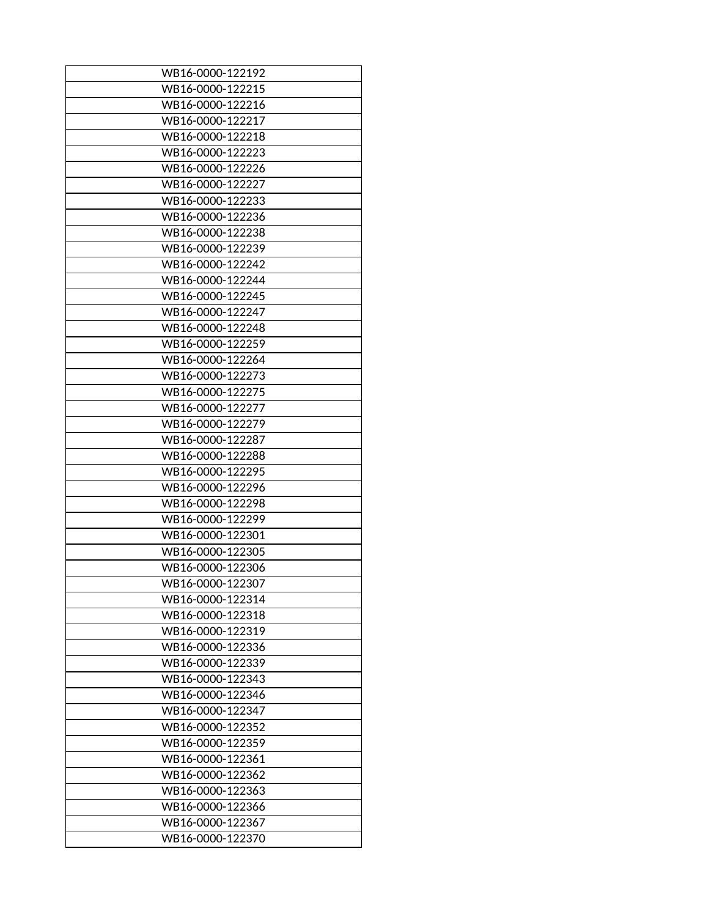| WB16-0000-122192 |
|------------------|
| WB16-0000-122215 |
| WB16-0000-122216 |
| WB16-0000-122217 |
| WB16-0000-122218 |
| WB16-0000-122223 |
| WB16-0000-122226 |
| WB16-0000-122227 |
| WB16-0000-122233 |
| WB16-0000-122236 |
| WB16-0000-122238 |
| WB16-0000-122239 |
| WB16-0000-122242 |
| WB16-0000-122244 |
|                  |
| WB16-0000-122245 |
| WB16-0000-122247 |
| WB16-0000-122248 |
| WB16-0000-122259 |
| WB16-0000-122264 |
| WB16-0000-122273 |
| WB16-0000-122275 |
| WB16-0000-122277 |
| WB16-0000-122279 |
| WB16-0000-122287 |
| WB16-0000-122288 |
| WB16-0000-122295 |
| WB16-0000-122296 |
| WB16-0000-122298 |
| WB16-0000-122299 |
| WB16-0000-122301 |
| WB16-0000-122305 |
| WB16-0000-122306 |
| WB16-0000-122307 |
| WB16-0000-122314 |
| WB16-0000-122318 |
| WB16-0000-122319 |
| WB16-0000-122336 |
| WB16-0000-122339 |
| WB16-0000-122343 |
| WB16-0000-122346 |
| WB16-0000-122347 |
| WB16-0000-122352 |
| WB16-0000-122359 |
| WB16-0000-122361 |
| WB16-0000-122362 |
| WB16-0000-122363 |
| WB16-0000-122366 |
| WB16-0000-122367 |
| WB16-0000-122370 |
|                  |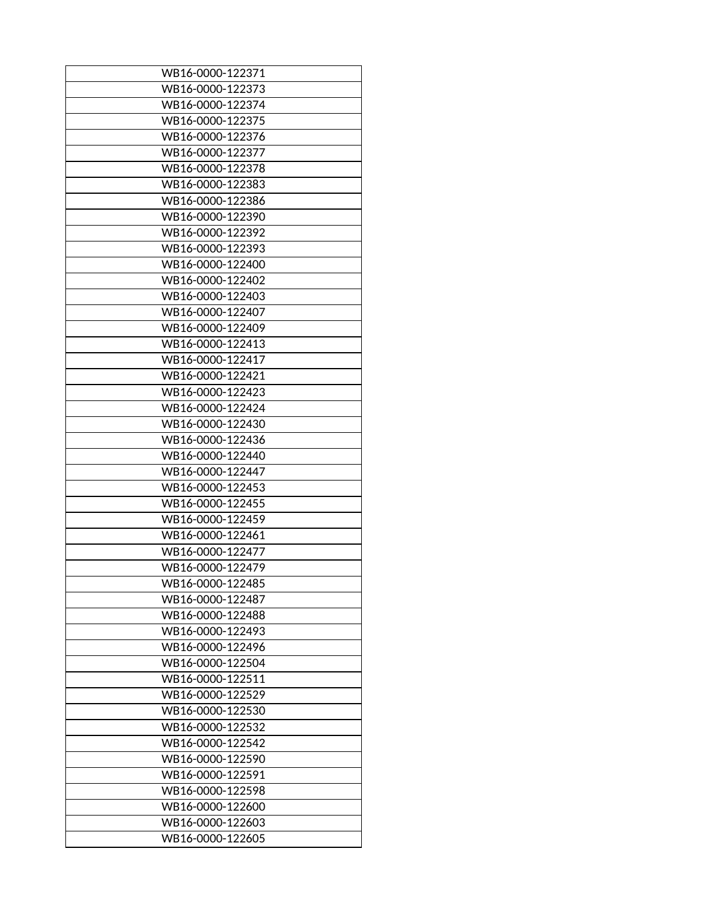| WB16-0000-122371 |
|------------------|
| WB16-0000-122373 |
| WB16-0000-122374 |
| WB16-0000-122375 |
| WB16-0000-122376 |
| WB16-0000-122377 |
| WB16-0000-122378 |
| WB16-0000-122383 |
| WB16-0000-122386 |
| WB16-0000-122390 |
| WB16-0000-122392 |
| WB16-0000-122393 |
| WB16-0000-122400 |
| WB16-0000-122402 |
|                  |
| WB16-0000-122403 |
| WB16-0000-122407 |
| WB16-0000-122409 |
| WB16-0000-122413 |
| WB16-0000-122417 |
| WB16-0000-122421 |
| WB16-0000-122423 |
| WB16-0000-122424 |
| WB16-0000-122430 |
| WB16-0000-122436 |
| WB16-0000-122440 |
| WB16-0000-122447 |
| WB16-0000-122453 |
| WB16-0000-122455 |
| WB16-0000-122459 |
| WB16-0000-122461 |
| WB16-0000-122477 |
| WB16-0000-122479 |
| WB16-0000-122485 |
| WB16-0000-122487 |
| WB16-0000-122488 |
| WB16-0000-122493 |
| WB16-0000-122496 |
| WB16-0000-122504 |
| WB16-0000-122511 |
| WB16-0000-122529 |
| WB16-0000-122530 |
| WB16-0000-122532 |
| WB16-0000-122542 |
| WB16-0000-122590 |
| WB16-0000-122591 |
| WB16-0000-122598 |
| WB16-0000-122600 |
| WB16-0000-122603 |
| WB16-0000-122605 |
|                  |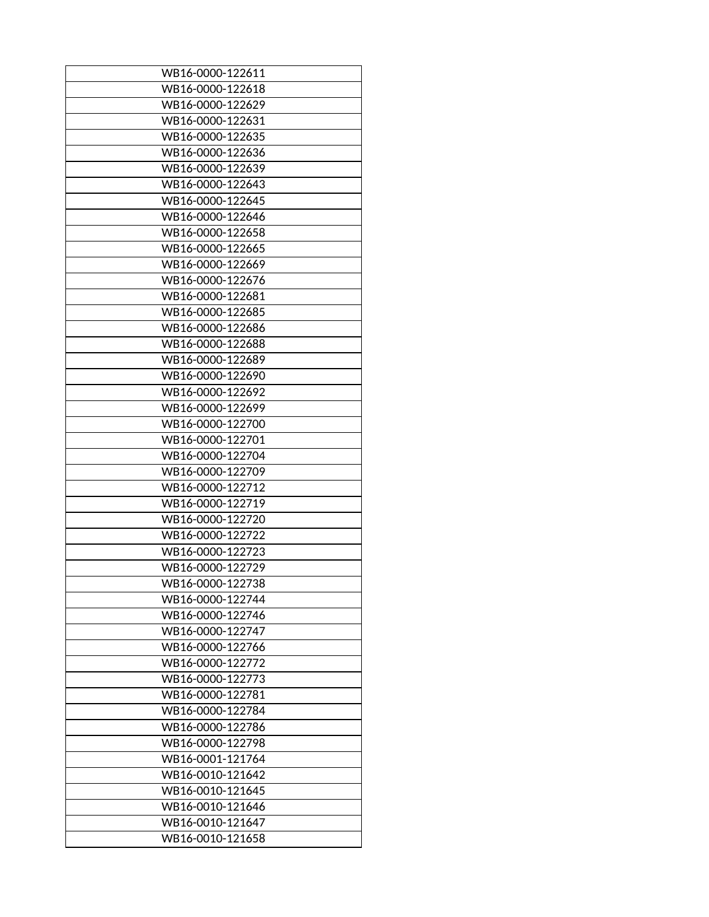| WB16-0000-122611 |
|------------------|
| WB16-0000-122618 |
| WB16-0000-122629 |
| WB16-0000-122631 |
| WB16-0000-122635 |
| WB16-0000-122636 |
| WB16-0000-122639 |
| WB16-0000-122643 |
| WB16-0000-122645 |
| WB16-0000-122646 |
| WB16-0000-122658 |
|                  |
| WB16-0000-122665 |
| WB16-0000-122669 |
| WB16-0000-122676 |
| WB16-0000-122681 |
| WB16-0000-122685 |
| WB16-0000-122686 |
| WB16-0000-122688 |
| WB16-0000-122689 |
| WB16-0000-122690 |
| WB16-0000-122692 |
| WB16-0000-122699 |
| WB16-0000-122700 |
| WB16-0000-122701 |
| WB16-0000-122704 |
| WB16-0000-122709 |
| WB16-0000-122712 |
| WB16-0000-122719 |
| WB16-0000-122720 |
| WB16-0000-122722 |
| WB16-0000-122723 |
| WB16-0000-122729 |
| WB16-0000-122738 |
| WB16-0000-122744 |
| WB16-0000-122746 |
| WB16-0000-122747 |
| WB16-0000-122766 |
|                  |
| WB16-0000-122772 |
| WB16-0000-122773 |
| WB16-0000-122781 |
| WB16-0000-122784 |
| WB16-0000-122786 |
| WB16-0000-122798 |
| WB16-0001-121764 |
| WB16-0010-121642 |
| WB16-0010-121645 |
| WB16-0010-121646 |
| WB16-0010-121647 |
| WB16-0010-121658 |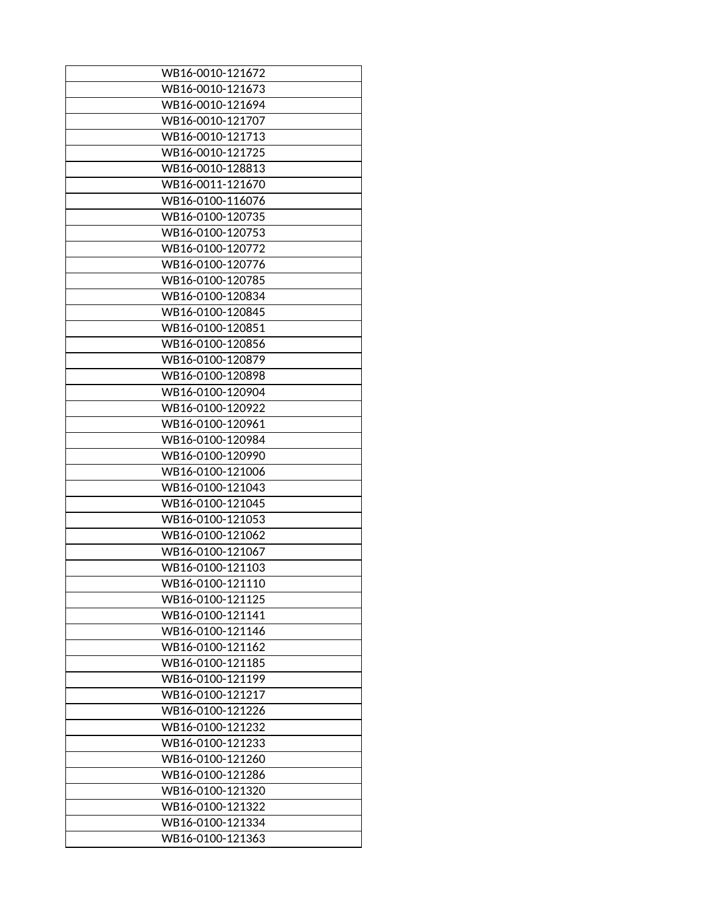| WB16-0010-121672 |
|------------------|
| WB16-0010-121673 |
| WB16-0010-121694 |
| WB16-0010-121707 |
| WB16-0010-121713 |
| WB16-0010-121725 |
|                  |
| WB16-0010-128813 |
| WB16-0011-121670 |
| WB16-0100-116076 |
| WB16-0100-120735 |
| WB16-0100-120753 |
| WB16-0100-120772 |
| WB16-0100-120776 |
| WB16-0100-120785 |
| WB16-0100-120834 |
| WB16-0100-120845 |
| WB16-0100-120851 |
| WB16-0100-120856 |
| WB16-0100-120879 |
| WB16-0100-120898 |
| WB16-0100-120904 |
| WB16-0100-120922 |
| WB16-0100-120961 |
| WB16-0100-120984 |
| WB16-0100-120990 |
| WB16-0100-121006 |
| WB16-0100-121043 |
| WB16-0100-121045 |
| WB16-0100-121053 |
| WB16-0100-121062 |
| WB16-0100-121067 |
|                  |
| WB16-0100-121103 |
| WB16-0100-121110 |
| WB16-0100-121125 |
| WB16-0100-121141 |
| WB16-0100-121146 |
| WB16-0100-121162 |
| WB16-0100-121185 |
| WB16-0100-121199 |
| WB16-0100-121217 |
| WB16-0100-121226 |
| WB16-0100-121232 |
| WB16-0100-121233 |
| WB16-0100-121260 |
| WB16-0100-121286 |
| WB16-0100-121320 |
| WB16-0100-121322 |
| WB16-0100-121334 |
| WB16-0100-121363 |
|                  |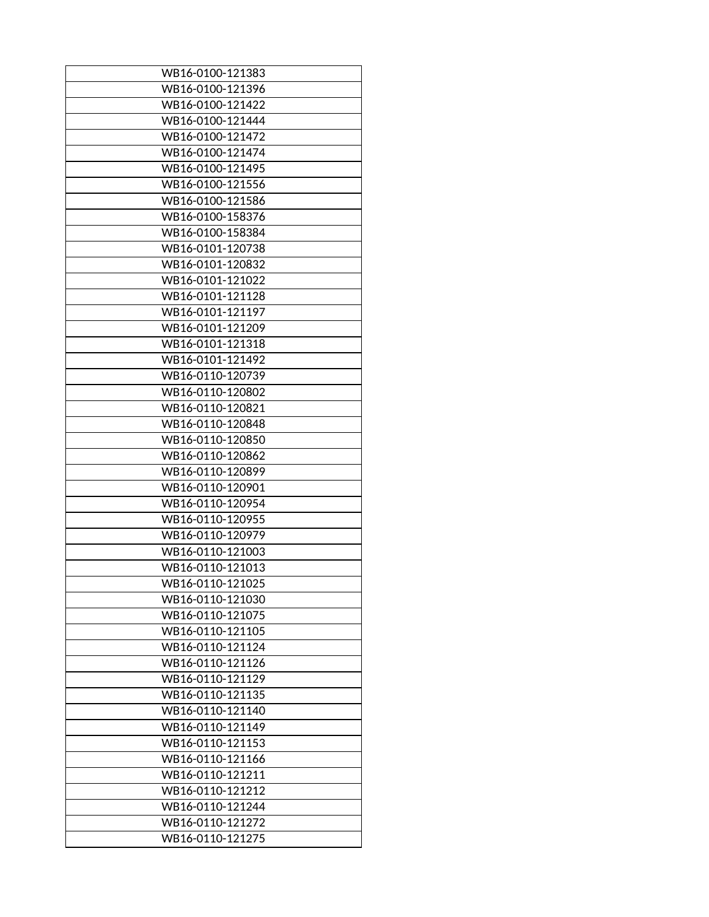| WB16-0100-121383 |
|------------------|
| WB16-0100-121396 |
| WB16-0100-121422 |
| WB16-0100-121444 |
| WB16-0100-121472 |
| WB16-0100-121474 |
| WB16-0100-121495 |
| WB16-0100-121556 |
| WB16-0100-121586 |
| WB16-0100-158376 |
| WB16-0100-158384 |
| WB16-0101-120738 |
| WB16-0101-120832 |
| WB16-0101-121022 |
| WB16-0101-121128 |
| WB16-0101-121197 |
| WB16-0101-121209 |
| WB16-0101-121318 |
| WB16-0101-121492 |
| WB16-0110-120739 |
| WB16-0110-120802 |
| WB16-0110-120821 |
| WB16-0110-120848 |
| WB16-0110-120850 |
| WB16-0110-120862 |
| WB16-0110-120899 |
| WB16-0110-120901 |
| WB16-0110-120954 |
| WB16-0110-120955 |
| WB16-0110-120979 |
| WB16-0110-121003 |
| WB16-0110-121013 |
| WB16-0110-121025 |
| WB16-0110-121030 |
| WB16-0110-121075 |
| WB16-0110-121105 |
| WB16-0110-121124 |
| WB16-0110-121126 |
| WB16-0110-121129 |
| WB16-0110-121135 |
| WB16-0110-121140 |
| WB16-0110-121149 |
| WB16-0110-121153 |
| WB16-0110-121166 |
| WB16-0110-121211 |
| WB16-0110-121212 |
| WB16-0110-121244 |
| WB16-0110-121272 |
| WB16-0110-121275 |
|                  |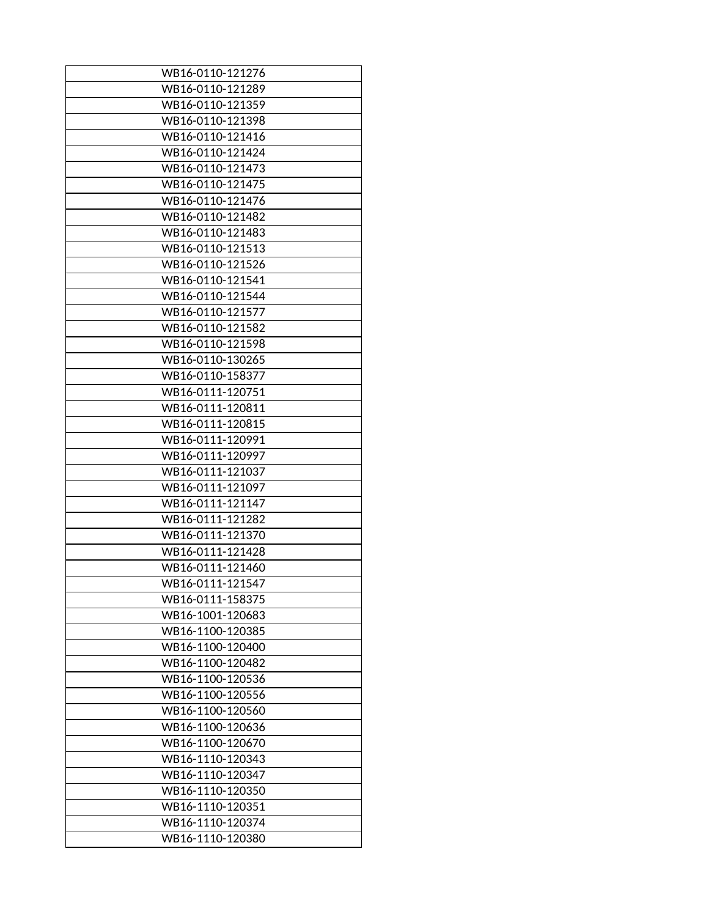| WB16-0110-121276 |
|------------------|
| WB16-0110-121289 |
| WB16-0110-121359 |
| WB16-0110-121398 |
| WB16-0110-121416 |
| WB16-0110-121424 |
| WB16-0110-121473 |
| WB16-0110-121475 |
| WB16-0110-121476 |
| WB16-0110-121482 |
| WB16-0110-121483 |
| WB16-0110-121513 |
| WB16-0110-121526 |
| WB16-0110-121541 |
| WB16-0110-121544 |
| WB16-0110-121577 |
| WB16-0110-121582 |
| WB16-0110-121598 |
| WB16-0110-130265 |
| WB16-0110-158377 |
| WB16-0111-120751 |
| WB16-0111-120811 |
| WB16-0111-120815 |
| WB16-0111-120991 |
| WB16-0111-120997 |
| WB16-0111-121037 |
| WB16-0111-121097 |
| WB16-0111-121147 |
| WB16-0111-121282 |
| WB16-0111-121370 |
| WB16-0111-121428 |
| WB16-0111-121460 |
| WB16-0111-121547 |
| WB16-0111-158375 |
| WB16-1001-120683 |
| WB16-1100-120385 |
| WB16-1100-120400 |
| WB16-1100-120482 |
| WB16-1100-120536 |
| WB16-1100-120556 |
| WB16-1100-120560 |
| WB16-1100-120636 |
| WB16-1100-120670 |
| WB16-1110-120343 |
| WB16-1110-120347 |
| WB16-1110-120350 |
| WB16-1110-120351 |
| WB16-1110-120374 |
| WB16-1110-120380 |
|                  |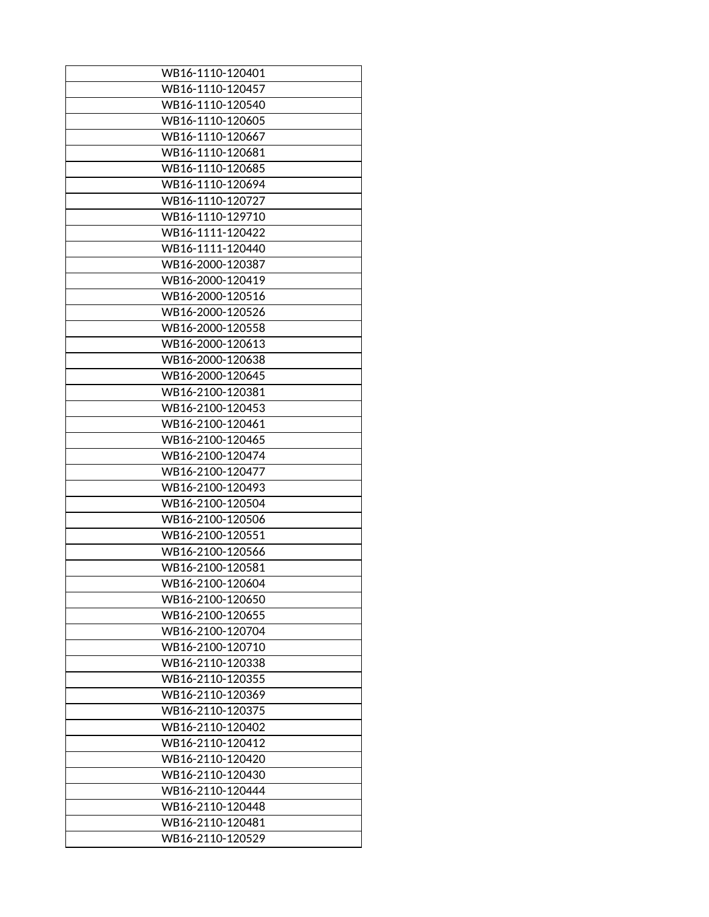| WB16-1110-120401 |
|------------------|
| WB16-1110-120457 |
| WB16-1110-120540 |
| WB16-1110-120605 |
| WB16-1110-120667 |
| WB16-1110-120681 |
| WB16-1110-120685 |
| WB16-1110-120694 |
| WB16-1110-120727 |
| WB16-1110-129710 |
|                  |
| WB16-1111-120422 |
| WB16-1111-120440 |
| WB16-2000-120387 |
| WB16-2000-120419 |
| WB16-2000-120516 |
| WB16-2000-120526 |
| WB16-2000-120558 |
| WB16-2000-120613 |
| WB16-2000-120638 |
| WB16-2000-120645 |
| WB16-2100-120381 |
| WB16-2100-120453 |
| WB16-2100-120461 |
| WB16-2100-120465 |
| WB16-2100-120474 |
| WB16-2100-120477 |
| WB16-2100-120493 |
| WB16-2100-120504 |
| WB16-2100-120506 |
| WB16-2100-120551 |
| WB16-2100-120566 |
| WB16-2100-120581 |
| WB16-2100-120604 |
| WB16-2100-120650 |
| WB16-2100-120655 |
| WB16-2100-120704 |
| WB16-2100-120710 |
| WB16-2110-120338 |
| WB16-2110-120355 |
| WB16-2110-120369 |
| WB16-2110-120375 |
| WB16-2110-120402 |
| WB16-2110-120412 |
| WB16-2110-120420 |
| WB16-2110-120430 |
| WB16-2110-120444 |
| WB16-2110-120448 |
| WB16-2110-120481 |
| WB16-2110-120529 |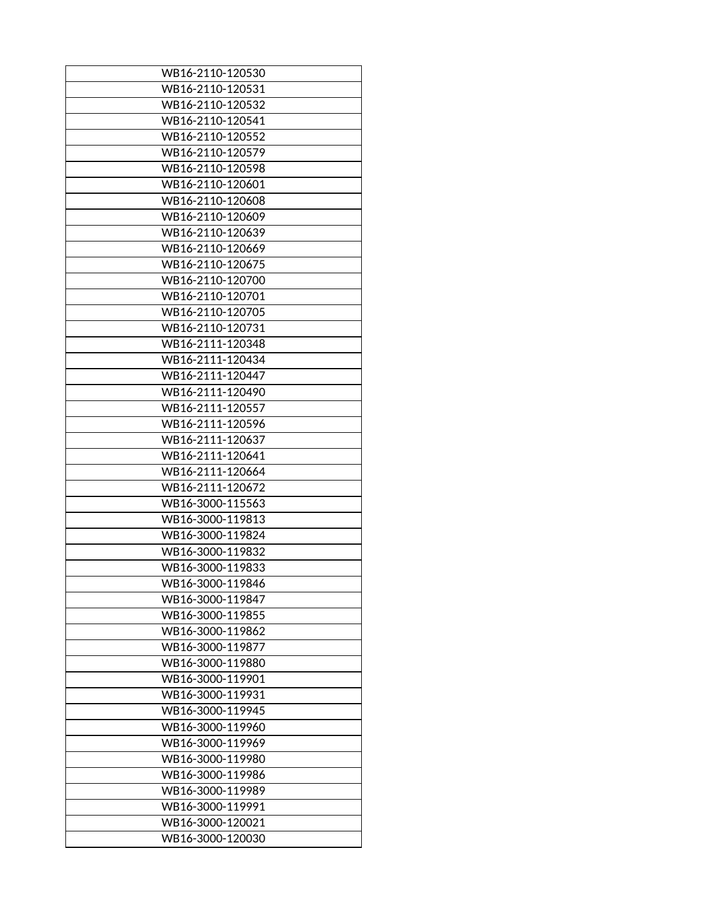| WB16-2110-120530 |
|------------------|
| WB16-2110-120531 |
| WB16-2110-120532 |
|                  |
| WB16-2110-120541 |
| WB16-2110-120552 |
| WB16-2110-120579 |
| WB16-2110-120598 |
| WB16-2110-120601 |
| WB16-2110-120608 |
| WB16-2110-120609 |
| WB16-2110-120639 |
| WB16-2110-120669 |
| WB16-2110-120675 |
| WB16-2110-120700 |
| WB16-2110-120701 |
| WB16-2110-120705 |
| WB16-2110-120731 |
| WB16-2111-120348 |
| WB16-2111-120434 |
| WB16-2111-120447 |
| WB16-2111-120490 |
| WB16-2111-120557 |
| WB16-2111-120596 |
| WB16-2111-120637 |
| WB16-2111-120641 |
| WB16-2111-120664 |
| WB16-2111-120672 |
| WB16-3000-115563 |
| WB16-3000-119813 |
| WB16-3000-119824 |
|                  |
| WB16-3000-119832 |
| WB16-3000-119833 |
| WB16-3000-119846 |
| WB16-3000-119847 |
| WB16-3000-119855 |
| WB16-3000-119862 |
| WB16-3000-119877 |
| WB16-3000-119880 |
| WB16-3000-119901 |
| WB16-3000-119931 |
| WB16-3000-119945 |
| WB16-3000-119960 |
| WB16-3000-119969 |
| WB16-3000-119980 |
| WB16-3000-119986 |
| WB16-3000-119989 |
| WB16-3000-119991 |
| WB16-3000-120021 |
| WB16-3000-120030 |
|                  |